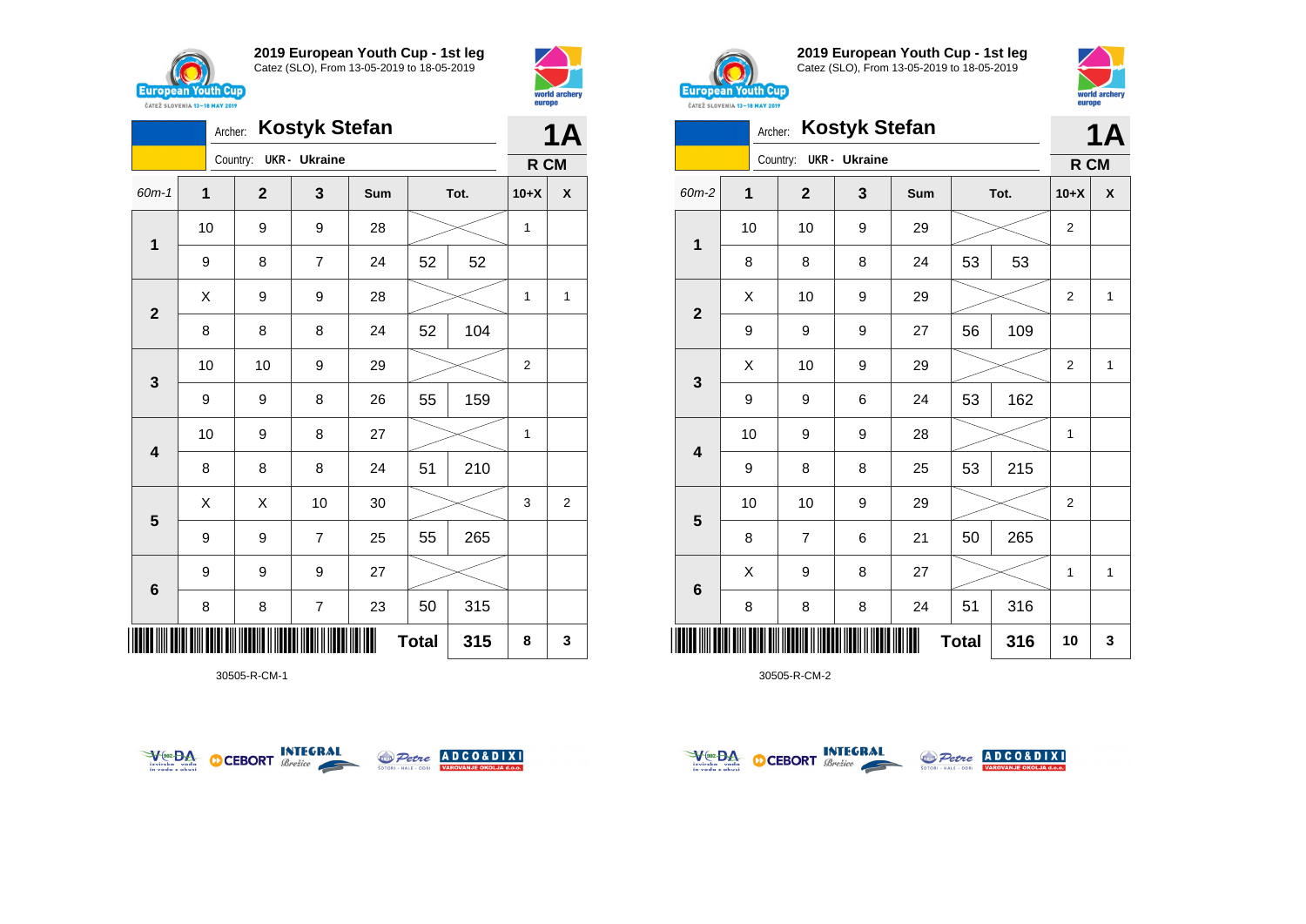



|                         |             | Archer:      | <b>Kostyk Stefan</b>    |     |              |      |                | 1Α             |  |
|-------------------------|-------------|--------------|-------------------------|-----|--------------|------|----------------|----------------|--|
|                         |             | Country:     | <b>UKR</b> - Ukraine    |     |              |      | R CM           |                |  |
| 60m-1                   | $\mathbf 1$ | $\mathbf{2}$ | 3                       | Sum |              | Tot. | $10+X$         | X              |  |
| $\mathbf 1$             | 10          | 9            | 9                       | 28  |              |      |                |                |  |
|                         | 9           | 8            | 7                       | 24  | 52           | 52   |                |                |  |
| $\mathbf{2}$            | Χ           | 9            | 9                       | 28  |              |      | 1              | 1              |  |
|                         | 8           | 8            | 8                       | 24  | 52           | 104  |                |                |  |
| 3                       | 10          | 10           | 9                       | 29  |              |      | $\overline{2}$ |                |  |
|                         | 9           | 9            | 8                       | 26  | 55           | 159  |                |                |  |
| $\overline{\mathbf{4}}$ | 10          | 9            | 8                       | 27  |              |      | 1              |                |  |
|                         | 8           | 8            | 8                       | 24  | 51           | 210  |                |                |  |
| 5                       | Χ           | Χ            | 10                      | 30  |              |      | 3              | $\overline{2}$ |  |
|                         | 9           | 9            | $\overline{7}$          | 25  | 55           | 265  |                |                |  |
| $\bf 6$                 | 9           | 9            | 9                       | 27  |              |      |                |                |  |
|                         | 8           | 8            | $\overline{\mathbf{7}}$ | 23  | 50           | 315  |                |                |  |
| IIIII                   |             |              |                         |     | <b>Total</b> | 315  | 8              | 3              |  |

30505-R-CM-1





**2019 European Youth Cup - 1st leg** Catez (SLO), From 13-05-2019 to 18-05-2019



|                         | Archer:        |                | <b>Kostyk Stefan</b> |     |              |      |                | 1A           |  |
|-------------------------|----------------|----------------|----------------------|-----|--------------|------|----------------|--------------|--|
|                         |                | Country:       | <b>UKR</b> - Ukraine |     |              |      | R CM           |              |  |
| 60m-2                   | $\overline{1}$ | $\overline{2}$ | 3                    | Sum |              | Tot. | $10+X$         | X            |  |
|                         | 10             | 10             | $\boldsymbol{9}$     | 29  |              |      | $\overline{2}$ |              |  |
| 1                       | 8              | 8              | 8                    | 24  | 53           | 53   |                |              |  |
|                         | Χ              | 10             | 9                    | 29  |              |      | 2              | 1            |  |
| $\overline{\mathbf{2}}$ | 9              | 9              | $\boldsymbol{9}$     | 27  | 56           | 109  |                |              |  |
|                         | X              | 10             | 9                    | 29  |              |      | $\overline{2}$ | $\mathbf{1}$ |  |
| 3                       | 9              | 9              | $\,6$                | 24  | 53           | 162  |                |              |  |
|                         | 10             | 9              | $\boldsymbol{9}$     | 28  |              |      | 1              |              |  |
| 4                       | 9              | 8              | 8                    | 25  | 53           | 215  |                |              |  |
|                         | 10             | 10             | $\boldsymbol{9}$     | 29  |              |      | $\overline{2}$ |              |  |
| 5                       | 8              | 7              | 6                    | 21  | 50           | 265  |                |              |  |
|                         | X              | 9              | 8                    | 27  |              |      | $\mathbf{1}$   | $\mathbf{1}$ |  |
| $6\phantom{1}6$         | 8              | 8              | 8                    | 24  | 51           | 316  |                |              |  |
|                         |                |                |                      |     | <b>Total</b> | 316  | 10             | 3            |  |



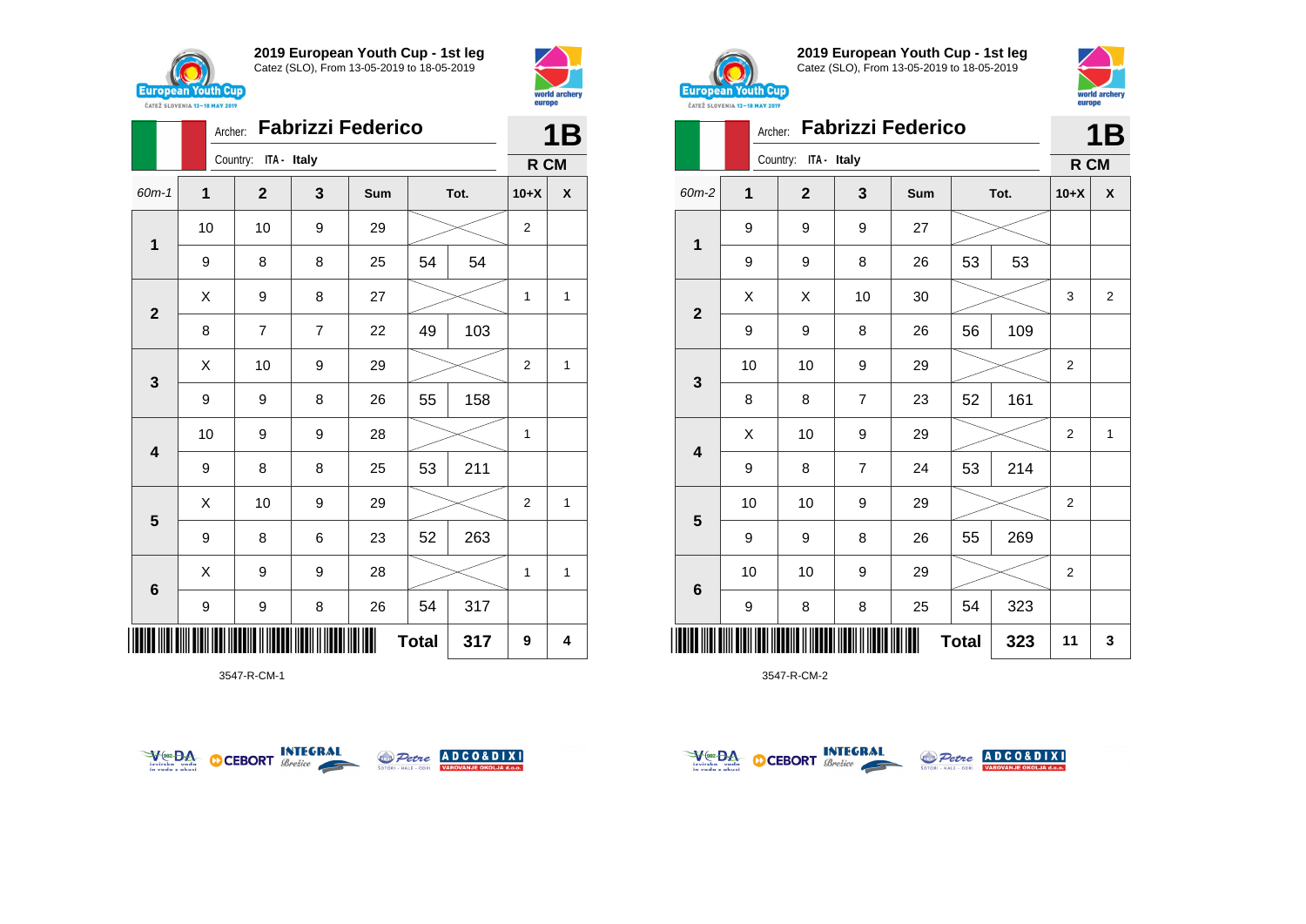



|                         | Archer: | <b>Fabrizzi Federico</b> |                |     | 1B             |      |                |   |
|-------------------------|---------|--------------------------|----------------|-----|----------------|------|----------------|---|
|                         |         | Country: ITA - Italy     |                |     |                |      | R CM           |   |
| $60m-1$                 | 1       | $\mathbf{2}$             | 3              | Sum |                | Tot. | $10+X$         | X |
| 1                       | 10      | 10<br>9<br>29            |                |     | $\overline{2}$ |      |                |   |
|                         | 9       | 8                        | 8              | 25  | 54             | 54   |                |   |
| $\overline{\mathbf{2}}$ | Χ       | 9                        | 8              | 27  |                |      | 1              | 1 |
|                         | 8       | 7                        | $\overline{7}$ | 22  | 49             | 103  |                |   |
|                         | X       | 10                       | 9              | 29  |                |      | $\overline{2}$ | 1 |
| 3                       | 9       | 9                        | 8              | 26  | 55             | 158  |                |   |
| $\overline{\mathbf{4}}$ | 10      | 9                        | 9              | 28  |                |      | 1              |   |
|                         | 9       | 8                        | 8              | 25  | 53             | 211  |                |   |
|                         | X       | 10                       | 9              | 29  |                |      | $\overline{2}$ | 1 |
| 5                       | 9       | 8                        | 6              | 23  | 52             | 263  |                |   |
|                         | X       | 9                        | 9              | 28  |                |      | 1              | 1 |
| $6\phantom{1}6$         | 9       | 9                        | 8              | 26  | 54             | 317  |                |   |
| IIII                    |         |                          |                |     | <b>Total</b>   | 317  | 9              | 4 |

3547-R-CM-1





**2019 European Youth Cup - 1st leg** Catez (SLO), From 13-05-2019 to 18-05-2019



| <b>CAILL SLUVENIA 13-18 MAY ZUIY</b> |             |                         |                  |                          |              |      |                |                         |
|--------------------------------------|-------------|-------------------------|------------------|--------------------------|--------------|------|----------------|-------------------------|
|                                      | Archer:     |                         |                  | <b>Fabrizzi Federico</b> |              |      |                | 1Β                      |
|                                      |             | ITA - Italy<br>Country: |                  |                          |              |      | R CM           |                         |
| 60m-2                                | $\mathbf 1$ | $\overline{\mathbf{2}}$ | 3                | Sum                      |              | Tot. | $10+X$         | X                       |
| $\mathbf{1}$                         | 9           | 9                       | $\boldsymbol{9}$ | 27                       |              |      |                |                         |
|                                      | 9           | 9                       | 8                | 26                       | 53           | 53   |                |                         |
| $\mathbf{2}$                         | X           | Χ                       | 10               | 30                       |              |      | 3              | $\overline{\mathbf{c}}$ |
|                                      | 9           | 9                       | 8                | 26                       | 56           | 109  |                |                         |
| 3                                    | 10          | 10                      | $\boldsymbol{9}$ | 29                       |              |      | 2              |                         |
|                                      | 8           | 8                       | $\overline{7}$   | 23                       | 52           | 161  |                |                         |
| $\overline{\mathbf{4}}$              | Χ           | 10                      | $\boldsymbol{9}$ | 29                       |              |      | $\overline{2}$ | 1                       |
|                                      | 9           | 8                       | $\overline{7}$   | 24                       | 53           | 214  |                |                         |
| 5                                    | 10          | 10                      | $\boldsymbol{9}$ | 29                       |              |      | $\overline{2}$ |                         |
|                                      | 9           | 9                       | 8                | 26                       | 55           | 269  |                |                         |
| 6                                    | 10          | 10                      | $\boldsymbol{9}$ | 29                       |              |      | $\overline{2}$ |                         |
|                                      | 9           | 8                       | 8                | 25                       | 54           | 323  |                |                         |
| ║║║                                  |             |                         |                  |                          | <b>Total</b> | 323  | 11             | 3                       |



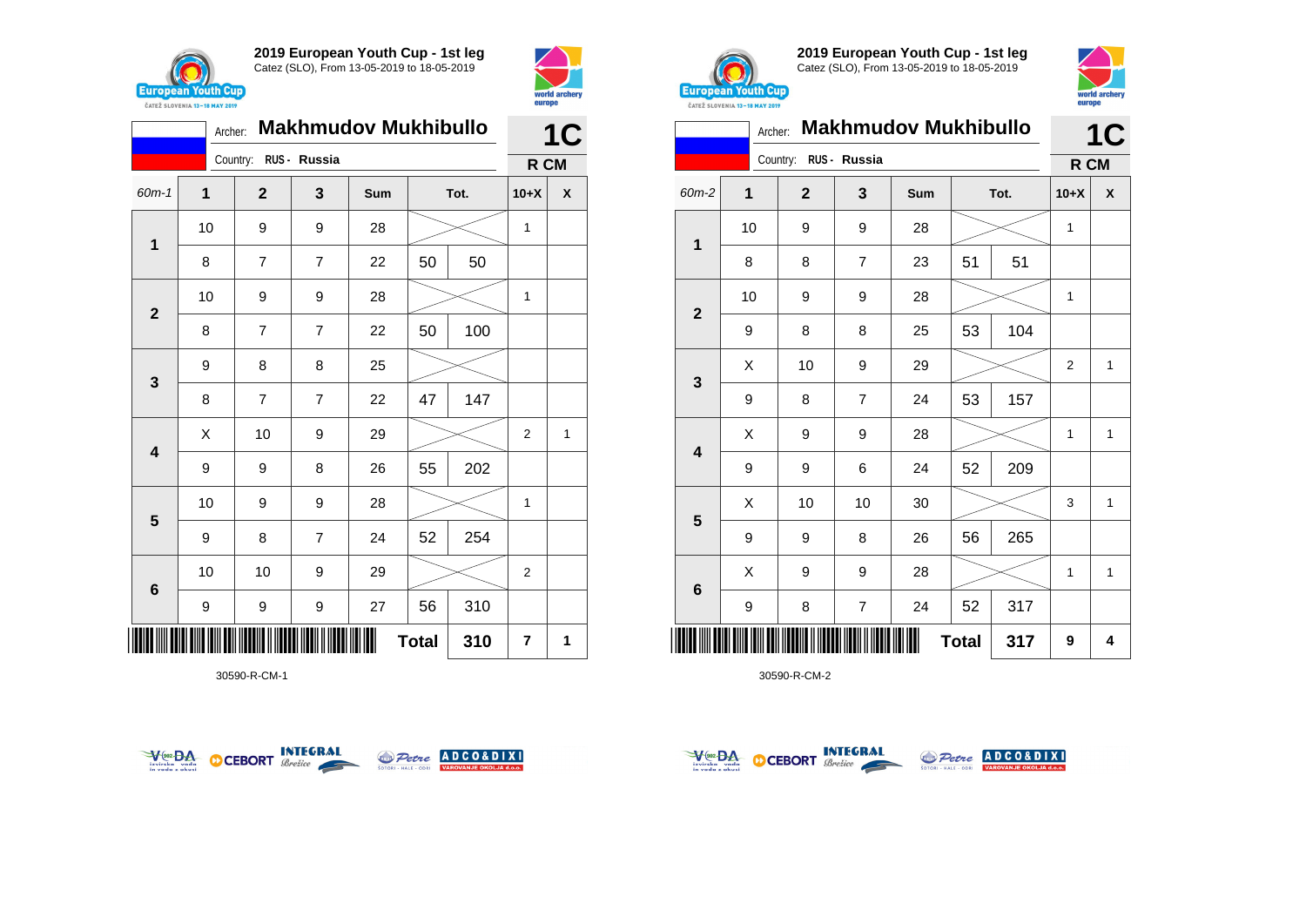



|                         | Archer:             |                       |                | <b>Makhmudov Mukhibullo</b> |    |      |                | 1C |
|-------------------------|---------------------|-----------------------|----------------|-----------------------------|----|------|----------------|----|
|                         |                     | Country: RUS - Russia |                |                             |    |      | R CM           |    |
| $60m-1$                 | 1                   | $\mathbf{2}$          | 3              | Sum                         |    | Tot. | $10+X$         | X  |
| 1                       | 10                  | 9                     | 9              | 28                          |    |      | $\mathbf{1}$   |    |
|                         | 8                   | $\overline{7}$        | $\overline{7}$ | 22                          | 50 | 50   |                |    |
| $\overline{2}$          | 10                  | 9                     | 9              | 28                          |    |      | 1              |    |
|                         | 8                   | $\overline{7}$        | $\overline{7}$ | 22                          | 50 | 100  |                |    |
| 3                       | 9                   | 8                     | 8              | 25                          |    |      |                |    |
|                         | 8                   | $\overline{7}$        | $\overline{7}$ | 22                          | 47 | 147  |                |    |
| $\overline{\mathbf{4}}$ | X                   | 10                    | 9              | 29                          |    |      | $\overline{2}$ | 1  |
|                         | 9                   | 9                     | 8              | 26                          | 55 | 202  |                |    |
| 5                       | 10                  | 9                     | 9              | 28                          |    |      | 1              |    |
|                         | 9                   | 8                     | $\overline{7}$ | 24                          | 52 | 254  |                |    |
| $\bf 6$                 | 10                  | 10                    | 9              | 29                          |    |      | $\overline{2}$ |    |
|                         | 9                   | 9                     | 9              | 27                          | 56 | 310  |                |    |
|                         | <b>Total</b><br>310 |                       |                |                             |    |      |                | 1  |

30590-R-CM-1





**2019 European Youth Cup - 1st leg** Catez (SLO), From 13-05-2019 to 18-05-2019



|                | Archer:        |                |                  | <b>Makhmudov Mukhibullo</b> |              |      |                | C<br>1       |
|----------------|----------------|----------------|------------------|-----------------------------|--------------|------|----------------|--------------|
|                |                | Country:       | RUS - Russia     |                             |              |      | R CM           |              |
| 60m-2          | $\overline{1}$ | $\overline{2}$ | 3                | Sum                         |              | Tot. | $10+X$         | X            |
| 1              | 10             | 9              | $\boldsymbol{9}$ | 28                          |              |      | $\mathbf{1}$   |              |
|                | 8              | 8              | $\overline{7}$   | 23                          | 51           | 51   |                |              |
| $\overline{2}$ | 10             | 9              | 9                | 28                          |              |      | $\mathbf{1}$   |              |
|                | 9              | 8              | 8                | 25                          | 53           | 104  |                |              |
| 3              | X              | 10             | 9                | 29                          |              |      | $\overline{2}$ | $\mathbf{1}$ |
|                | 9              | 8              | $\overline{7}$   | 24                          | 53           | 157  |                |              |
| 4              | X              | 9              | $\boldsymbol{9}$ | 28                          |              |      | $\overline{1}$ | $\mathbf{1}$ |
|                | 9              | 9              | 6                | 24                          | 52           | 209  |                |              |
|                | Χ              | 10             | 10               | 30                          |              |      | 3              | 1            |
| 5              | 9              | 9              | 8                | 26                          | 56           | 265  |                |              |
|                | X              | 9              | 9                | 28                          |              |      | $\mathbf{1}$   | $\mathbf{1}$ |
| $\bf 6$        | 9              | 8              | 7                | 24                          | 52           | 317  |                |              |
| ║║             |                |                |                  |                             | <b>Total</b> | 317  | 9              | 4            |



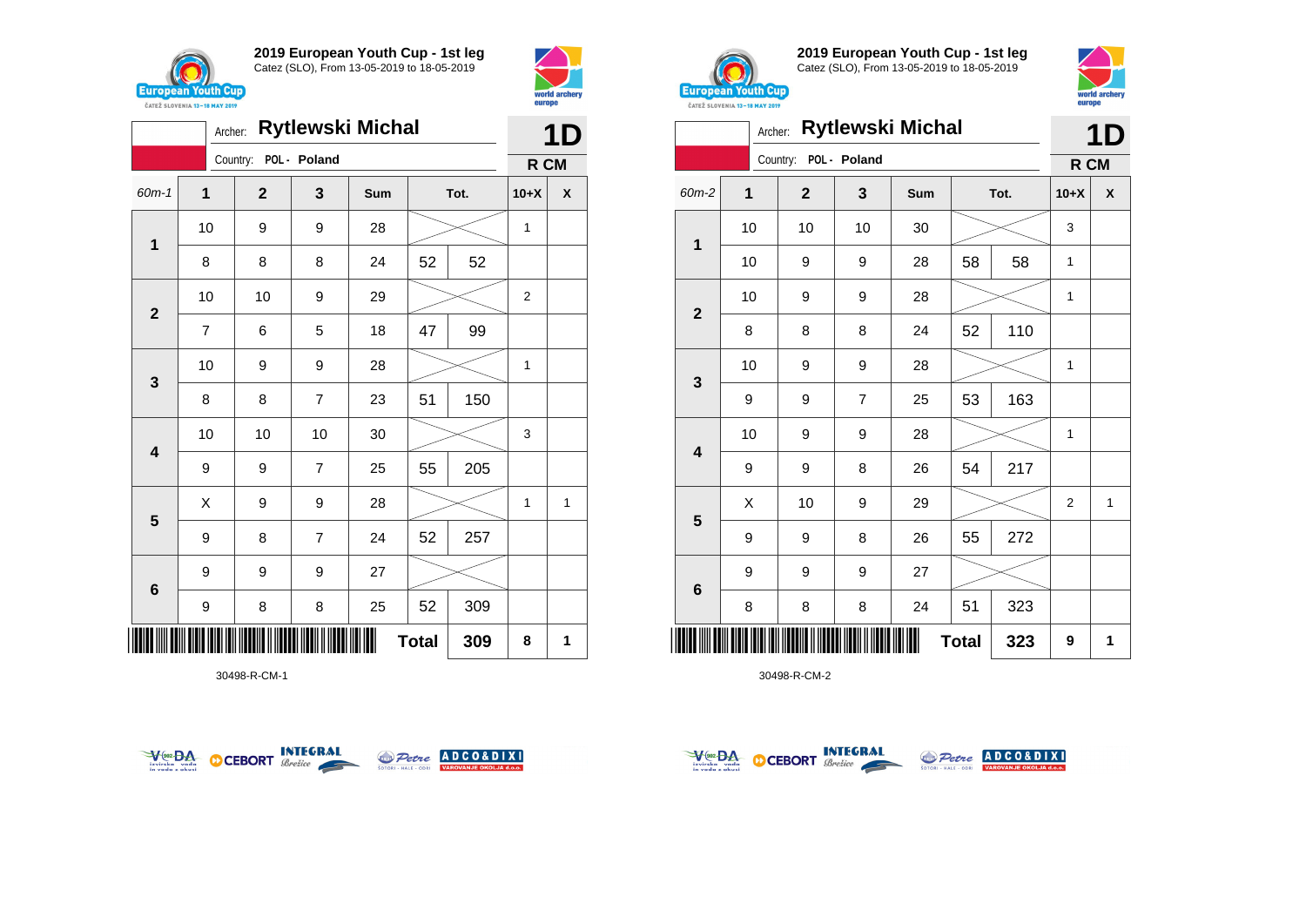



| <b>Rytlewski Michal</b><br>Archer:<br>Country:<br>POL - Poland<br>60m-1<br>$\mathbf{1}$<br>$\mathbf{2}$<br>3<br>Tot.<br>Sum<br>10<br>9<br>9<br>28<br>$\mathbf{1}$<br>52<br>8<br>8<br>8<br>24<br>52<br>10<br>10<br>9<br>29<br>$\overline{\mathbf{2}}$<br>99<br>47<br>5<br>$\overline{7}$<br>6<br>18<br>10<br>9<br>9<br>28<br>3<br>$\overline{7}$<br>51<br>150<br>8<br>8<br>23 |    |    |                |    |              | 1D  |                |   |
|------------------------------------------------------------------------------------------------------------------------------------------------------------------------------------------------------------------------------------------------------------------------------------------------------------------------------------------------------------------------------|----|----|----------------|----|--------------|-----|----------------|---|
|                                                                                                                                                                                                                                                                                                                                                                              |    |    |                |    |              |     | R CM           |   |
|                                                                                                                                                                                                                                                                                                                                                                              |    |    |                |    |              |     | $10+X$         | X |
|                                                                                                                                                                                                                                                                                                                                                                              |    |    |                |    |              |     |                |   |
|                                                                                                                                                                                                                                                                                                                                                                              |    |    |                |    |              |     |                |   |
|                                                                                                                                                                                                                                                                                                                                                                              |    |    |                |    |              |     | $\overline{2}$ |   |
|                                                                                                                                                                                                                                                                                                                                                                              |    |    |                |    |              |     |                |   |
|                                                                                                                                                                                                                                                                                                                                                                              |    |    |                |    |              |     | 1              |   |
|                                                                                                                                                                                                                                                                                                                                                                              |    |    |                |    |              |     |                |   |
| $\overline{\mathbf{4}}$                                                                                                                                                                                                                                                                                                                                                      | 10 | 10 | 10             | 30 |              |     | 3              |   |
|                                                                                                                                                                                                                                                                                                                                                                              | 9  | 9  | $\overline{7}$ | 25 | 55           | 205 |                |   |
| $\overline{\mathbf{5}}$                                                                                                                                                                                                                                                                                                                                                      | X  | 9  | 9              | 28 |              |     | 1              | 1 |
|                                                                                                                                                                                                                                                                                                                                                                              | 9  | 8  | $\overline{7}$ | 24 | 52           | 257 |                |   |
| 6                                                                                                                                                                                                                                                                                                                                                                            | 9  | 9  | 9              | 27 |              |     |                |   |
|                                                                                                                                                                                                                                                                                                                                                                              | 9  | 8  | 8              | 25 | 52           | 309 |                |   |
|                                                                                                                                                                                                                                                                                                                                                                              |    |    |                |    | <b>Total</b> | 309 | 8              | 1 |

30498-R-CM-1





**2019 European Youth Cup - 1st leg** Catez (SLO), From 13-05-2019 to 18-05-2019



|                         | Archer:     |              |                | <b>Rytlewski Michal</b> |              |      |                | 1D           |
|-------------------------|-------------|--------------|----------------|-------------------------|--------------|------|----------------|--------------|
|                         |             | Country:     | POL - Poland   |                         |              |      | R CM           |              |
| 60m-2                   | $\mathbf 1$ | $\mathbf{2}$ | 3              | Sum                     |              | Tot. | $10+X$         | χ            |
|                         | 10          | 10           | 10             | 30                      |              |      | 3              |              |
| 1                       | 10          | 9            | 9              | 28                      | 58           | 58   | 1              |              |
|                         | 10          | 9            | 9              | 28                      |              |      | $\mathbf{1}$   |              |
| $\overline{\mathbf{2}}$ | 8           | 8            | 8              | 24                      | 52           | 110  |                |              |
|                         | 10          | 9            | 9              | 28                      |              |      | 1              |              |
| 3                       | 9           | 9            | $\overline{7}$ | 25                      | 53           | 163  |                |              |
| $\overline{\mathbf{4}}$ | 10          | 9            | 9              | 28                      |              |      | 1              |              |
|                         | 9           | 9            | 8              | 26                      | 54           | 217  |                |              |
|                         | Χ           | 10           | 9              | 29                      |              |      | $\overline{2}$ | $\mathbf{1}$ |
| 5                       | 9           | 9            | 8              | 26                      | 55           | 272  |                |              |
|                         | 9           | 9            | 9              | 27                      |              |      |                |              |
| 6                       | 8           | 8            | 8              | 24                      | 51           | 323  |                |              |
| Ш                       |             |              |                |                         | <b>Total</b> | 323  | 9              | 1            |



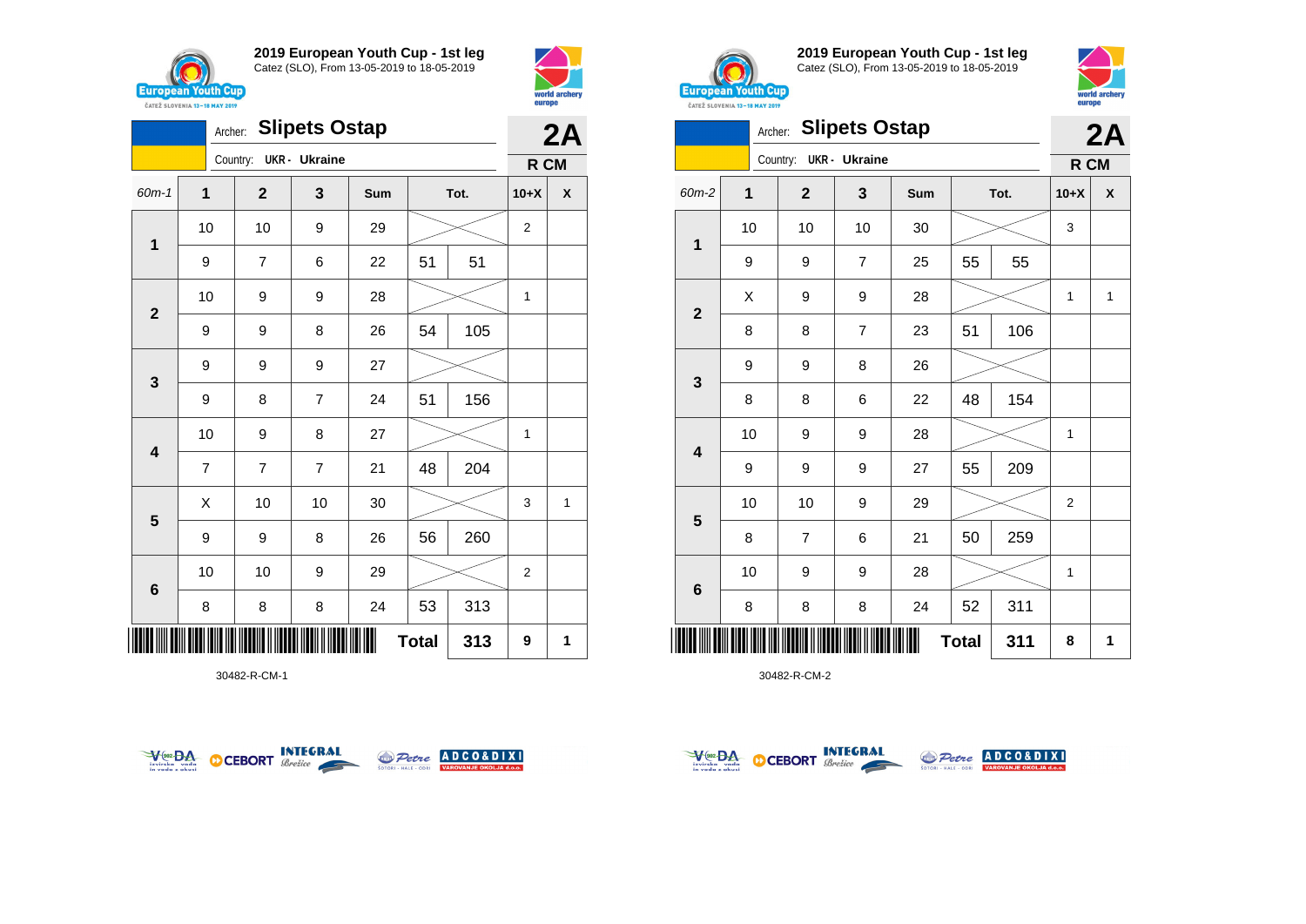





30482-R-CM-1





**2019 European Youth Cup - 1st leg** Catez (SLO), From 13-05-2019 to 18-05-2019



world arche

eurone

|              |              | Archer:                | <b>Slipets Ostap</b> |     |              |      |                | 2A           |
|--------------|--------------|------------------------|----------------------|-----|--------------|------|----------------|--------------|
|              |              | Country: UKR - Ukraine |                      |     |              |      | R CM           |              |
| 60m-2        | $\mathbf{1}$ | $\overline{2}$         | 3                    | Sum |              | Tot. | $10+X$         | χ            |
|              | 10           | 10                     | 10                   | 30  |              |      | 3              |              |
| $\mathbf{1}$ | 9            | 9                      | $\overline{7}$       | 25  | 55           | 55   |                |              |
|              | X            | 9                      | 9                    | 28  |              |      | 1              | $\mathbf{1}$ |
| $\mathbf{2}$ | 8            | 8                      | $\overline{7}$       | 23  | 51           | 106  |                |              |
|              | 9            | 9                      | 8                    | 26  |              |      |                |              |
| 3            | 8            | 8                      | 6                    | 22  | 48           | 154  |                |              |
|              | 10           | 9                      | 9                    | 28  |              |      | $\mathbf{1}$   |              |
| 4            | 9            | 9                      | 9                    | 27  | 55           | 209  |                |              |
|              | 10           | 10                     | 9                    | 29  |              |      | $\overline{2}$ |              |
| 5            | 8            | 7                      | 6                    | 21  | 50           | 259  |                |              |
|              | 10           | 9                      | 9                    | 28  |              |      | 1              |              |
| 6            | 8            | 8                      | 8                    | 24  | 52           | 311  |                |              |
|              |              |                        |                      |     | <b>Total</b> | 311  | 8              | 1            |



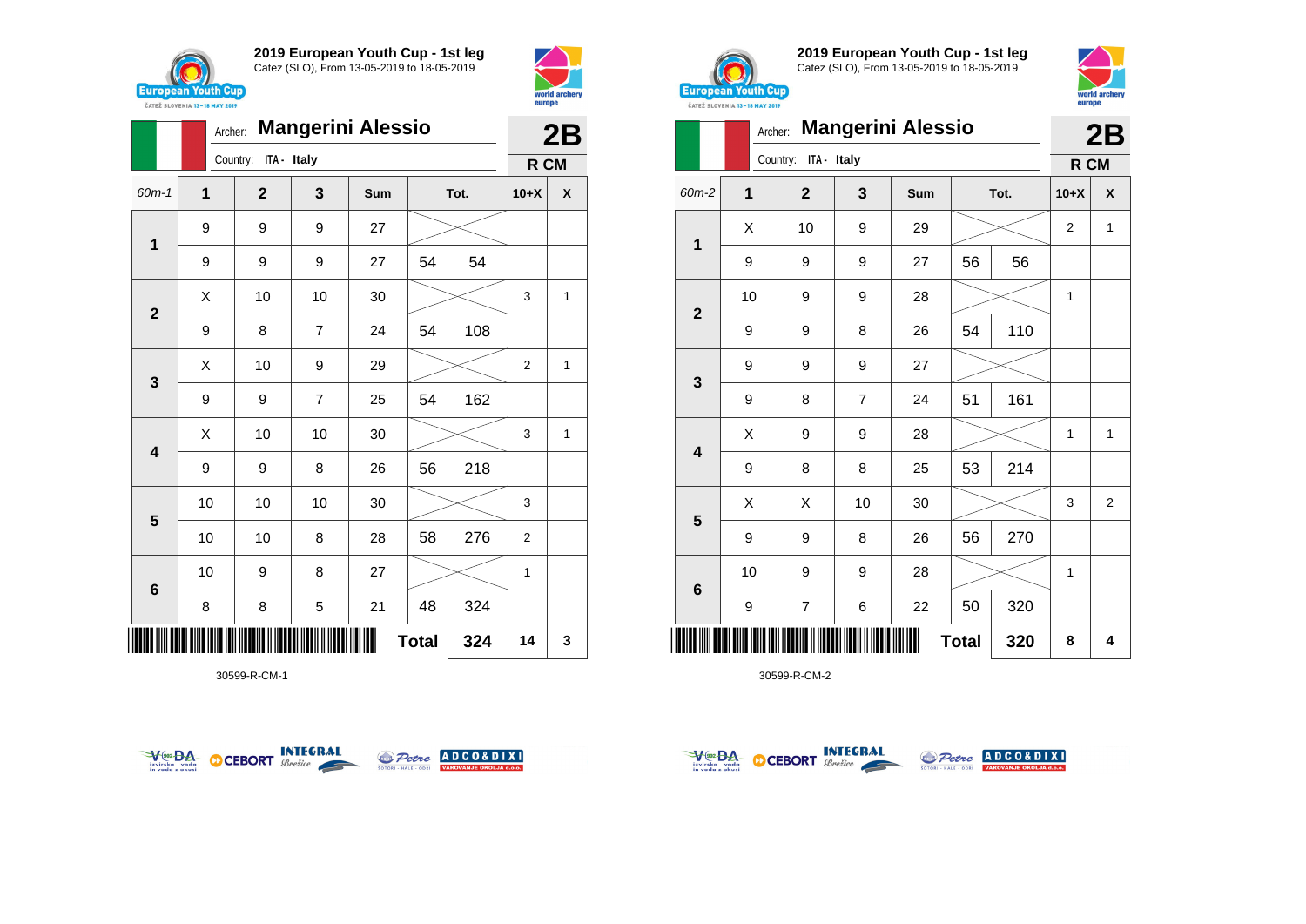





30599-R-CM-1





**2019 European Youth Cup - 1st leg** Catez (SLO), From 13-05-2019 to 18-05-2019



|                         | Archer: |                         |                | <b>Mangerini Alessio</b> |              |      |                | 2B                 |
|-------------------------|---------|-------------------------|----------------|--------------------------|--------------|------|----------------|--------------------|
|                         |         | ITA - Italy<br>Country: |                |                          |              |      | R CM           |                    |
| 60m-2                   | 1       | $\mathbf{2}$            | 3              | Sum                      |              | Tot. | $10+X$         | $\pmb{\mathsf{X}}$ |
| 1                       | Χ       | 10                      | 9              | 29                       |              |      | $\overline{2}$ | $\mathbf{1}$       |
|                         | 9       | 9                       | 9              | 27                       | 56           | 56   |                |                    |
| $\overline{2}$          | 10      | 9                       | 9              | 28                       |              |      | 1              |                    |
|                         | 9       | 9                       | 8              | 26                       | 54           | 110  |                |                    |
| 3                       | 9       | 9                       | 9              | 27                       |              |      |                |                    |
|                         | 9       | 8                       | $\overline{7}$ | 24                       | 51           | 161  |                |                    |
| $\overline{\mathbf{4}}$ | Χ       | 9                       | 9              | 28                       |              |      | $\mathbf{1}$   | $\mathbf{1}$       |
|                         | 9       | 8                       | 8              | 25                       | 53           | 214  |                |                    |
| $\overline{\mathbf{5}}$ | X       | X                       | 10             | 30                       |              |      | 3              | $\overline{2}$     |
|                         | 9       | 9                       | 8              | 26                       | 56           | 270  |                |                    |
| 6                       | 10      | 9                       | 9              | 28                       |              |      | 1              |                    |
|                         | 9       | $\overline{7}$          | 6              | 22                       | 50           | 320  |                |                    |
| Ш                       |         |                         |                |                          | <b>Total</b> | 320  | 8              | 4                  |



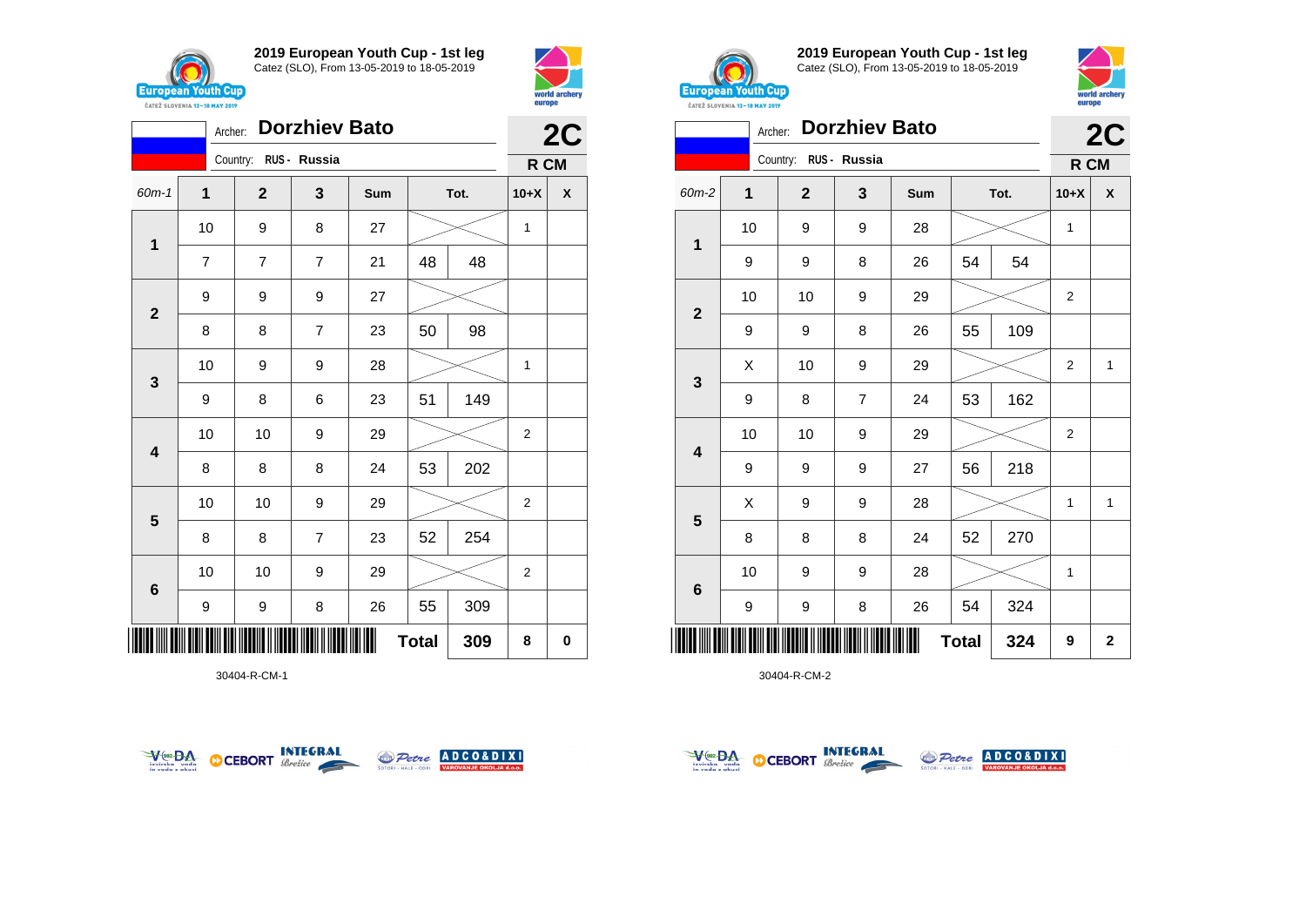



|                         | Archer:        |                       | <b>Dorzhiev Bato</b> |     |              |      |                | 2C |  |
|-------------------------|----------------|-----------------------|----------------------|-----|--------------|------|----------------|----|--|
|                         |                | Country: RUS - Russia |                      |     |              |      | R CM           |    |  |
| $60m-1$                 | 1              | $\mathbf{2}$          | 3                    | Sum |              | Tot. | $10+X$         | χ  |  |
| $\mathbf{1}$            | 10             | 9                     | 8                    | 27  |              |      | 1              |    |  |
|                         | $\overline{7}$ | $\overline{7}$        | $\overline{7}$       | 21  | 48           | 48   |                |    |  |
| $\mathbf{2}$            | 9              | 9                     | 9                    | 27  |              |      |                |    |  |
|                         | 8              | 8                     | $\overline{7}$       | 23  | 50           | 98   |                |    |  |
| $\mathbf{3}$            | 10             | 9                     | 9                    | 28  |              |      | 1              |    |  |
|                         | 9              | 8                     | 6                    | 23  | 51           | 149  |                |    |  |
| $\overline{\mathbf{4}}$ | 10             | 10                    | 9                    | 29  |              |      | $\overline{2}$ |    |  |
|                         | 8              | 8                     | 8                    | 24  | 53           | 202  |                |    |  |
|                         | 10             | 10                    | 9                    | 29  |              |      | $\mathbf{2}$   |    |  |
| 5                       | 8              | 8                     | $\overline{7}$       | 23  | 52           | 254  |                |    |  |
| $6\phantom{1}6$         | 10             | 10                    | 9                    | 29  |              |      | $\overline{2}$ |    |  |
|                         | 9              | 9                     | 8                    | 26  | 55           | 309  |                |    |  |
| ║║║                     |                |                       |                      |     | <b>Total</b> | 309  | 8              | 0  |  |

30404-R-CM-1





**2019 European Youth Cup - 1st leg** Catez (SLO), From 13-05-2019 to 18-05-2019



|              | Archer:     |              | <b>Dorzhiev Bato</b> |     |              |      |                | 2C           |
|--------------|-------------|--------------|----------------------|-----|--------------|------|----------------|--------------|
|              |             | Country:     | RUS - Russia         |     |              |      | R CM           |              |
| 60m-2        | $\mathbf 1$ | $\mathbf{2}$ | 3                    | Sum |              | Tot. | $10+X$         | X            |
| $\mathbf{1}$ | 10          | 9            | $\boldsymbol{9}$     | 28  |              |      | $\mathbf{1}$   |              |
|              | 9           | 9            | 8                    | 26  | 54           | 54   |                |              |
| $\mathbf{2}$ | 10          | 10           | $\boldsymbol{9}$     | 29  |              |      | $\overline{2}$ |              |
|              | 9           | 9            | 8                    | 26  | 55           | 109  |                |              |
|              | X           | 10           | 9                    | 29  |              |      | $\overline{2}$ | $\mathbf{1}$ |
| 3            | 9           | 8            | $\overline{7}$       | 24  | 53           | 162  |                |              |
|              | 10          | 10           | 9                    | 29  |              |      | $\overline{2}$ |              |
| 4            | 9           | 9            | $\boldsymbol{9}$     | 27  | 56           | 218  |                |              |
|              | Χ           | 9            | $\boldsymbol{9}$     | 28  |              |      | $\mathbf{1}$   | $\mathbf 1$  |
| 5            | 8           | 8            | 8                    | 24  | 52           | 270  |                |              |
| 6            | 10          | 9            | $\boldsymbol{9}$     | 28  |              |      | 1              |              |
|              | 9           | 9            | 8                    | 26  | 54           | 324  |                |              |
|              |             |              |                      |     | <b>Total</b> | 324  | 9              | 2            |



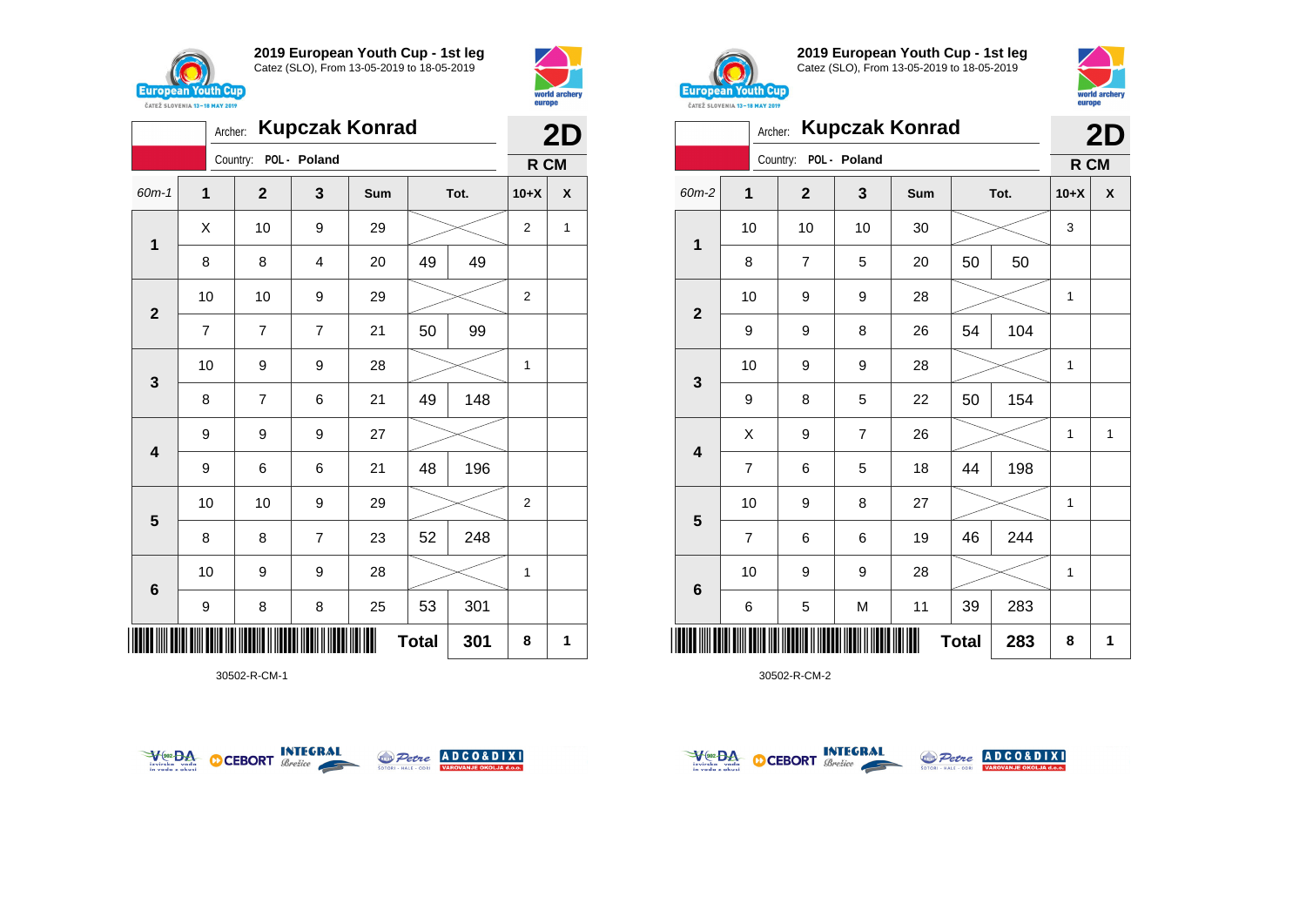



|       | <b>Kupczak Konrad</b><br>Archer:<br>POL - Poland<br>Country:<br>$\mathbf{1}$<br>$\mathbf{2}$<br>3<br>Tot.<br>Sum<br>10<br>9<br>X<br>29<br>$\mathbf{1}$<br>49<br>8<br>49<br>8<br>4<br>20<br>10<br>10<br>9<br>29<br>$\mathbf{2}$<br>99<br>$\overline{7}$<br>50<br>$\overline{7}$<br>$\overline{7}$<br>21 |                |   |    |              |     |                | 2D |
|-------|--------------------------------------------------------------------------------------------------------------------------------------------------------------------------------------------------------------------------------------------------------------------------------------------------------|----------------|---|----|--------------|-----|----------------|----|
|       |                                                                                                                                                                                                                                                                                                        |                |   |    |              |     | R CM           |    |
| 60m-1 |                                                                                                                                                                                                                                                                                                        |                |   |    |              |     | $10+X$         | X  |
|       |                                                                                                                                                                                                                                                                                                        |                |   |    |              |     | $\overline{2}$ | 1  |
|       |                                                                                                                                                                                                                                                                                                        |                |   |    |              |     |                |    |
|       |                                                                                                                                                                                                                                                                                                        |                |   |    |              |     | $\mathbf 2$    |    |
|       |                                                                                                                                                                                                                                                                                                        |                |   |    |              |     |                |    |
| 3     | 10                                                                                                                                                                                                                                                                                                     | 9              | 9 | 28 |              |     | 1              |    |
|       | 8                                                                                                                                                                                                                                                                                                      | $\overline{7}$ | 6 | 21 | 49           | 148 |                |    |
| 4     | 9                                                                                                                                                                                                                                                                                                      | 9              | 9 | 27 |              |     |                |    |
|       | 9                                                                                                                                                                                                                                                                                                      | 6              | 6 | 21 | 48           | 196 |                |    |
| 5     | 10                                                                                                                                                                                                                                                                                                     | 10             | 9 | 29 |              |     | $\overline{c}$ |    |
|       | 8                                                                                                                                                                                                                                                                                                      | 8              | 7 | 23 | 52           | 248 |                |    |
| 6     | 10                                                                                                                                                                                                                                                                                                     | 9              | 9 | 28 |              |     | 1              |    |
|       | 9                                                                                                                                                                                                                                                                                                      | 8              | 8 | 25 | 53           | 301 |                |    |
|       |                                                                                                                                                                                                                                                                                                        |                |   |    | <b>Total</b> | 301 | 8              | 1  |

30502-R-CM-1





**2019 European Youth Cup - 1st leg** Catez (SLO), From 13-05-2019 to 18-05-2019



|                         | Archer:        |                |                | <b>Kupczak Konrad</b> |              |      | 2D           |   |
|-------------------------|----------------|----------------|----------------|-----------------------|--------------|------|--------------|---|
|                         |                | Country:       | POL - Poland   |                       |              |      | R CM         |   |
| 60m-2                   | 1              | $\overline{2}$ | 3              | Sum                   |              | Tot. | $10+X$       | X |
|                         | 10             | 10             | 10             | 30                    |              |      | 3            |   |
| 1                       | 8              | 7              | 5              | 20                    | 50           | 50   |              |   |
|                         | 10             | 9              | 9              | 28                    |              |      | $\mathbf{1}$ |   |
| $\overline{\mathbf{2}}$ | 9              | 9              | 8              | 26                    | 54           | 104  |              |   |
|                         | 10             | 9              | 9              | 28                    |              |      | 1            |   |
| 3                       | 9              | 8              | 5              | 22                    | 50           | 154  |              |   |
|                         | Χ              | 9              | $\overline{7}$ | 26                    |              |      | 1            | 1 |
| 4                       | $\overline{7}$ | 6              | 5              | 18                    | 44           | 198  |              |   |
|                         | 10             | 9              | 8              | 27                    |              |      | 1            |   |
| 5                       | $\overline{7}$ | 6              | 6              | 19                    | 46           | 244  |              |   |
|                         | 10             | 9              | 9              | 28                    |              |      | 1            |   |
| 6                       | 6              | 5              | M              | 11                    | 39           | 283  |              |   |
| ║║                      |                |                |                |                       | <b>Total</b> | 283  | 8            | 1 |



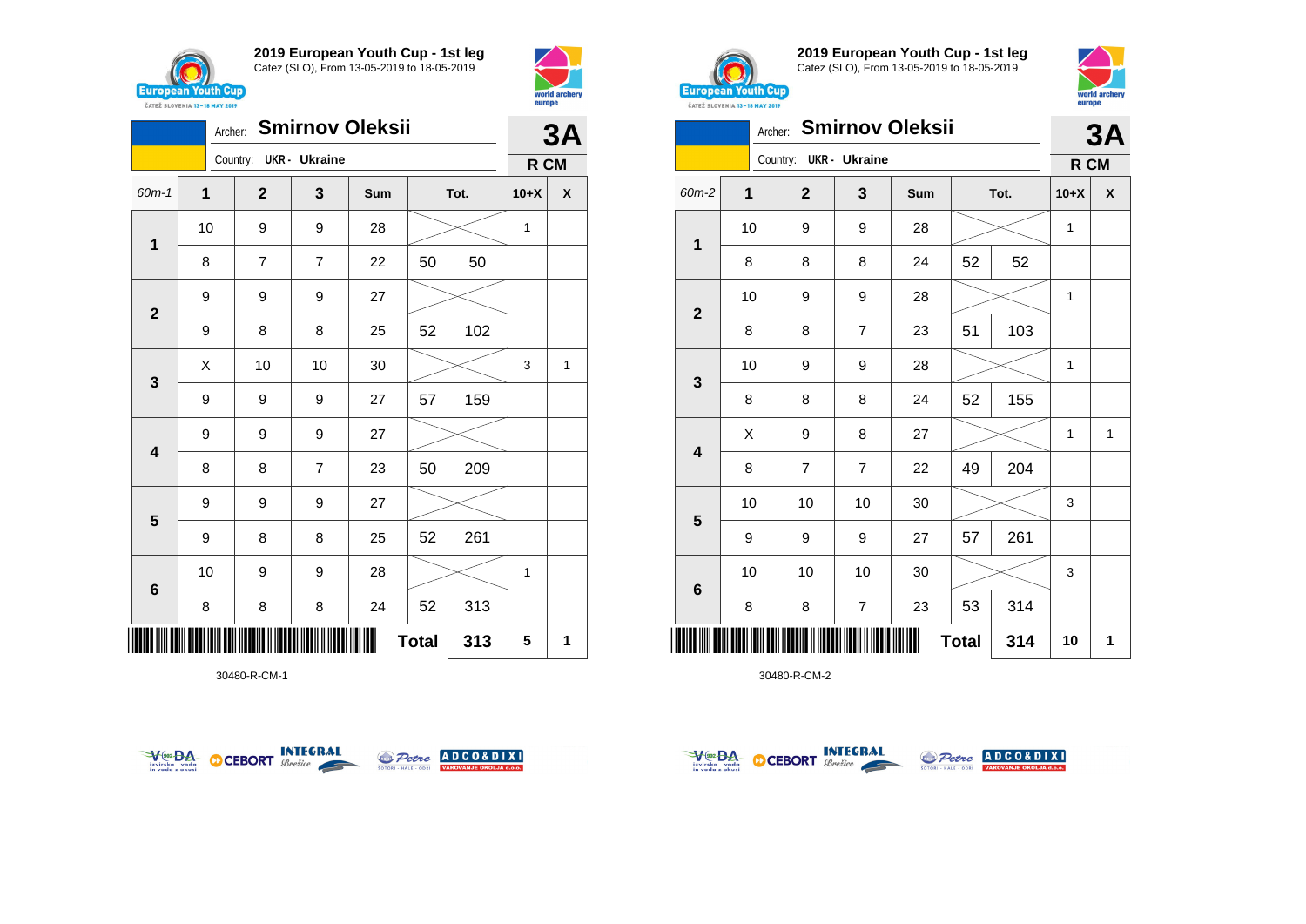



|                         | <b>Smirnov Oleksii</b><br>Archer: |                        |                |        |              |     |      |   |
|-------------------------|-----------------------------------|------------------------|----------------|--------|--------------|-----|------|---|
|                         |                                   | Country: UKR - Ukraine |                |        |              |     | R CM |   |
| 60m-1                   | $\mathbf 1$                       | $\mathbf 2$            | 3              | Sum    | Tot.         |     |      | χ |
| $\mathbf 1$             | 10                                | 9                      | 9              | 28     |              |     | 1    |   |
|                         | 8                                 | 7                      | $\overline{7}$ | 22     | 50           | 50  |      |   |
| $\mathbf{2}$            | 9                                 | 9                      | 9              | 27     |              |     |      |   |
|                         | 9                                 | 8                      | 8              | 25     | 52           | 102 |      |   |
| $\mathbf{3}$            | Χ                                 | 10                     | 10             | $30\,$ |              |     | 3    | 1 |
|                         | 9                                 | 9                      | 9              | 27     | 57           | 159 |      |   |
| $\overline{\mathbf{4}}$ | 9                                 | 9                      | 9              | 27     |              |     |      |   |
|                         | 8                                 | 8                      | $\overline{7}$ | 23     | 50           | 209 |      |   |
| $\overline{\mathbf{5}}$ | 9                                 | 9                      | 9              | 27     |              |     |      |   |
|                         | 9                                 | 8                      | 8              | 25     | 52           | 261 |      |   |
| $\bf 6$                 | 10                                | 9                      | 9              | 28     |              |     | 1    |   |
|                         | 8                                 | 8                      | 8              | 24     | 52           | 313 |      |   |
| ║║║                     |                                   |                        |                |        | <b>Total</b> | 313 | 5    | 1 |

30480-R-CM-1





**2019 European Youth Cup - 1st leg** Catez (SLO), From 13-05-2019 to 18-05-2019



|                 | Archer:      |             |                         | <b>Smirnov Oleksii</b> |              |      |              | 3A           |
|-----------------|--------------|-------------|-------------------------|------------------------|--------------|------|--------------|--------------|
|                 |              | Country:    | <b>UKR- Ukraine</b>     |                        |              |      | R CM         |              |
| 60m-2           | $\mathbf{1}$ | $\mathbf 2$ | 3                       | Sum                    |              | Tot. | $10+X$       | X            |
|                 | 10           | 9           | 9                       | 28                     |              |      | $\mathbf{1}$ |              |
| $\mathbf{1}$    | 8            | 8           | 8                       | 24                     | 52           | 52   |              |              |
|                 | 10           | 9           | $\boldsymbol{9}$        | 28                     |              |      | 1            |              |
| $\overline{2}$  | 8            | 8           | $\overline{7}$          | 23                     | 51           | 103  |              |              |
|                 | 10           | 9           | 9                       | 28                     |              |      | 1            |              |
| 3               | 8            | 8           | 8                       | 24                     | 52           | 155  |              |              |
|                 | X            | 9           | 8                       | 27                     |              |      | 1            | $\mathbf{1}$ |
| 4               | 8            | 7           | $\overline{7}$          | 22                     | 49           | 204  |              |              |
|                 | 10           | 10          | 10                      | 30                     |              |      | 3            |              |
| 5               | 9            | 9           | 9                       | 27                     | 57           | 261  |              |              |
|                 | 10           | 10          | 10                      | 30                     |              |      | 3            |              |
| $6\phantom{1}6$ | 8            | 8           | $\overline{\mathbf{7}}$ | 23                     | 53           | 314  |              |              |
| ║               |              |             |                         |                        | <b>Total</b> | 314  | 10           | 1            |



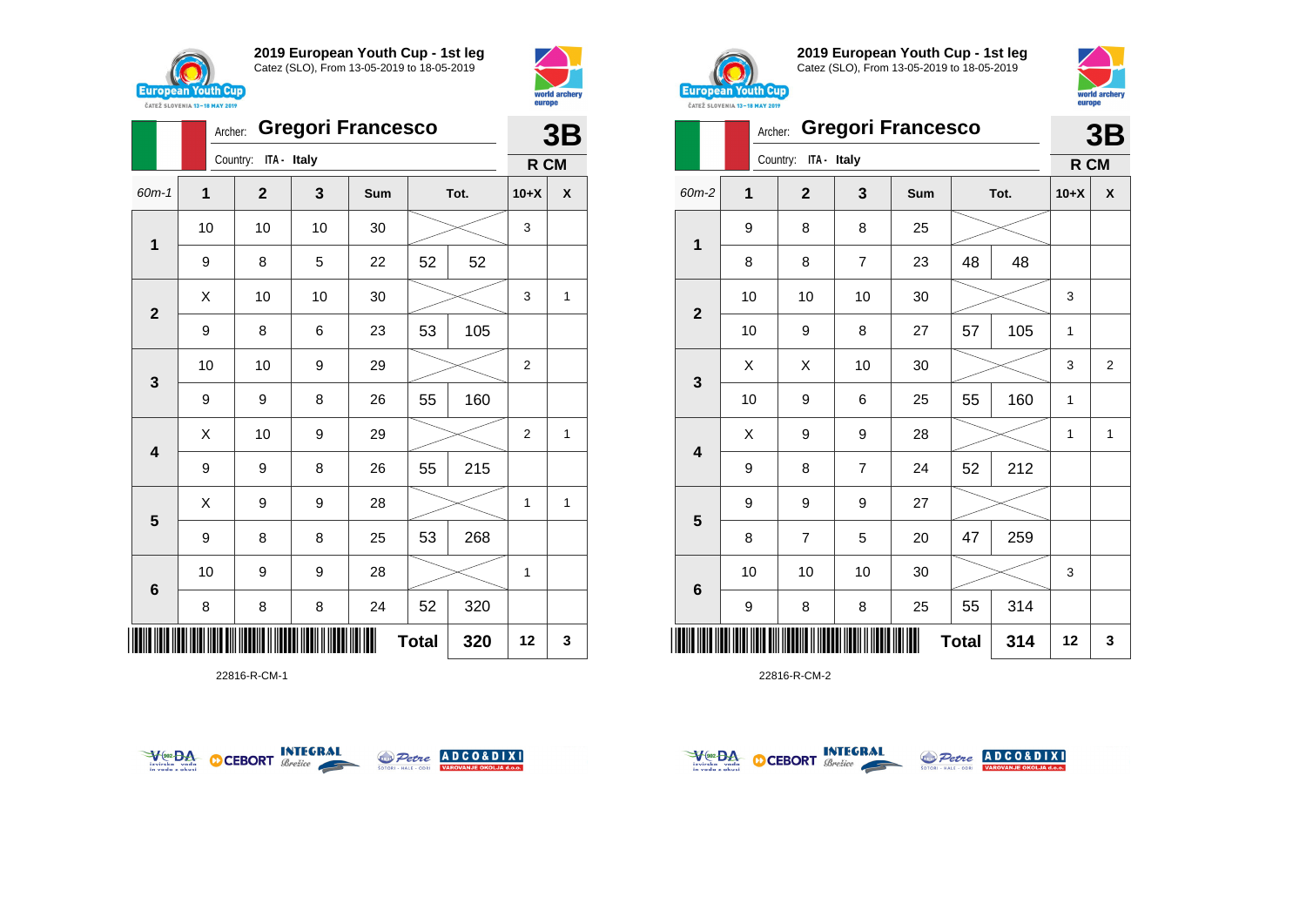





22816-R-CM-1





**2019 European Youth Cup - 1st leg** Catez (SLO), From 13-05-2019 to 18-05-2019



|                         | <b><i>UAILL SLUVERIA 13"10 MAT 2017</i></b> |                         |                |                          |              |      |        |    |
|-------------------------|---------------------------------------------|-------------------------|----------------|--------------------------|--------------|------|--------|----|
|                         | Archer:                                     |                         |                | <b>Gregori Francesco</b> |              |      |        | 3B |
|                         |                                             | ITA - Italy<br>Country: |                |                          |              |      | R CM   |    |
| 60m-2                   | 1                                           | $\overline{\mathbf{2}}$ | 3              | Sum                      |              | Tot. | $10+X$ | X  |
|                         | 9                                           | 8                       | 8              | 25                       |              |      |        |    |
| $\mathbf{1}$            | 8                                           | 8                       | $\overline{7}$ | 23                       | 48           | 48   |        |    |
|                         | 10                                          | 10                      | 10             | 30                       |              |      | 3      |    |
| $\mathbf{2}$            | 10                                          | 9                       | 8              | 27                       | 57           | 105  | 1      |    |
|                         | Χ                                           | Χ                       | 10             | 30                       |              |      | 3      | 2  |
| 3                       | 10                                          | 9                       | 6              | 25                       | 55           | 160  | 1      |    |
|                         | X                                           | 9                       | 9              | 28                       |              |      | 1      | 1  |
| $\overline{\mathbf{4}}$ | 9                                           | 8                       | $\overline{7}$ | 24                       | 52           | 212  |        |    |
|                         | 9                                           | 9                       | 9              | 27                       |              |      |        |    |
| 5                       | 8                                           | $\overline{7}$          | 5              | 20                       | 47           | 259  |        |    |
|                         | 10                                          | 10                      | 10             | 30                       |              |      | 3      |    |
| 6                       | 9                                           | 8                       | 8              | 25                       | 55           | 314  |        |    |
| ║║║                     |                                             |                         |                |                          | <b>Total</b> | 314  | 12     | 3  |



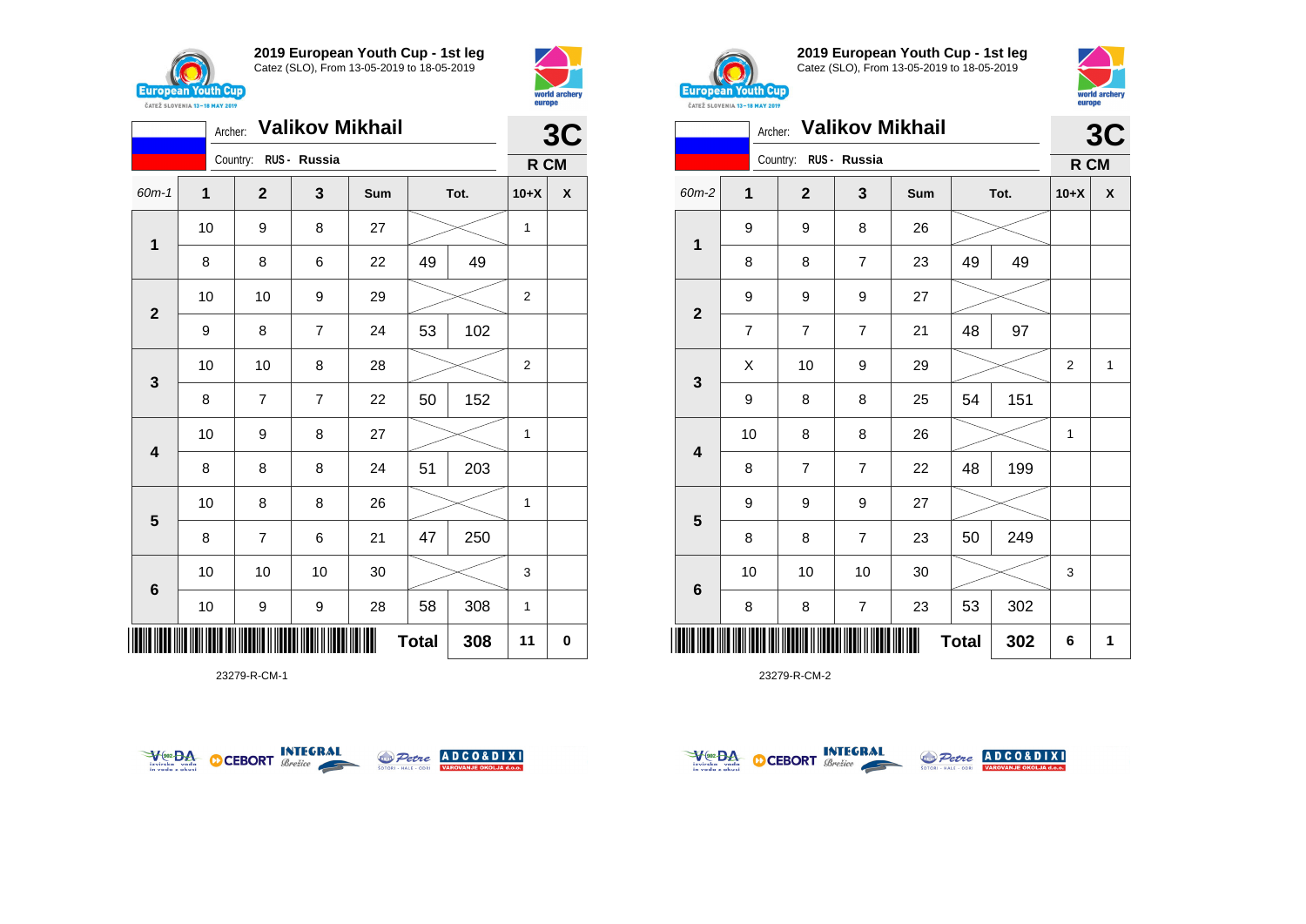



| <b>Valikov Mikhail</b><br>Archer: |                     |                       |                |     |    |      |                | 3C |
|-----------------------------------|---------------------|-----------------------|----------------|-----|----|------|----------------|----|
|                                   |                     | Country: RUS - Russia |                |     |    |      | R CM           |    |
| $60m-1$                           | 1                   | $\overline{2}$        | 3              | Sum |    | Tot. | $10+X$         | X  |
| $\mathbf 1$                       | 10                  | 9                     | 8              | 27  |    |      | 1              |    |
|                                   | 8                   | 8                     | 6              | 22  | 49 | 49   |                |    |
| $\mathbf{2}$                      | 10                  | 10                    | 9              | 29  |    |      | $\overline{c}$ |    |
|                                   | 9                   | 8                     | $\overline{7}$ | 24  | 53 | 102  |                |    |
| $\mathbf{3}$                      | 10                  | 10                    | 8              | 28  |    |      | $\overline{2}$ |    |
|                                   | 8                   | $\overline{7}$        | $\overline{7}$ | 22  | 50 | 152  |                |    |
| 4                                 | 10                  | 9                     | 8              | 27  |    |      | 1              |    |
|                                   | 8                   | 8                     | 8              | 24  | 51 | 203  |                |    |
|                                   | 10                  | 8                     | 8              | 26  |    |      | 1              |    |
| $\overline{\mathbf{5}}$           | 8                   | $\overline{7}$        | 6              | 21  | 47 | 250  |                |    |
| $6\phantom{1}$                    | 10                  | 10                    | 10             | 30  |    |      | 3              |    |
|                                   | 10                  | 9                     | 9              | 28  | 58 | 308  | 1              |    |
| ║║║                               | 308<br><b>Total</b> |                       |                |     |    |      |                |    |

23279-R-CM-1





**2019 European Youth Cup - 1st leg** Catez (SLO), From 13-05-2019 to 18-05-2019



|                 | <b>Valikov Mikhail</b><br>Archer: |                       |                |     |              |      |                | 3C           |  |
|-----------------|-----------------------------------|-----------------------|----------------|-----|--------------|------|----------------|--------------|--|
|                 |                                   | Country: RUS - Russia |                |     |              |      | R CM           |              |  |
| 60m-2           | $\overline{1}$                    | $\overline{2}$        | 3              | Sum |              | Tot. | $10+X$         | X            |  |
| 1               | 9                                 | 9                     | 8              | 26  |              |      |                |              |  |
|                 | 8                                 | 8                     | $\overline{7}$ | 23  | 49           | 49   |                |              |  |
| $\overline{2}$  | 9                                 | 9                     | 9              | 27  |              |      |                |              |  |
|                 | $\overline{7}$                    | $\overline{7}$        | $\overline{7}$ | 21  | 48           | 97   |                |              |  |
|                 | X                                 | 10                    | 9              | 29  |              |      | $\overline{2}$ | $\mathbf{1}$ |  |
| 3               | 9                                 | 8                     | 8              | 25  | 54           | 151  |                |              |  |
| 4               | 10                                | 8                     | 8              | 26  |              |      | 1              |              |  |
|                 | 8                                 | $\overline{7}$        | $\overline{7}$ | 22  | 48           | 199  |                |              |  |
|                 | 9                                 | 9                     | 9              | 27  |              |      |                |              |  |
| $5\phantom{1}$  | 8                                 | 8                     | $\overline{7}$ | 23  | 50           | 249  |                |              |  |
| $6\phantom{1}6$ | 10                                | 10                    | 10             | 30  |              |      | 3              |              |  |
|                 | 8                                 | 8                     | 7              | 23  | 53           | 302  |                |              |  |
| IIII            |                                   |                       |                |     | <b>Total</b> | 302  | 6              | 1            |  |



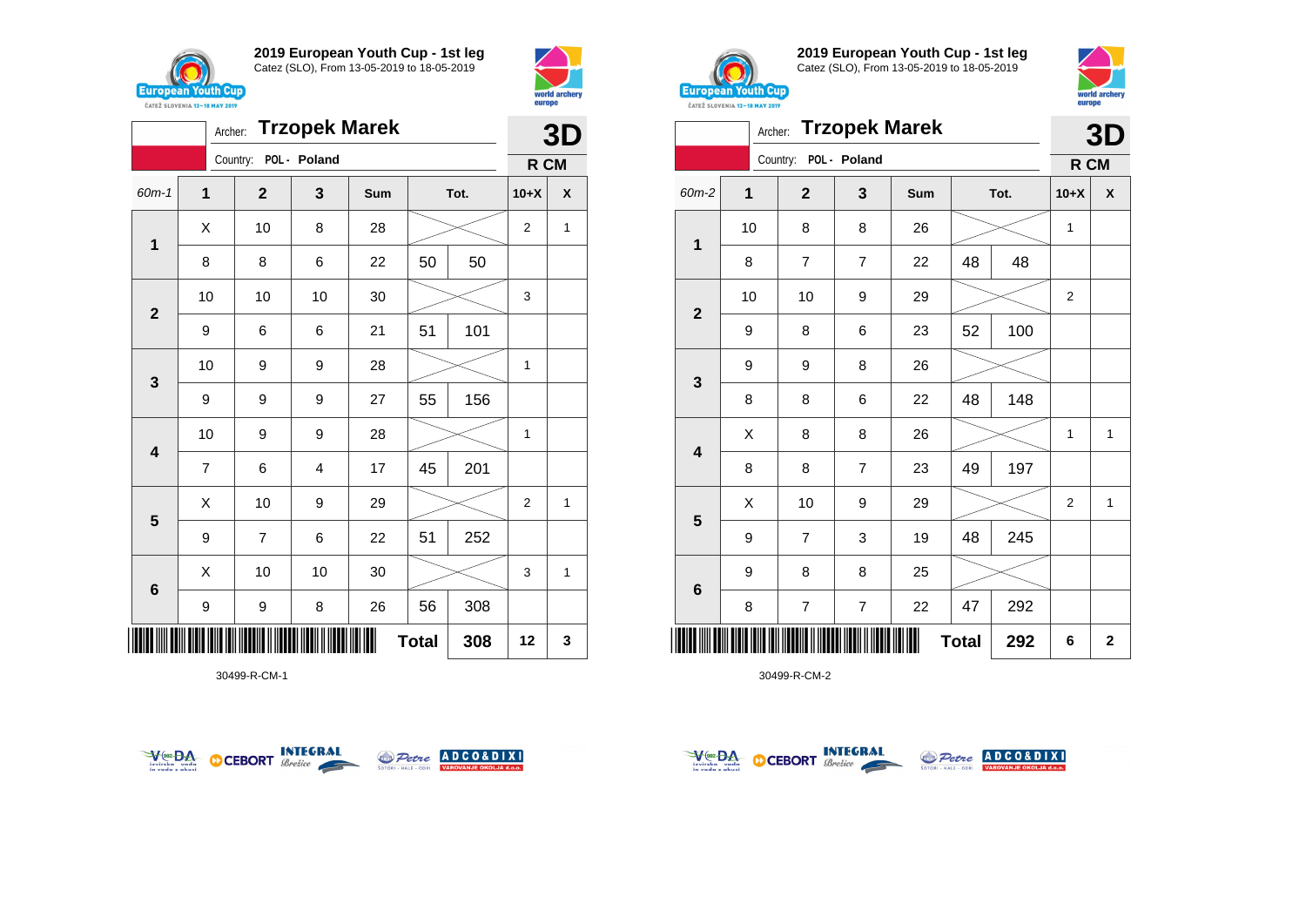





30499-R-CM-1





**2019 European Youth Cup - 1st leg** Catez (SLO), From 13-05-2019 to 18-05-2019



|              | <b>Trzopek Marek</b><br>Archer: |                |                         |     |              |      |                |             |
|--------------|---------------------------------|----------------|-------------------------|-----|--------------|------|----------------|-------------|
|              |                                 | Country:       | POL - Poland            |     |              |      | R CM           |             |
| 60m-2        | $\mathbf{1}$                    | $\mathbf{2}$   | 3                       | Sum |              | Tot. | $10+X$         | X           |
| 1            | 10                              | 8              | 8                       | 26  |              |      | 1              |             |
|              | 8                               | $\overline{7}$ | 7                       | 22  | 48           | 48   |                |             |
| $\mathbf{2}$ | 10                              | 10             | 9                       | 29  |              |      | $\overline{2}$ |             |
|              | 9                               | 8              | 6                       | 23  | 52           | 100  |                |             |
|              | 9                               | 9              | 8                       | 26  |              |      |                |             |
| 3            | 8                               | 8              | 6                       | 22  | 48           | 148  |                |             |
| 4            | Χ                               | 8              | 8                       | 26  |              |      | $\mathbf{1}$   | 1           |
|              | 8                               | 8              | $\overline{7}$          | 23  | 49           | 197  |                |             |
|              | Χ                               | 10             | 9                       | 29  |              |      | 2              | 1           |
| 5            | 9                               | $\overline{7}$ | 3                       | 19  | 48           | 245  |                |             |
|              | 9                               | 8              | 8                       | 25  |              |      |                |             |
| 6            | 8                               | $\overline{7}$ | $\overline{\mathbf{7}}$ | 22  | 47           | 292  |                |             |
| Ш            |                                 |                |                         |     | <b>Total</b> | 292  | 6              | $\mathbf 2$ |



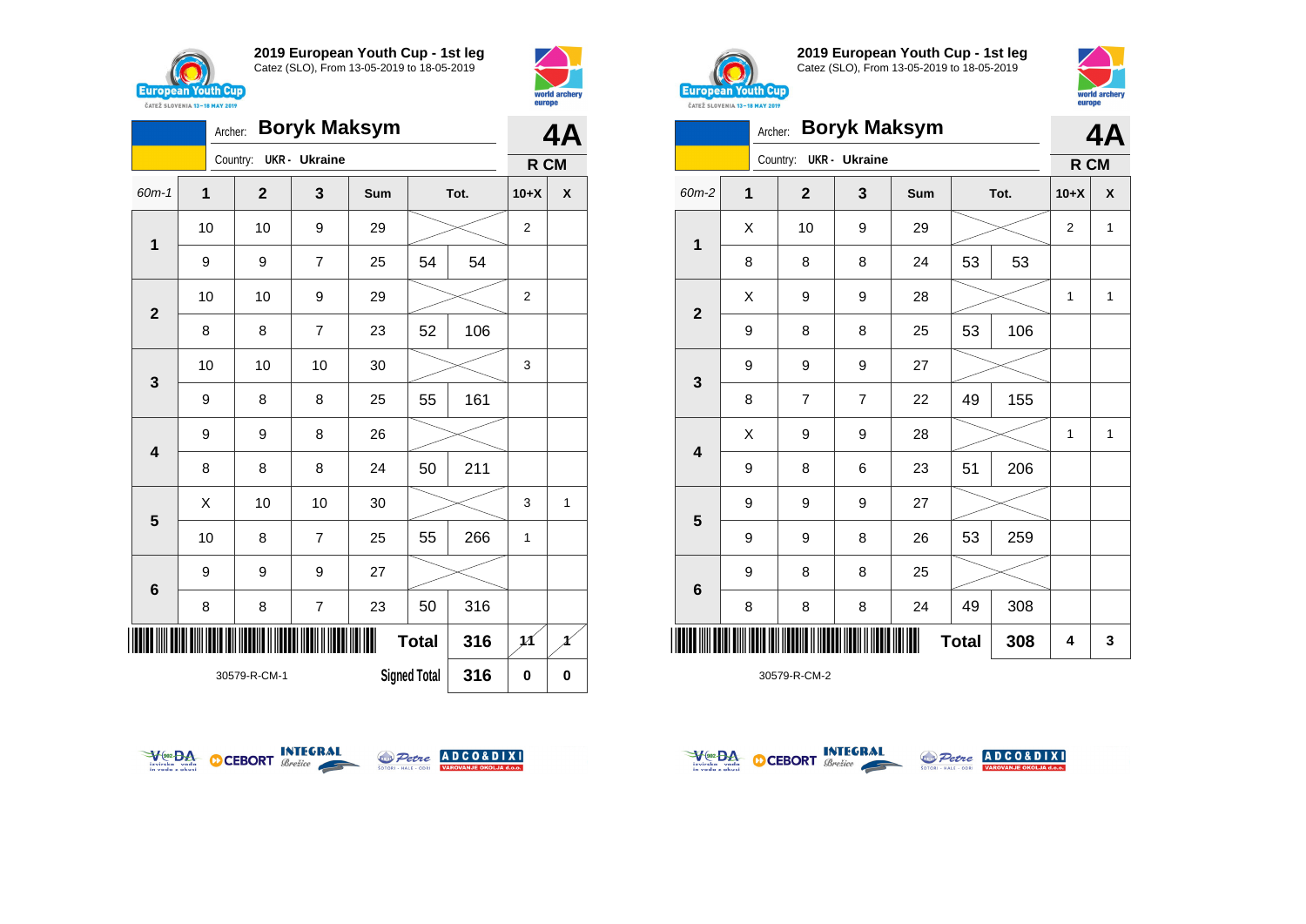



|                         | <b>Boryk Maksym</b><br>Archer:      |  |              |                      |     |              |      |                | 4Α       |  |
|-------------------------|-------------------------------------|--|--------------|----------------------|-----|--------------|------|----------------|----------|--|
|                         |                                     |  | Country:     | <b>UKR</b> - Ukraine |     |              |      | R CM           |          |  |
| 60m-1                   | 1                                   |  | $\mathbf{2}$ | 3                    | Sum |              | Tot. | $10+X$         | X        |  |
| 1                       | 10                                  |  | 10           | 9                    | 29  |              |      | $\overline{2}$ |          |  |
|                         | 9                                   |  | 9            | $\overline{7}$       | 25  | 54           | 54   |                |          |  |
| $\overline{2}$          | 10                                  |  | 10           | 9                    | 29  |              |      | $\overline{2}$ |          |  |
|                         | 8                                   |  | 8            | $\overline{7}$       | 23  | 52           | 106  |                |          |  |
| 3                       | 10                                  |  | 10           | 10                   | 30  |              |      | 3              |          |  |
|                         | 9                                   |  | 8            | 8                    | 25  | 55           | 161  |                |          |  |
| $\overline{\mathbf{4}}$ | 9                                   |  | 9            | 8                    | 26  |              |      |                |          |  |
|                         | 8                                   |  | 8            | 8                    | 24  | 50           | 211  |                |          |  |
| 5                       | X                                   |  | 10           | 10                   | 30  |              |      | 3              | 1        |  |
|                         | 10                                  |  | 8            | $\overline{7}$       | 25  | 55           | 266  | 1              |          |  |
| $6\phantom{1}6$         | 9                                   |  | 9            | 9                    | 27  |              |      |                |          |  |
|                         | 8                                   |  | 8            | $\overline{7}$       | 23  | 50           | 316  |                |          |  |
| III                     |                                     |  |              |                      |     | <b>Total</b> | 316  | 11             | Ħ        |  |
|                         | <b>Signed Total</b><br>30579-R-CM-1 |  |              |                      |     |              | 316  | 0              | $\bf{0}$ |  |



**2019 European Youth Cup - 1st leg** Catez (SLO), From 13-05-2019 to 18-05-2019



|              | Archer:        |              | <b>Boryk Maksym</b> |     |              |      | 4A             |              |
|--------------|----------------|--------------|---------------------|-----|--------------|------|----------------|--------------|
|              |                | Country:     | UKR - Ukraine       |     |              |      | R CM           |              |
| 60m-2        | $\overline{1}$ | $\mathbf{2}$ | 3                   | Sum |              | Tot. | $10+X$         | X            |
|              | Χ              | 10           | 9                   | 29  |              |      | 2              | 1            |
| 1            | 8              | 8            | 8                   | 24  | 53           | 53   |                |              |
|              | Χ              | 9            | 9                   | 28  |              |      | 1              | 1            |
| $\mathbf{2}$ | 9              | 8            | 8                   | 25  | 53           | 106  |                |              |
|              | 9              | 9            | 9                   | 27  |              |      |                |              |
| 3            | 8              | 7            | 7                   | 22  | 49           | 155  |                |              |
|              | Χ              | 9            | 9                   | 28  |              |      | $\overline{1}$ | $\mathbf{1}$ |
| 4            | 9              | 8            | 6                   | 23  | 51           | 206  |                |              |
|              | 9              | 9            | 9                   | 27  |              |      |                |              |
| 5            | 9              | 9            | 8                   | 26  | 53           | 259  |                |              |
|              | 9              | 8            | 8                   | 25  |              |      |                |              |
| 6            | 8              | 8            | 8                   | 24  | 49           | 308  |                |              |
|              |                |              |                     |     | <b>Total</b> | 308  | 4              | 3            |







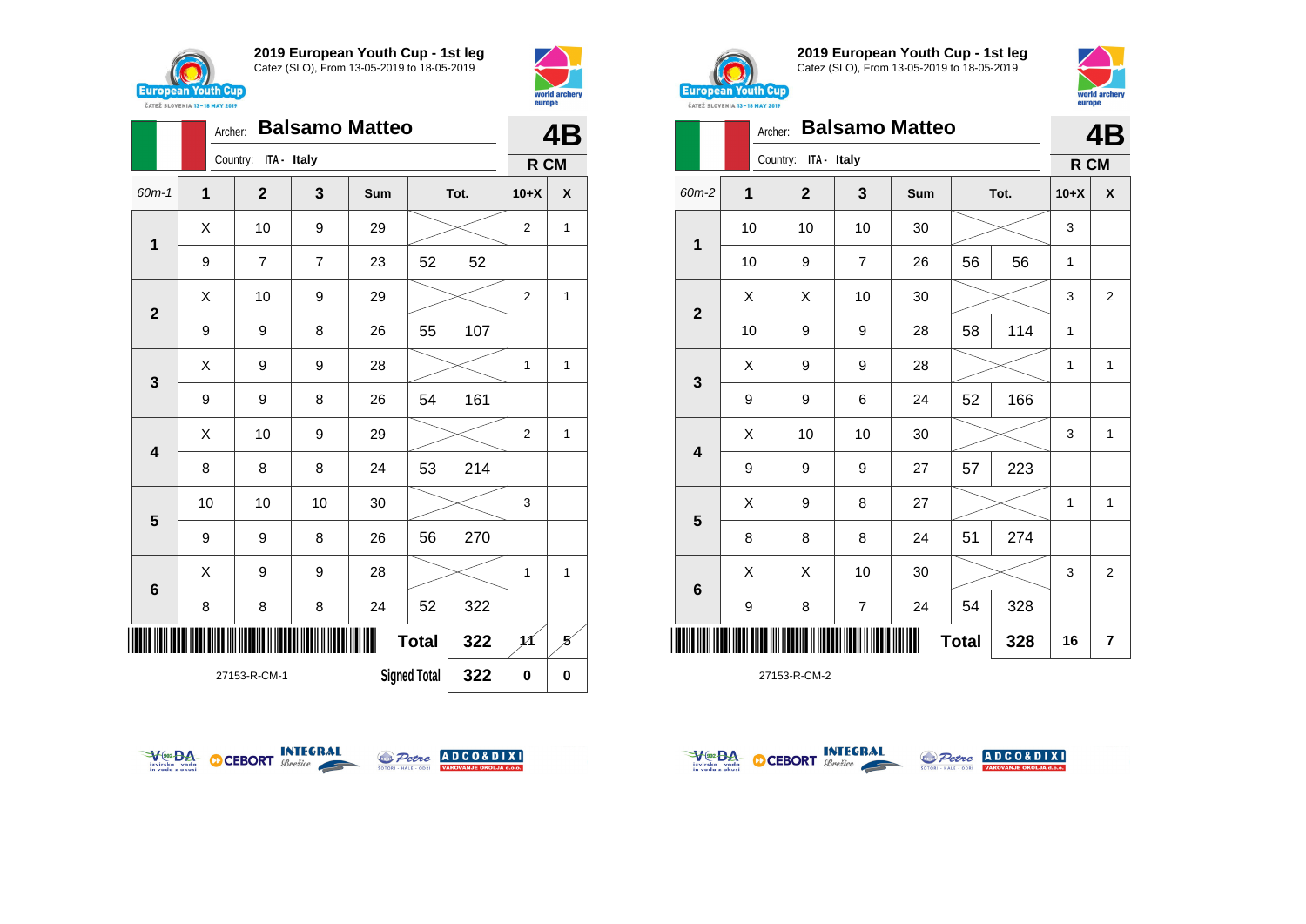







**6**

**2019 European Youth Cup - 1st leg** Catez (SLO), From 13-05-2019 to 18-05-2019



|                                                                                                                                                                                                                                                                                                                                                                                                                                                                                              |   |   |    |    |    |     | europe | world archery  |
|----------------------------------------------------------------------------------------------------------------------------------------------------------------------------------------------------------------------------------------------------------------------------------------------------------------------------------------------------------------------------------------------------------------------------------------------------------------------------------------------|---|---|----|----|----|-----|--------|----------------|
|                                                                                                                                                                                                                                                                                                                                                                                                                                                                                              |   |   |    |    |    |     |        | 4B             |
| <b>European Youth Cup)</b><br>ČATEŽ SLOVENIA 13-18 MAY 2019<br><b>Balsamo Matteo</b><br>Archer:<br>Country: ITA - Italy<br>$\mathbf 1$<br>$\mathbf{2}$<br>3<br>Sum<br>Tot.<br>10<br>10<br>10<br>30<br>$\mathbf{1}$<br>10<br>56<br>9<br>$\overline{7}$<br>26<br>56<br>X<br>X<br>10<br>30<br>$\overline{2}$<br>114<br>58<br>10<br>9<br>28<br>9<br>X<br>9<br>9<br>28<br>3<br>166<br>9<br>52<br>9<br>6<br>24<br>X<br>10<br>10<br>30<br>$\overline{\mathbf{4}}$<br>223<br>9<br>57<br>9<br>9<br>27 |   |   |    |    |    |     | R CM   |                |
| 60m-2                                                                                                                                                                                                                                                                                                                                                                                                                                                                                        |   |   |    |    |    |     | $10+X$ | X              |
|                                                                                                                                                                                                                                                                                                                                                                                                                                                                                              |   |   |    |    |    |     | 3      |                |
|                                                                                                                                                                                                                                                                                                                                                                                                                                                                                              |   |   |    |    |    |     | 1      |                |
|                                                                                                                                                                                                                                                                                                                                                                                                                                                                                              |   |   |    |    |    |     | 3      | 2              |
|                                                                                                                                                                                                                                                                                                                                                                                                                                                                                              |   |   |    |    |    |     | 1      |                |
|                                                                                                                                                                                                                                                                                                                                                                                                                                                                                              |   |   |    |    |    |     | 1      | 1              |
|                                                                                                                                                                                                                                                                                                                                                                                                                                                                                              |   |   |    |    |    |     |        |                |
|                                                                                                                                                                                                                                                                                                                                                                                                                                                                                              |   |   |    |    |    |     | 3      | 1              |
|                                                                                                                                                                                                                                                                                                                                                                                                                                                                                              |   |   |    |    |    |     |        |                |
|                                                                                                                                                                                                                                                                                                                                                                                                                                                                                              | X | 9 | 8  | 27 |    |     | 1      | $\mathbf{1}$   |
| 5                                                                                                                                                                                                                                                                                                                                                                                                                                                                                            | 8 | 8 | 8  | 24 | 51 | 274 |        |                |
|                                                                                                                                                                                                                                                                                                                                                                                                                                                                                              | Χ | X | 10 | 30 |    |     | 3      | $\overline{2}$ |





9 | 8 | 7 | 24 | 54 | 328





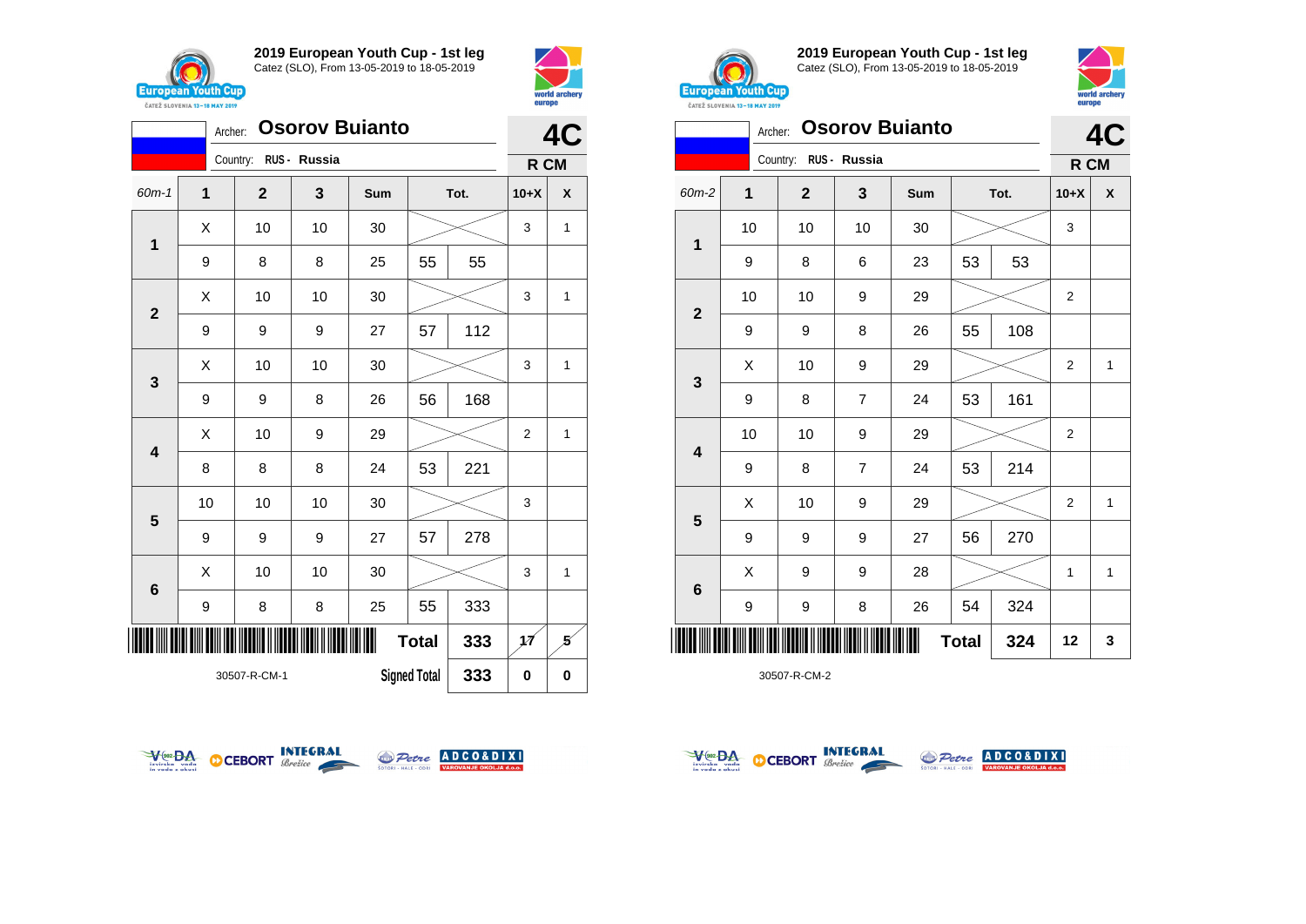



| <b>Osorov Buianto</b><br>Archer: |                                            |              |              |     |              |      |                | 4C       |  |
|----------------------------------|--------------------------------------------|--------------|--------------|-----|--------------|------|----------------|----------|--|
|                                  |                                            | Country:     | RUS - Russia |     |              |      | R CM           |          |  |
| 60m-1                            | 1                                          | $\mathbf{2}$ | 3            | Sum |              | Tot. | $10+X$         | X        |  |
| $\mathbf 1$                      | Χ                                          | 10           | 10           | 30  |              |      | 3              | 1        |  |
|                                  | 9                                          | 8            | 8            | 25  | 55           | 55   |                |          |  |
| $\mathbf{2}$                     | Χ                                          | 10           | 10           | 30  |              |      | 3              | 1        |  |
|                                  | 9                                          | 9            | 9            | 27  | 57           | 112  |                |          |  |
| 3                                | Χ                                          | 10           | 10           | 30  |              |      | 3              | 1        |  |
|                                  | 9                                          | 9            | 8            | 26  | 56           | 168  |                |          |  |
| $\overline{\mathbf{4}}$          | Χ                                          | 10           | 9            | 29  |              |      | $\overline{2}$ | 1        |  |
|                                  | 8                                          | 8            | 8            | 24  | 53           | 221  |                |          |  |
| 5                                | 10                                         | 10           | 10           | 30  |              |      | 3              |          |  |
|                                  | 9                                          | 9            | 9            | 27  | 57           | 278  |                |          |  |
| $6\phantom{1}6$                  | X                                          | 10           | 10           | 30  |              |      | 3              | 1        |  |
|                                  | 9                                          | 8            | 8            | 25  | 55           | 333  |                |          |  |
| ║║║                              |                                            |              |              |     | <b>Total</b> | 333  | 1Á             | 5        |  |
|                                  | 333<br><b>Signed Total</b><br>30507-R-CM-1 |              |              |     |              |      |                | $\bf{0}$ |  |



**2019 European Youth Cup - 1st leg** Catez (SLO), From 13-05-2019 to 18-05-2019



|                         | <b><i>UAILL SLUVERIA 13"10 MAT 4017</i></b> |             |                |                       |              |      |                |              |  |
|-------------------------|---------------------------------------------|-------------|----------------|-----------------------|--------------|------|----------------|--------------|--|
|                         | Archer:                                     |             |                | <b>Osorov Buianto</b> |              |      |                | 4C           |  |
|                         |                                             | Country:    | RUS - Russia   |                       |              |      | R CM           |              |  |
| 60m-2                   | 1                                           | $\mathbf 2$ | 3              | Sum                   |              | Tot. | $10+X$         | X            |  |
| 1                       | 10                                          | 10          | 10             | 30                    |              |      | 3              |              |  |
|                         | 9                                           | 8           | 6              | 23                    | 53           | 53   |                |              |  |
| $\mathbf{2}$            | 10                                          | 10          | 9              | 29                    |              |      | 2              |              |  |
|                         | 9                                           | 9           | 8              | 26                    | 55           | 108  |                |              |  |
|                         | X                                           | 10          | 9              | 29                    |              |      | $\overline{2}$ | $\mathbf{1}$ |  |
| 3                       | 9                                           | 8           | $\overline{7}$ | 24                    | 53           | 161  |                |              |  |
| $\overline{\mathbf{4}}$ | 10                                          | 10          | 9              | 29                    |              |      | $\overline{2}$ |              |  |
|                         | 9                                           | 8           | $\overline{7}$ | 24                    | 53           | 214  |                |              |  |
|                         | Χ                                           | 10          | 9              | 29                    |              |      | 2              | 1            |  |
| 5                       | 9                                           | 9           | 9              | 27                    | 56           | 270  |                |              |  |
|                         | X                                           | 9           | 9              | 28                    |              |      | 1              | $\mathbf{1}$ |  |
| $\bf 6$                 | 9                                           | 9           | 8              | 26                    | 54           | 324  |                |              |  |
|                         |                                             |             |                |                       | <b>Total</b> | 324  | 12             | 3            |  |
|                         |                                             |             |                |                       |              |      |                |              |  |







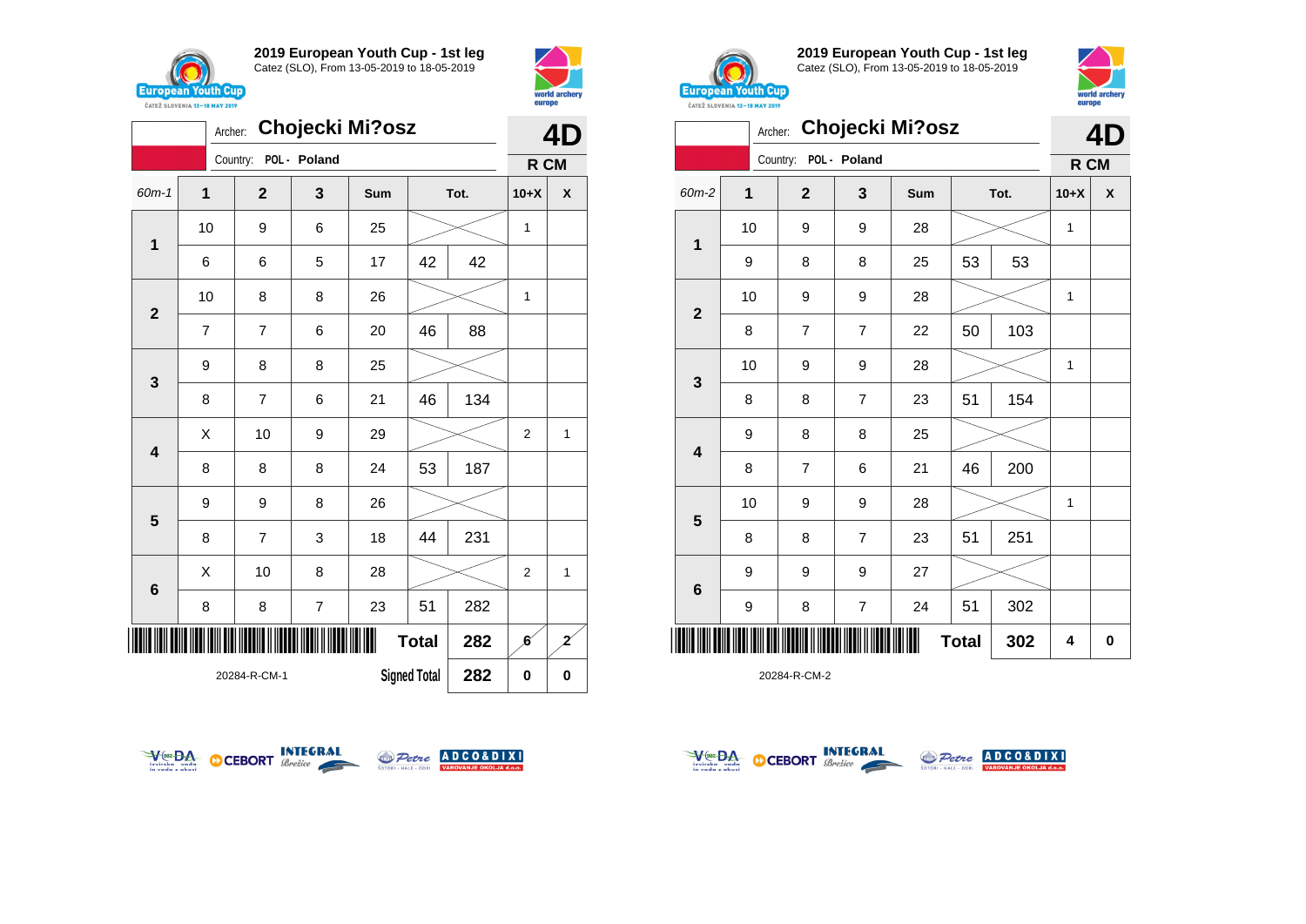







**2019 European Youth Cup - 1st leg** Catez (SLO), From 13-05-2019 to 18-05-2019



|                         | Archer: |                |                         | Chojecki Mi?osz |              |      |              | 4D |
|-------------------------|---------|----------------|-------------------------|-----------------|--------------|------|--------------|----|
|                         |         | Country:       | POL - Poland            |                 |              |      | R CM         |    |
| 60m-2                   | 1       | $\mathbf{2}$   | 3                       | Sum             |              | Tot. | $10+X$       | X  |
|                         | 10      | 9              | 9                       | 28              |              |      | $\mathbf{1}$ |    |
| 1                       | 9       | 8              | 8                       | 25              | 53           | 53   |              |    |
|                         | 10      | 9              | 9                       | 28              |              |      | 1            |    |
| $\mathbf{2}$            | 8       | $\overline{7}$ | 7                       | 22              | 50           | 103  |              |    |
|                         | 10      | 9              | 9                       | 28              |              |      | 1            |    |
| 3                       | 8       | 8              | $\overline{7}$          | 23              | 51           | 154  |              |    |
|                         | 9       | 8              | 8                       | 25              |              |      |              |    |
| $\overline{\mathbf{4}}$ | 8       | $\overline{7}$ | 6                       | 21              | 46           | 200  |              |    |
|                         | 10      | 9              | 9                       | 28              |              |      | $\mathbf{1}$ |    |
| 5                       | 8       | 8              | $\overline{7}$          | 23              | 51           | 251  |              |    |
|                         | 9       | 9              | 9                       | 27              |              |      |              |    |
| 6                       | 9       | 8              | $\overline{\mathbf{7}}$ | 24              | 51           | 302  |              |    |
| Ш                       |         |                |                         |                 | <b>Total</b> | 302  | 4            | 0  |







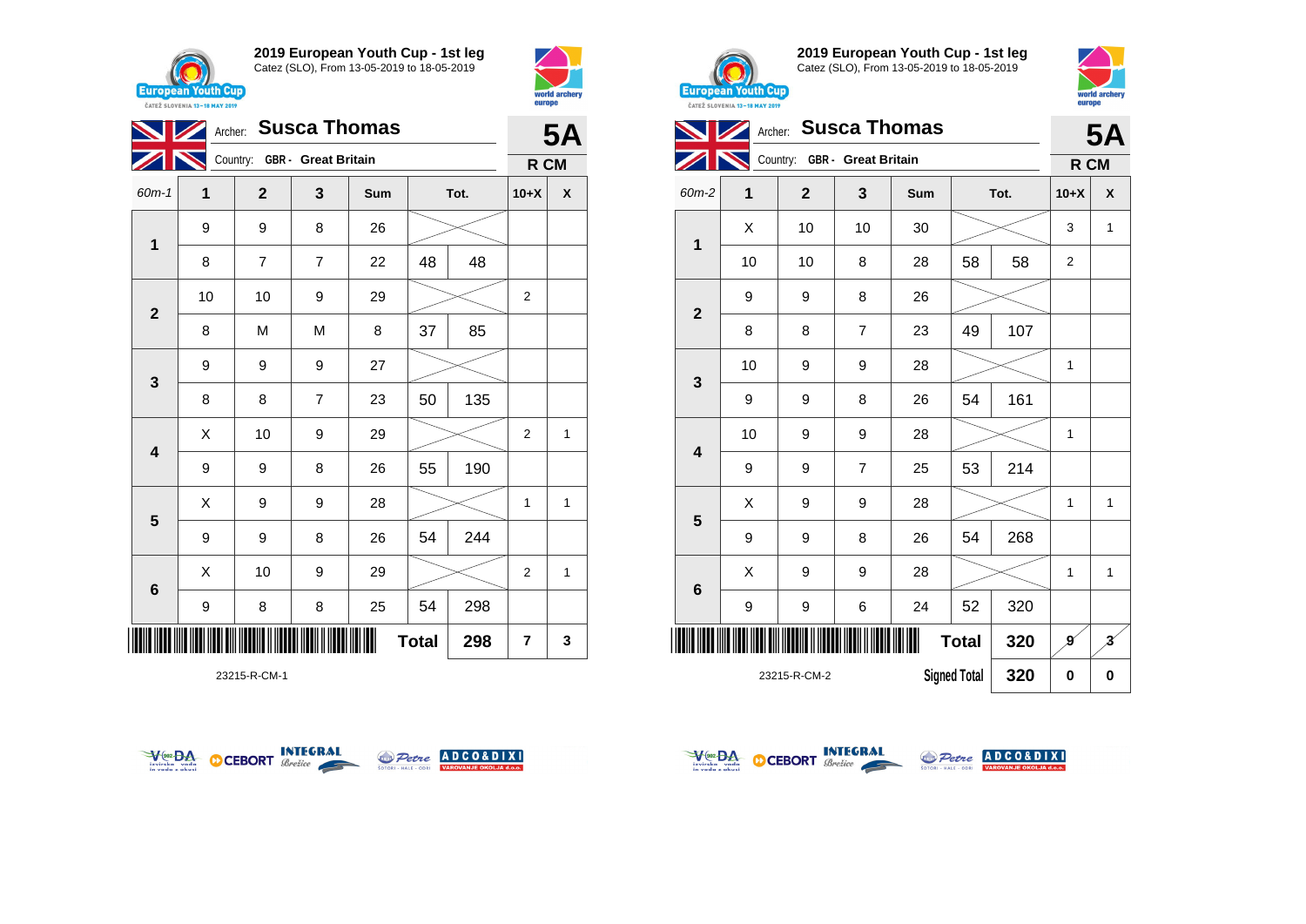





23215-R-CM-1





**2019 European Youth Cup - 1st leg** Catez (SLO), From 13-05-2019 to 18-05-2019



|                 | <b>Susca Thomas</b><br>Archer: |                              |                |     |                     |      |                |                         |  |  |
|-----------------|--------------------------------|------------------------------|----------------|-----|---------------------|------|----------------|-------------------------|--|--|
|                 |                                | Country: GBR - Great Britain |                |     |                     |      | R CM           | <b>5A</b>               |  |  |
| 60m-2           | 1                              | $\overline{2}$               | 3              | Sum |                     | Tot. | $10+X$         | X                       |  |  |
|                 | X                              | 10                           | 10             | 30  |                     |      | 3              | $\mathbf{1}$            |  |  |
| $\mathbf 1$     | 10                             | 10                           | 8              | 28  | 58                  | 58   | $\overline{2}$ |                         |  |  |
|                 | 9                              | 9                            | 8              | 26  |                     |      |                |                         |  |  |
| $\overline{2}$  | 8                              | 8                            | 7              | 23  | 49                  | 107  |                |                         |  |  |
|                 | 10                             | 9                            | 9              | 28  |                     |      | $\mathbf{1}$   |                         |  |  |
| 3               | 9                              | 9                            | 8              | 26  | 54                  | 161  |                |                         |  |  |
|                 | 10                             | 9                            | 9              | 28  |                     |      | $\mathbf{1}$   |                         |  |  |
| 4               | 9                              | 9                            | $\overline{7}$ | 25  | 53                  | 214  |                |                         |  |  |
| 5               | X                              | 9                            | 9              | 28  |                     |      | 1              | $\mathbf{1}$            |  |  |
|                 | 9                              | 9                            | 8              | 26  | 54                  | 268  |                |                         |  |  |
|                 | X                              | 9                            | 9              | 28  |                     |      | 1              | 1                       |  |  |
| $6\phantom{1}6$ | 9                              | 9                            | 6              | 24  | 52                  | 320  |                |                         |  |  |
| ║║              |                                |                              |                |     | <b>Total</b>        | 320  | g              | $\overline{\mathbf{3}}$ |  |  |
|                 |                                | 23215-R-CM-2                 |                |     | <b>Signed Total</b> | 320  | 0              | $\bf{0}$                |  |  |



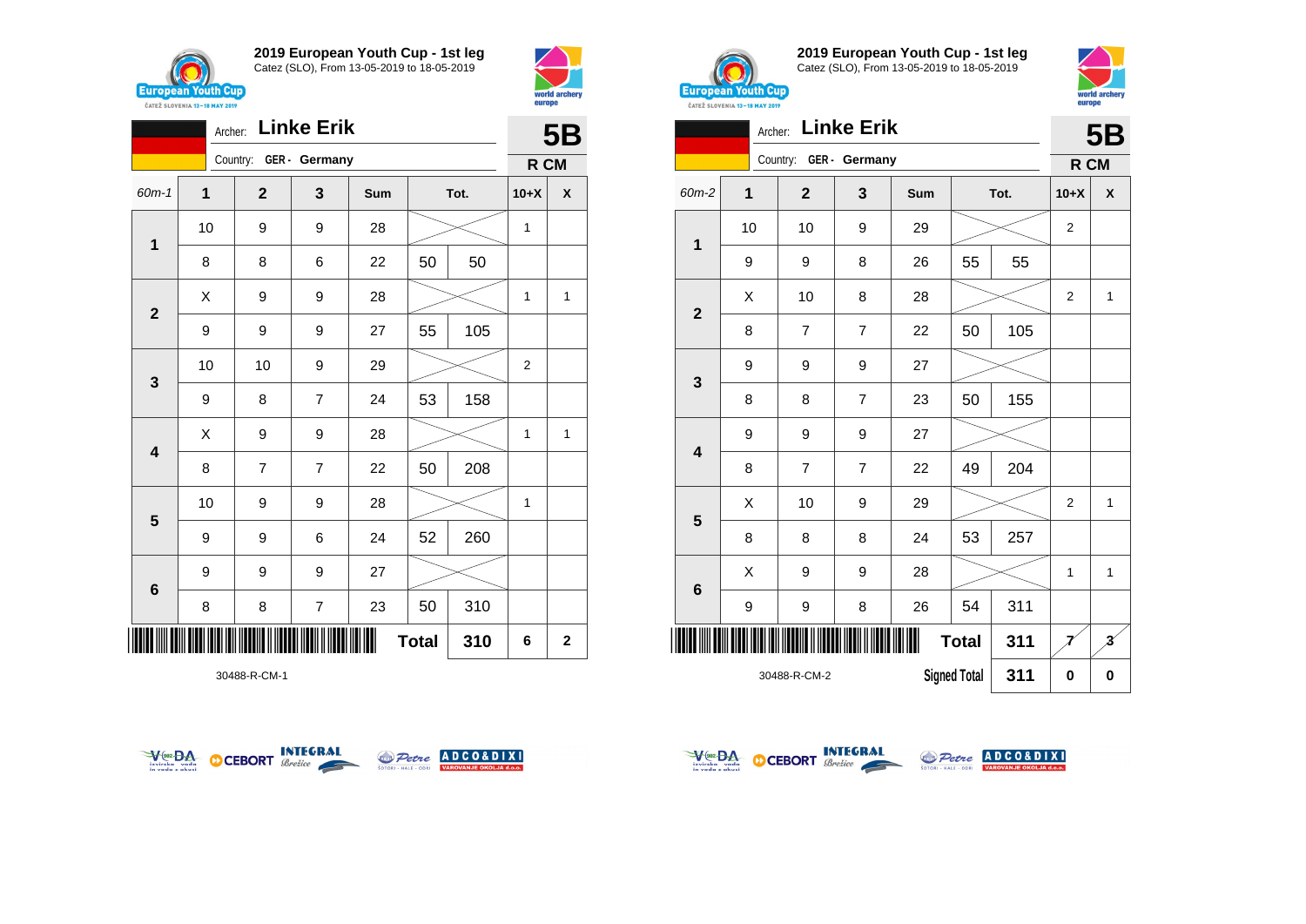



|                         |    | Archer:                | <b>Linke Erik</b> |     |              |      |                | <b>5B</b>               |  |
|-------------------------|----|------------------------|-------------------|-----|--------------|------|----------------|-------------------------|--|
|                         |    | Country: GER - Germany |                   |     |              |      | R CM           |                         |  |
| $60m-1$                 | 1  | $\mathbf{2}$           | 3                 | Sum |              | Tot. | $10+X$         | X                       |  |
|                         | 10 | 9                      | 9                 | 28  |              |      | 1              |                         |  |
| 1                       | 8  | 8                      | 6                 | 22  | 50           | 50   |                |                         |  |
|                         | Χ  | 9                      | 9                 | 28  |              |      | 1              | 1                       |  |
| $\mathbf{2}$            | 9  | 9                      | 9                 | 27  | 55           | 105  |                |                         |  |
| 3                       | 10 | 10                     | 9                 | 29  |              |      | $\overline{2}$ |                         |  |
|                         | 9  | 8                      | $\overline{7}$    | 24  | 53           | 158  |                |                         |  |
| $\overline{\mathbf{4}}$ | X  | 9                      | 9                 | 28  |              |      | 1              | 1                       |  |
|                         | 8  | $\overline{7}$         | $\overline{7}$    | 22  | 50           | 208  |                |                         |  |
| 5                       | 10 | 9                      | 9                 | 28  |              |      | 1              |                         |  |
|                         | 9  | 9                      | 6                 | 24  | 52           | 260  |                |                         |  |
| $6\phantom{1}$          | 9  | 9                      | 9                 | 27  |              |      |                |                         |  |
|                         | 8  | 8                      | $\overline{7}$    | 23  | 50           | 310  |                |                         |  |
| ║║                      |    |                        |                   |     | <b>Total</b> | 310  | 6              | $\overline{\mathbf{2}}$ |  |

30488-R-CM-1





**2019 European Youth Cup - 1st leg** Catez (SLO), From 13-05-2019 to 18-05-2019



|                 | <b>Linke Erik</b><br>Archer: |                |                |                     |              |          |                |                         |
|-----------------|------------------------------|----------------|----------------|---------------------|--------------|----------|----------------|-------------------------|
|                 |                              | Country:       | GER - Germany  |                     |              |          | R CM           | <b>5B</b>               |
| 60m-2           | $\mathbf 1$                  | $\mathbf{2}$   | 3              | Sum                 |              | Tot.     | $10+X$         | X                       |
|                 | 10                           | 10             | 9              | 29                  |              |          | $\overline{2}$ |                         |
| 1               | 9                            | 9              | 8              | 26                  | 55           | 55       |                |                         |
| $\overline{2}$  | X                            | 10             | 8              | 28                  |              |          | $\overline{2}$ | $\mathbf{1}$            |
|                 | 8                            | 7              | $\overline{7}$ | 22                  | 50           | 105      |                |                         |
|                 | 9                            | 9              | 9              | 27                  |              |          |                |                         |
| 3               | 8                            | 8              | $\overline{7}$ | 23                  | 50           | 155      |                |                         |
| 4               | 9                            | 9              | 9              | 27                  |              |          |                |                         |
|                 | 8                            | $\overline{7}$ | 7              | 22                  | 49           | 204      |                |                         |
| 5               | X                            | 10             | 9              | 29                  |              |          | $\overline{2}$ | $\mathbf{1}$            |
|                 | 8                            | 8              | 8              | 24                  | 53           | 257      |                |                         |
| $6\phantom{1}6$ | X                            | 9              | 9              | 28                  |              |          | 1              | $\mathbf{1}$            |
|                 | 9                            | 9              | 8              | 26                  | 54           | 311      |                |                         |
| ║║║             |                              |                |                |                     | <b>Total</b> | 311      |                | $\overline{\mathbf{3}}$ |
|                 |                              | 30488-R-CM-2   |                | <b>Signed Total</b> | 311          | $\bf{0}$ | $\bf{0}$       |                         |



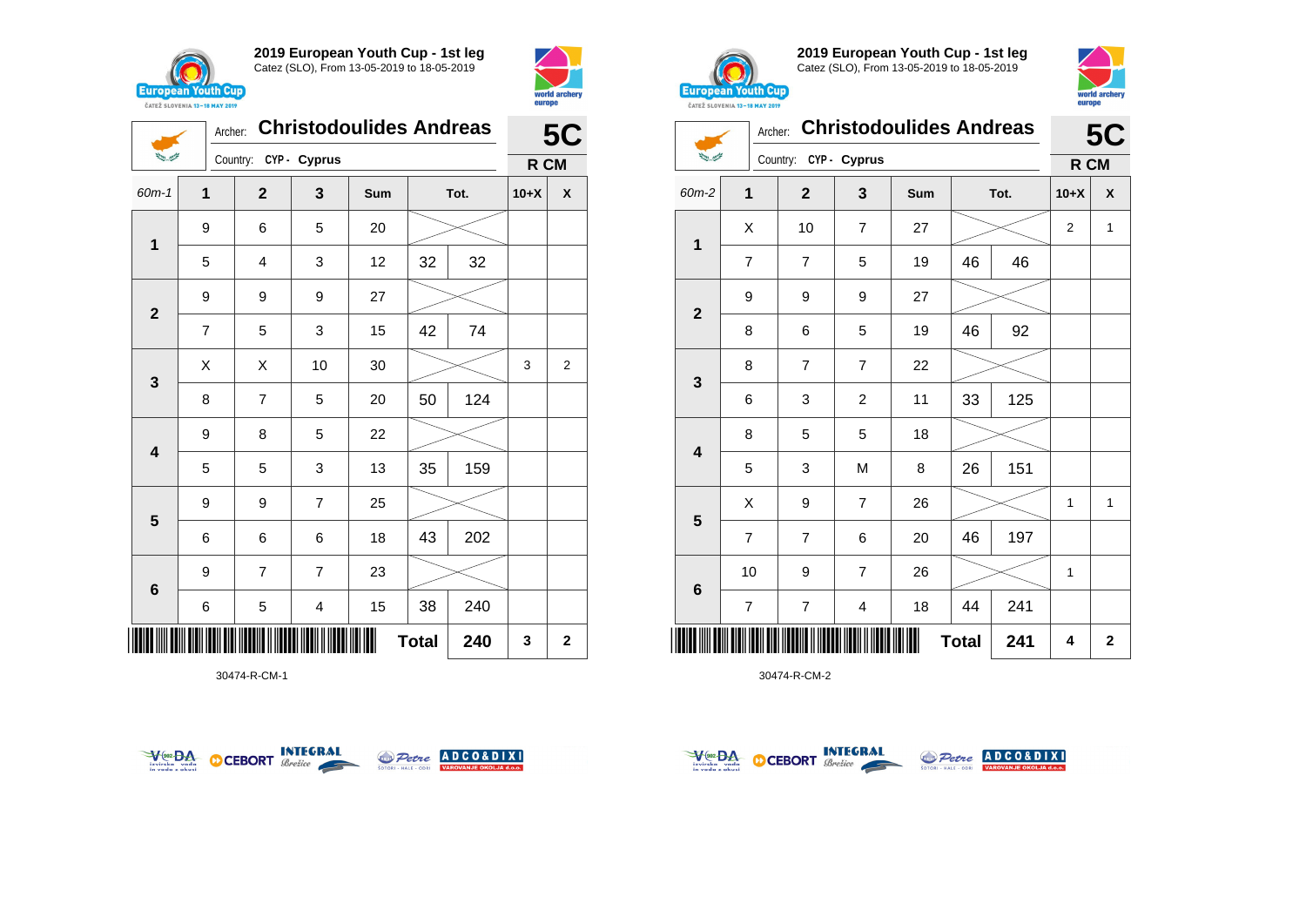

**1**

 $\sum_{i=1}^{n-1} \frac{1}{\sum_{j=1}^{n-1} \sum_{j=1}^{n-1} \frac{1}{\sum_{j=1}^{n-1} \sum_{j=1}^{n-1} \frac{1}{\sum_{j=1}^{n-1} \sum_{j=1}^{n-1} \frac{1}{\sum_{j=1}^{n-1} \sum_{j=1}^{n-1} \frac{1}{\sum_{j=1}^{n-1} \sum_{j=1}^{n-1} \frac{1}{\sum_{j=1}^{n-1} \sum_{j=1}^{n-1} \frac{1}{\sum_{j=1}^{n-1} \sum_{j=1}^{n-1} \frac{1}{$ 

**2**

Country: **CYP - Cyprus**

9 | 6 | 5 | 20

9 9 9 27

**2019 European Youth Cup - 1st leg** Catez (SLO), From 13-05-2019 to 18-05-2019

60m-1 **1 2 3 Sum Tot. 10+X X**

5 | 4 | 3 | 12 | 32 | 32

7 | 5 | 3 | 15 | 42 | 74



**5C**

**R CM**



**2019 European Youth Cup - 1st leg** Catez (SLO), From 13-05-2019 to 18-05-2019



|                          | Archer:        |                       |                | <b>Christodoulides Andreas</b> |    |      |                | <b>5C</b>    |  |
|--------------------------|----------------|-----------------------|----------------|--------------------------------|----|------|----------------|--------------|--|
| سيسمي الأنية             |                | Country: CYP - Cyprus |                |                                |    |      | R CM           |              |  |
| 60m-2                    | 1              | $\overline{2}$        | 3              | Sum                            |    | Tot. | $10+X$         | X            |  |
| $\mathbf{1}$             | X              | 10                    | $\overline{7}$ | 27                             |    |      | $\overline{2}$ | $\mathbf{1}$ |  |
|                          | $\overline{7}$ | $\overline{7}$        | 5              | 19                             | 46 | 46   |                |              |  |
| $\mathbf{2}$             | 9              | 9                     | 9              | 27                             |    |      |                |              |  |
|                          | 8              | 6                     | 5              | 19                             | 46 | 92   |                |              |  |
| $\mathbf{3}$             | 8              | $\overline{7}$        | $\overline{7}$ | 22                             |    |      |                |              |  |
|                          | 6              | 3                     | $\overline{c}$ | 11                             | 33 | 125  |                |              |  |
| $\overline{\mathbf{4}}$  | 8              | 5                     | 5              | 18                             |    |      |                |              |  |
|                          | 5              | 3                     | M              | 8                              | 26 | 151  |                |              |  |
|                          | X              | 9                     | $\overline{7}$ | 26                             |    |      | 1              | 1            |  |
| 5                        | $\overline{7}$ | $\overline{7}$        | 6              | 20                             | 46 | 197  |                |              |  |
|                          | 10             | 9                     | $\overline{7}$ | 26                             |    |      | 1              |              |  |
| $\bf 6$                  | $\overline{7}$ | $\overline{7}$        | 4              | 18                             | 44 | 241  |                |              |  |
| <b>Total</b><br>241<br>4 |                |                       |                |                                |    |      |                | $\mathbf 2$  |  |

30474-R-CM-2







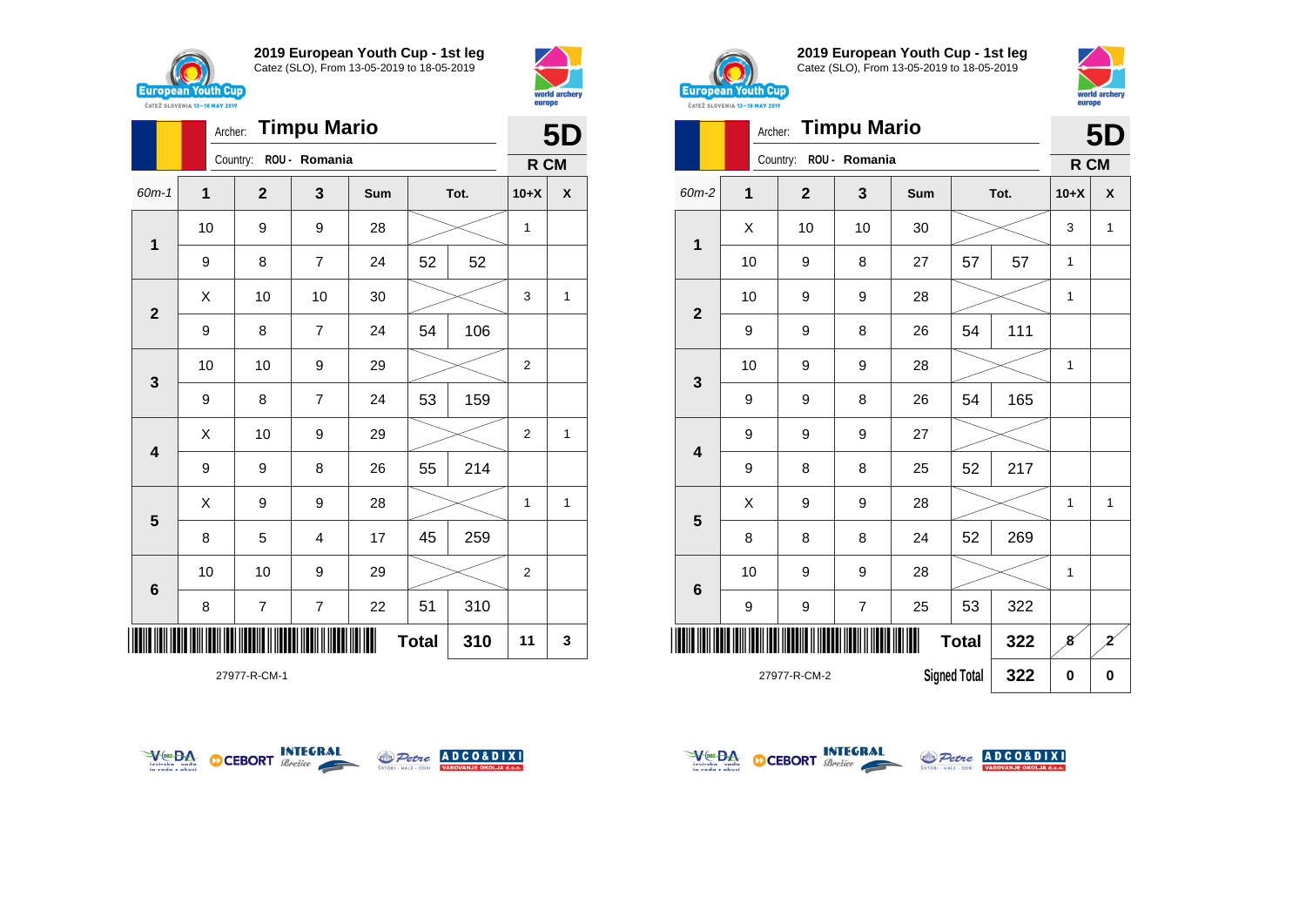



|              |    | Archer:      | <b>Timpu Mario</b> |     |              |      |                | <b>5D</b> |
|--------------|----|--------------|--------------------|-----|--------------|------|----------------|-----------|
|              |    | Country:     | ROU - Romania      |     |              |      | R CM           |           |
| 60m-1        | 1  | $\mathbf{2}$ | 3                  | Sum |              | Tot. | $10+X$         | X         |
| $\mathbf 1$  | 10 | 9            | 9                  | 28  |              |      | 1              |           |
|              | 9  | 8            | $\overline{7}$     | 24  | 52           | 52   |                |           |
| $\mathbf{2}$ | Χ  | 10           | 10                 | 30  |              |      | 3              | 1         |
|              | 9  | 8            | $\overline{7}$     | 24  | 54           | 106  |                |           |
| 3            | 10 | 10           | 9                  | 29  |              |      | $\overline{2}$ |           |
|              | 9  | 8            | $\overline{7}$     | 24  | 53           | 159  |                |           |
| 4            | X  | 10           | 9                  | 29  |              |      | 2              | 1         |
|              | 9  | 9            | 8                  | 26  | 55           | 214  |                |           |
| 5            | X  | 9            | 9                  | 28  |              |      | 1              | 1         |
|              | 8  | 5            | 4                  | 17  | 45           | 259  |                |           |
| $\bf 6$      | 10 | 10           | 9                  | 29  |              |      | $\overline{2}$ |           |
|              | 8  | 7            | 7                  | 22  | 51           | 310  |                |           |
|              |    |              |                    |     | <b>Total</b> | 310  | 11             | 3         |

27977-R-CM-1





**2019 European Youth Cup - 1st leg** Catez (SLO), From 13-05-2019 to 18-05-2019



|                 | <b>Timpu Mario</b><br>Archer:              |                |               |     |              |      |              |                |
|-----------------|--------------------------------------------|----------------|---------------|-----|--------------|------|--------------|----------------|
|                 |                                            | Country:       | ROU - Romania |     |              |      | R CM         | 5D             |
| 60m-2           | 1                                          | $\overline{2}$ | 3             | Sum |              | Tot. | $10+X$       | X              |
|                 | X                                          | 10             | 10            | 30  |              |      | 3            | 1              |
| $\mathbf{1}$    | 10                                         | 9              | 8             | 27  | 57           | 57   | 1            |                |
|                 | 10                                         | 9              | 9             | 28  |              |      | $\mathbf{1}$ |                |
| $\overline{2}$  | 9                                          | 9              | 8             | 26  | 54           | 111  |              |                |
|                 | 10                                         | 9              | 9             | 28  |              |      | 1            |                |
| 3               | 9                                          | 9              | 8             | 26  | 54           | 165  |              |                |
|                 | 9                                          | 9              | 9             | 27  |              |      |              |                |
| 4               | 9                                          | 8              | 8             | 25  | 52           | 217  |              |                |
|                 | X                                          | 9              | 9             | 28  |              |      | 1            | 1              |
| 5               | 8                                          | 8              | 8             | 24  | 52           | 269  |              |                |
|                 | 10                                         | 9              | 9             | 28  |              |      | $\mathbf{1}$ |                |
| $6\phantom{1}6$ | 9                                          | 9              | 7             | 25  | 53           | 322  |              |                |
|                 |                                            |                |               |     | <b>Total</b> | 322  | 8            | $\overline{z}$ |
|                 | 322<br><b>Signed Total</b><br>27977-R-CM-2 |                |               |     |              |      |              |                |



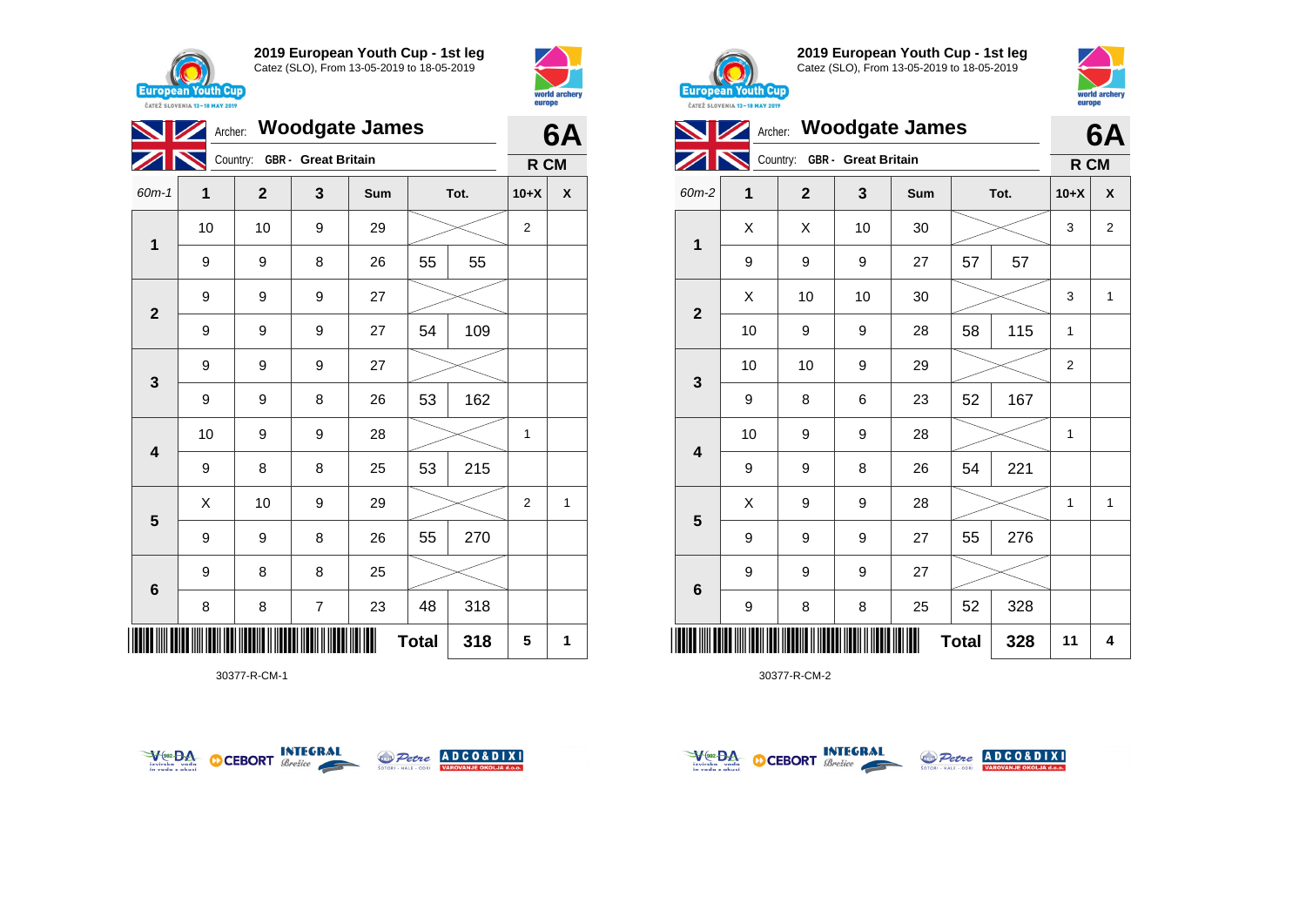





30377-R-CM-1





**2019 European Youth Cup - 1st leg** Catez (SLO), From 13-05-2019 to 18-05-2019



| <b>CAILL SLUVENIA 13-18 MAY ZUIY</b> |         |                              |    |                       |              |      |        |                    |
|--------------------------------------|---------|------------------------------|----|-----------------------|--------------|------|--------|--------------------|
|                                      | Archer: |                              |    | <b>Woodgate James</b> |              |      |        | 6A                 |
|                                      |         | Country: GBR - Great Britain |    |                       |              |      | R CM   |                    |
| 60m-2                                | 1       | $\mathbf 2$                  | 3  | Sum                   |              | Tot. | $10+X$ | $\pmb{\mathsf{X}}$ |
|                                      | Χ       | Χ                            | 10 | 30                    |              |      | 3      | $\boldsymbol{2}$   |
| 1                                    | 9       | 9                            | 9  | 27                    | 57           | 57   |        |                    |
|                                      | X       | 10                           | 10 | 30                    |              |      | 3      | $\mathbf{1}$       |
| $\mathbf{2}$                         | 10      | 9                            | 9  | 28                    | 58           | 115  | 1      |                    |
|                                      | 10      | 10                           | 9  | 29                    |              |      | 2      |                    |
| $\mathbf{3}$                         | 9       | 8                            | 6  | 23                    | 52           | 167  |        |                    |
| 4                                    | 10      | 9                            | 9  | 28                    |              |      | 1      |                    |
|                                      | 9       | 9                            | 8  | 26                    | 54           | 221  |        |                    |
|                                      | X       | 9                            | 9  | 28                    |              |      | 1      | $\mathbf{1}$       |
| $5\phantom{1}$                       | 9       | 9                            | 9  | 27                    | 55           | 276  |        |                    |
|                                      | 9       | 9                            | 9  | 27                    |              |      |        |                    |
| $\bf 6$                              | 9       | 8                            | 8  | 25                    | 52           | 328  |        |                    |
| ║║║                                  |         |                              |    |                       | <b>Total</b> | 328  | 11     | 4                  |



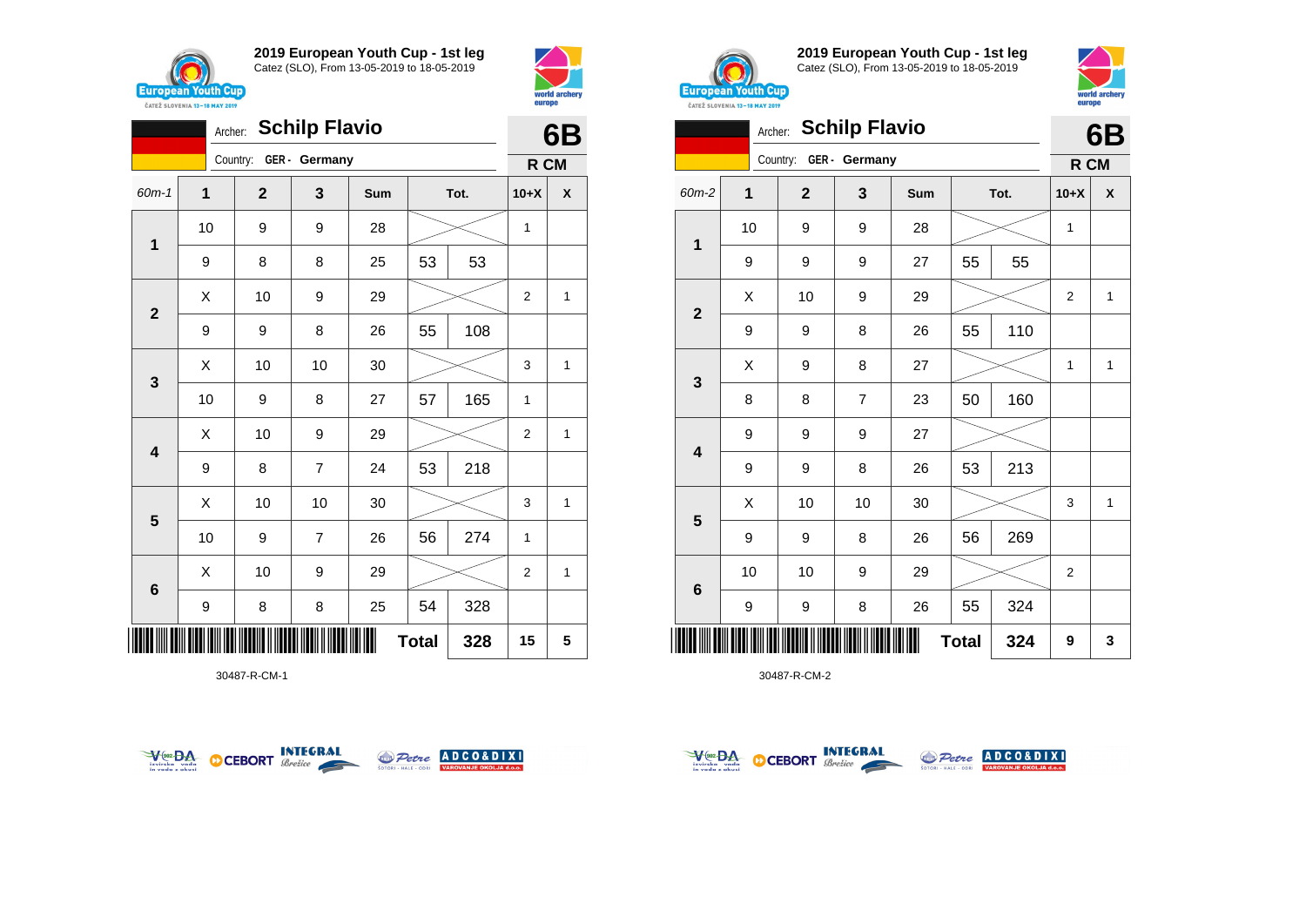

**2019 European Youth Cup - 1st leg** Catez (SLO), From 13-05-2019 to 18-05-2019



|                         | Archer: |                        | <b>Schilp Flavio</b> |     |              |      |                | 6B |  |
|-------------------------|---------|------------------------|----------------------|-----|--------------|------|----------------|----|--|
|                         |         | Country: GER - Germany |                      |     |              |      | R CM           |    |  |
| $60m-1$                 | 1       | $\overline{2}$         | 3                    | Sum |              | Tot. | $10+X$         | X  |  |
| 1                       | 10      | 9                      | 9                    | 28  |              |      | 1              |    |  |
|                         | 9       | 8                      | 8                    | 25  | 53           | 53   |                |    |  |
| $\overline{\mathbf{2}}$ | X       | 10                     | 9                    | 29  |              |      | $\overline{2}$ | 1  |  |
|                         | 9       | 9                      | 8                    | 26  | 55           | 108  |                |    |  |
| $\mathbf{3}$            | X       | 10                     | 10                   | 30  |              |      | 3              | 1  |  |
|                         | 10      | 9                      | 8                    | 27  | 57           | 165  | 1              |    |  |
| 4                       | X       | 10                     | 9                    | 29  |              |      | $\overline{2}$ | 1  |  |
|                         | 9       | 8                      | $\overline{7}$       | 24  | 53           | 218  |                |    |  |
|                         | X       | 10                     | 10                   | 30  |              |      | 3              | 1  |  |
| $5\phantom{1}$          | 10      | 9                      | $\overline{7}$       | 26  | 56           | 274  | 1              |    |  |
| $6\phantom{1}$          | X       | 10                     | 9                    | 29  |              |      | $\overline{2}$ | 1  |  |
|                         | 9       | 8                      | 8                    | 25  | 54           | 328  |                |    |  |
| ║║║                     |         |                        |                      |     | <b>Total</b> | 328  | 15             | 5  |  |

30487-R-CM-1





**2019 European Youth Cup - 1st leg** Catez (SLO), From 13-05-2019 to 18-05-2019



|              | <b>Schilp Flavio</b><br>Archer: |                |                |     |    |      |                |              |
|--------------|---------------------------------|----------------|----------------|-----|----|------|----------------|--------------|
|              |                                 | Country:       | GER - Germany  |     |    |      | R CM           | 6B           |
| 60m-2        | 1                               | $\overline{2}$ | 3              | Sum |    | Tot. | $10+X$         | X            |
| $\mathbf 1$  | 10                              | 9              | 9              | 28  |    |      | 1              |              |
|              | 9                               | 9              | 9              | 27  | 55 | 55   |                |              |
| $\mathbf{2}$ | X                               | 10             | 9              | 29  |    |      | $\overline{2}$ | $\mathbf{1}$ |
|              | 9                               | 9              | 8              | 26  | 55 | 110  |                |              |
| 3            | X                               | 9              | 8              | 27  |    |      | 1              | $\mathbf{1}$ |
|              | 8                               | 8              | $\overline{7}$ | 23  | 50 | 160  |                |              |
| 4            | 9                               | 9              | 9              | 27  |    |      |                |              |
|              | 9                               | 9              | 8              | 26  | 53 | 213  |                |              |
| 5            | X                               | 10             | 10             | 30  |    |      | 3              | 1            |
|              | 9                               | 9              | 8              | 26  | 56 | 269  |                |              |
| 6            | 10                              | 10             | 9              | 29  |    |      | $\overline{2}$ |              |
|              | 9                               | 9              | 8              | 26  | 55 | 324  |                |              |
|              | <b>Total</b><br>324             |                |                |     |    |      |                |              |



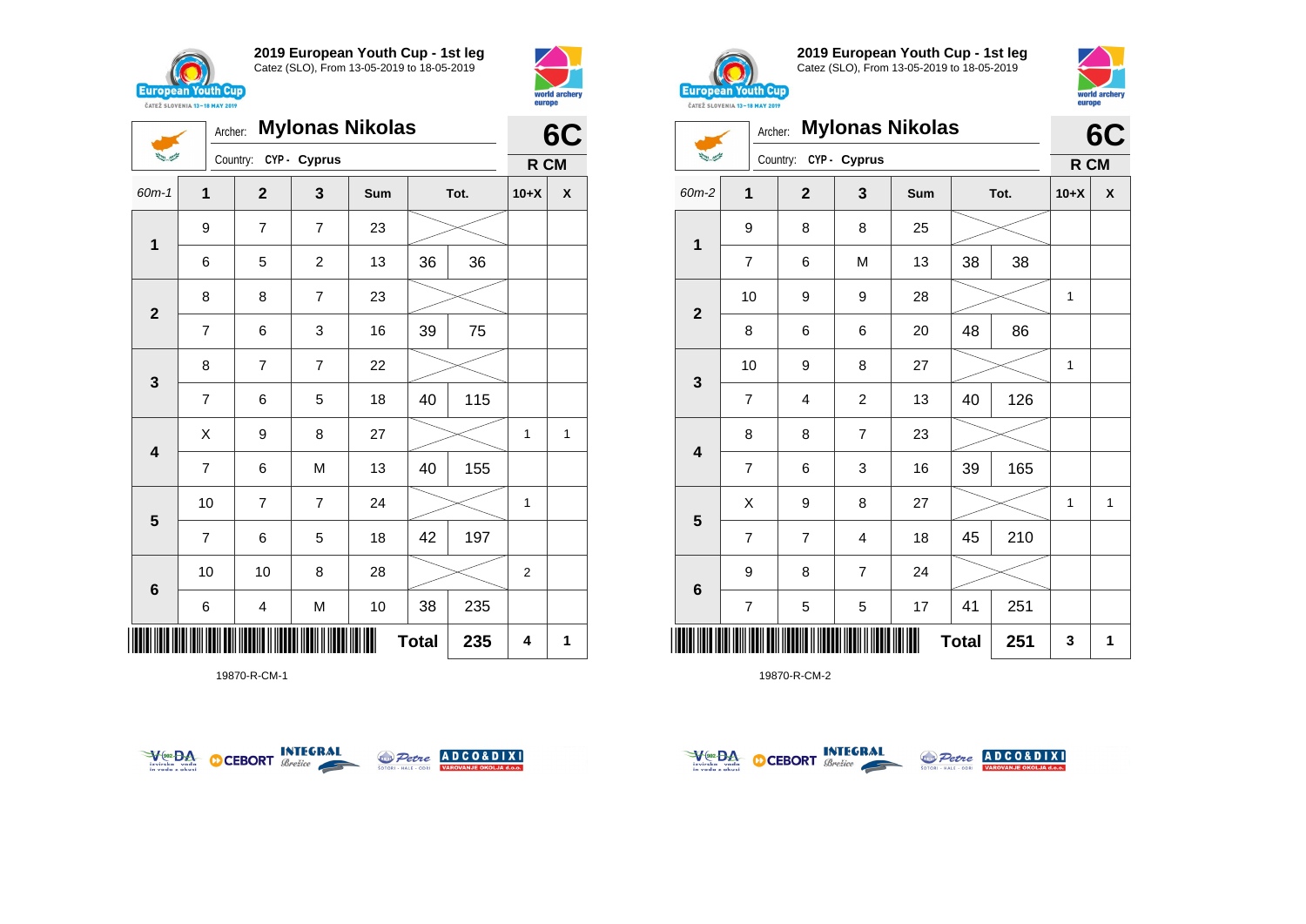

**1**

 $\sum_{i=1}^{n-1} \frac{1}{\sum_{j=1}^{n-1} \sum_{j=1}^{n-1} \frac{1}{\sum_{j=1}^{n-1} \sum_{j=1}^{n-1} \frac{1}{\sum_{j=1}^{n-1} \sum_{j=1}^{n-1} \frac{1}{\sum_{j=1}^{n-1} \sum_{j=1}^{n-1} \frac{1}{\sum_{j=1}^{n-1} \sum_{j=1}^{n-1} \frac{1}{\sum_{j=1}^{n-1} \sum_{j=1}^{n-1} \frac{1}{\sum_{j=1}^{n-1} \sum_{j=1}^{n-1} \frac{1}{$ 

**2**

**3**

**4**

**5**

**6**

**2019 European Youth Cup - 1st leg** Catez (SLO), From 13-05-2019 to 18-05-2019

60m-1 **1 2 3 Sum Tot. 10+X X**

6 5 2 13 36 36

7 | 6 | 3 | 16 | 39 | 75

7 | 6 | 5 | 18 | 40 | 115

7 | 6 | M | 13 | 40 | 155

7 | 6 | 5 | 18 | 42 | 197

6 | 4 | M | 10 | 38 | 235

10 | 7 | 7 | 24 |  $\!\!\!\!\!\times$  | 1

10 | 10 | 8 | 28 |  $\!\!\!\!\!\!\times$  | 2

 $X$  | 9 | 8 | 27 |  $\gg$  | 1 | 1

Archer: **Mylonas Nikolas**

Country: **CYP - Cyprus**

9 7 7 23

8 8 7 23

8 | 7 | 7 | 22



**R CM**



**2019 European Youth Cup - 1st leg** Catez (SLO), From 13-05-2019 to 18-05-2019



|                         | Archer:                  |                         |                | <b>Mylonas Nikolas</b> |    |      |              | 6C                 |
|-------------------------|--------------------------|-------------------------|----------------|------------------------|----|------|--------------|--------------------|
|                         |                          | Country:                | CYP - Cyprus   |                        |    |      | R CM         |                    |
| 60m-2                   | 1                        | $\overline{\mathbf{2}}$ | 3              | Sum                    |    | Tot. | $10+X$       | $\pmb{\mathsf{X}}$ |
|                         | 9                        | 8                       | 8              | 25                     |    |      |              |                    |
| 1                       | $\overline{7}$           | 6                       | M              | 13                     | 38 | 38   |              |                    |
| $\overline{\mathbf{2}}$ | 10                       | 9                       | 9              | 28                     |    |      | 1            |                    |
|                         | 8                        | 6                       | 6              | 20                     | 48 | 86   |              |                    |
|                         | 10                       | 9                       | 8              | 27                     |    |      | 1            |                    |
| 3                       | 7                        | 4                       | $\overline{c}$ | 13                     | 40 | 126  |              |                    |
|                         | 8                        | 8                       | $\overline{7}$ | 23                     |    |      |              |                    |
| $\overline{\mathbf{4}}$ | $\overline{7}$           | 6                       | 3              | 16                     | 39 | 165  |              |                    |
|                         | X                        | 9                       | 8              | 27                     |    |      | $\mathbf{1}$ | $\mathbf{1}$       |
| $5\phantom{1}$          | $\overline{7}$           | $\overline{7}$          | 4              | 18                     | 45 | 210  |              |                    |
|                         | 9                        | 8                       | $\overline{7}$ | 24                     |    |      |              |                    |
| $6\phantom{1}$          | $\overline{\mathcal{I}}$ | 5                       | 5              | 17                     | 41 | 251  |              |                    |
|                         | <b>Total</b><br>251      |                         |                |                        |    |      |              | 1                  |

19870-R-CM-2



\*19870-R-CM-1\*

19870-R-CM-1



 $\text{Total}$  235 4 1



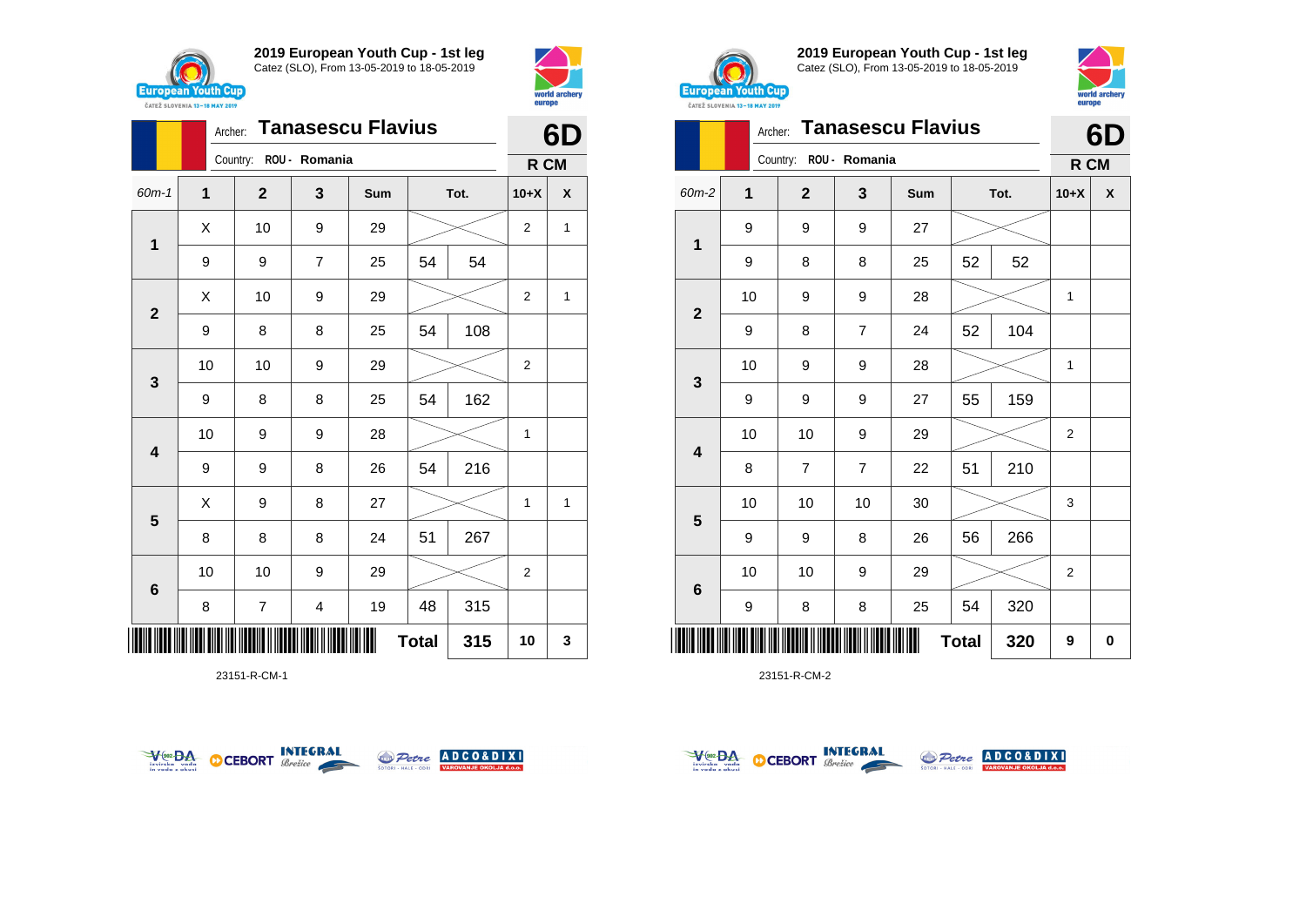



|                         |              | <b>Tanasescu Flavius</b><br>Archer: |                         |     |              |      |                |                    |  |
|-------------------------|--------------|-------------------------------------|-------------------------|-----|--------------|------|----------------|--------------------|--|
|                         |              | Country:                            | ROU - Romania           |     |              |      | R CM           |                    |  |
| 60m-1                   | $\mathbf{1}$ | $\mathbf{2}$                        | 3                       | Sum |              | Tot. | $10+X$         | $\pmb{\mathsf{X}}$ |  |
| $\mathbf 1$             | X            | 10                                  | 9                       | 29  |              |      | $\overline{2}$ | $\mathbf{1}$       |  |
|                         | 9            | 9                                   | 7                       | 25  | 54           | 54   |                |                    |  |
| $\mathbf{2}$            | X            | 10                                  | 9                       | 29  |              |      | 2              | 1                  |  |
|                         | 9            | 8                                   | 8                       | 25  | 54           | 108  |                |                    |  |
| $\mathbf{3}$            | 10           | 10                                  | 9                       | 29  |              |      | $\overline{2}$ |                    |  |
|                         | 9            | 8                                   | 8                       | 25  | 54           | 162  |                |                    |  |
| $\overline{\mathbf{4}}$ | 10           | 9                                   | 9                       | 28  |              |      | 1              |                    |  |
|                         | 9            | 9                                   | 8                       | 26  | 54           | 216  |                |                    |  |
| 5                       | Χ            | 9                                   | 8                       | 27  |              |      | $\mathbf{1}$   | $\mathbf{1}$       |  |
|                         | 8            | 8                                   | 8                       | 24  | 51           | 267  |                |                    |  |
| $\bf 6$                 | 10           | 10                                  | 9                       | 29  |              |      | 2              |                    |  |
|                         | 8            | 7                                   | $\overline{\mathbf{4}}$ | 19  | 48           | 315  |                |                    |  |
| ║║║                     |              |                                     |                         |     | <b>Total</b> | 315  | 10             | 3                  |  |

23151-R-CM-1





**2019 European Youth Cup - 1st leg** Catez (SLO), From 13-05-2019 to 18-05-2019



|                         | <b>Tanasescu Flavius</b><br>Archer: |                        |                |     |              |      |        |   |  |
|-------------------------|-------------------------------------|------------------------|----------------|-----|--------------|------|--------|---|--|
|                         |                                     | Country: ROU - Romania |                |     |              |      | R CM   |   |  |
| 60m-2                   | 1                                   | $\mathbf{2}$           | 3              | Sum |              | Tot. | $10+X$ | X |  |
| 1                       | 9                                   | 9                      | 9              | 27  |              |      |        |   |  |
|                         | 9                                   | 8                      | 8              | 25  | 52           | 52   |        |   |  |
| $\overline{\mathbf{2}}$ | 10                                  | 9                      | 9              | 28  |              |      | 1      |   |  |
|                         | 9                                   | 8                      | $\overline{7}$ | 24  | 52           | 104  |        |   |  |
|                         | 10                                  | 9                      | 9              | 28  |              |      | 1      |   |  |
| 3                       | 9                                   | 9                      | 9              | 27  | 55           | 159  |        |   |  |
| 4                       | 10                                  | 10                     | 9              | 29  |              |      | 2      |   |  |
|                         | 8                                   | $\overline{7}$         | 7              | 22  | 51           | 210  |        |   |  |
|                         | 10                                  | 10                     | 10             | 30  |              |      | 3      |   |  |
| 5                       | 9                                   | 9                      | 8              | 26  | 56           | 266  |        |   |  |
|                         | 10                                  | 10                     | 9              | 29  |              |      | 2      |   |  |
| 6                       | 9                                   | 8                      | 8              | 25  | 54           | 320  |        |   |  |
| ║                       |                                     |                        |                |     | <b>Total</b> | 320  | 9      | 0 |  |



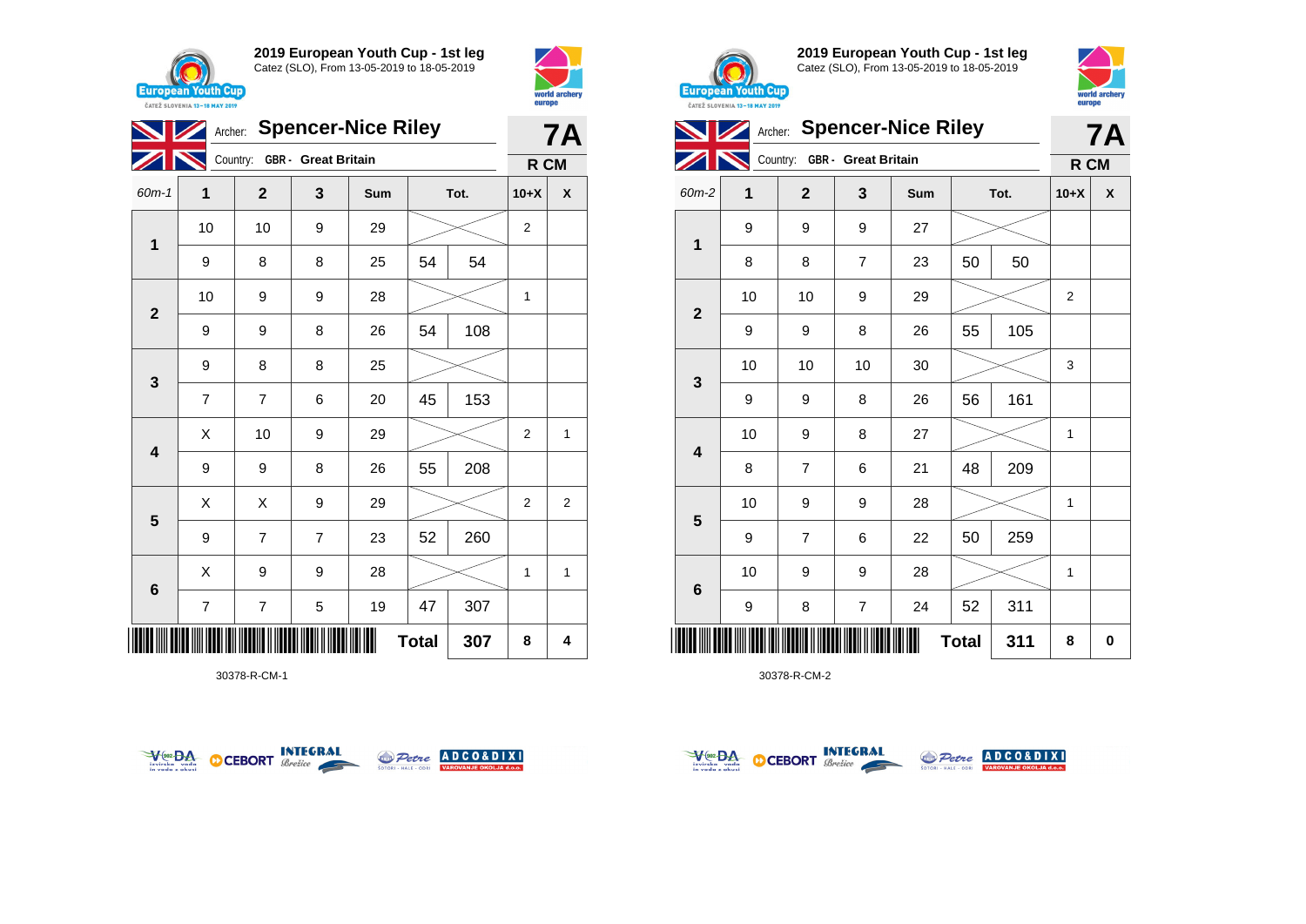



|                         |                     | Archer: Spencer-Nice Riley   |                |     |    |      |                |                |  |  |
|-------------------------|---------------------|------------------------------|----------------|-----|----|------|----------------|----------------|--|--|
|                         |                     | Country: GBR - Great Britain |                |     |    |      | R CM           |                |  |  |
| 60m-1                   | $\mathbf 1$         | $\mathbf{2}$                 | 3              | Sum |    | Tot. | $10+X$         | χ              |  |  |
|                         | 10                  | 10                           | 9              | 29  |    |      | $\overline{2}$ |                |  |  |
| 1                       | 9                   | 8                            | 8              | 25  | 54 | 54   |                |                |  |  |
|                         | 10                  | 9                            | 9              | 28  |    |      | 1              |                |  |  |
| $\mathbf{2}$            | 9                   | 9                            | 8              | 26  | 54 | 108  |                |                |  |  |
|                         | 9                   | 8                            | 8              | 25  |    |      |                |                |  |  |
| $\mathbf{3}$            | 7                   | $\overline{7}$               | 6              | 20  | 45 | 153  |                |                |  |  |
| $\overline{\mathbf{4}}$ | Χ                   | 10                           | 9              | 29  |    |      | $\overline{2}$ | 1              |  |  |
|                         | 9                   | 9                            | 8              | 26  | 55 | 208  |                |                |  |  |
|                         | Χ                   | Χ                            | 9              | 29  |    |      | $\overline{2}$ | $\overline{2}$ |  |  |
| $\overline{\mathbf{5}}$ | 9                   | $\overline{7}$               | $\overline{7}$ | 23  | 52 | 260  |                |                |  |  |
|                         | X                   | 9                            | 9              | 28  |    |      | 1              | 1              |  |  |
| 6                       | 7                   | 7                            | 5              | 19  | 47 | 307  |                |                |  |  |
| IIIII                   | <b>Total</b><br>307 |                              |                |     |    |      |                |                |  |  |

30378-R-CM-1





**2019 European Youth Cup - 1st leg** Catez (SLO), From 13-05-2019 to 18-05-2019



|              | Archer: Spencer-Nice Riley |                              |                | <b>7A</b> |              |      |              |   |
|--------------|----------------------------|------------------------------|----------------|-----------|--------------|------|--------------|---|
|              |                            | Country: GBR - Great Britain |                |           |              |      | R CM         |   |
| 60m-2        | 1                          | $\mathbf{2}$                 | 3              | Sum       |              | Tot. | $10+X$       | X |
|              | 9                          | 9                            | 9              | 27        |              |      |              |   |
| 1            | 8                          | 8                            | $\overline{7}$ | 23        | 50           | 50   |              |   |
|              | 10                         | 10                           | 9              | 29        |              |      | 2            |   |
| $\mathbf{2}$ | 9                          | 9                            | 8              | 26        | 55           | 105  |              |   |
| 3            | 10                         | 10                           | 10             | 30        |              |      | 3            |   |
|              | 9                          | 9                            | 8              | 26        | 56           | 161  |              |   |
| 4            | 10                         | 9                            | 8              | 27        |              |      | $\mathbf{1}$ |   |
|              | 8                          | $\overline{7}$               | 6              | 21        | 48           | 209  |              |   |
|              | 10                         | 9                            | 9              | 28        |              |      | 1            |   |
| 5            | 9                          | $\overline{7}$               | 6              | 22        | 50           | 259  |              |   |
| 6            | 10                         | 9                            | 9              | 28        |              |      | 1            |   |
|              | 9                          | 8                            | $\overline{7}$ | 24        | 52           | 311  |              |   |
| Ш            |                            |                              |                |           | <b>Total</b> | 311  | 8            | 0 |



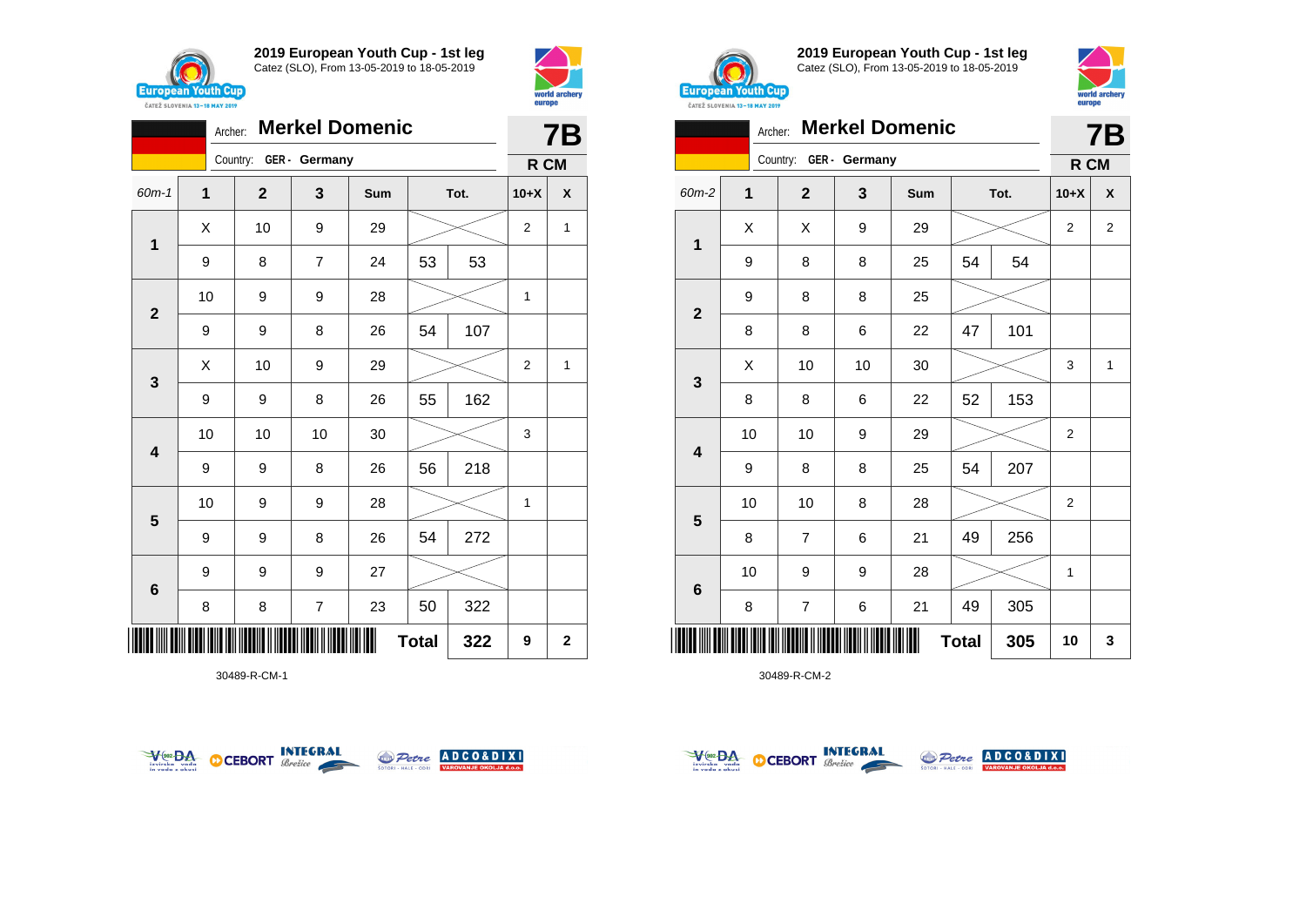



|                         | <b>Merkel Domenic</b><br>Archer: |                        |                |     |              |      |                |                    |  |
|-------------------------|----------------------------------|------------------------|----------------|-----|--------------|------|----------------|--------------------|--|
|                         |                                  | Country: GER - Germany |                |     |              |      | R CM           |                    |  |
| 60m-1                   | 1                                | $\mathbf{2}$           | 3              | Sum |              | Tot. | $10+X$         | $\pmb{\mathsf{X}}$ |  |
| 1                       | X                                | 10                     | 9              | 29  |              |      | $\overline{2}$ | $\mathbf{1}$       |  |
|                         | 9                                | 8                      | $\overline{7}$ | 24  | 53           | 53   |                |                    |  |
| $\mathbf{2}$            | 10                               | 9                      | 9              | 28  |              |      | 1              |                    |  |
|                         | 9                                | 9                      | 8              | 26  | 54           | 107  |                |                    |  |
| $\mathbf{3}$            | X                                | 10                     | 9              | 29  |              |      | $\overline{2}$ | 1                  |  |
|                         | 9                                | 9                      | 8              | 26  | 55           | 162  |                |                    |  |
| $\overline{\mathbf{4}}$ | 10                               | 10                     | 10             | 30  |              |      | 3              |                    |  |
|                         | 9                                | 9                      | 8              | 26  | 56           | 218  |                |                    |  |
| $\overline{\mathbf{5}}$ | 10                               | 9                      | 9              | 28  |              |      | 1              |                    |  |
|                         | 9                                | 9                      | 8              | 26  | 54           | 272  |                |                    |  |
| $6\phantom{1}$          | 9                                | 9                      | 9              | 27  |              |      |                |                    |  |
|                         | 8                                | 8                      | 7              | 23  | 50           | 322  |                |                    |  |
| IIIII                   |                                  |                        |                |     | <b>Total</b> | 322  | 9              | $\mathbf 2$        |  |

30489-R-CM-1





**2019 European Youth Cup - 1st leg** Catez (SLO), From 13-05-2019 to 18-05-2019



|                | <b>Merkel Domenic</b><br>Archer: |                        |    |     |              |      |                |                |
|----------------|----------------------------------|------------------------|----|-----|--------------|------|----------------|----------------|
|                |                                  | Country: GER - Germany |    |     |              |      | R CM           |                |
| 60m-2          | $\mathbf 1$                      | $\overline{2}$         | 3  | Sum |              | Tot. | $10+X$         | X              |
| 1              | Χ                                | X                      | 9  | 29  |              |      | $\overline{2}$ | $\overline{2}$ |
|                | 9                                | 8                      | 8  | 25  | 54           | 54   |                |                |
| $\overline{2}$ | 9                                | 8                      | 8  | 25  |              |      |                |                |
|                | 8                                | 8                      | 6  | 22  | 47           | 101  |                |                |
| 3              | X                                | 10                     | 10 | 30  |              |      | 3              | 1              |
|                | 8                                | 8                      | 6  | 22  | 52           | 153  |                |                |
| 4              | 10                               | 10                     | 9  | 29  |              |      | $\overline{2}$ |                |
|                | 9                                | 8                      | 8  | 25  | 54           | 207  |                |                |
|                | 10                               | 10                     | 8  | 28  |              |      | $\overline{2}$ |                |
| 5              | 8                                | $\overline{7}$         | 6  | 21  | 49           | 256  |                |                |
|                | 10                               | 9                      | 9  | 28  |              |      | $\mathbf{1}$   |                |
| 6              | 8                                | $\overline{7}$         | 6  | 21  | 49           | 305  |                |                |
|                |                                  |                        |    |     | <b>Total</b> | 305  | 10             | 3              |



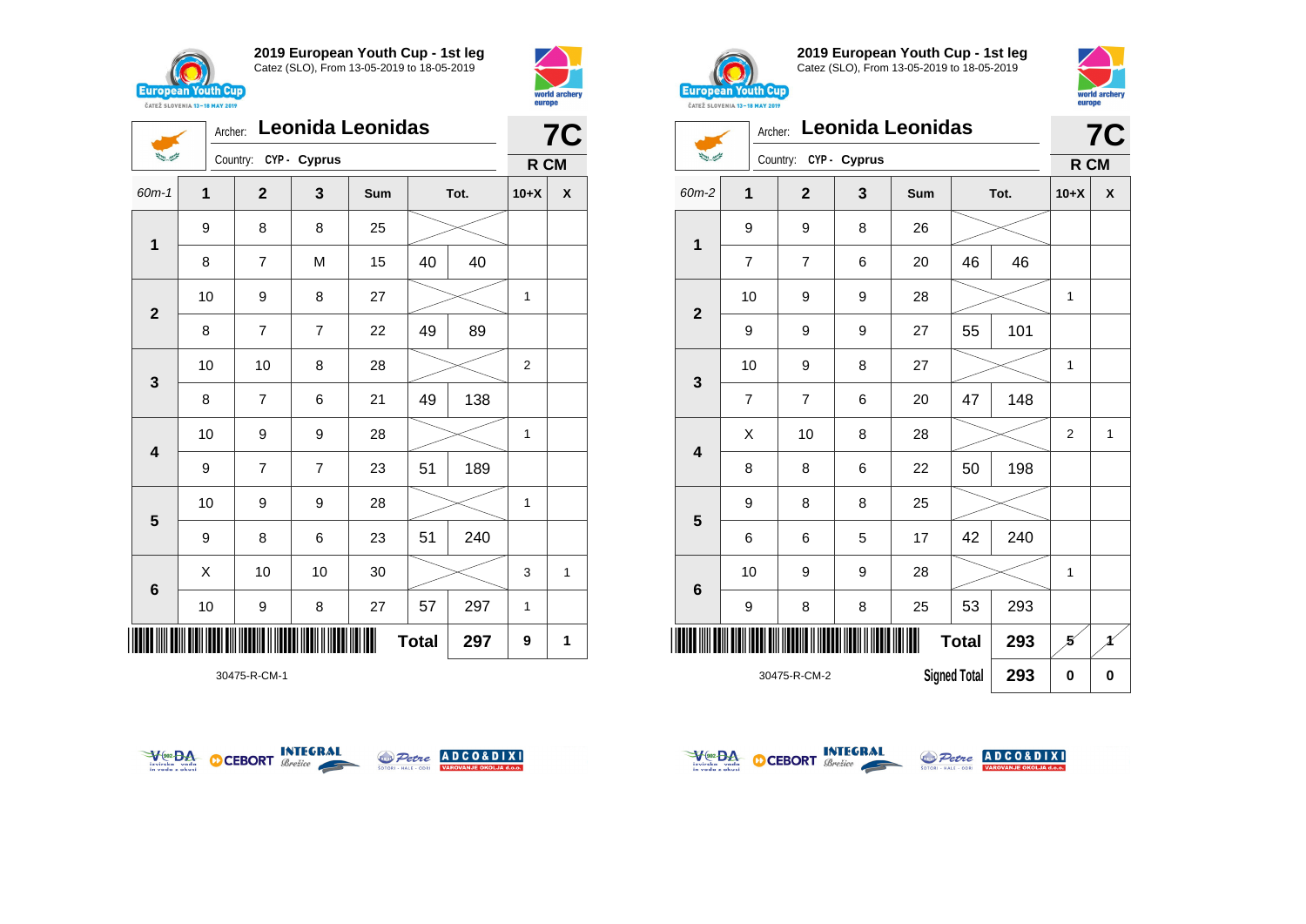





30475-R-CM-1





**2019 European Youth Cup - 1st leg** Catez (SLO), From 13-05-2019 to 18-05-2019



|                                     | <b>7C</b>      |                |              |     |              |          |                |              |
|-------------------------------------|----------------|----------------|--------------|-----|--------------|----------|----------------|--------------|
| تشيين الأنشا                        |                | Country:       | CYP - Cyprus |     |              |          | R CM           |              |
| 60m-2                               | 1              | $\overline{2}$ | 3            | Sum |              | Tot.     | $10+X$         | X            |
|                                     | 9              | 9              | 8            | 26  |              |          |                |              |
| $\mathbf{1}$                        | $\overline{7}$ | 7              | 6            | 20  | 46           | 46       |                |              |
|                                     | 10             | 9              | 9            | 28  |              |          | 1              |              |
| $\overline{2}$                      | 9              | 9              | 9            | 27  | 55           | 101      |                |              |
|                                     | 10             | 9              | 8            | 27  |              |          | 1              |              |
| $\mathbf 3$                         | $\overline{7}$ | $\overline{7}$ | 6            | 20  | 47           | 148      |                |              |
|                                     | X              | 10             | 8            | 28  |              |          | $\overline{2}$ | $\mathbf{1}$ |
| 4                                   | 8              | 8              | 6            | 22  | 50           | 198      |                |              |
|                                     | 9              | 8              | 8            | 25  |              |          |                |              |
| 5                                   | 6              | 6              | 5            | 17  | 42           | 240      |                |              |
|                                     | 10             | 9              | 9            | 28  |              |          | 1              |              |
| 6                                   | 9              | 8              | 8            | 25  | 53           | 293      |                |              |
|                                     |                |                |              |     | <b>Total</b> | 293      | 5              | 4            |
| <b>Signed Total</b><br>30475-R-CM-2 |                |                |              |     | 293          | $\bf{0}$ | $\pmb{0}$      |              |



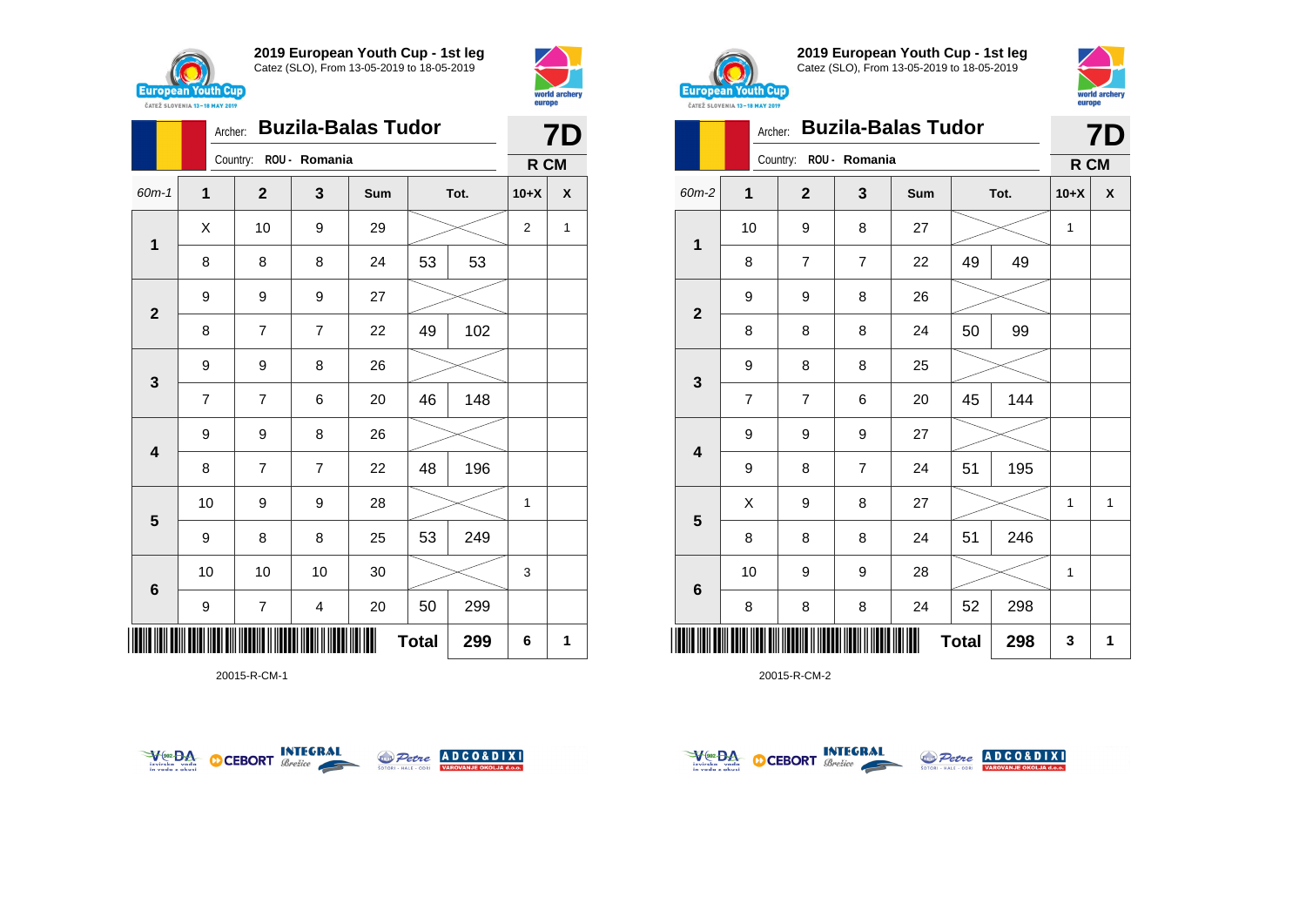



|                         | Archer:        |                        |                | <b>7D</b> |              |      |                |                           |
|-------------------------|----------------|------------------------|----------------|-----------|--------------|------|----------------|---------------------------|
|                         |                | Country: ROU - Romania |                |           |              |      | R CM           |                           |
| $60m-1$                 | 1              | $\mathbf{2}$           | 3              | Sum       |              | Tot. | $10+X$         | $\boldsymbol{\mathsf{X}}$ |
|                         | X              | 10                     | 9              | 29        |              |      | $\overline{2}$ | 1                         |
| 1                       | 8              | 8                      | 8              | 24        | 53           | 53   |                |                           |
| $\mathbf{2}$            | 9              | 9                      | 9              | 27        |              |      |                |                           |
|                         | 8              | 7                      | $\overline{7}$ | 22        | 49           | 102  |                |                           |
| $\mathbf 3$             | 9              | 9                      | 8              | 26        |              |      |                |                           |
|                         | $\overline{7}$ | $\overline{7}$         | 6              | 20        | 46           | 148  |                |                           |
| $\overline{\mathbf{4}}$ | 9              | 9                      | 8              | 26        |              |      |                |                           |
|                         | 8              | $\overline{7}$         | 7              | 22        | 48           | 196  |                |                           |
| $\overline{\mathbf{5}}$ | 10             | 9                      | 9              | 28        |              |      | 1              |                           |
|                         | 9              | 8                      | 8              | 25        | 53           | 249  |                |                           |
| $\bf 6$                 | 10             | 10                     | 10             | 30        |              |      | 3              |                           |
|                         | 9              | 7                      | 4              | 20        | 50           | 299  |                |                           |
|                         |                |                        |                |           | <b>Total</b> | 299  | 6              | 1                         |

20015-R-CM-1





**2019 European Youth Cup - 1st leg** Catez (SLO), From 13-05-2019 to 18-05-2019



| <b>CATEZ SLOVENIA 13-18 MAY 2019</b> | <b>DALPD</b>   |                |                           |     |              |      |              |    |
|--------------------------------------|----------------|----------------|---------------------------|-----|--------------|------|--------------|----|
|                                      | Archer:        |                | <b>Buzila-Balas Tudor</b> |     |              |      |              | 7D |
|                                      |                | Country:       | ROU - Romania             |     |              |      | R CM         |    |
| 60m-2                                | $\mathbf{1}$   | $\mathbf{2}$   | 3                         | Sum |              | Tot. | $10+X$       | X  |
|                                      | 10             | 9              | 8                         | 27  |              |      | $\mathbf{1}$ |    |
| 1                                    | 8              | 7              | $\overline{7}$            | 22  | 49           | 49   |              |    |
|                                      | 9              | 9              | 8                         | 26  |              |      |              |    |
| $\overline{2}$                       | 8              | 8              | 8                         | 24  | 50           | 99   |              |    |
|                                      | 9              | 8              | 8                         | 25  |              |      |              |    |
| 3                                    | $\overline{7}$ | $\overline{7}$ | 6                         | 20  | 45           | 144  |              |    |
|                                      | 9              | 9              | 9                         | 27  |              |      |              |    |
| 4                                    | 9              | 8              | $\overline{7}$            | 24  | 51           | 195  |              |    |
|                                      | X              | 9              | 8                         | 27  |              |      | $\mathbf{1}$ | 1  |
| 5                                    | 8              | 8              | 8                         | 24  | 51           | 246  |              |    |
|                                      | 10             | 9              | 9                         | 28  |              |      | $\mathbf{1}$ |    |
| 6                                    | 8              | 8              | 8                         | 24  | 52           | 298  |              |    |
|                                      |                |                |                           |     | <b>Total</b> | 298  | 3            | 1  |



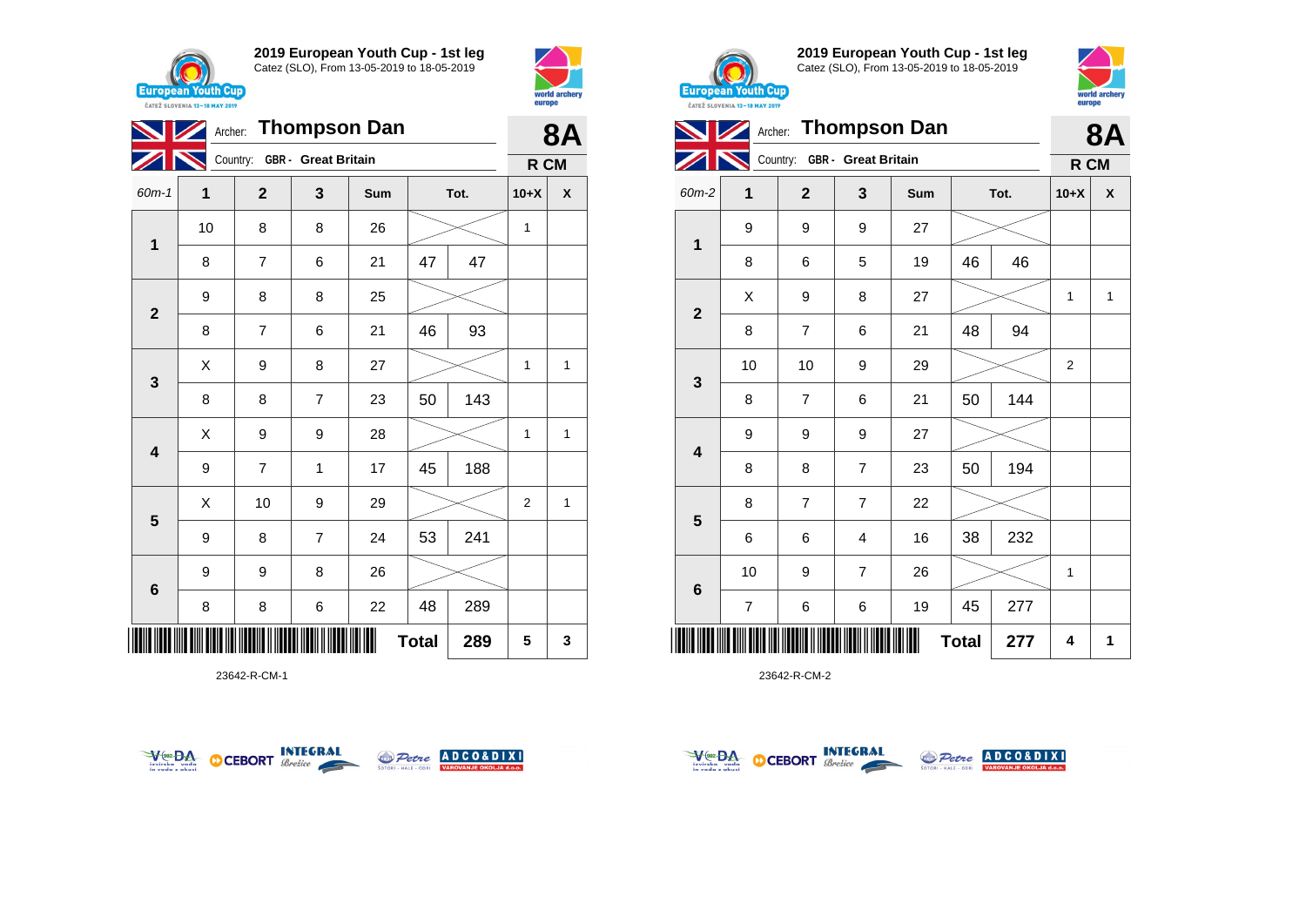





23642-R-CM-1





**2019 European Youth Cup - 1st leg** Catez (SLO), From 13-05-2019 to 18-05-2019



|                         |                          |                              |                | Archer: Thompson Dan |              |      |        | <b>8A</b>    |
|-------------------------|--------------------------|------------------------------|----------------|----------------------|--------------|------|--------|--------------|
|                         |                          | Country: GBR - Great Britain |                |                      |              |      | R CM   |              |
| $60m-2$                 | 1                        | $\mathbf 2$                  | 3              | Sum                  |              | Tot. | $10+X$ | X            |
|                         | 9                        | 9                            | 9              | 27                   |              |      |        |              |
| 1                       | 8                        | 6                            | 5              | 19                   | 46           | 46   |        |              |
|                         | X                        | 9                            | 8              | 27                   |              |      | 1      | $\mathbf{1}$ |
| $\mathbf{2}$            | 8                        | $\overline{7}$               | 6              | 21                   | 48           | 94   |        |              |
|                         | 10                       | 10                           | 9              | 29                   |              |      | 2      |              |
| 3                       | 8                        | $\overline{7}$               | 6              | 21                   | 50           | 144  |        |              |
|                         | 9                        | 9                            | 9              | 27                   |              |      |        |              |
| $\overline{\mathbf{4}}$ | 8                        | 8                            | $\overline{7}$ | 23                   | 50           | 194  |        |              |
|                         | 8                        | $\overline{7}$               | $\overline{7}$ | 22                   |              |      |        |              |
| 5                       | 6                        | 6                            | 4              | 16                   | 38           | 232  |        |              |
|                         | 10                       | 9                            | $\overline{7}$ | 26                   |              |      | 1      |              |
| $\bf 6$                 | $\overline{\mathcal{I}}$ | 6                            | 6              | 19                   | 45           | 277  |        |              |
| Ⅲ                       |                          |                              |                |                      | <b>Total</b> | 277  | 4      | 1            |



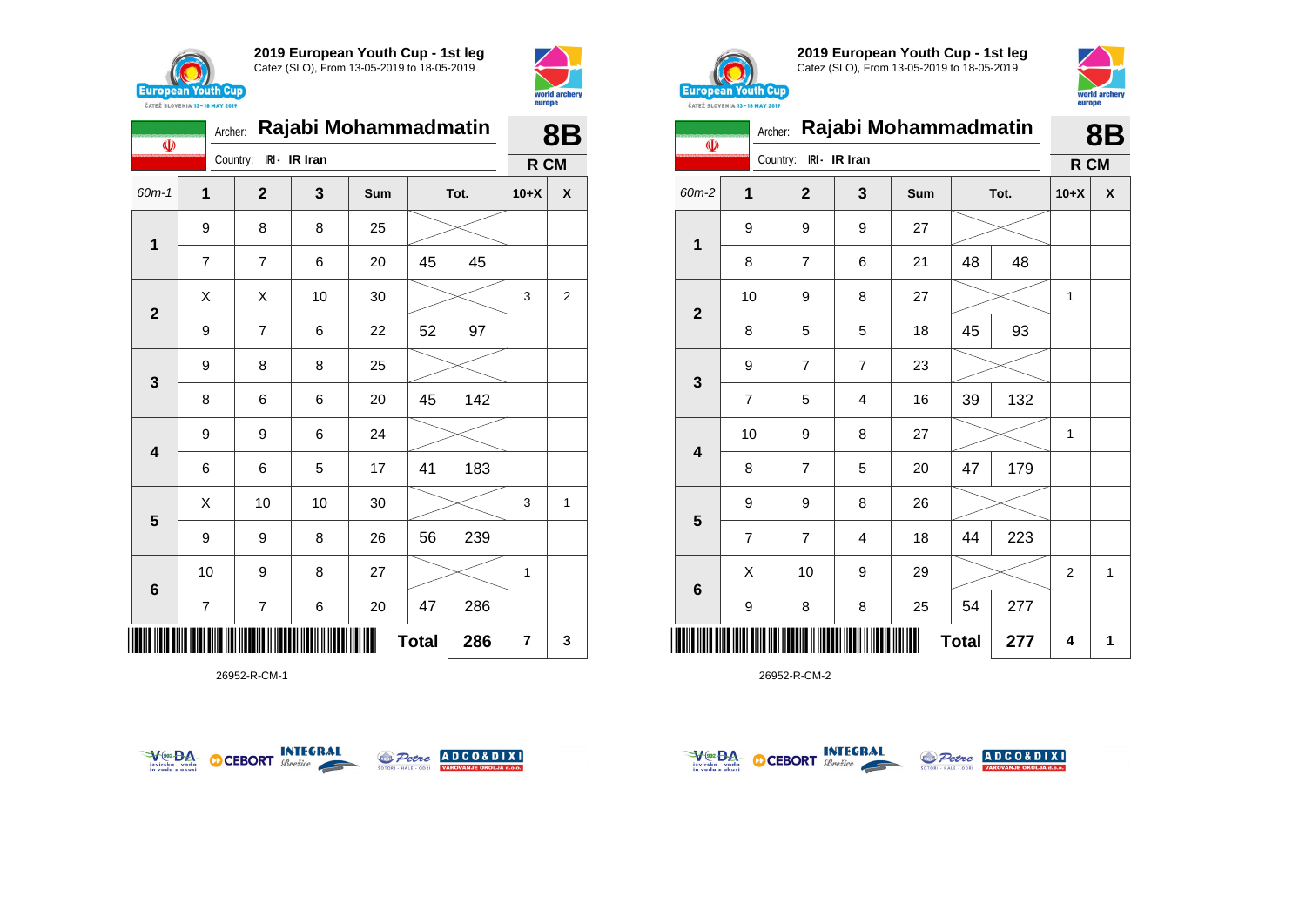



|                 | Rajabi Mohammadmatin<br>Archer:<br>$\Phi$ |                          |               |     |              |      |        | <b>8B</b>      |
|-----------------|-------------------------------------------|--------------------------|---------------|-----|--------------|------|--------|----------------|
|                 |                                           | Country:                 | IRI - IR Iran |     |              |      | R CM   |                |
| 60m-1           | 1                                         | $\mathbf{2}$             | 3             | Sum |              | Tot. | $10+X$ | X              |
| 1               | 9                                         | 8                        | 8             | 25  |              |      |        |                |
|                 | 7                                         | $\overline{7}$           | 6             | 20  | 45           | 45   |        |                |
| $\mathbf{2}$    | X                                         | X                        | 10            | 30  |              |      | 3      | $\overline{2}$ |
|                 | 9                                         | $\overline{7}$           | 6             | 22  | 52           | 97   |        |                |
| $\mathbf{3}$    | 9                                         | 8                        | 8             | 25  |              |      |        |                |
|                 | 8                                         | 6                        | 6             | 20  | 45           | 142  |        |                |
| 4               | 9                                         | 9                        | 6             | 24  |              |      |        |                |
|                 | 6                                         | 6                        | 5             | 17  | 41           | 183  |        |                |
|                 | X                                         | 10                       | 10            | 30  |              |      | 3      | 1              |
| 5               | 9                                         | 9                        | 8             | 26  | 56           | 239  |        |                |
| $6\phantom{1}6$ | 10                                        | 9                        | 8             | 27  |              |      | 1      |                |
|                 | 7                                         | $\overline{\mathcal{I}}$ | 6             | 20  | 47           | 286  |        |                |
| Ш               |                                           |                          |               |     | <b>Total</b> | 286  | 7      | 3              |

26952-R-CM-1





**2019 European Youth Cup - 1st leg** Catez (SLO), From 13-05-2019 to 18-05-2019



|                         | Rajabi Mohammadmatin<br>Archer:<br>$\Phi$ |  |                |                |     |              |      |                | 8Β |
|-------------------------|-------------------------------------------|--|----------------|----------------|-----|--------------|------|----------------|----|
|                         |                                           |  | Country:       | IRI - IR Iran  |     |              |      | R CM           |    |
| 60m-2                   | 1                                         |  | $\mathbf{2}$   | 3              | Sum |              | Tot. | $10+X$         | X  |
| 1                       | 9                                         |  | 9              | 9              | 27  |              |      |                |    |
|                         | 8                                         |  | $\overline{7}$ | 6              | 21  | 48           | 48   |                |    |
| $\overline{2}$          | 10                                        |  | 9              | 8              | 27  |              |      | 1              |    |
|                         | 8                                         |  | 5              | 5              | 18  | 45           | 93   |                |    |
| 3                       | 9                                         |  | $\overline{7}$ | $\overline{7}$ | 23  |              |      |                |    |
|                         | $\overline{7}$                            |  | 5              | 4              | 16  | 39           | 132  |                |    |
| $\overline{\mathbf{4}}$ | 10                                        |  | 9              | 8              | 27  |              |      | 1              |    |
|                         | 8                                         |  | $\overline{7}$ | 5              | 20  | 47           | 179  |                |    |
| $5\phantom{1}$          | 9                                         |  | 9              | 8              | 26  |              |      |                |    |
|                         | $\overline{7}$                            |  | $\overline{7}$ | 4              | 18  | 44           | 223  |                |    |
| $6\phantom{1}6$         | X                                         |  | 10             | 9              | 29  |              |      | $\overline{2}$ | 1  |
|                         | 9                                         |  | 8              | 8              | 25  | 54           | 277  |                |    |
| ║║║                     |                                           |  |                |                |     | <b>Total</b> | 277  | 4              | 1  |



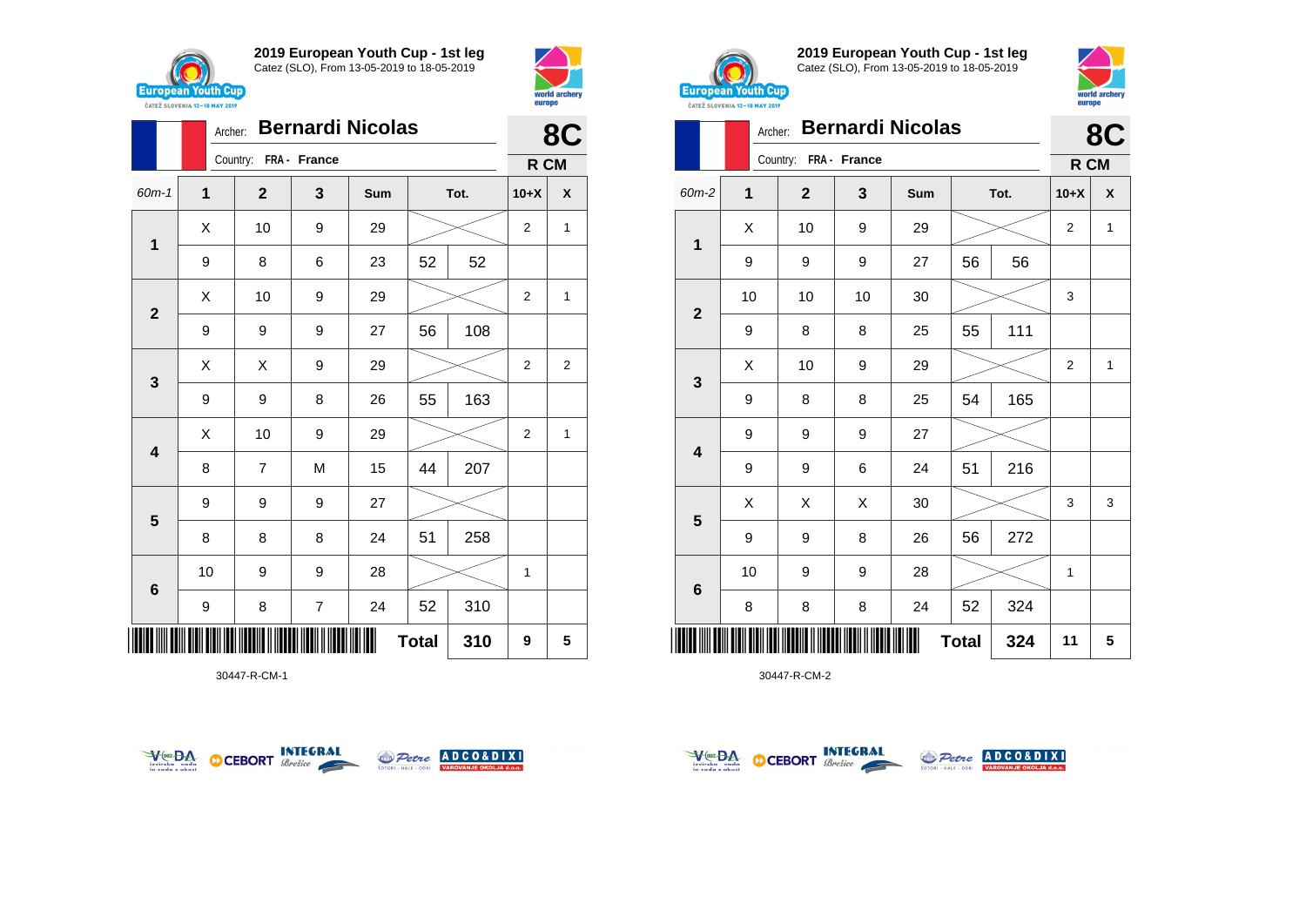



|                         |    | <b>Bernardi Nicolas</b><br>Archer: |                         |     |              |     |                |              |  |
|-------------------------|----|------------------------------------|-------------------------|-----|--------------|-----|----------------|--------------|--|
|                         |    | Country: FRA - France              |                         |     |              |     | R CM           | 8C           |  |
| $60m-1$                 | 1  | $\overline{2}$                     | 3                       | Sum | Tot.         |     | $10+X$         | X            |  |
|                         | Χ  | 10                                 | 9                       | 29  |              |     | $\overline{2}$ | $\mathbf{1}$ |  |
| 1                       | 9  | 8                                  | 6                       | 23  | 52           | 52  |                |              |  |
| $\mathbf{2}$            | X  | 10                                 | 9                       | 29  |              |     | $\overline{2}$ | 1            |  |
|                         | 9  | 9                                  | 9                       | 27  | 56           | 108 |                |              |  |
|                         | X  | X                                  | 9                       | 29  |              |     | $\overline{2}$ | 2            |  |
| 3                       | 9  | 9                                  | 8                       | 26  | 55           | 163 |                |              |  |
| $\overline{\mathbf{4}}$ | X  | 10                                 | 9                       | 29  |              |     | $\overline{2}$ | $\mathbf{1}$ |  |
|                         | 8  | $\overline{7}$                     | M                       | 15  | 44           | 207 |                |              |  |
| 5                       | 9  | 9                                  | 9                       | 27  |              |     |                |              |  |
|                         | 8  | 8                                  | 8                       | 24  | 51           | 258 |                |              |  |
| $6\phantom{1}$          | 10 | 9                                  | 9                       | 28  |              |     | 1              |              |  |
|                         | 9  | 8                                  | $\overline{\mathbf{7}}$ | 24  | 52           | 310 |                |              |  |
| ║║║                     |    |                                    |                         |     | <b>Total</b> | 310 | 9              | 5            |  |

30447-R-CM-1





**2019 European Youth Cup - 1st leg** Catez (SLO), From 13-05-2019 to 18-05-2019



|              | Archer: |                |              | <b>Bernardi Nicolas</b> |              |     |        | 8C           |
|--------------|---------|----------------|--------------|-------------------------|--------------|-----|--------|--------------|
|              |         | Country:       | FRA - France |                         |              |     | R CM   |              |
| 60m-2        | 1       | $\overline{2}$ | 3            | Sum                     | Tot.         |     | $10+X$ | X            |
| $\mathbf 1$  | X       | 10             | 9            | 29                      |              |     | 2      | 1            |
|              | 9       | 9              | 9            | 27                      | 56           | 56  |        |              |
|              | 10      | 10             | 10           | $30\,$                  |              |     | 3      |              |
| $\mathbf{2}$ | 9       | 8              | 8            | 25                      | 55           | 111 |        |              |
| 3            | X       | 10             | 9            | 29                      |              |     |        | $\mathbf{1}$ |
|              | 9       | 8              | 8            | 25                      | 54           | 165 |        |              |
| 4            | 9       | 9              | 9            | 27                      |              |     |        |              |
|              | 9       | 9              | 6            | 24                      | 51           | 216 |        |              |
| 5            | Χ       | X              | X            | 30                      |              |     | 3      | 3            |
|              | 9       | 9              | 8            | 26                      | 56           | 272 |        |              |
| 6            | 10      | 9              | 9            | 28                      |              |     | 1      |              |
|              | 8       | 8              | 8            | 24                      | 52           | 324 |        |              |
| Ⅲ            |         |                |              |                         | <b>Total</b> | 324 | 11     | 5            |



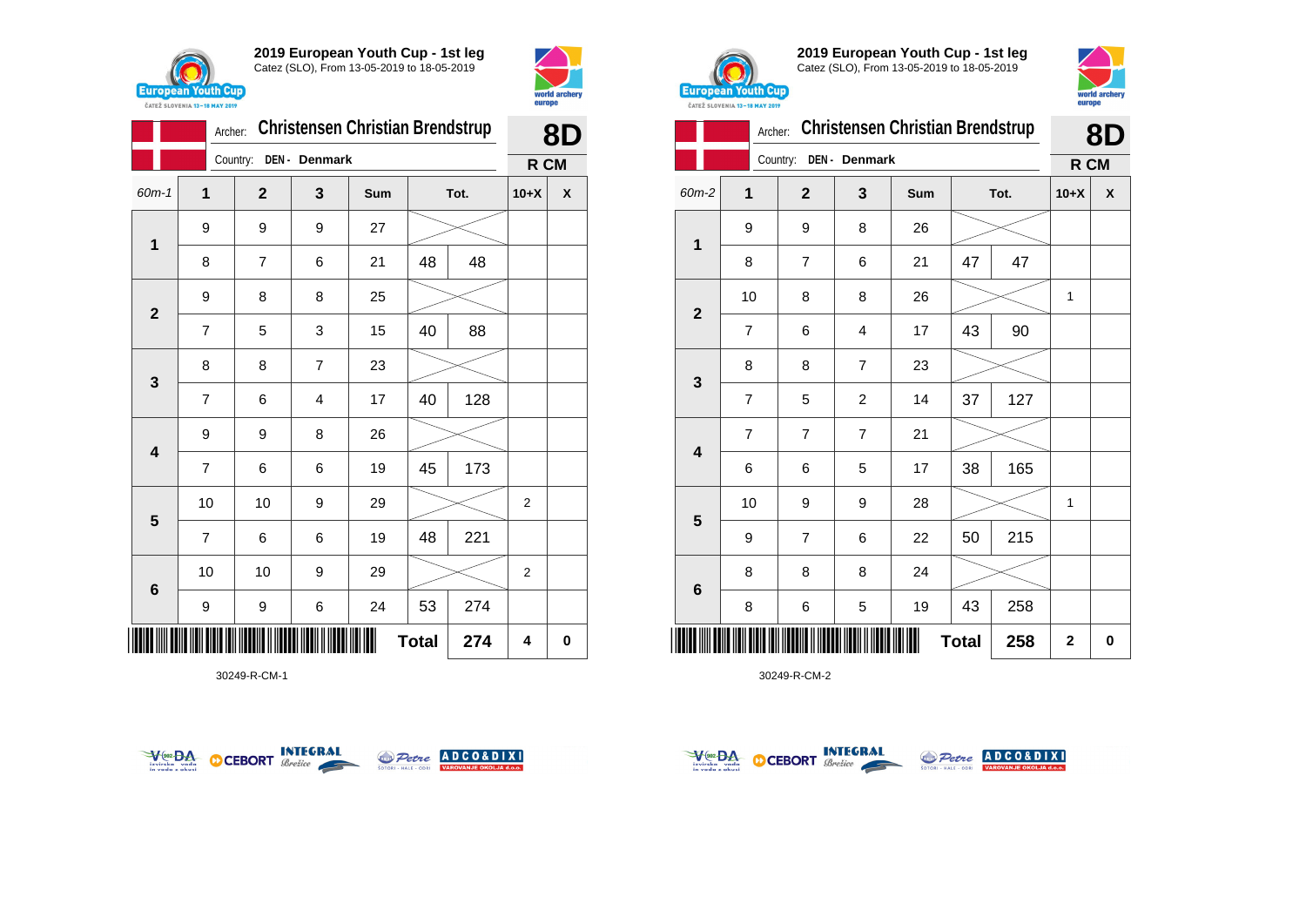



|                         |                | Archer:        |                | <b>Christensen Christian Brendstrup</b> |              |      | 8D             |          |  |
|-------------------------|----------------|----------------|----------------|-----------------------------------------|--------------|------|----------------|----------|--|
|                         |                | Country:       | DEN - Denmark  |                                         |              |      | R CM           |          |  |
| $60m-1$                 | $\mathbf 1$    | $\mathbf{2}$   | 3              | Sum                                     |              | Tot. | $10+X$         | X        |  |
|                         | 9              | 9              | 9              | 27                                      |              |      |                |          |  |
| 1                       | 8              | $\overline{7}$ | 6              | 21                                      | 48           | 48   |                |          |  |
| $\mathbf{2}$            | 9              | 8              | 8              | 25                                      |              |      |                |          |  |
|                         | $\overline{7}$ | 5              | 3              | 15                                      | 40           | 88   |                |          |  |
| $\mathbf{3}$            | 8              | 8              | $\overline{7}$ | 23                                      |              |      |                |          |  |
|                         | $\overline{7}$ | 6              | 4              | 17                                      | 40           | 128  |                |          |  |
| $\overline{\mathbf{4}}$ | 9              | 9              | 8              | 26                                      |              |      |                |          |  |
|                         | $\overline{7}$ | 6              | 6              | 19                                      | 45           | 173  |                |          |  |
|                         | 10             | 10             | 9              | 29                                      |              |      | 2              |          |  |
| $\overline{\mathbf{5}}$ | $\overline{7}$ | 6              | 6              | 19                                      | 48           | 221  |                |          |  |
| $\bf 6$                 | 10             | 10             | 9              | 29                                      |              |      | $\overline{2}$ |          |  |
|                         | 9              | 9              | 6              | 24                                      | 53           | 274  |                |          |  |
| ║║║                     |                |                |                |                                         | <b>Total</b> | 274  | 4              | $\bf{0}$ |  |

30249-R-CM-1





**2019 European Youth Cup - 1st leg** Catez (SLO), From 13-05-2019 to 18-05-2019



|              | Archer:        |                |                | <b>Christensen Christian Brendstrup</b> |              |      |             | 8D          |
|--------------|----------------|----------------|----------------|-----------------------------------------|--------------|------|-------------|-------------|
|              |                | Country:       | DEN- Denmark   |                                         |              |      | R CM        |             |
| 60m-2        | $\mathbf{1}$   | $\overline{2}$ | 3              | Sum                                     |              | Tot. | $10+X$      | X           |
| 1            | 9              | 9              | 8              | 26                                      |              |      |             |             |
|              | 8              | $\overline{7}$ | 6              | 21                                      | 47           | 47   |             |             |
| $\mathbf{2}$ | 10             | 8              | 8              | 26                                      |              |      | 1           |             |
|              | 7              | 6              | 4              | 17                                      | 43           | 90   |             |             |
| 3            | 8              | 8              | $\overline{7}$ | 23                                      |              |      |             |             |
|              | $\overline{7}$ | 5              | $\overline{2}$ | 14                                      | 37           | 127  |             |             |
| 4            | $\overline{7}$ | 7              | 7              | 21                                      |              |      |             |             |
|              | 6              | 6              | 5              | 17                                      | 38           | 165  |             |             |
| 5            | 10             | 9              | 9              | 28                                      |              |      | 1           |             |
|              | 9              | $\overline{7}$ | 6              | 22                                      | 50           | 215  |             |             |
| 6            | 8              | 8              | 8              | 24                                      |              |      |             |             |
|              | 8              | 6              | 5              | 19                                      | 43           | 258  |             |             |
| II           |                |                |                |                                         | <b>Total</b> | 258  | $\mathbf 2$ | $\mathbf 0$ |



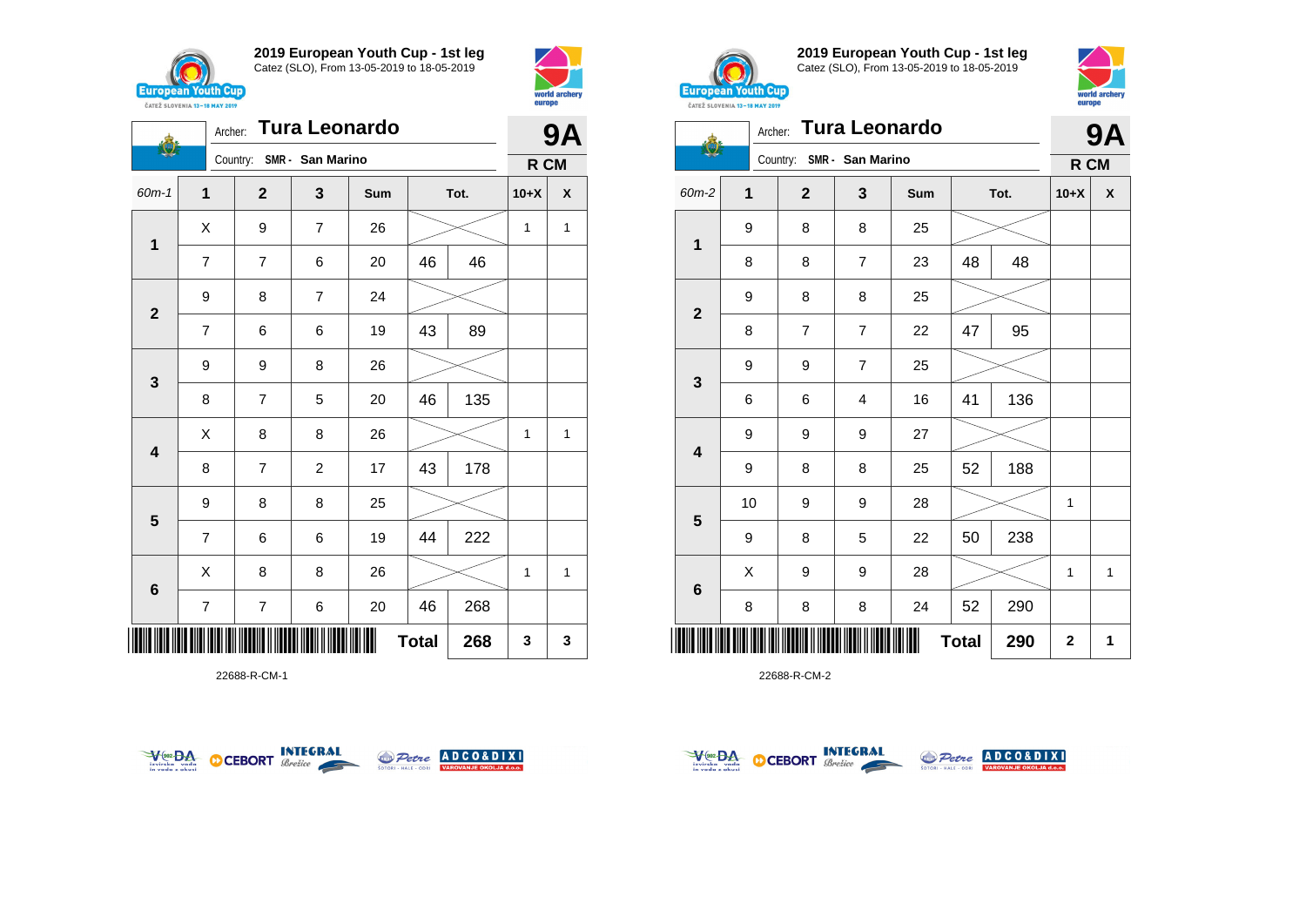





22688-R-CM-1





**2019 European Youth Cup - 1st leg** Catez (SLO), From 13-05-2019 to 18-05-2019



|                         | Archer:     |                           | <b>Tura Leonardo</b> |     |              |     | <b>9A</b>    |   |  |
|-------------------------|-------------|---------------------------|----------------------|-----|--------------|-----|--------------|---|--|
|                         |             | Country: SMR - San Marino |                      |     |              |     | R CM         |   |  |
| 60m-2                   | $\mathbf 1$ | $\overline{\mathbf{2}}$   | 3                    | Sum | Tot.         |     | $10+X$       | X |  |
|                         | 9           | 8                         | 8                    | 25  |              |     |              |   |  |
| $\mathbf 1$             | 8           | 8                         | $\overline{7}$       | 23  | 48           | 48  |              |   |  |
|                         | 9           | 8                         | 8                    | 25  |              |     |              |   |  |
| $\overline{\mathbf{2}}$ | 8           | $\overline{7}$            | $\overline{7}$       | 22  | 47           | 95  |              |   |  |
|                         | 9           | 9                         | $\overline{7}$       | 25  |              |     |              |   |  |
| 3                       | 6           | 6                         | 4                    | 16  | 41           | 136 |              |   |  |
|                         | 9           | 9                         | 9                    | 27  |              |     |              |   |  |
| 4                       | 9           | 8                         | 8                    | 25  | 52           | 188 |              |   |  |
|                         | 10          | 9                         | 9                    | 28  |              |     | $\mathbf{1}$ |   |  |
| $5\phantom{1}$          | 9           | 8                         | 5                    | 22  | 50           | 238 |              |   |  |
|                         | X           | 9                         | 9                    | 28  |              |     | 1            | 1 |  |
| 6                       | 8           | 8                         | 8                    | 24  | 52           | 290 |              |   |  |
| ∭                       |             |                           |                      |     | <b>Total</b> | 290 | $\mathbf 2$  | 1 |  |



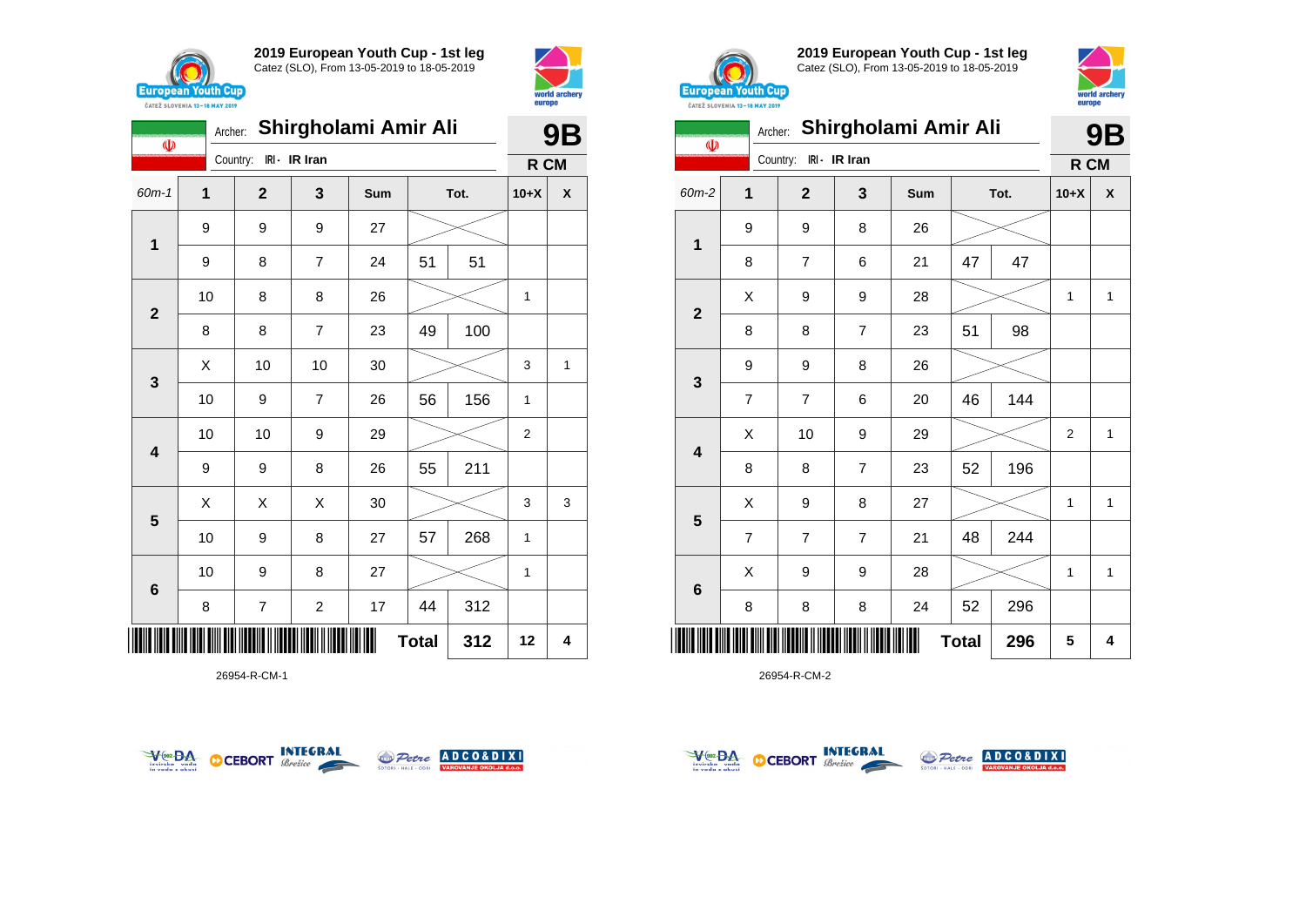

 $\mathbf{\Phi}$ 

**2019 European Youth Cup - 1st leg** Catez (SLO), From 13-05-2019 to 18-05-2019

Archer: **Shirgholami Amir Ali**

Country: **IRI - IR Iran**









| <b>CAILL SLUVENIA 13-18 MAY 2019</b> |                |                |                |                      |              |     |                |              |
|--------------------------------------|----------------|----------------|----------------|----------------------|--------------|-----|----------------|--------------|
| $\Phi$                               | Archer:        |                |                | Shirgholami Amir Ali |              |     |                | <b>9B</b>    |
|                                      |                | Country:       | IRI - IR Iran  |                      |              |     | R CM           |              |
| $60m-2$                              | 1              | $\mathbf{2}$   | 3              | Sum                  | Tot.         |     | $10+X$         | X            |
| 1                                    | 9              | 9              | 8              | 26                   |              |     |                |              |
|                                      | 8              | 7              | 6              | 21                   | 47           | 47  |                |              |
|                                      | X              | 9              | 9              | 28                   |              |     | 1              | $\mathbf{1}$ |
| $\mathbf{2}$                         | 8              | 8              | $\overline{7}$ | 23                   | 51           | 98  |                |              |
|                                      | 9              | 9              | 8              | 26                   |              |     |                |              |
| 3                                    | $\overline{7}$ | 7              | 6              | 20                   | 46           | 144 |                |              |
| $\overline{\mathbf{4}}$              | X              | 10             | 9              | 29                   |              |     | $\overline{2}$ | $\mathbf{1}$ |
|                                      | 8              | 8              | $\overline{7}$ | 23                   | 52           | 196 |                |              |
|                                      | X              | 9              | 8              | 27                   |              |     | 1              | $\mathbf{1}$ |
| $\overline{\mathbf{5}}$              | $\overline{7}$ | $\overline{7}$ | $\overline{7}$ | 21                   | 48           | 244 |                |              |
|                                      | X              | 9              | 9              | 28                   |              |     | 1              | $\mathbf{1}$ |
| $6\phantom{1}6$                      | 8              | 8              | 8              | 24                   | 52           | 296 |                |              |
| IIII                                 |                |                |                |                      | <b>Total</b> | 296 | 5              | 4            |

26954-R-CM-2

| $60m-1$                      | $\mathbf{1}$ | $\mathbf{2}$            | 3                        | Sum |    | Tot. | $10+X$      | X |
|------------------------------|--------------|-------------------------|--------------------------|-----|----|------|-------------|---|
| $\mathbf{1}$                 | 9            | 9                       | 9                        | 27  |    |      |             |   |
|                              | 9            | 8                       | $\overline{\mathbf{7}}$  | 24  | 51 | 51   |             |   |
|                              | 10           | 8                       | 8                        | 26  |    |      | 1           |   |
| $\mathbf 2$                  | 8            | $\bf 8$                 | $\overline{\mathbf{7}}$  | 23  | 49 | 100  |             |   |
|                              | X            | 10                      | 10                       | 30  |    |      | 3           | 1 |
| $\mathbf 3$                  | $10$         | 9                       | $\overline{\mathcal{I}}$ | 26  | 56 | 156  | 1           |   |
| $\overline{\mathbf{4}}$      | 10           | 10                      | 9                        | 29  |    |      | $\mathbf 2$ |   |
|                              | 9            | 9                       | 8                        | 26  | 55 | 211  |             |   |
| 5                            | X            | X                       | X                        | 30  |    |      | 3           | 3 |
|                              | $10$         | 9                       | 8                        | 27  | 57 | 268  | $\mathbf 1$ |   |
|                              | $10$         | 9                       | 8                        | 27  |    |      | 1           |   |
| $\bf 6$                      | 8            | $\overline{\mathbf{7}}$ | $\overline{c}$           | 17  | 44 | 312  |             |   |
| 312<br><b>Total</b><br>IIIII |              |                         |                          |     |    |      |             |   |





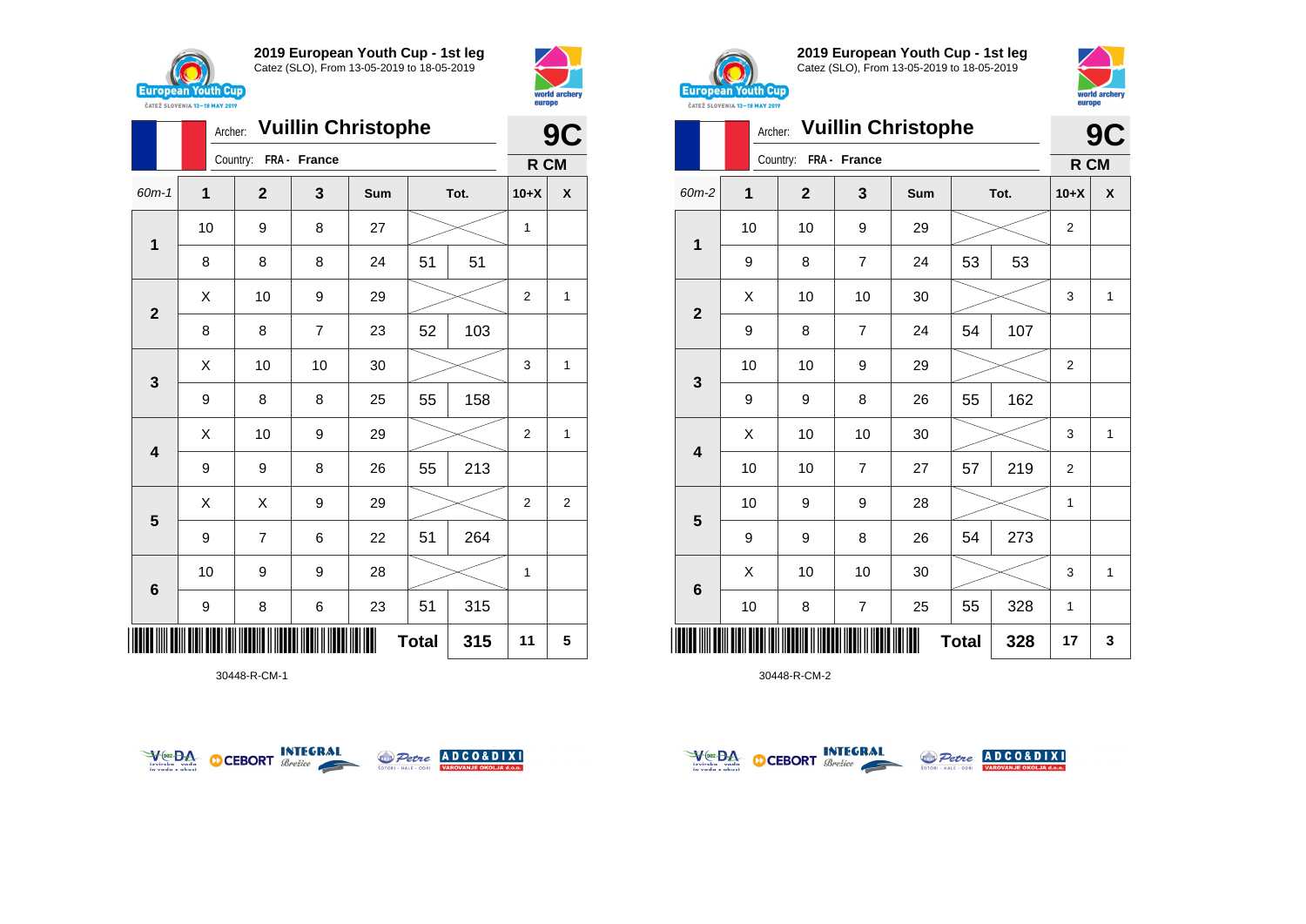



|                         |    | <b>Vuillin Christophe</b><br>Archer: |                |     |              |     |                |   |  |
|-------------------------|----|--------------------------------------|----------------|-----|--------------|-----|----------------|---|--|
|                         |    | Country:                             | FRA - France   |     |              |     | R CM           |   |  |
| $60m-1$                 | 1  | $\mathbf{2}$                         | 3              | Sum | Tot.         |     | $10+X$         | X |  |
| $\mathbf 1$             | 10 | 9                                    | 8              | 27  |              |     | 1              |   |  |
|                         | 8  | 8                                    | 8              | 24  | 51           | 51  |                |   |  |
| $\mathbf{2}$            | X  | 10                                   | 9              | 29  |              |     | $\overline{2}$ | 1 |  |
|                         | 8  | 8                                    | $\overline{7}$ | 23  | 52           | 103 |                |   |  |
|                         | Χ  | 10                                   | 10             | 30  |              |     | 3              | 1 |  |
| 3                       | 9  | 8                                    | 8              | 25  | 55           | 158 |                |   |  |
| $\overline{\mathbf{4}}$ | X  | 10                                   | 9              | 29  |              |     | $\overline{2}$ | 1 |  |
|                         | 9  | 9                                    | 8              | 26  | 55           | 213 |                |   |  |
|                         | X  | X                                    | 9              | 29  |              |     | 2              | 2 |  |
| 5                       | 9  | $\overline{7}$                       | 6              | 22  | 51           | 264 |                |   |  |
| $6\phantom{1}6$         | 10 | 9                                    | 9              | 28  |              |     | $\mathbf{1}$   |   |  |
|                         | 9  | 8                                    | 6              | 23  | 51           | 315 |                |   |  |
| ║║                      |    |                                      |                |     | <b>Total</b> | 315 | 11             | 5 |  |

30448-R-CM-1





**2019 European Youth Cup - 1st leg** Catez (SLO), From 13-05-2019 to 18-05-2019



|                | Archer:      |              |                | <b>Vuillin Christophe</b> |              |     |                | C<br>9 |  |
|----------------|--------------|--------------|----------------|---------------------------|--------------|-----|----------------|--------|--|
|                |              | Country:     | FRA - France   |                           |              |     | R CM           |        |  |
| 60m-2          | $\mathbf{1}$ | $\mathbf{2}$ | 3              | Sum                       | Tot.         |     | $10+X$         | X      |  |
| 1              | 10           | 10           | 9              | 29                        |              |     | 2              |        |  |
|                | 9            | 8            | $\overline{7}$ | 24                        | 53           | 53  |                |        |  |
| $\overline{2}$ | Χ            | 10           | 10             | 30                        |              |     | 3              | 1      |  |
|                | 9            | 8            | 7              | 24                        | 54           | 107 |                |        |  |
|                | 10           | 10           | 9              | 29                        |              |     | $\overline{2}$ |        |  |
| 3              | 9            | 9            | 8              | 26                        | 55           | 162 |                |        |  |
| 4              | X            | 10           | 10             | 30                        |              |     | 3              | 1      |  |
|                | 10           | 10           | $\overline{7}$ | 27                        | 57           | 219 | $\overline{2}$ |        |  |
| 5              | 10           | 9            | 9              | 28                        |              |     | 1              |        |  |
|                | 9            | 9            | 8              | 26                        | 54           | 273 |                |        |  |
| 6              | X            | 10           | 10             | 30                        |              |     | 3              | 1      |  |
|                | 10           | 8            | $\overline{7}$ | 25                        | 55           | 328 | $\mathbf{1}$   |        |  |
| Ш              |              |              |                |                           | <b>Total</b> | 328 | 17             | 3      |  |



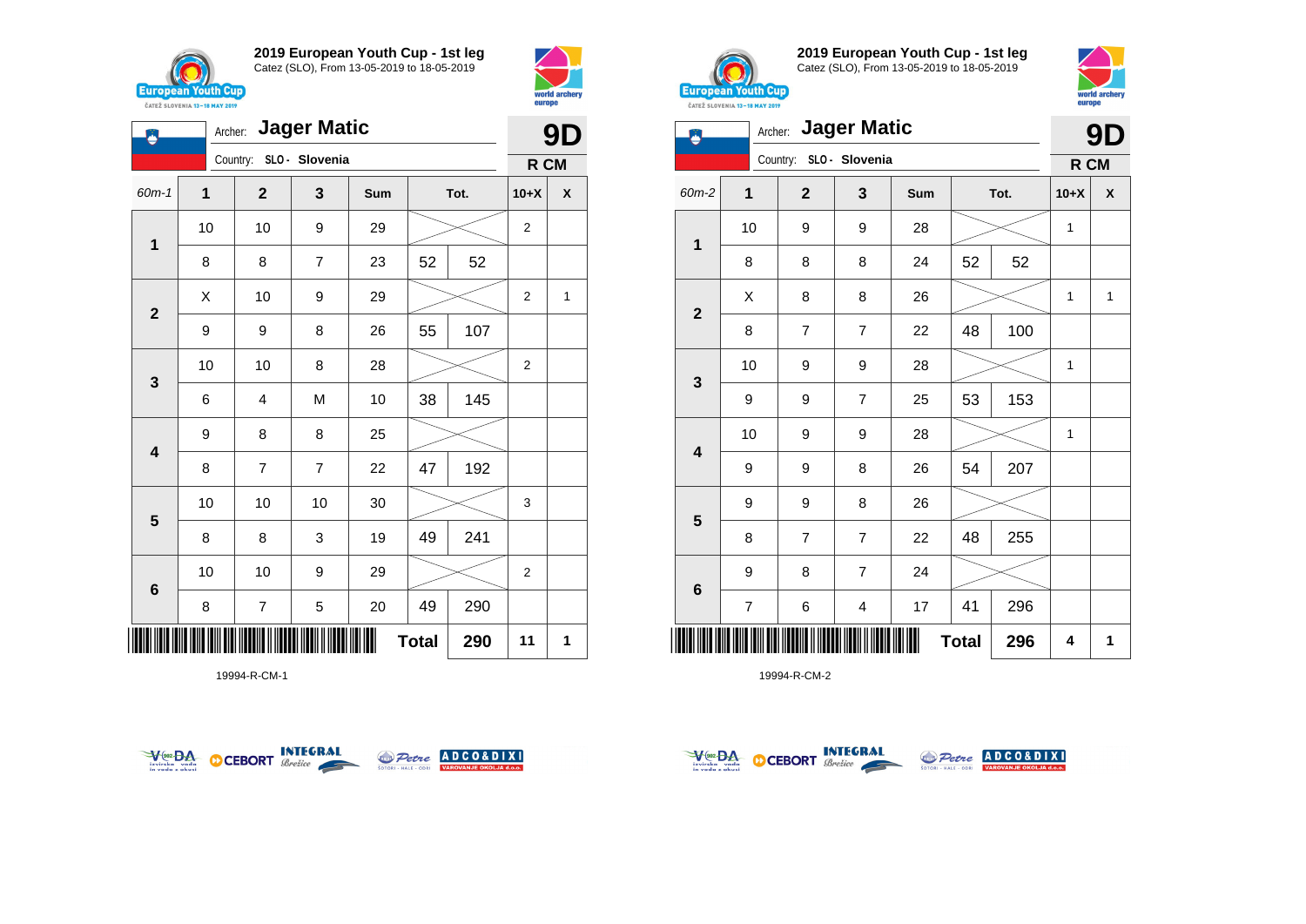

**1**

♦

**2**

**3**

**4**

**5**

**6**

**2019 European Youth Cup - 1st leg** Catez (SLO), From 13-05-2019 to 18-05-2019

60m-1 **1 2 3 Sum Tot. 10+X X**

8 | 8 | 7 | 23 | 52 | 52

9 | 9 | 8 | 26 | 55 | 107

6 | 4 | M | 10 | 38 | 145

8 | 7 | 7 | 22 | 47 | 192

8 | 8 | 3 | 19 | 49 | 241

8 | 7 | 5 | 20 | 49 | 290

10 10 10 30 3

10 | 10 | 9 | 29 |  $>$  | 2

9 8 8 25

10 | 10 | 8 | 28 |  $>$  | 2

10 | 10 | 9 | 29 |  $>$  | 2

 $\begin{array}{|c|c|c|c|c|}\hline \hspace{.1cm}X & \hspace{.1cm} \text{10} & \hspace{.1cm} \text{9} & \hspace{.1cm} \text{29} & \hspace{.1cm} \text{20} & \hspace{.1cm} \text{21} & \hspace{.1cm} \text{22} & \hspace{.1cm} \text{23} & \hspace{.1cm} \text{24} & \hspace{.1cm} \text{25} & \hspace{.1cm} \text{26} & \hspace{.1cm} \text{27} & \hspace{.1cm} \text{28} & \hspace{.1cm} \text{2$ 

Archer: **Jager Matic**

Country: **SLO - Slovenia**



**R CM**





**2019 European Youth Cup - 1st leg** Catez (SLO), From 13-05-2019 to 18-05-2019



| Ä                       |                         | Archer:                 | <b>Jager Matic</b>      |     |              |     | 9D     |              |  |
|-------------------------|-------------------------|-------------------------|-------------------------|-----|--------------|-----|--------|--------------|--|
|                         |                         | Country: SLO - Slovenia |                         |     |              |     | R CM   |              |  |
| 60m-2                   | $\mathbf 1$             | $\mathbf{2}$            | 3                       | Sum | Tot.         |     | $10+X$ | X            |  |
| $\mathbf{1}$            | 10                      | 9                       | 9                       | 28  |              |     | 1      |              |  |
|                         | 8                       | 8                       | 8                       | 24  | 52           | 52  |        |              |  |
| $\overline{\mathbf{2}}$ | X                       | 8                       | 8                       | 26  |              |     | 1      | $\mathbf{1}$ |  |
|                         | 8                       | 7                       | $\overline{7}$          | 22  | 48           | 100 |        |              |  |
| 3                       | 10                      | 9                       | 9                       | 28  |              |     | 1      |              |  |
|                         | 9                       | 9                       | $\overline{7}$          | 25  | 53           | 153 |        |              |  |
| 4                       | 10                      | 9                       | 9                       | 28  |              |     | 1      |              |  |
|                         | 9                       | 9                       | 8                       | 26  | 54           | 207 |        |              |  |
| 5                       | 9                       | 9                       | 8                       | 26  |              |     |        |              |  |
|                         | 8                       | 7                       | $\overline{7}$          | 22  | 48           | 255 |        |              |  |
| 6                       | 9                       | 8                       | $\overline{7}$          | 24  |              |     |        |              |  |
|                         | $\overline{\mathbf{7}}$ | 6                       | $\overline{\mathbf{4}}$ | 17  | 41           | 296 |        |              |  |
|                         |                         |                         |                         |     | <b>Total</b> | 296 | 4      | 1            |  |

19994-R-CM-2



\*19994-R-CM-1\*

19994-R-CM-1



**Total 290 11 1**



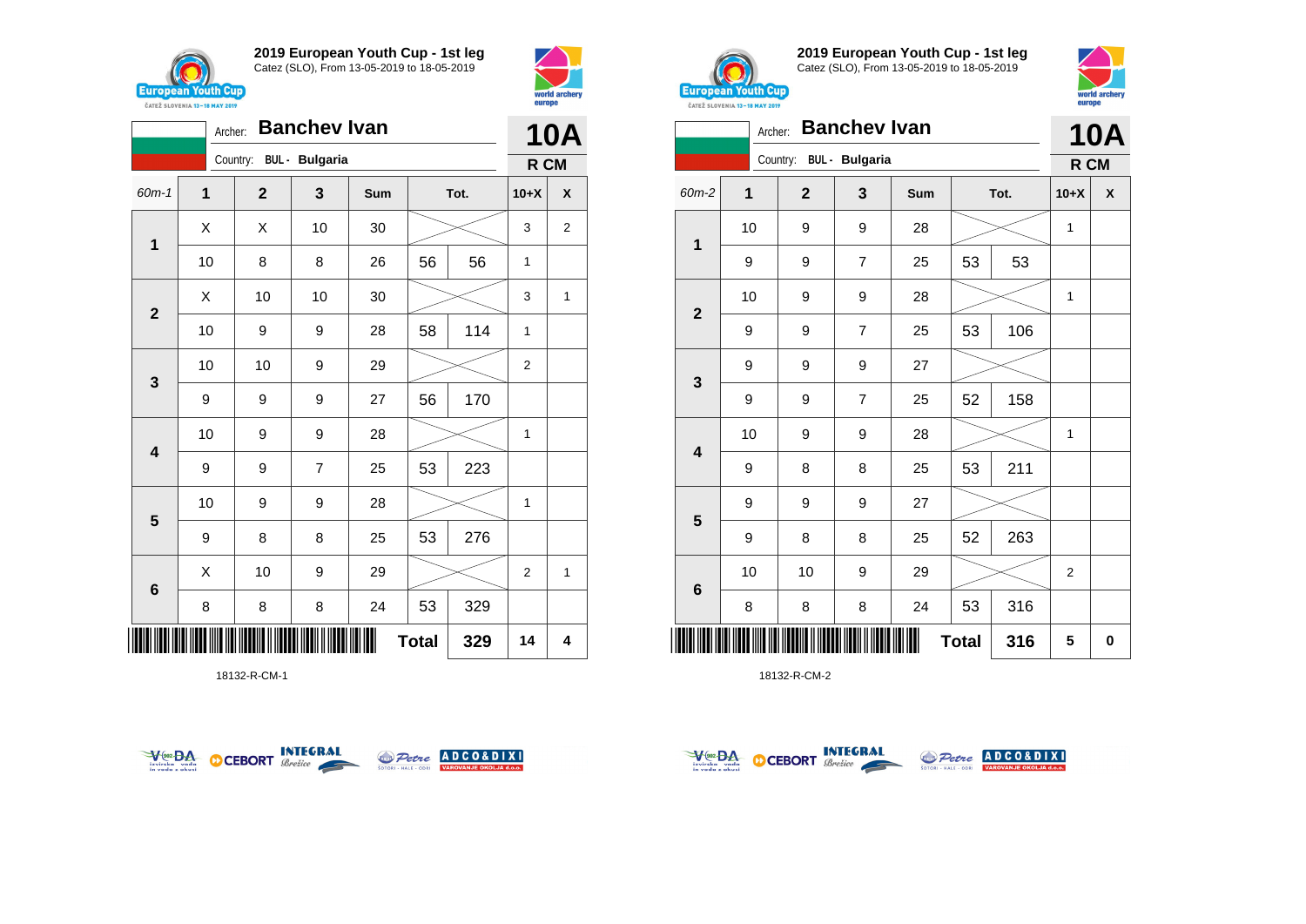



|                         | <b>Banchev Ivan</b><br>Archer: |              |                       |     |              |      |                |   |
|-------------------------|--------------------------------|--------------|-----------------------|-----|--------------|------|----------------|---|
|                         |                                | Country:     | <b>BUL</b> - Bulgaria |     |              |      | R CM           |   |
| 60m-1                   | $\overline{\mathbf{1}}$        | $\mathbf{2}$ | $\mathbf{3}$          | Sum |              | Tot. | $10+X$         | X |
| $\mathbf{1}$            | X                              | Χ            | 10                    | 30  |              |      | 3              | 2 |
|                         | 10                             | 8            | 8                     | 26  | 56           | 56   | 1              |   |
| $\overline{2}$          | Χ                              | 10           | 10                    | 30  |              |      | 3              | 1 |
|                         | 10                             | 9            | 9                     | 28  | 58           | 114  | 1              |   |
| $\mathbf{3}$            | 10                             | 10           | 9                     | 29  |              |      | $\overline{2}$ |   |
|                         | 9                              | 9            | 9                     | 27  | 56           | 170  |                |   |
| $\overline{\mathbf{4}}$ | 10                             | 9            | 9                     | 28  |              |      | 1              |   |
|                         | 9                              | 9            | $\overline{7}$        | 25  | 53           | 223  |                |   |
| $5\phantom{1}$          | 10                             | 9            | 9                     | 28  |              |      | 1              |   |
|                         | 9                              | 8            | 8                     | 25  | 53           | 276  |                |   |
| $\bf 6$                 | X                              | 10           | 9                     | 29  |              |      | $\overline{2}$ | 1 |
|                         | 8                              | 8            | 8                     | 24  | 53           | 329  |                |   |
|                         |                                |              |                       |     | <b>Total</b> | 329  | 14             | 4 |

18132-R-CM-1





**2019 European Youth Cup - 1st leg** Catez (SLO), From 13-05-2019 to 18-05-2019



|                         | <b>CATEZ SLOVENIA 13-18 MAY 2019</b> |              |                       |     |              |      |                |          |  |
|-------------------------|--------------------------------------|--------------|-----------------------|-----|--------------|------|----------------|----------|--|
|                         | Archer:                              |              | <b>Banchev Ivan</b>   |     |              |      |                | 10A      |  |
|                         |                                      | Country:     | <b>BUL</b> - Bulgaria |     |              |      | R CM           |          |  |
| 60m-2                   | $\mathbf{1}$                         | $\mathbf{2}$ | 3                     | Sum |              | Tot. | $10+X$         | X        |  |
|                         | 10                                   | 9            | 9                     | 28  |              |      | 1              |          |  |
| 1                       | 9                                    | 9            | $\overline{7}$        | 25  | 53           | 53   |                |          |  |
|                         | 10                                   | 9            | 9                     | 28  |              |      | 1              |          |  |
| $\mathbf{2}$            | 9                                    | 9            | 7                     | 25  | 53           | 106  |                |          |  |
|                         | 9                                    | 9            | 9                     | 27  |              |      |                |          |  |
| $\mathbf{3}$            | 9                                    | 9            | 7                     | 25  | 52           | 158  |                |          |  |
|                         | 10                                   | 9            | 9                     | 28  |              |      | 1              |          |  |
| $\overline{\mathbf{4}}$ | 9                                    | 8            | 8                     | 25  | 53           | 211  |                |          |  |
|                         | 9                                    | 9            | 9                     | 27  |              |      |                |          |  |
| $5\phantom{1}$          | 9                                    | 8            | 8                     | 25  | 52           | 263  |                |          |  |
|                         | 10                                   | 10           | 9                     | 29  |              |      | $\overline{2}$ |          |  |
| $\bf 6$                 | 8                                    | 8            | 8                     | 24  | 53           | 316  |                |          |  |
|                         |                                      |              |                       |     | <b>Total</b> | 316  | 5              | $\bf{0}$ |  |



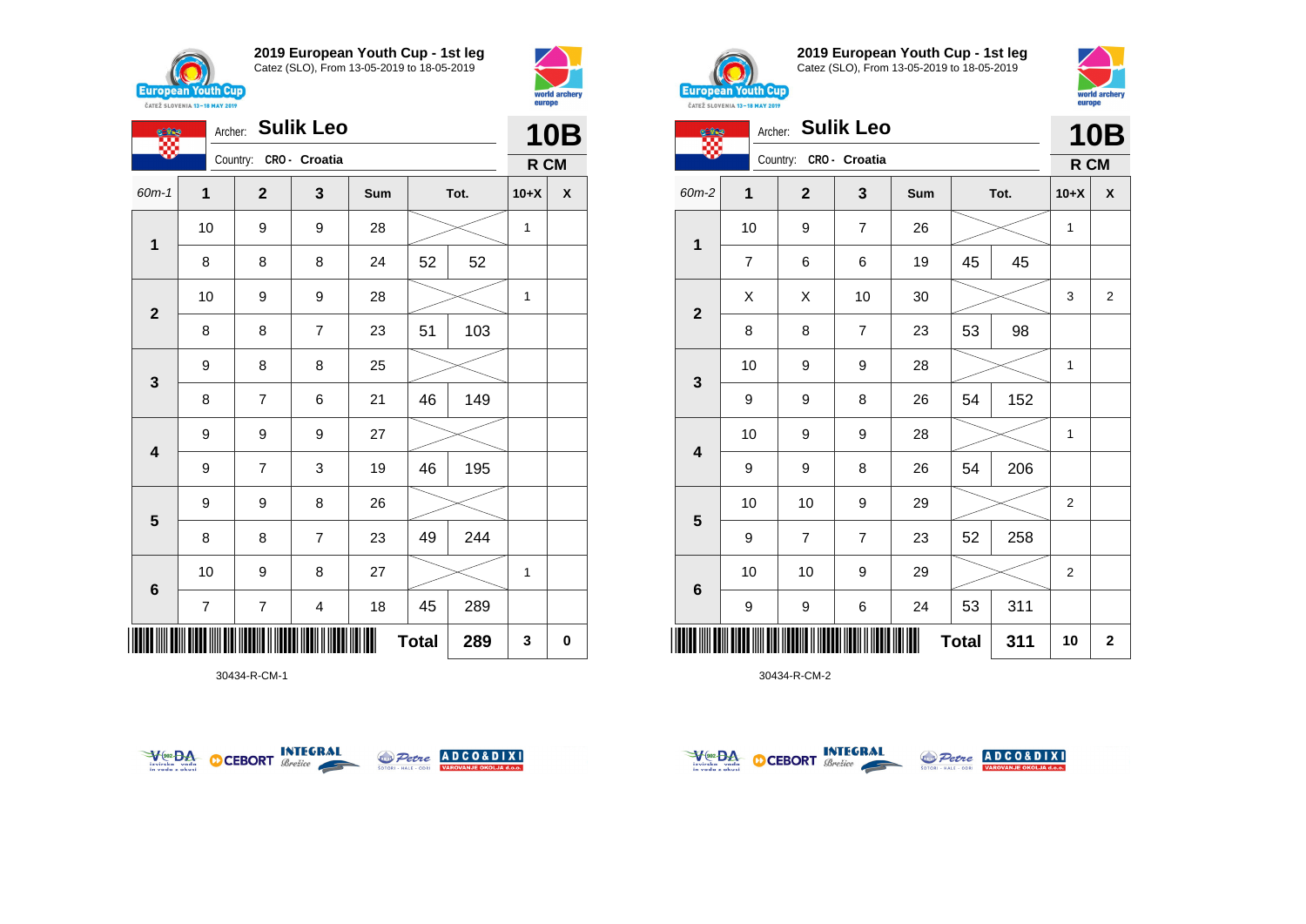





30434-R-CM-1





**2019 European Youth Cup - 1st leg** Catez (SLO), From 13-05-2019 to 18-05-2019



|              | <b>Sulik Leo</b><br>Archer: |                         |                |     |              |      |                | <b>10B</b>     |
|--------------|-----------------------------|-------------------------|----------------|-----|--------------|------|----------------|----------------|
|              |                             | Country:                | CRO - Croatia  |     |              |      | R CM           |                |
| 60m-2        | $\mathbf{1}$                | $\overline{\mathbf{2}}$ | 3              | Sum |              | Tot. | $10+X$         | X              |
| 1            | 10                          | 9                       | $\overline{7}$ | 26  |              |      | 1              |                |
|              | $\overline{7}$              | 6                       | 6              | 19  | 45           | 45   |                |                |
| $\mathbf{2}$ | X                           | X                       | 10             | 30  |              |      | 3              | $\overline{2}$ |
|              | 8                           | 8                       | 7              | 23  | 53           | 98   |                |                |
| 3            | 10                          | 9                       | 9              | 28  |              |      | $\mathbf{1}$   |                |
|              | 9                           | 9                       | 8              | 26  | 54           | 152  |                |                |
| 4            | 10                          | 9                       | 9              | 28  |              |      | $\mathbf{1}$   |                |
|              | 9                           | 9                       | 8              | 26  | 54           | 206  |                |                |
|              | 10                          | 10                      | 9              | 29  |              |      | 2              |                |
| 5            | 9                           | $\overline{7}$          | $\overline{7}$ | 23  | 52           | 258  |                |                |
| 6            | 10                          | 10                      | 9              | 29  |              |      | $\overline{2}$ |                |
|              | 9                           | 9                       | 6              | 24  | 53           | 311  |                |                |
| IIII         |                             |                         |                |     | <b>Total</b> | 311  | 10             | $\mathbf 2$    |



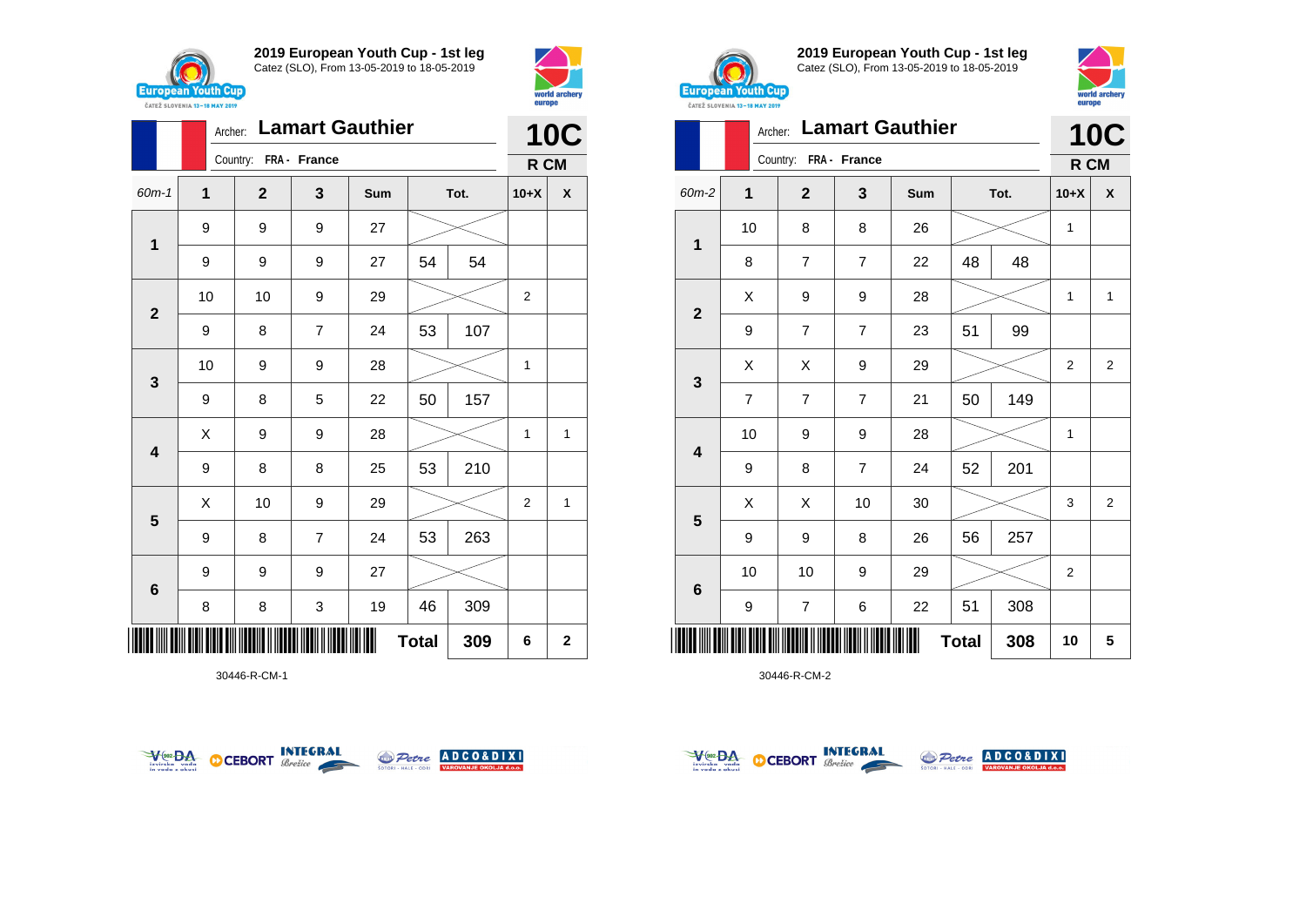





30446-R-CM-1





**2019 European Youth Cup - 1st leg** Catez (SLO), From 13-05-2019 to 18-05-2019



| <b>UNILL JLUVENIA 13-10 MMI 4017</b> |                |                       |                        |     |              |      |        |                |
|--------------------------------------|----------------|-----------------------|------------------------|-----|--------------|------|--------|----------------|
|                                      | Archer:        |                       | <b>Lamart Gauthier</b> |     |              |      |        | <b>10C</b>     |
|                                      |                | Country: FRA - France |                        |     |              |      | R CM   |                |
| 60m-2                                | 1              | $\mathbf{2}$          | 3                      | Sum |              | Tot. | $10+X$ | X              |
|                                      | 10             | 8                     | 8                      | 26  |              |      | 1      |                |
| $\mathbf{1}$                         | 8              | 7                     | $\overline{7}$         | 22  | 48           | 48   |        |                |
|                                      | X              | 9                     | 9                      | 28  |              |      | 1      | $\mathbf{1}$   |
| $\mathbf{2}$                         | 9              | $\overline{7}$        | $\overline{7}$         | 23  | 51           | 99   |        |                |
|                                      | Χ              | Χ                     | 9                      | 29  |              |      | 2      | 2              |
| 3                                    | $\overline{7}$ | $\overline{7}$        | $\overline{7}$         | 21  | 50           | 149  |        |                |
|                                      | 10             | 9                     | 9                      | 28  |              |      | 1      |                |
| 4                                    | 9              | 8                     | $\overline{7}$         | 24  | 52           | 201  |        |                |
|                                      | Χ              | X                     | 10                     | 30  |              |      | 3      | $\overline{2}$ |
| 5                                    | 9              | 9                     | 8                      | 26  | 56           | 257  |        |                |
|                                      | 10             | 10                    | 9                      | 29  |              |      | 2      |                |
| 6                                    | 9              | 7                     | 6                      | 22  | 51           | 308  |        |                |
| Ш                                    |                |                       |                        |     | <b>Total</b> | 308  | 10     | 5              |



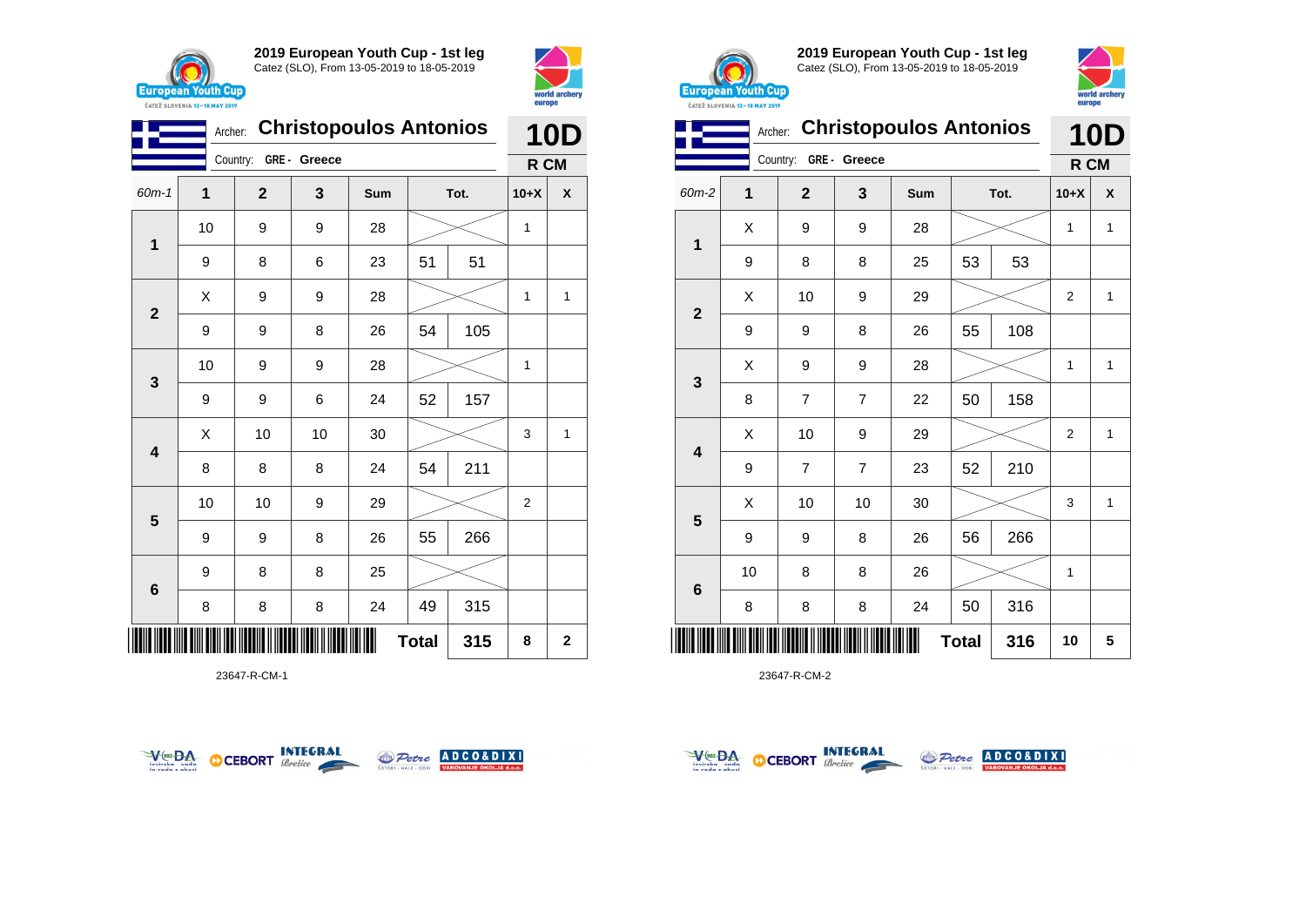



| <b>Christopoulos Antonios</b><br>Archer: |    |             |             |     |              |      | <b>10D</b>   |                         |
|------------------------------------------|----|-------------|-------------|-----|--------------|------|--------------|-------------------------|
|                                          |    | Country:    | GRE- Greece |     |              |      | R CM         |                         |
| $60m-1$                                  | 1  | $\mathbf 2$ | 3           | Sum |              | Tot. | $10+X$       | X                       |
| 1                                        | 10 | 9           | 9           | 28  |              |      |              |                         |
|                                          | 9  | 8           | 6           | 23  | 51           | 51   |              |                         |
| $\mathbf{2}$                             | Χ  | 9           | 9           | 28  |              |      | $\mathbf{1}$ | $\mathbf{1}$            |
|                                          | 9  | 9           | 8           | 26  | 54           | 105  |              |                         |
| 3                                        | 10 | 9           | 9           | 28  |              |      | 1            |                         |
|                                          | 9  | 9           | 6           | 24  | 52           | 157  |              |                         |
| $\overline{\mathbf{4}}$                  | X  | 10          | 10          | 30  |              |      | 3            | 1                       |
|                                          | 8  | 8           | 8           | 24  | 54           | 211  |              |                         |
| $\overline{\mathbf{5}}$                  | 10 | 10          | 9           | 29  |              |      | 2            |                         |
|                                          | 9  | 9           | 8           | 26  | 55           | 266  |              |                         |
| 6                                        | 9  | 8           | 8           | 25  |              |      |              |                         |
|                                          | 8  | 8           | 8           | 24  | 49           | 315  |              |                         |
|                                          |    |             |             |     | <b>Total</b> | 315  | 8            | $\overline{\mathbf{2}}$ |

23647-R-CM-1





**2019 European Youth Cup - 1st leg** Catez (SLO), From 13-05-2019 to 18-05-2019



| ČATEŽ SLOVENIA 13-18 MAY 2019 | europe  |                |                |                               |              |      |                |              |
|-------------------------------|---------|----------------|----------------|-------------------------------|--------------|------|----------------|--------------|
|                               | Archer: |                |                | <b>Christopoulos Antonios</b> |              |      | 10<br>D        |              |
|                               |         | Country:       | GRE - Greece   |                               |              |      | R CM           |              |
| 60m-2                         | 1       | $\overline{2}$ | 3              | Sum                           |              | Tot. | $10+X$         | X            |
| $\mathbf{1}$                  | X       | 9              | 9              | 28                            |              |      | 1              | 1            |
|                               | 9       | 8              | 8              | 25                            | 53           | 53   |                |              |
| $\mathbf{2}$                  | X       | 10             | 9              | 29                            |              |      | $\overline{2}$ | $\mathbf{1}$ |
|                               | 9       | 9              | 8              | 26                            | 55           | 108  |                |              |
| 3                             | X       | 9              | 9              | 28                            |              |      | 1              | 1            |
|                               | 8       | 7              | $\overline{7}$ | 22                            | 50           | 158  |                |              |
| 4                             | X       | 10             | 9              | 29                            |              |      | $\overline{2}$ | 1            |
|                               | 9       | $\overline{7}$ | $\overline{7}$ | 23                            | 52           | 210  |                |              |
|                               | X       | 10             | 10             | 30                            |              |      | 3              | $\mathbf{1}$ |
| 5                             | 9       | 9              | 8              | 26                            | 56           | 266  |                |              |
|                               | 10      | 8              | 8              | 26                            |              |      | 1              |              |
| 6                             | 8       | 8              | 8              | 24                            | 50           | 316  |                |              |
|                               |         |                |                |                               | <b>Total</b> | 316  | 10             | 5            |



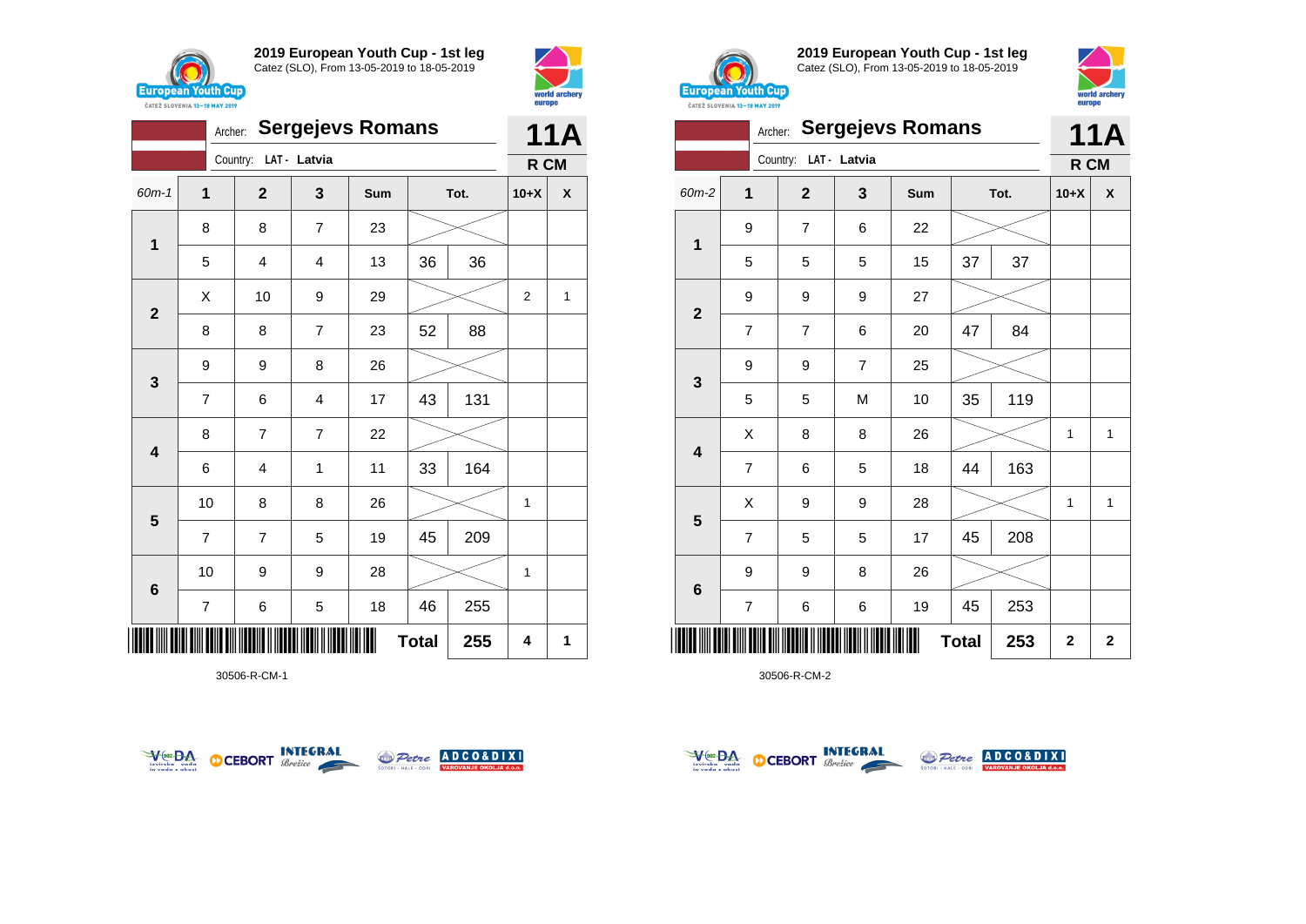



|                             | <b>Sergejevs Romans</b><br>Archer: |  |                         |                |     |    |      | <b>11A</b>     |   |  |
|-----------------------------|------------------------------------|--|-------------------------|----------------|-----|----|------|----------------|---|--|
|                             |                                    |  | Country:                | LAT - Latvia   |     |    |      | R CM           |   |  |
| 60m-1                       | 1                                  |  | $\mathbf 2$             | 3              | Sum |    | Tot. | $10+X$         | χ |  |
| 1                           | 8                                  |  | 8                       | $\overline{7}$ | 23  |    |      |                |   |  |
|                             | 5                                  |  | 4                       | 4              | 13  | 36 | 36   |                |   |  |
| $\mathbf{2}$                | Χ                                  |  | 10                      | 9              | 29  |    |      | $\overline{2}$ | 1 |  |
|                             | 8                                  |  | 8                       | $\overline{7}$ | 23  | 52 | 88   |                |   |  |
| 3                           | 9                                  |  | 9                       | 8              | 26  |    |      |                |   |  |
|                             | $\overline{7}$                     |  | 6                       | 4              | 17  | 43 | 131  |                |   |  |
| 4                           | 8                                  |  | 7                       | $\overline{7}$ | 22  |    |      |                |   |  |
|                             | 6                                  |  | $\overline{\mathbf{4}}$ | 1              | 11  | 33 | 164  |                |   |  |
| $5\phantom{1}$              | 10                                 |  | 8                       | 8              | 26  |    |      | 1              |   |  |
|                             | $\overline{7}$                     |  | $\overline{7}$          | 5              | 19  | 45 | 209  |                |   |  |
| 6                           | 10                                 |  | 9                       | 9              | 28  |    |      | 1              |   |  |
|                             | 7                                  |  | 6                       | 5              | 18  | 46 | 255  |                |   |  |
| <b>Total</b><br>255<br>IIII |                                    |  |                         |                |     |    | 4    | 1              |   |  |

30506-R-CM-1





**2019 European Youth Cup - 1st leg** Catez (SLO), From 13-05-2019 to 18-05-2019



| ČATEŽ SLOVENIA 13-18 MAY 2019 | europe         |                |                |                         |              |      |                         |              |
|-------------------------------|----------------|----------------|----------------|-------------------------|--------------|------|-------------------------|--------------|
|                               | Archer:        |                |                | <b>Sergejevs Romans</b> |              |      |                         | 11A          |
| Country:<br>LAT - Latvia      |                |                |                |                         |              |      |                         | R CM         |
| 60m-2                         | 1              | $\overline{2}$ | 3              | Sum                     |              | Tot. | $10+X$                  | X            |
| 1                             | 9              | 7              | 6              | 22                      |              |      |                         |              |
|                               | 5              | 5              | 5              | 15                      | 37           | 37   |                         |              |
| $\overline{2}$                | 9              | 9              | 9              | 27                      |              |      |                         |              |
|                               | $\overline{7}$ | 7              | 6              | 20                      | 47           | 84   |                         |              |
|                               | 9              | 9              | $\overline{7}$ | 25                      |              |      |                         |              |
| $\mathbf{3}$                  | 5              | 5              | M              | 10                      | 35           | 119  |                         |              |
|                               | Χ              | 8              | 8              | 26                      |              |      | $\mathbf{1}$            | $\mathbf{1}$ |
| $\overline{\mathbf{4}}$       | $\overline{7}$ | 6              | 5              | 18                      | 44           | 163  |                         |              |
|                               | X              | 9              | 9              | 28                      |              |      | 1                       | $\mathbf{1}$ |
| 5                             | $\overline{7}$ | 5              | 5              | 17                      | 45           | 208  |                         |              |
|                               | 9              | 9              | 8              | 26                      |              |      |                         |              |
| $6\phantom{1}6$               | $\overline{7}$ | 6              | $\,6$          | 19                      | 45           | 253  |                         |              |
|                               |                |                |                |                         | <b>Total</b> | 253  | $\overline{\mathbf{2}}$ | $\mathbf 2$  |



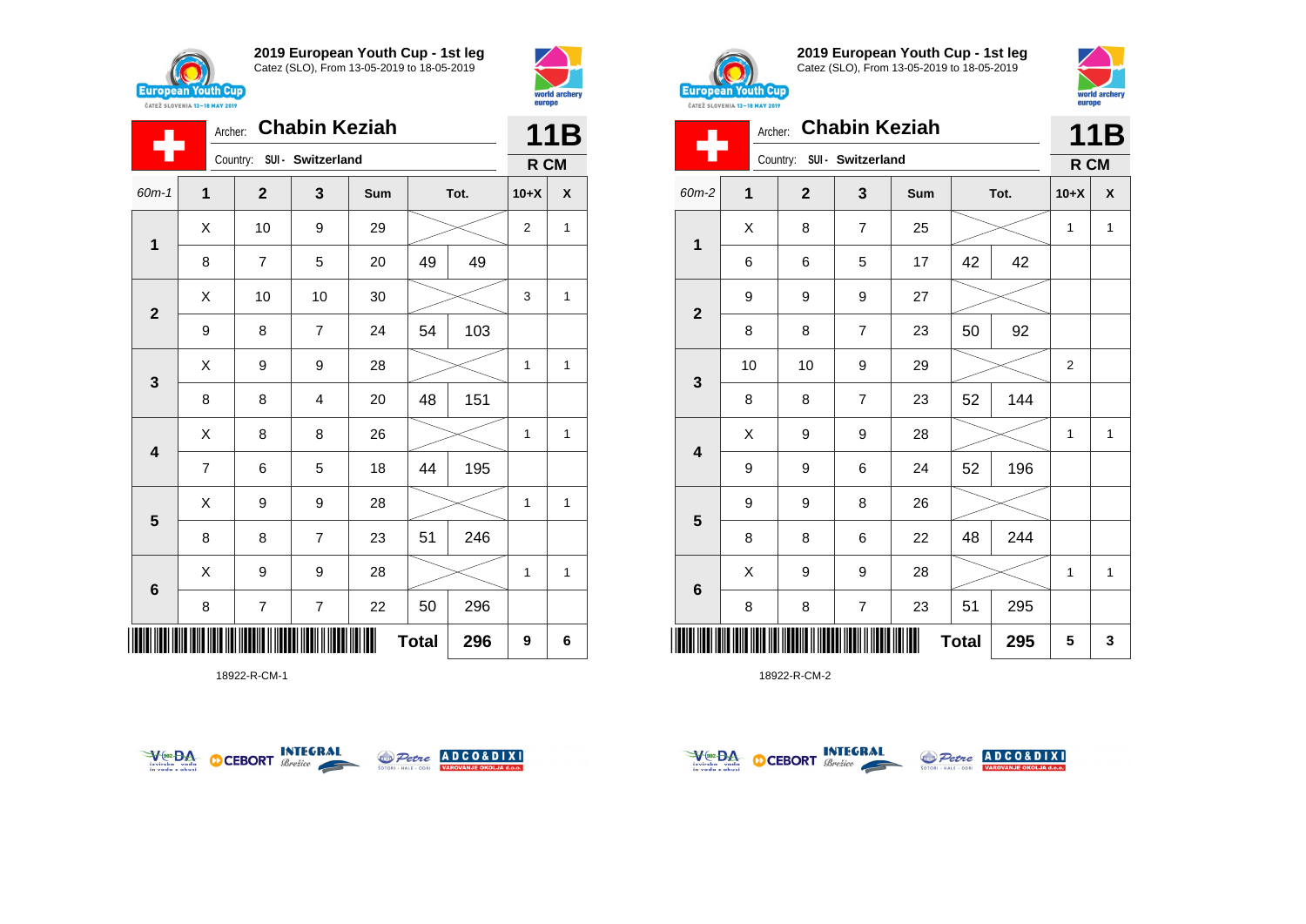



|                         | Archer:        |                            |                | 11B |              |      |                |              |
|-------------------------|----------------|----------------------------|----------------|-----|--------------|------|----------------|--------------|
|                         |                | Country: SUI - Switzerland |                |     |              |      | R CM           |              |
| $60m - 1$               | 1              | $\mathbf{2}$               | 3              | Sum |              | Tot. | $10+X$         | X            |
| $\mathbf{1}$            | X              | 10                         | 9              | 29  |              |      | $\overline{2}$ | 1            |
|                         | 8              | $\overline{7}$             | 5              | 20  | 49           | 49   |                |              |
| $\overline{\mathbf{2}}$ | Χ              | 10                         | 10             | 30  |              |      | 3              | 1            |
|                         | 9              | 8                          | $\overline{7}$ | 24  | 54           | 103  |                |              |
| $\mathbf{3}$            | X              | 9                          | 9              | 28  |              |      | 1              | 1            |
|                         | 8              | 8                          | 4              | 20  | 48           | 151  |                |              |
| $\overline{\mathbf{4}}$ | Χ              | 8                          | 8              | 26  |              |      | 1              | $\mathbf{1}$ |
|                         | $\overline{7}$ | 6                          | 5              | 18  | 44           | 195  |                |              |
| $\overline{\mathbf{5}}$ | X              | 9                          | 9              | 28  |              |      | 1              | 1            |
|                         | 8              | 8                          | $\overline{7}$ | 23  | 51           | 246  |                |              |
| $6\phantom{1}$          | X              | 9                          | 9              | 28  |              |      | 1              | 1            |
|                         | 8              | $\overline{\mathbf{7}}$    | $\overline{7}$ | 22  | 50           | 296  |                |              |
|                         |                |                            |                |     | <b>Total</b> | 296  | 9              | 6            |

18922-R-CM-1





**2019 European Youth Cup - 1st leg** Catez (SLO), From 13-05-2019 to 18-05-2019



| Archer: Chabin Keziah   |              |                            |                         |     |              |      |              | 11B          |  |
|-------------------------|--------------|----------------------------|-------------------------|-----|--------------|------|--------------|--------------|--|
|                         |              | Country: SUI - Switzerland |                         |     |              |      | R CM         |              |  |
| $60m-2$                 | $\mathbf{1}$ | $\mathbf{2}$               | 3                       | Sum |              | Tot. | $10+X$       | X            |  |
| 1                       | X            | 8                          | $\overline{7}$          | 25  |              |      | $\mathbf{1}$ | $\mathbf{1}$ |  |
|                         | 6            | 6                          | 5                       | 17  | 42           | 42   |              |              |  |
| $\mathbf 2$             | 9            | 9                          | 9                       | 27  |              |      |              |              |  |
|                         | 8            | 8                          | $\overline{7}$          | 23  | 50           | 92   |              |              |  |
| $\mathbf 3$             | 10           | 10                         | 9                       | 29  |              |      | 2            |              |  |
|                         | 8            | 8                          | 7                       | 23  | 52           | 144  |              |              |  |
| $\overline{\mathbf{4}}$ | Χ            | 9                          | 9                       | 28  |              |      | $\mathbf{1}$ | $\mathbf{1}$ |  |
|                         | 9            | 9                          | 6                       | 24  | 52           | 196  |              |              |  |
| $5\phantom{1}$          | 9            | 9                          | 8                       | 26  |              |      |              |              |  |
|                         | 8            | 8                          | 6                       | 22  | 48           | 244  |              |              |  |
| $6\phantom{1}$          | X            | 9                          | 9                       | 28  |              |      | 1            | $\mathbf{1}$ |  |
|                         | 8            | 8                          | $\overline{\mathbf{7}}$ | 23  | 51           | 295  |              |              |  |
|                         |              |                            |                         |     | <b>Total</b> | 295  | 5            | 3            |  |



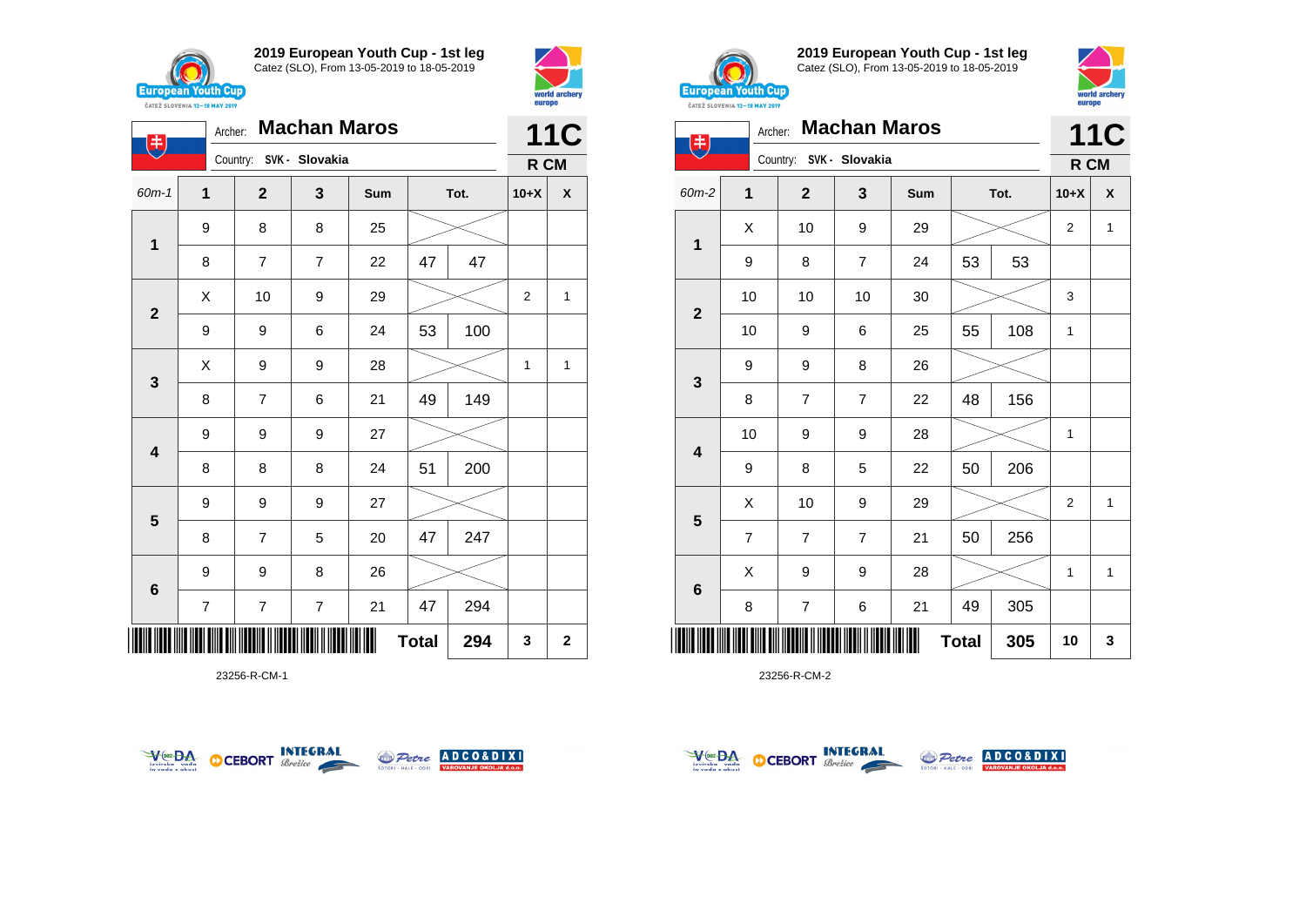

**1**

电

**2**

**3**

**4**

**5**

**6**

**2019 European Youth Cup - 1st leg** Catez (SLO), From 13-05-2019 to 18-05-2019

60m-1 **1 2 3 Sum Tot. 10+X X**

8 | 7 | 7 | 22 | 47 | 47

9 | 9 | 6 | 24 | 53 | 100

8 | 7 | 6 | 21 |49 | 149

8 | 8 | 8 | 24 | 51 | 200

8 | 7 | 5 | 20 | 47 | 247

7 7 7 21 47 294

 $\begin{array}{|c|c|c|c|c|}\hline \hspace{.1cm}X & \hspace{.1cm} \text{10} & \hspace{.1cm} \text{9} & \hspace{.1cm} \text{29} & \hspace{.1cm} \text{20} & \hspace{.1cm} \text{21} & \hspace{.1cm} \text{22} & \hspace{.1cm} \text{23} & \hspace{.1cm} \text{24} & \hspace{.1cm} \text{25} & \hspace{.1cm} \text{26} & \hspace{.1cm} \text{27} & \hspace{.1cm} \text{28} & \hspace{.1cm} \text{2$ 

 $X$  | 9 | 9 | 28 |  $>$  | 1 | 1

Country: **SVK - Slovakia**

9 8 8 25

9 9 9 27

9 9 9 27

9 9 8 26



**11C R CM**



**2019 European Youth Cup - 1st leg** Catez (SLO), From 13-05-2019 to 18-05-2019



|                              |                | <b><i>UAILL SLUVENIA 13"10 MAI 4017</i></b> |                     |     |              |      |                |              |  |
|------------------------------|----------------|---------------------------------------------|---------------------|-----|--------------|------|----------------|--------------|--|
| $\left( \frac{1}{2} \right)$ | Archer:        |                                             | <b>Machan Maros</b> |     |              |      |                | <b>11C</b>   |  |
|                              |                | Country: SVK - Slovakia                     |                     |     |              |      | R CM           |              |  |
| 60m-2                        | $\mathbf{1}$   | $\mathbf{2}$                                | 3                   | Sum |              | Tot. | $10+X$         | X            |  |
|                              | X              | 10                                          | 9                   | 29  |              |      | $\overline{2}$ | $\mathbf{1}$ |  |
| $\mathbf{1}$                 | 9              | 8                                           | $\overline{7}$      | 24  | 53           | 53   |                |              |  |
|                              | 10             | 10                                          | 10                  | 30  |              |      | 3              |              |  |
| $\overline{2}$               | 10             | 9                                           | 6                   | 25  | 55           | 108  | $\mathbf{1}$   |              |  |
|                              | 9              | 9                                           | 8                   | 26  |              |      |                |              |  |
| $\mathbf{3}$                 | 8              | $\overline{7}$                              | $\overline{7}$      | 22  | 48           | 156  |                |              |  |
|                              | 10             | 9                                           | 9                   | 28  |              |      | 1              |              |  |
| 4                            | 9              | 8                                           | 5                   | 22  | 50           | 206  |                |              |  |
|                              | X              | 10                                          | 9                   | 29  |              |      | $\overline{2}$ | $\mathbf{1}$ |  |
| 5                            | $\overline{7}$ | 7                                           | 7                   | 21  | 50           | 256  |                |              |  |
|                              | X              | 9                                           | 9                   | 28  |              |      | 1              | 1            |  |
| $\bf 6$                      | 8              | 7                                           | 6                   | 21  | 49           | 305  |                |              |  |
|                              |                |                                             |                     |     | <b>Total</b> | 305  | 10             | 3            |  |

23256-R-CM-2



\*23256-R-CM-1\*

23256-R-CM-1



**Total 294 3 2**



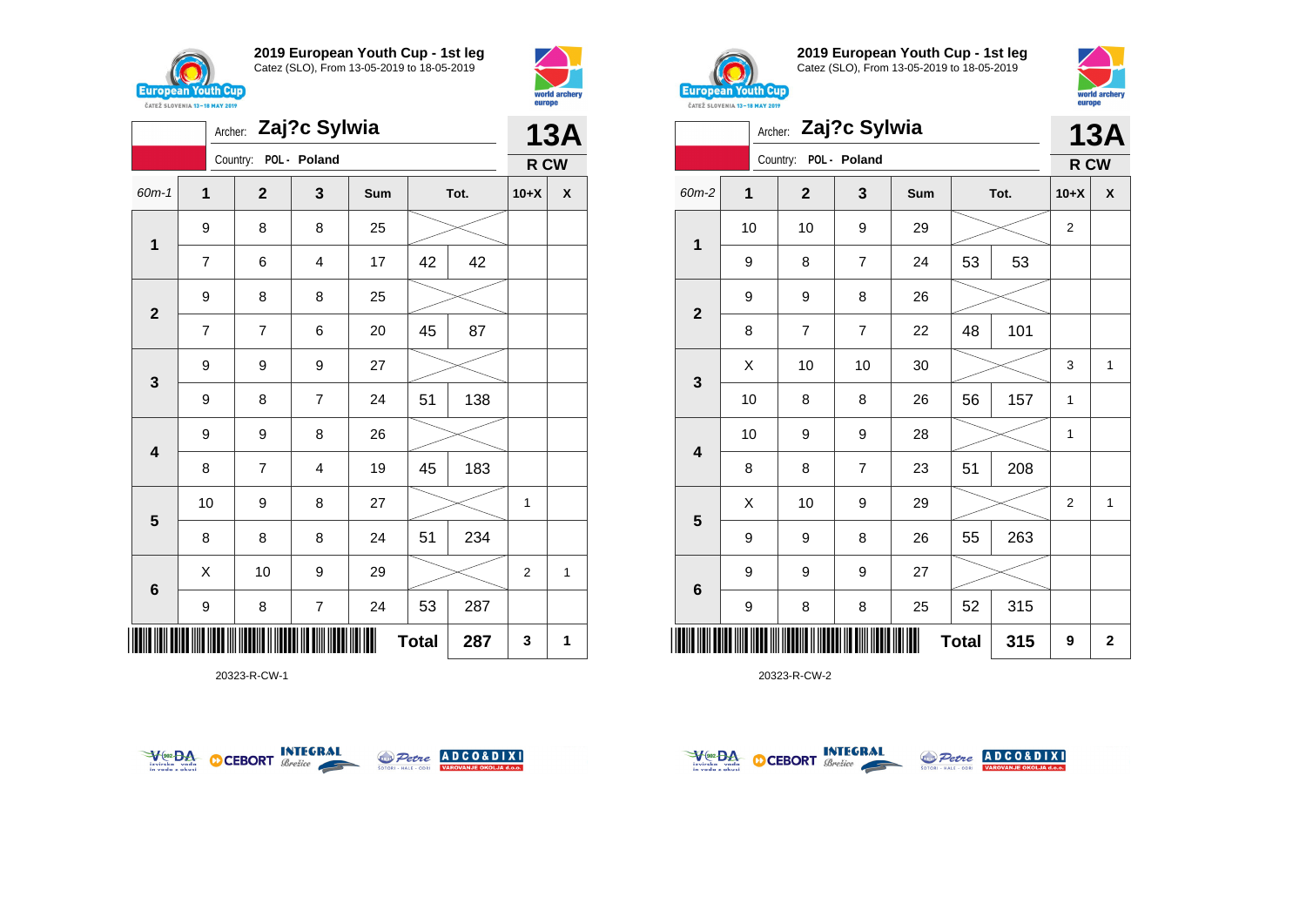





20323-R-CW-1





**2019 European Youth Cup - 1st leg** Catez (SLO), From 13-05-2019 to 18-05-2019



|              |    | <b>13A</b>     |                |     |              |      |                |                    |
|--------------|----|----------------|----------------|-----|--------------|------|----------------|--------------------|
|              |    | Country:       | POL - Poland   |     |              |      | R CW           |                    |
| 60m-2        | 1  | $\mathbf{2}$   | 3              | Sum |              | Tot. | $10+X$         | $\pmb{\mathsf{X}}$ |
| 1            | 10 | 10             | 9              | 29  |              |      | 2              |                    |
|              | 9  | 8              | $\overline{7}$ | 24  | 53           | 53   |                |                    |
| $\mathbf{2}$ | 9  | 9              | 8              | 26  |              |      |                |                    |
|              | 8  | $\overline{7}$ | $\overline{7}$ | 22  | 48           | 101  |                |                    |
| 3            | Χ  | 10             | 10             | 30  |              |      | 3              | $\mathbf{1}$       |
|              | 10 | 8              | 8              | 26  | 56           | 157  | 1              |                    |
| 4            | 10 | 9              | 9              | 28  |              |      | 1              |                    |
|              | 8  | 8              | $\overline{7}$ | 23  | 51           | 208  |                |                    |
| 5            | X  | 10             | 9              | 29  |              |      | $\overline{2}$ | $\mathbf{1}$       |
|              | 9  | 9              | 8              | 26  | 55           | 263  |                |                    |
| 6            | 9  | 9              | 9              | 27  |              |      |                |                    |
|              | 9  | 8              | 8              | 25  | 52           | 315  |                |                    |
| ║║║          |    |                |                |     | <b>Total</b> | 315  | 9              | 2                  |



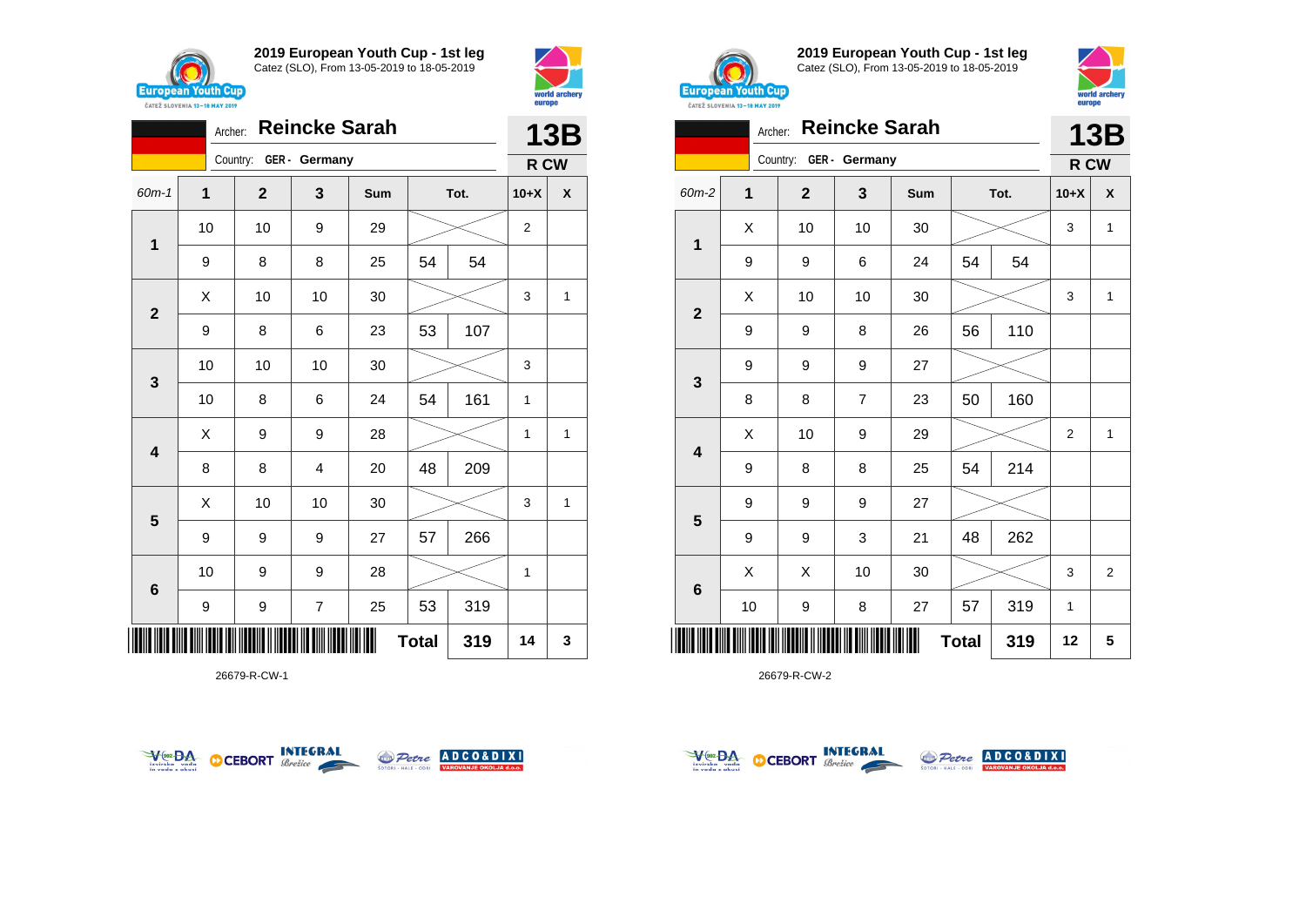



|                         | <b>13B</b> |              |                        |     |              |      |                |   |
|-------------------------|------------|--------------|------------------------|-----|--------------|------|----------------|---|
|                         |            |              | Country: GER - Germany |     |              |      | R CW           |   |
| $60m - 1$               | 1          | $\mathbf{2}$ | 3                      | Sum |              | Tot. | $10+X$         | χ |
| $\mathbf 1$             | 10         | 10           | 9                      | 29  |              |      | $\overline{2}$ |   |
|                         | 9          | 8            | 8                      | 25  | 54           | 54   |                |   |
| $\mathbf{2}$            | Χ          | 10           | 10                     | 30  |              |      | 3              | 1 |
|                         | 9          | 8            | 6                      | 23  | 53           | 107  |                |   |
| $\mathbf{3}$            | 10         | 10           | 10                     | 30  |              |      | 3              |   |
|                         | 10         | 8            | 6                      | 24  | 54           | 161  | 1              |   |
| $\overline{\mathbf{4}}$ | X          | 9            | 9                      | 28  |              |      | 1              | 1 |
|                         | 8          | 8            | 4                      | 20  | 48           | 209  |                |   |
| $\overline{\mathbf{5}}$ | X          | 10           | 10                     | 30  |              |      | 3              | 1 |
|                         | 9          | 9            | 9                      | 27  | 57           | 266  |                |   |
| $6\phantom{1}$          | 10         | 9            | 9                      | 28  |              |      | 1              |   |
|                         | 9          | 9            | 7                      | 25  | 53           | 319  |                |   |
|                         |            |              |                        |     | <b>Total</b> | 319  | 14             | 3 |

26679-R-CW-1





**2019 European Youth Cup - 1st leg** Catez (SLO), From 13-05-2019 to 18-05-2019



world arche

| <b>CATEZ SLOVENIA 13-18 MAY 2019</b> | <b>DATOR</b> |                        |                      |     |              |      |                |                |
|--------------------------------------|--------------|------------------------|----------------------|-----|--------------|------|----------------|----------------|
|                                      | Archer:      |                        | <b>Reincke Sarah</b> |     |              |      |                | 13B            |
|                                      |              | Country: GER - Germany |                      |     |              |      | R CW           |                |
| 60m-2                                | $\mathbf{1}$ | $\mathbf{2}$           | 3                    | Sum |              | Tot. | $10+X$         | X              |
|                                      | X            | 10                     | 10                   | 30  |              |      | 3              | $\mathbf{1}$   |
| $\mathbf{1}$                         | 9            | 9                      | 6                    | 24  | 54           | 54   |                |                |
|                                      | X            | 10                     | 10                   | 30  |              |      | 3              | 1              |
| $\mathbf{2}$                         | 9            | 9                      | 8                    | 26  | 56           | 110  |                |                |
|                                      | 9            | 9                      | 9                    | 27  |              |      |                |                |
| 3                                    | 8            | 8                      | $\overline{7}$       | 23  | 50           | 160  |                |                |
|                                      | X            | 10                     | 9                    | 29  |              |      | $\overline{2}$ | $\mathbf{1}$   |
| $\overline{\mathbf{4}}$              | 9            | 8                      | 8                    | 25  | 54           | 214  |                |                |
|                                      | 9            | 9                      | 9                    | 27  |              |      |                |                |
| 5                                    | 9            | 9                      | 3                    | 21  | 48           | 262  |                |                |
|                                      | Χ            | X                      | 10                   | 30  |              |      | 3              | $\overline{2}$ |
| 6                                    | 10           | 9                      | 8                    | 27  | 57           | 319  | $\mathbf{1}$   |                |
|                                      |              |                        |                      |     | <b>Total</b> | 319  | 12             | 5              |



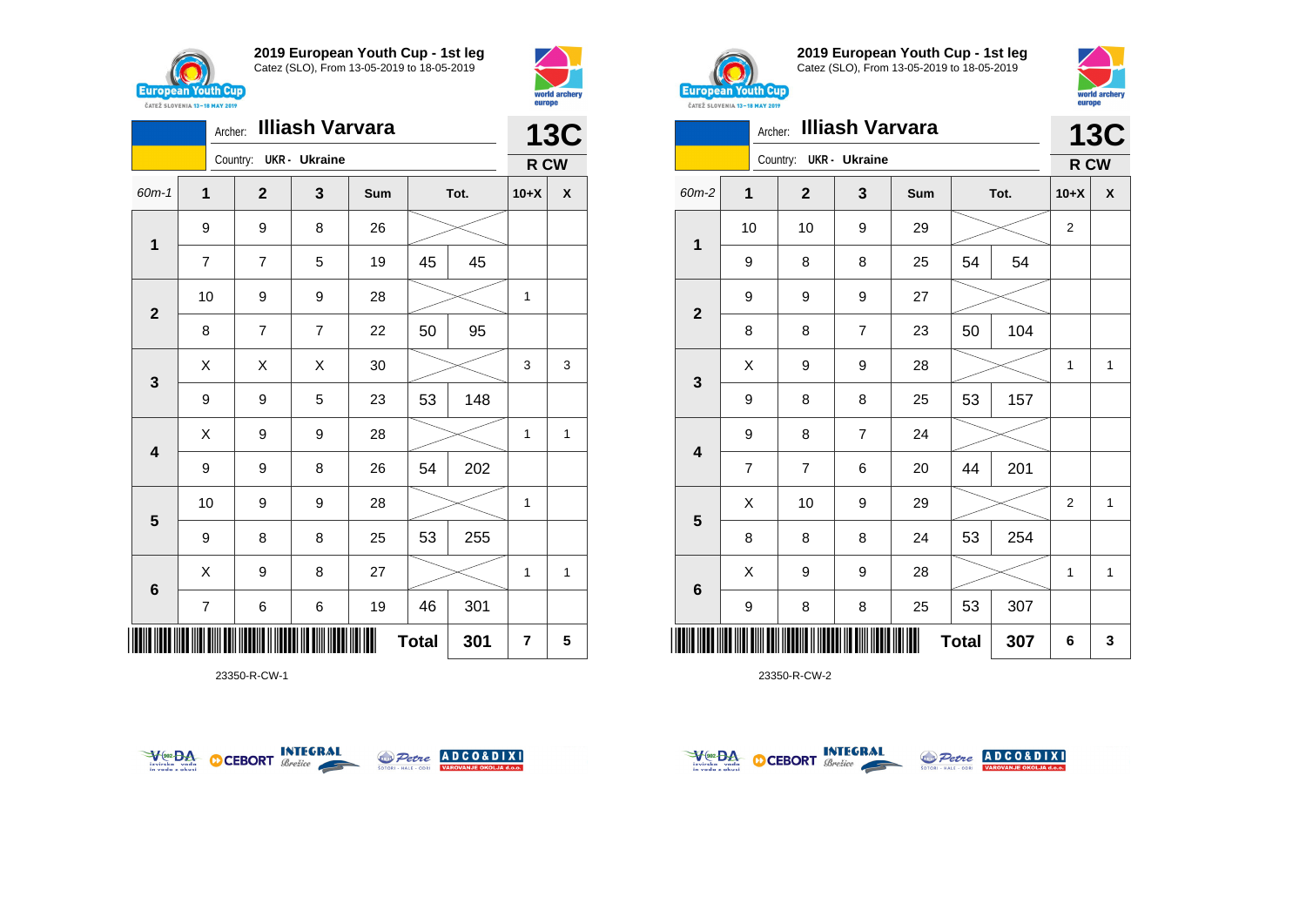



|                         | <b>13C</b>              |                |                      |     |              |      |        |      |  |
|-------------------------|-------------------------|----------------|----------------------|-----|--------------|------|--------|------|--|
|                         |                         | Country:       | <b>UKR</b> - Ukraine |     |              |      |        | R CW |  |
| $60m-1$                 | 1                       | $\overline{2}$ | 3                    | Sum |              | Tot. | $10+X$ | χ    |  |
|                         | 9                       | 9              | 8                    | 26  |              |      |        |      |  |
| 1                       | $\overline{7}$          | $\overline{7}$ | 5                    | 19  | 45           | 45   |        |      |  |
|                         | 10                      | 9              | 9                    | 28  |              |      | 1      |      |  |
| $\mathbf{2}$            | 8                       | 7              | $\overline{7}$       | 22  | 50           | 95   |        |      |  |
|                         | X                       | X              | X                    | 30  |              |      | 3      | 3    |  |
| 3                       | 9                       | 9              | 5                    | 23  | 53           | 148  |        |      |  |
| $\overline{\mathbf{4}}$ | Χ                       | 9              | 9                    | 28  |              |      | 1      | 1    |  |
|                         | 9                       | 9              | 8                    | 26  | 54           | 202  |        |      |  |
|                         | 10                      | 9              | 9                    | 28  |              |      | 1      |      |  |
| 5                       | 9                       | 8              | 8                    | 25  | 53           | 255  |        |      |  |
| $6\phantom{1}6$         | X                       | 9              | 8                    | 27  |              |      | 1      | 1    |  |
|                         | $\overline{\mathbf{7}}$ | 6              | 6                    | 19  | 46           | 301  |        |      |  |
| IIII                    |                         |                |                      |     | <b>Total</b> | 301  | 7      | 5    |  |

23350-R-CW-1





**2019 European Youth Cup - 1st leg** Catez (SLO), From 13-05-2019 to 18-05-2019



|                 | <b>Illiash Varvara</b><br>Archer: |                |                      |     |              |      |                |              |  |  |
|-----------------|-----------------------------------|----------------|----------------------|-----|--------------|------|----------------|--------------|--|--|
|                 |                                   | Country:       | <b>UKR</b> - Ukraine |     |              |      | R CW           |              |  |  |
| 60m-2           | 1                                 | $\mathbf{2}$   | 3                    | Sum |              | Tot. | $10+X$         | X            |  |  |
| 1               | 10                                | 10             | 9                    | 29  |              |      | 2              |              |  |  |
|                 | 9                                 | 8              | 8                    | 25  | 54           | 54   |                |              |  |  |
| $\mathbf{2}$    | 9                                 | 9              | 9                    | 27  |              |      |                |              |  |  |
|                 | 8                                 | 8              | $\overline{7}$       | 23  | 50           | 104  |                |              |  |  |
| 3               | X                                 | 9              | 9                    | 28  |              |      | 1              | $\mathbf{1}$ |  |  |
|                 | 9                                 | 8              | 8                    | 25  | 53           | 157  |                |              |  |  |
| 4               | 9                                 | 8              | $\overline{7}$       | 24  |              |      |                |              |  |  |
|                 | $\overline{7}$                    | $\overline{7}$ | 6                    | 20  | 44           | 201  |                |              |  |  |
|                 | X                                 | 10             | 9                    | 29  |              |      | $\overline{2}$ | 1            |  |  |
| 5               | 8                                 | 8              | 8                    | 24  | 53           | 254  |                |              |  |  |
|                 | X                                 | 9              | 9                    | 28  |              |      | 1              | 1            |  |  |
| $6\phantom{1}6$ | 9                                 | 8              | 8                    | 25  | 53           | 307  |                |              |  |  |
| ∭               |                                   |                |                      |     | <b>Total</b> | 307  | 6              | 3            |  |  |



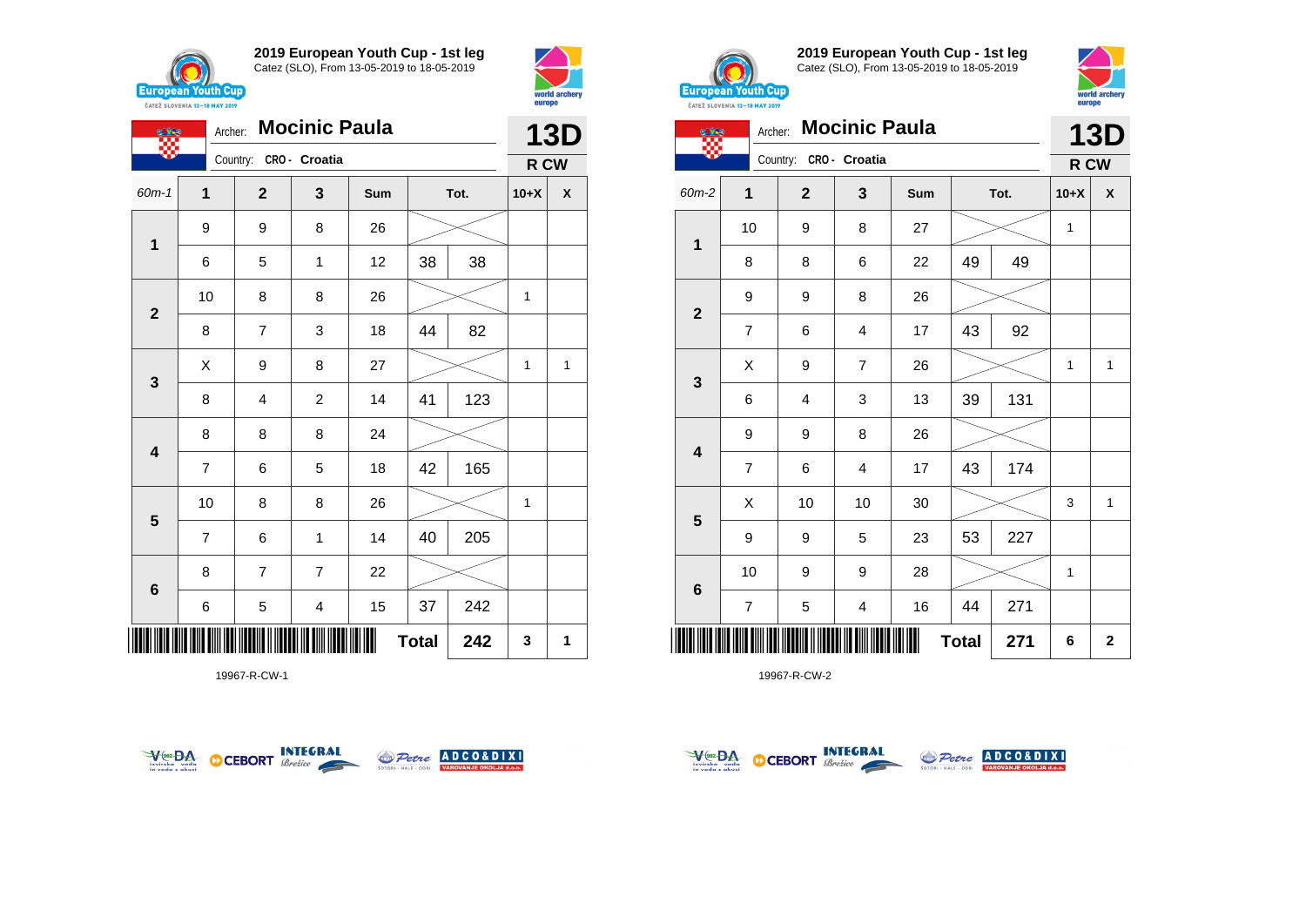





19967-R-CW-1





**2019 European Youth Cup - 1st leg** Catez (SLO), From 13-05-2019 to 18-05-2019



| œ                       |                | Archer:                | <b>Mocinic Paula</b> |     |              |      |              | <b>13D</b>   |
|-------------------------|----------------|------------------------|----------------------|-----|--------------|------|--------------|--------------|
|                         |                | Country: CRO - Croatia |                      |     |              |      | R CW         |              |
| 60m-2                   | 1              | $\mathbf{2}$           | 3                    | Sum |              | Tot. | $10+X$       | X            |
| 1                       | 10             | 9                      | 8                    | 27  |              |      | 1            |              |
|                         | 8              | 8                      | 6                    | 22  | 49           | 49   |              |              |
| $\mathbf{2}$            | 9              | 9                      | 8                    | 26  |              |      |              |              |
|                         | $\overline{7}$ | 6                      | 4                    | 17  | 43           | 92   |              |              |
| $\mathbf{3}$            | X              | 9                      | $\overline{7}$       | 26  |              |      | $\mathbf{1}$ | $\mathbf{1}$ |
|                         | 6              | 4                      | 3                    | 13  | 39           | 131  |              |              |
| $\overline{\mathbf{4}}$ | 9              | 9                      | 8                    | 26  |              |      |              |              |
|                         | $\overline{7}$ | 6                      | $\overline{4}$       | 17  | 43           | 174  |              |              |
|                         | X              | 10                     | 10                   | 30  |              |      | 3            | $\mathbf{1}$ |
| 5                       | 9              | 9                      | 5                    | 23  | 53           | 227  |              |              |
| $6\phantom{1}$          | 10             | 9                      | 9                    | 28  |              |      | 1            |              |
|                         | $\overline{7}$ | 5                      | 4                    | 16  | 44           | 271  |              |              |
| Ⅲ                       |                |                        |                      |     | <b>Total</b> | 271  | 6            | $\mathbf 2$  |



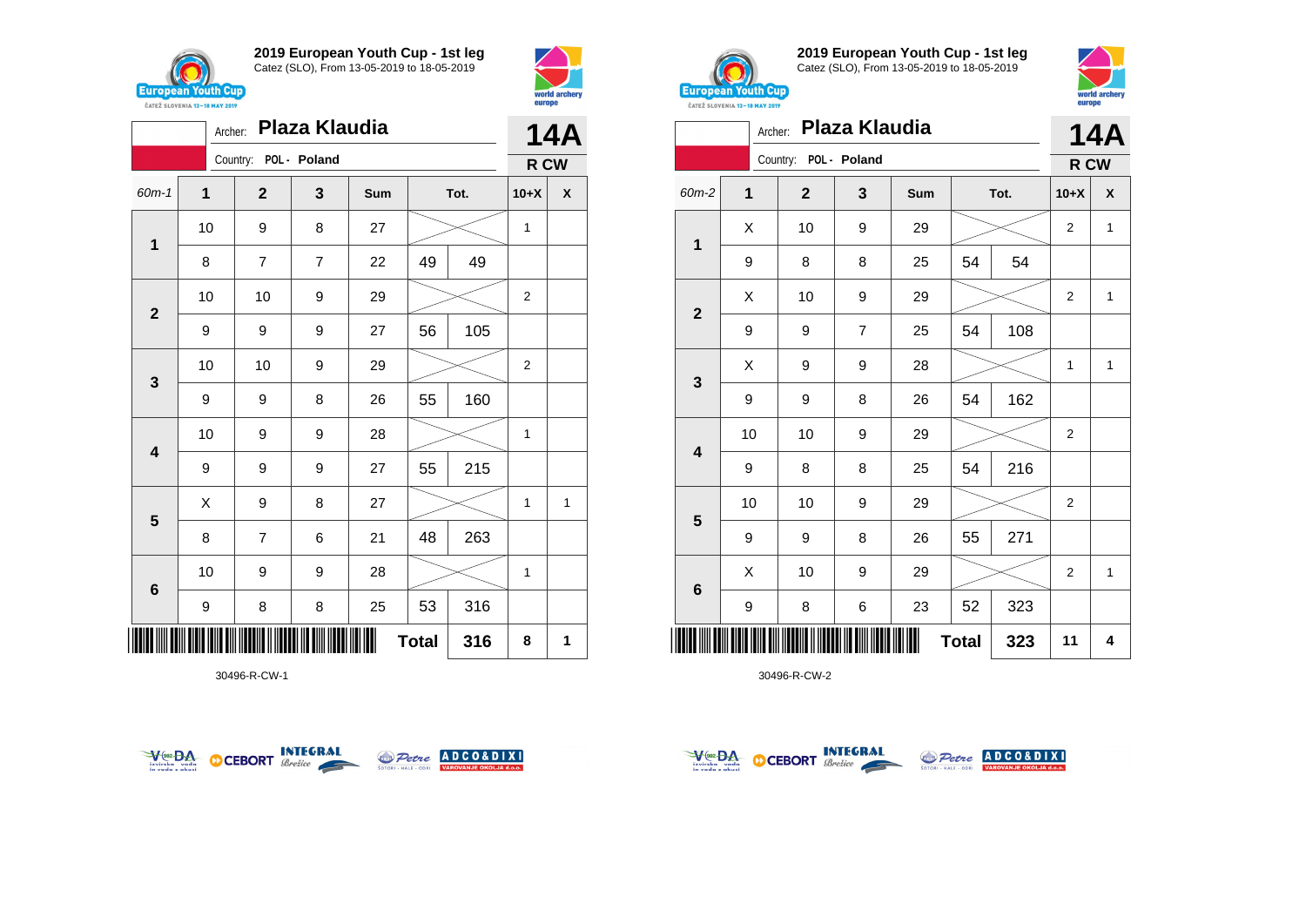



|                         | Plaza Klaudia<br>Archer: |                |                |     |              |      |        |                           |  |
|-------------------------|--------------------------|----------------|----------------|-----|--------------|------|--------|---------------------------|--|
|                         |                          | Country:       | POL - Poland   |     |              |      | R CW   |                           |  |
| 60m-1                   | $\mathbf{1}$             | $\mathbf{2}$   | 3              | Sum |              | Tot. | $10+X$ | $\boldsymbol{\mathsf{x}}$ |  |
| $\mathbf 1$             | 10                       | 9              | 8              | 27  |              |      | 1      |                           |  |
|                         | 8                        | 7              | $\overline{7}$ | 22  | 49           | 49   |        |                           |  |
| $\overline{\mathbf{2}}$ | 10                       | 10             | 9              | 29  |              |      | 2      |                           |  |
|                         | 9                        | 9              | 9              | 27  | 56           | 105  |        |                           |  |
| 3                       | 10                       | 10             | 9              | 29  |              |      | 2      |                           |  |
|                         | 9                        | 9              | 8              | 26  | 55           | 160  |        |                           |  |
| 4                       | 10                       | 9              | 9              | 28  |              |      | 1      |                           |  |
|                         | 9                        | 9              | 9              | 27  | 55           | 215  |        |                           |  |
| $5\phantom{1}$          | X                        | 9              | 8              | 27  |              |      | 1      | 1                         |  |
|                         | 8                        | $\overline{7}$ | 6              | 21  | 48           | 263  |        |                           |  |
| 6                       | 10                       | 9              | 9              | 28  |              |      | 1      |                           |  |
|                         | 9                        | 8              | 8              | 25  | 53           | 316  |        |                           |  |
|                         |                          |                |                |     | <b>Total</b> | 316  | 8      | 1                         |  |

30496-R-CW-1





**2019 European Youth Cup - 1st leg** Catez (SLO), From 13-05-2019 to 18-05-2019



|                 | <b>Plaza Klaudia</b><br>Archer: |                       |                |     |              |      |                |                           |  |  |
|-----------------|---------------------------------|-----------------------|----------------|-----|--------------|------|----------------|---------------------------|--|--|
|                 |                                 | Country: POL - Poland |                |     |              |      | 14A            | R CW                      |  |  |
| 60m-2           | $\overline{1}$                  | $\mathbf{2}$          | 3              | Sum |              | Tot. | $10+X$         | $\boldsymbol{\mathsf{X}}$ |  |  |
| 1               | Χ                               | 10                    | 9              | 29  |              |      | $\overline{2}$ | $\mathbf{1}$              |  |  |
|                 | 9                               | 8                     | 8              | 25  | 54           | 54   |                |                           |  |  |
| $\overline{2}$  | X                               | 10                    | 9              | 29  |              |      | $\overline{2}$ | $\mathbf{1}$              |  |  |
|                 | 9                               | 9                     | $\overline{7}$ | 25  | 54           | 108  |                |                           |  |  |
| 3               | X                               | 9                     | 9              | 28  |              |      | 1              | $\mathbf{1}$              |  |  |
|                 | 9                               | 9                     | 8              | 26  | 54           | 162  |                |                           |  |  |
| 4               | 10                              | 10                    | 9              | 29  |              |      | $\overline{2}$ |                           |  |  |
|                 | 9                               | 8                     | 8              | 25  | 54           | 216  |                |                           |  |  |
|                 | 10                              | 10                    | 9              | 29  |              |      | $\overline{2}$ |                           |  |  |
| 5               | 9                               | 9                     | 8              | 26  | 55           | 271  |                |                           |  |  |
| $6\phantom{1}6$ | Χ                               | 10                    | 9              | 29  |              |      | $\overline{2}$ | $\mathbf{1}$              |  |  |
|                 | 9                               | 8                     | $\,6$          | 23  | 52           | 323  |                |                           |  |  |
|                 |                                 |                       |                |     | <b>Total</b> | 323  | 11             | 4                         |  |  |



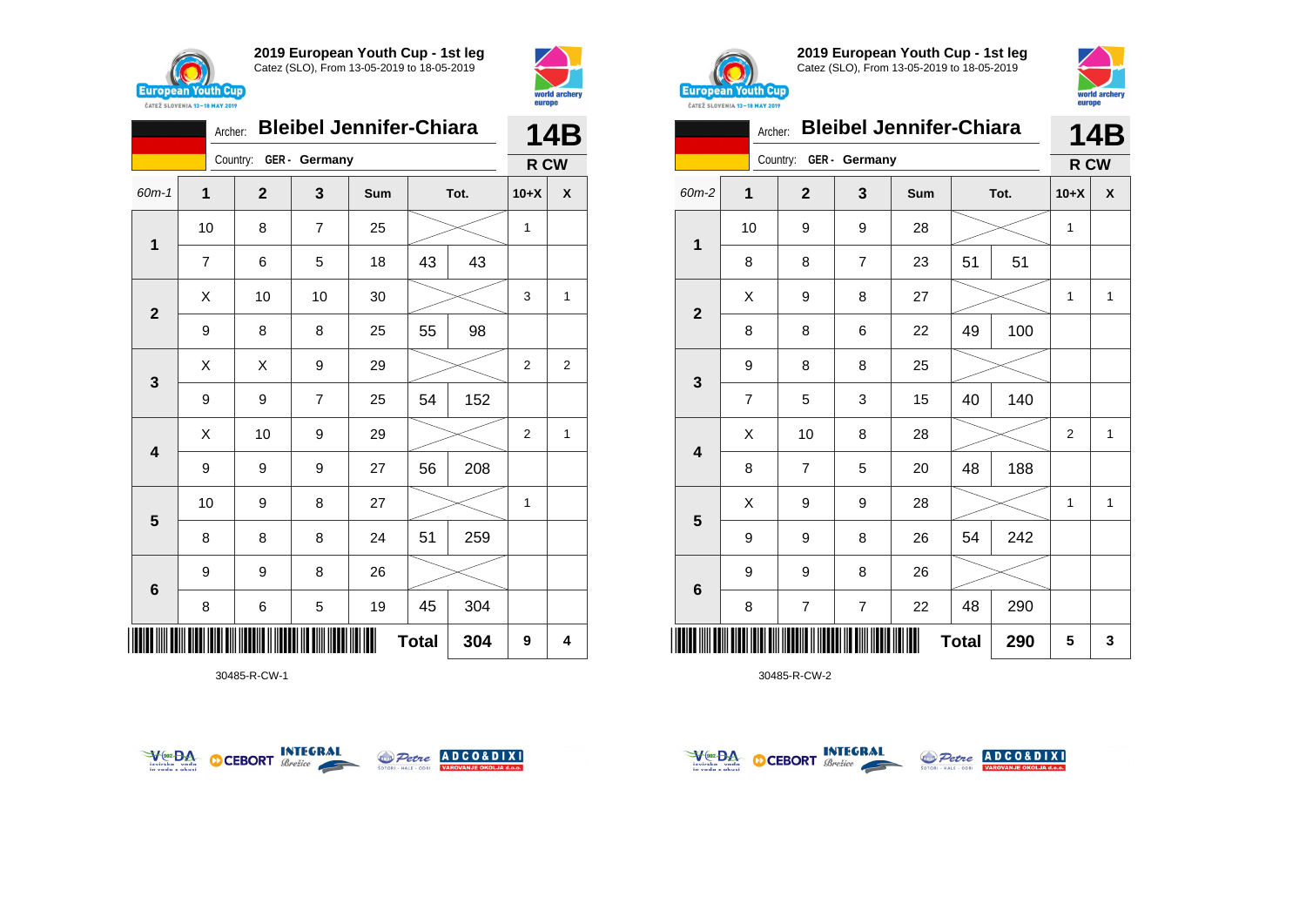



|                         | <b>Bleibel Jennifer-Chiara</b><br>Archer: |                        |                |     |              |      |                |                |  |
|-------------------------|-------------------------------------------|------------------------|----------------|-----|--------------|------|----------------|----------------|--|
|                         |                                           | Country: GER - Germany |                |     |              |      | R CW           |                |  |
| $60m - 1$               | 1                                         | $\mathbf{2}$           | 3              | Sum |              | Tot. | $10+X$         | X              |  |
| 1                       | 10                                        | 8                      | $\overline{7}$ | 25  |              |      | 1              |                |  |
|                         | $\overline{7}$                            | 6                      | 5              | 18  | 43           | 43   |                |                |  |
| $\mathbf{2}$            | X                                         | 10                     | 10             | 30  |              |      | 3              | 1              |  |
|                         | 9                                         | 8                      | 8              | 25  | 55           | 98   |                |                |  |
| $\mathbf{3}$            | X                                         | Χ                      | 9              | 29  |              |      | $\overline{2}$ | $\overline{2}$ |  |
|                         | 9                                         | 9                      | $\overline{7}$ | 25  | 54           | 152  |                |                |  |
| $\overline{\mathbf{4}}$ | X                                         | 10                     | 9              | 29  |              |      | $\overline{2}$ | 1              |  |
|                         | 9                                         | 9                      | 9              | 27  | 56           | 208  |                |                |  |
| 5                       | 10                                        | 9                      | 8              | 27  |              |      | 1              |                |  |
|                         | 8                                         | 8                      | 8              | 24  | 51           | 259  |                |                |  |
| $\bf 6$                 | 9                                         | 9                      | 8              | 26  |              |      |                |                |  |
|                         | 8                                         | 6                      | 5              | 19  | 45           | 304  |                |                |  |
|                         |                                           |                        |                |     | <b>Total</b> | 304  | 9              | 4              |  |

30485-R-CW-1





**2019 European Youth Cup - 1st leg** Catez (SLO), From 13-05-2019 to 18-05-2019



|                | <b>Bleibel Jennifer-Chiara</b><br>Archer: |                |                |     |              |      |                |              |  |  |
|----------------|-------------------------------------------|----------------|----------------|-----|--------------|------|----------------|--------------|--|--|
|                |                                           | Country:       | GER - Germany  |     |              |      | R CW           |              |  |  |
| 60m-2          | 1                                         | $\overline{2}$ | 3              | Sum |              | Tot. | $10+X$         | X            |  |  |
| 1              | 10                                        | 9              | 9              | 28  |              |      | $\mathbf{1}$   |              |  |  |
|                | 8                                         | 8              | $\overline{7}$ | 23  | 51           | 51   |                |              |  |  |
| $\overline{2}$ | X                                         | 9              | 8              | 27  |              |      | 1              | $\mathbf{1}$ |  |  |
|                | 8                                         | 8              | 6              | 22  | 49           | 100  |                |              |  |  |
| 3              | 9                                         | 8              | 8              | 25  |              |      |                |              |  |  |
|                | $\overline{7}$                            | 5              | 3              | 15  | 40           | 140  |                |              |  |  |
| 4              | X                                         | 10             | 8              | 28  |              |      | $\overline{2}$ | $\mathbf{1}$ |  |  |
|                | 8                                         | $\overline{7}$ | 5              | 20  | 48           | 188  |                |              |  |  |
|                | X                                         | 9              | 9              | 28  |              |      | 1              | 1            |  |  |
| 5              | 9                                         | 9              | 8              | 26  | 54           | 242  |                |              |  |  |
|                | 9                                         | 9              | 8              | 26  |              |      |                |              |  |  |
| $\bf 6$        | 8                                         | 7              | 7              | 22  | 48           | 290  |                |              |  |  |
| Ш              |                                           |                |                |     | <b>Total</b> | 290  | 5              | 3            |  |  |



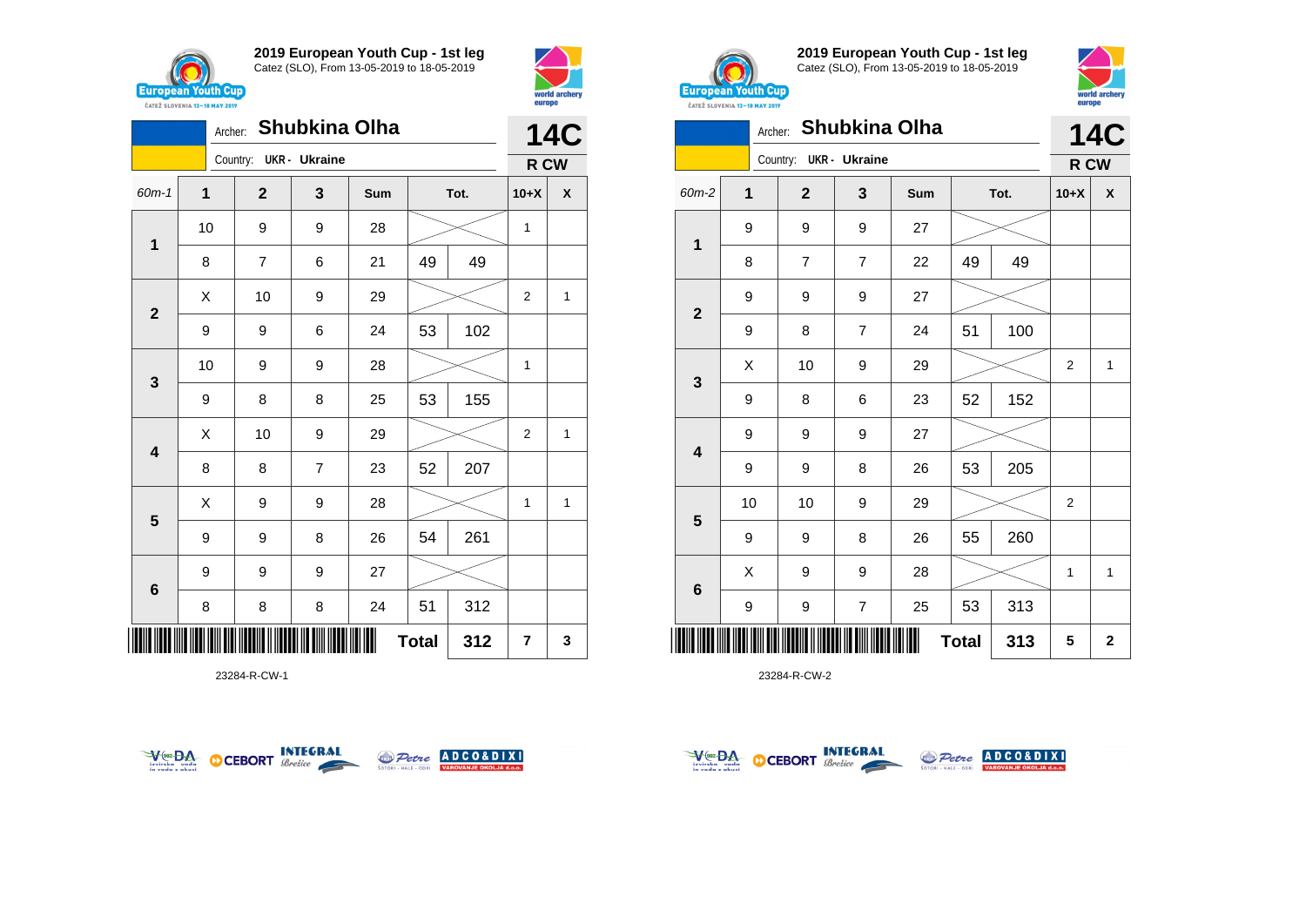





**2019 European Youth Cup - 1st leg** Catez (SLO), From 13-05-2019 to 18-05-2019



| CATEZ SLOVENIA 13-18 MAY 2019 | <b>DATOPO</b> |                        |                      |     |              |      |                |              |
|-------------------------------|---------------|------------------------|----------------------|-----|--------------|------|----------------|--------------|
|                               | Archer:       |                        | <b>Shubkina Olha</b> |     |              |      |                | <b>14C</b>   |
|                               |               | Country: UKR - Ukraine |                      |     |              |      | R CW           |              |
| 60m-2                         | 1             | $\overline{2}$         | 3                    | Sum |              | Tot. | $10+X$         | X            |
|                               | 9             | 9                      | 9                    | 27  |              |      |                |              |
| $\overline{1}$                | 8             | 7                      | 7                    | 22  | 49           | 49   |                |              |
|                               | 9             | 9                      | 9                    | 27  |              |      |                |              |
| $\mathbf{2}$                  | 9             | 8                      | $\overline{7}$       | 24  | 51           | 100  |                |              |
|                               | Χ             | 10                     | 9                    | 29  |              |      | $\overline{c}$ | 1            |
| $\mathbf{3}$                  | 9             | 8                      | 6                    | 23  | 52           | 152  |                |              |
|                               | 9             | 9                      | 9                    | 27  |              |      |                |              |
| $\overline{\mathbf{4}}$       | 9             | 9                      | 8                    | 26  | 53           | 205  |                |              |
|                               | 10            | 10                     | 9                    | 29  |              |      | 2              |              |
| $5\phantom{1}$                | 9             | 9                      | 8                    | 26  | 55           | 260  |                |              |
|                               | X             | 9                      | 9                    | 28  |              |      | 1              | $\mathbf{1}$ |
| $6\phantom{1}6$               | 9             | 9                      | $\overline{7}$       | 25  | 53           | 313  |                |              |
|                               |               |                        |                      |     | <b>Total</b> | 313  | 5              | $\mathbf 2$  |

23284-R-CW-2

|                         | <b>14C</b>          |  |                        |                |     |    |      |              |      |
|-------------------------|---------------------|--|------------------------|----------------|-----|----|------|--------------|------|
|                         |                     |  | Country: UKR - Ukraine |                |     |    |      |              | R CW |
| 60m-1                   | $\mathbf{1}$        |  | $\mathbf{2}$           | 3              | Sum |    | Tot. | $10+X$       | X    |
| $\mathbf{1}$            | 10                  |  | 9                      | 9              | 28  |    |      | 1            |      |
|                         | 8                   |  | 7                      | 6              | 21  | 49 | 49   |              |      |
| $\mathbf{2}$            | X                   |  | 10                     | 9              | 29  |    |      | 2            | 1    |
|                         | 9                   |  | 9                      | 6              | 24  | 53 | 102  |              |      |
|                         | 10                  |  | 9                      | 9              | 28  |    |      | $\mathbf{1}$ |      |
| $\mathbf{3}$            | 9                   |  | 8                      | 8              | 25  | 53 | 155  |              |      |
| $\overline{\mathbf{4}}$ | Χ                   |  | 10                     | 9              | 29  |    |      | 2            | 1    |
|                         | 8                   |  | 8                      | $\overline{7}$ | 23  | 52 | 207  |              |      |
| $5\phantom{1}$          | Χ                   |  | 9                      | 9              | 28  |    |      | 1            | 1    |
|                         | 9                   |  | 9                      | 8              | 26  | 54 | 261  |              |      |
| $\bf 6$                 | 9                   |  | 9                      | 9              | 27  |    |      |              |      |
|                         | 8                   |  | 8                      | 8              | 24  | 51 | 312  |              |      |
|                         | 312<br><b>Total</b> |  |                        |                |     |    |      |              | 3    |





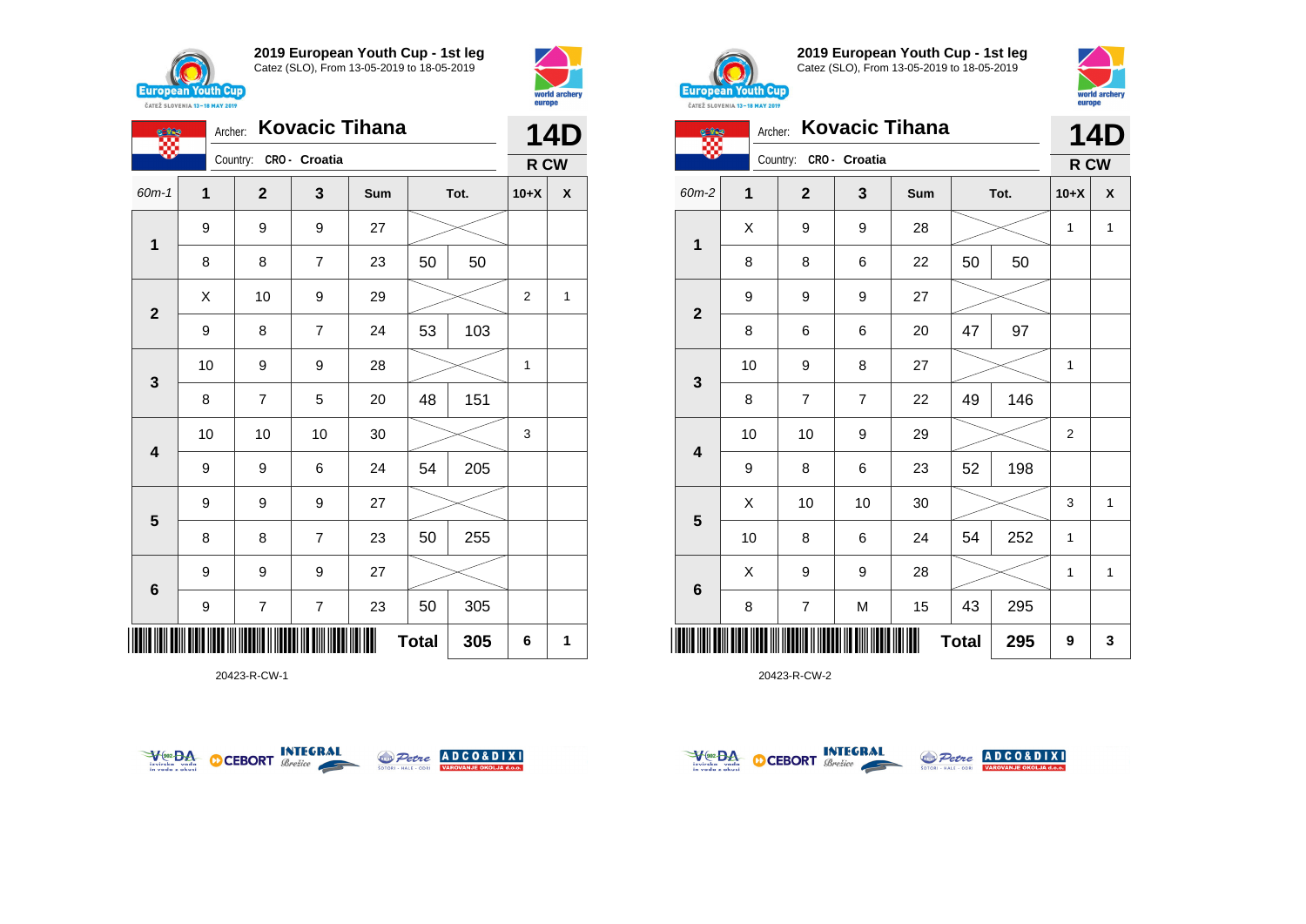





20423-R-CW-1





**2019 European Youth Cup - 1st leg** Catez (SLO), From 13-05-2019 to 18-05-2019



|                         |              | Archer: | <b>Kovacic Tihana</b> |                | 14D |              |      |                |                           |
|-------------------------|--------------|---------|-----------------------|----------------|-----|--------------|------|----------------|---------------------------|
|                         |              |         | Country:              | CRO - Croatia  |     |              |      |                | R CW                      |
| 60m-2                   | $\mathbf{1}$ |         | $\overline{2}$        | 3              | Sum |              | Tot. | $10+X$         | $\boldsymbol{\mathsf{x}}$ |
| 1                       | Χ            |         | 9                     | 9              | 28  |              |      | 1              | 1                         |
|                         | 8            |         | 8                     | 6              | 22  | 50           | 50   |                |                           |
| $\mathbf 2$             | 9            |         | 9                     | 9              | 27  |              |      |                |                           |
|                         | 8            |         | 6                     | 6              | 20  | 47           | 97   |                |                           |
|                         | 10           |         | 9                     | 8              | 27  |              |      | 1              |                           |
| 3                       | 8            |         | 7                     | $\overline{7}$ | 22  | 49           | 146  |                |                           |
| $\overline{\mathbf{4}}$ | 10           |         | 10                    | 9              | 29  |              |      | $\overline{2}$ |                           |
|                         | 9            |         | 8                     | 6              | 23  | 52           | 198  |                |                           |
|                         | X            |         | 10                    | 10             | 30  |              |      | 3              | $\mathbf{1}$              |
| 5                       | 10           |         | 8                     | 6              | 24  | 54           | 252  | 1              |                           |
| $\bf 6$                 | X            |         | 9                     | 9              | 28  |              |      | 1              | $\mathbf{1}$              |
|                         | 8            |         | $\overline{7}$        | M              | 15  | 43           | 295  |                |                           |
| Ш                       |              |         |                       |                |     | <b>Total</b> | 295  | 9              | 3                         |



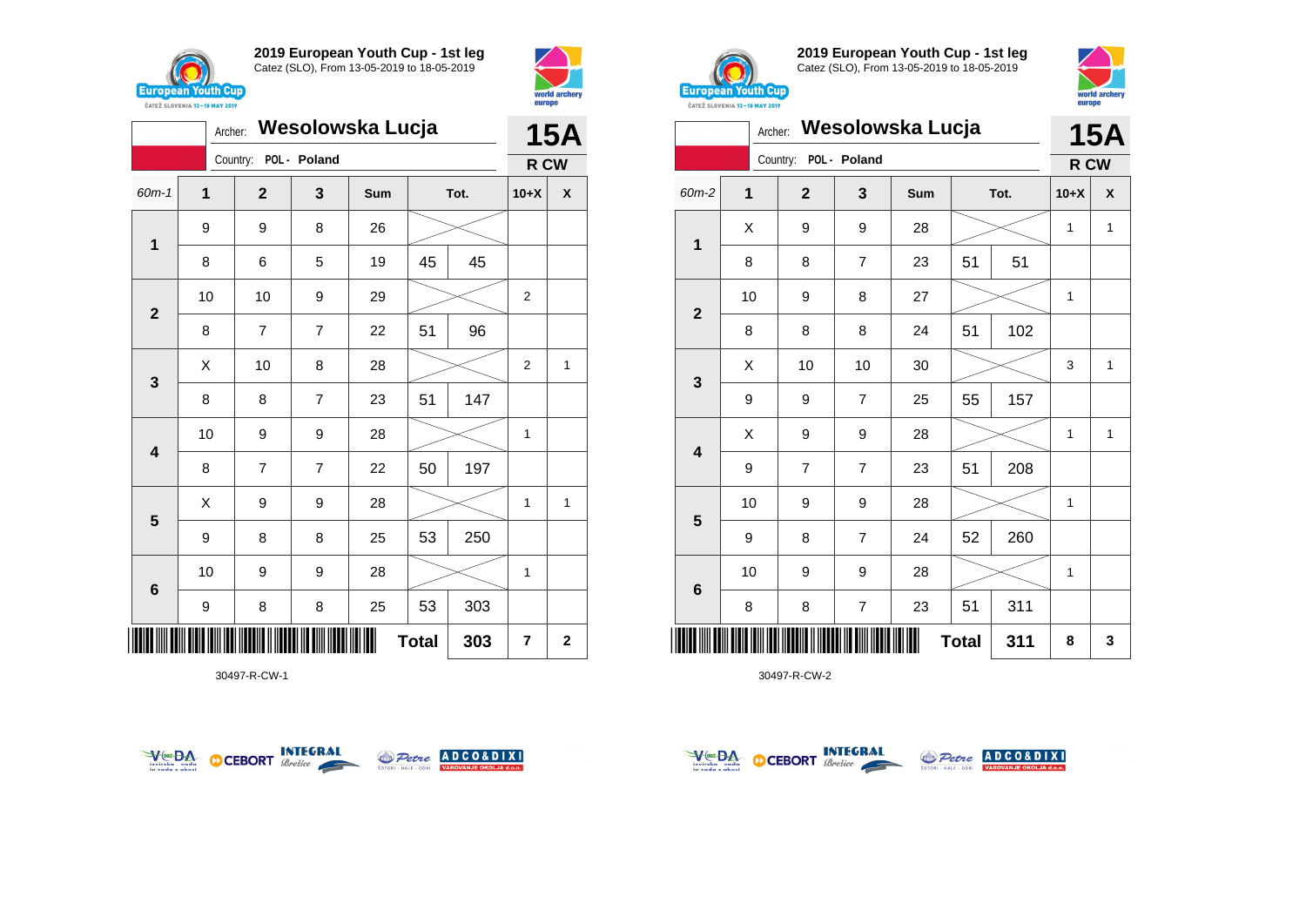





30497-R-CW-1





**2019 European Youth Cup - 1st leg** Catez (SLO), From 13-05-2019 to 18-05-2019



|                         | Wesolowska Lucja<br>Archer: |                |                |     |              |      |        |              |
|-------------------------|-----------------------------|----------------|----------------|-----|--------------|------|--------|--------------|
|                         |                             | Country:       | POL - Poland   |     |              |      | R CW   | <b>15A</b>   |
| 60m-2                   | 1                           | $\overline{2}$ | 3              | Sum |              | Tot. | $10+X$ | X            |
| 1                       | X                           | 9              | 9              | 28  |              |      | 1      | $\mathbf{1}$ |
|                         | 8                           | 8              | 7              | 23  | 51           | 51   |        |              |
| $\mathbf{2}$            | 10                          | 9              | 8              | 27  |              |      | 1      |              |
|                         | 8                           | 8              | 8              | 24  | 51           | 102  |        |              |
| 3                       | X                           | 10             | 10             | 30  |              |      | 3      | $\mathbf{1}$ |
|                         | 9                           | 9              | 7              | 25  | 55           | 157  |        |              |
| $\overline{\mathbf{4}}$ | X                           | 9              | 9              | 28  |              |      | 1      | $\mathbf{1}$ |
|                         | 9                           | $\overline{7}$ | $\overline{7}$ | 23  | 51           | 208  |        |              |
|                         | 10                          | 9              | 9              | 28  |              |      | 1      |              |
| 5                       | 9                           | 8              | 7              | 24  | 52           | 260  |        |              |
|                         | 10                          | 9              | 9              | 28  |              |      | 1      |              |
| $\bf 6$                 | 8                           | 8              | $\overline{7}$ | 23  | 51           | 311  |        |              |
| Ш                       |                             |                |                |     | <b>Total</b> | 311  | 8      | 3            |



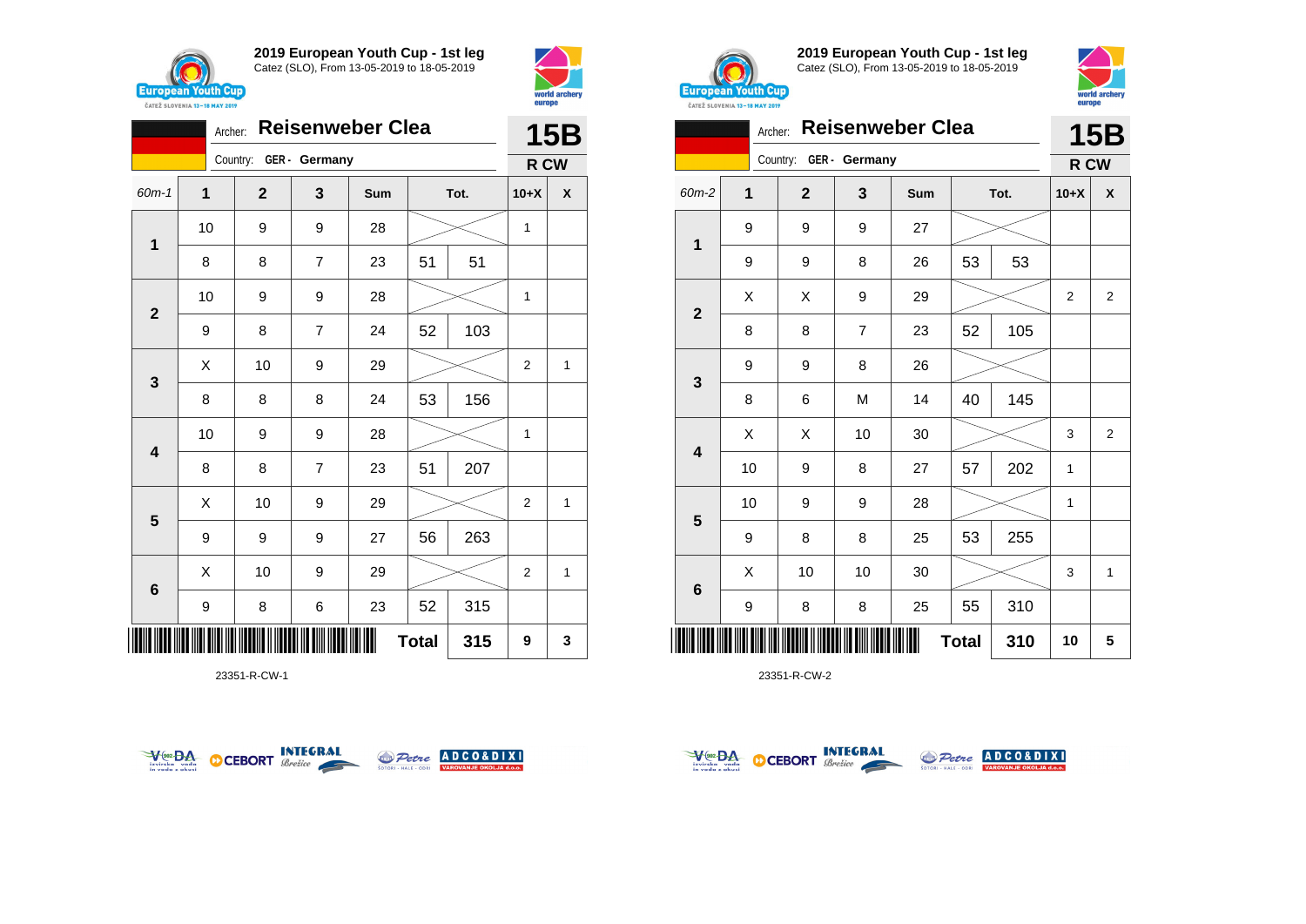



|                         | <b>Reisenweber Clea</b><br>Archer: |                                 |                |    |              |        |                |   |  |
|-------------------------|------------------------------------|---------------------------------|----------------|----|--------------|--------|----------------|---|--|
|                         |                                    | Country: GER - Germany          |                |    |              |        | R CW           |   |  |
| 60m-1                   | $\mathbf{1}$                       | $\mathbf 2$<br>3<br>Tot.<br>Sum |                |    |              | $10+X$ | X              |   |  |
| $\mathbf{1}$            | 10                                 | 9                               | 9              | 28 |              |        | 1              |   |  |
|                         | 8                                  | 8                               | $\overline{7}$ | 23 | 51           | 51     |                |   |  |
| $\overline{\mathbf{2}}$ | 10                                 | 9                               | 9              | 28 |              |        | 1              |   |  |
|                         | 9                                  | 8                               | $\overline{7}$ | 24 | 52           | 103    |                |   |  |
| $\mathbf{3}$            | Χ                                  | 10                              | 9              | 29 |              |        | $\overline{2}$ | 1 |  |
|                         | 8                                  | 8                               | 8              | 24 | 53           | 156    |                |   |  |
| $\overline{\mathbf{4}}$ | 10                                 | 9                               | 9              | 28 |              |        | 1              |   |  |
|                         | 8                                  | 8                               | $\overline{7}$ | 23 | 51           | 207    |                |   |  |
| $5\phantom{1}$          | X                                  | 10                              | 9              | 29 |              |        | $\overline{2}$ | 1 |  |
|                         | 9                                  | 9                               | 9              | 27 | 56           | 263    |                |   |  |
| $6\phantom{1}$          | X                                  | 10                              | 9              | 29 |              |        | 2              | 1 |  |
|                         | 9                                  | 8                               | 6              | 23 | 52           | 315    |                |   |  |
| ║║║                     |                                    |                                 |                |    | <b>Total</b> | 315    | 9              | 3 |  |

23351-R-CW-1





**2019 European Youth Cup - 1st leg** Catez (SLO), From 13-05-2019 to 18-05-2019



|                | <b>Reisenweber Clea</b><br>Archer: |                        |                |            |              |      |              | <b>15B</b>     |
|----------------|------------------------------------|------------------------|----------------|------------|--------------|------|--------------|----------------|
|                |                                    | Country: GER - Germany |                |            |              |      | R CW         |                |
| 60m-2          | 1                                  | $\mathbf{2}$           | 3              | <b>Sum</b> |              | Tot. | $10+X$       | X              |
|                | 9                                  | 9                      | 9              | 27         |              |      |              |                |
| 1              | 9                                  | 9                      | 8              | 26         | 53           | 53   |              |                |
| $\overline{2}$ | X                                  | X                      | 9              | 29         |              |      | 2            | $\overline{2}$ |
|                | 8                                  | 8                      | $\overline{7}$ | 23         | 52           | 105  |              |                |
|                | 9                                  | 9                      | 8              | 26         |              |      |              |                |
| 3              | 8                                  | 6                      | M              | 14         | 40           | 145  |              |                |
| 4              | Χ                                  | X                      | 10             | 30         |              |      | 3            | 2              |
|                | 10                                 | 9                      | 8              | 27         | 57           | 202  | $\mathbf{1}$ |                |
| 5              | 10                                 | 9                      | 9              | 28         |              |      | 1            |                |
|                | 9                                  | 8                      | 8              | 25         | 53           | 255  |              |                |
|                | X                                  | 10                     | 10             | 30         |              |      | 3            | $\mathbf{1}$   |
| 6              | 9                                  | 8                      | 8              | 25         | 55           | 310  |              |                |
|                |                                    |                        |                |            | <b>Total</b> | 310  | 10           | 5              |



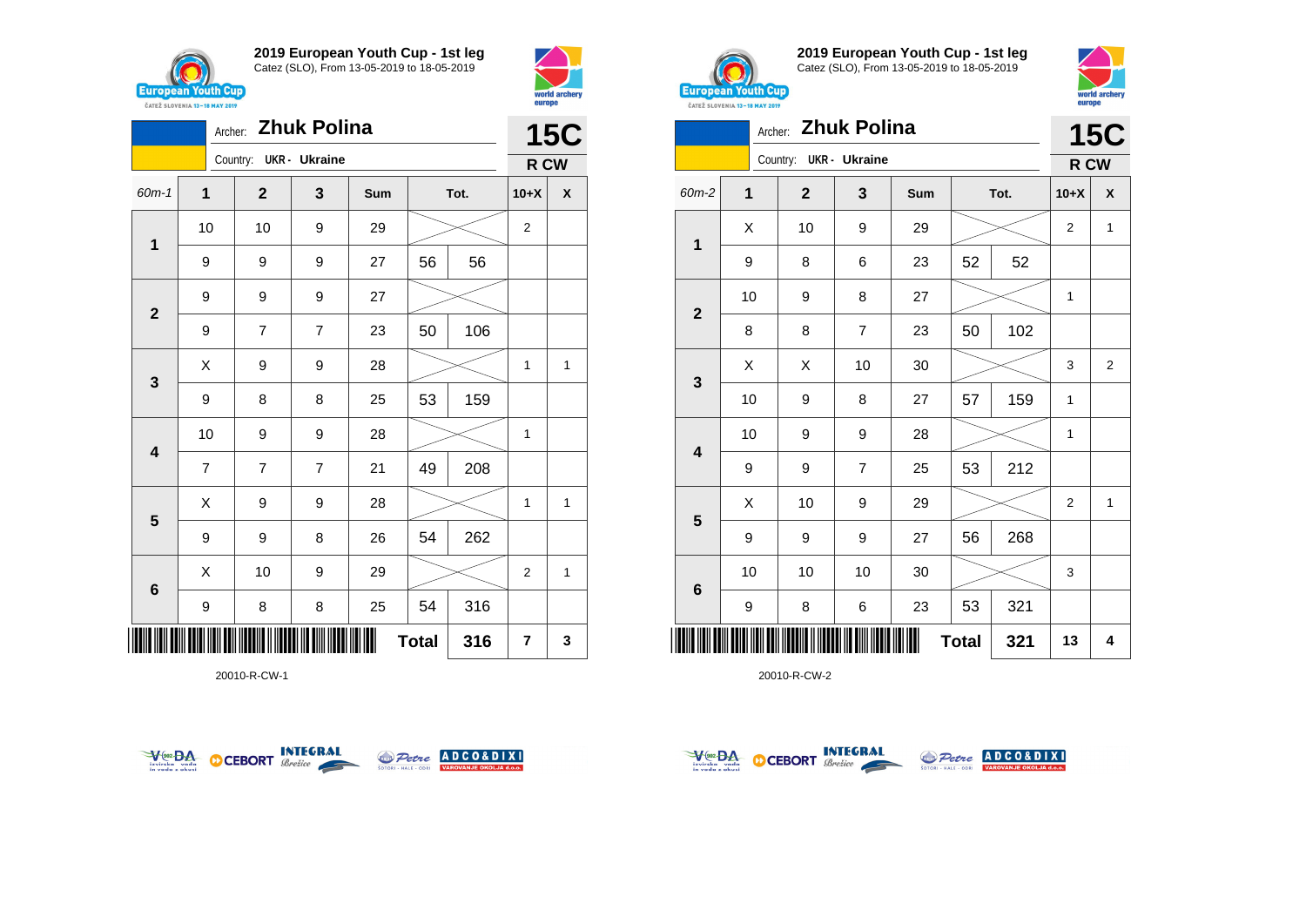



|                         | <b>Zhuk Polina</b><br>Archer: |                |                        |                |     |              |      |                | <b>15C</b>         |  |
|-------------------------|-------------------------------|----------------|------------------------|----------------|-----|--------------|------|----------------|--------------------|--|
|                         |                               |                | Country: UKR - Ukraine |                |     |              |      | R CW           |                    |  |
| 60m-1                   | 1                             |                | $\mathbf{2}$           | 3              | Sum |              | Tot. | $10+X$         | $\pmb{\mathsf{X}}$ |  |
| $\mathbf 1$             |                               | 10             | 10                     | 9              | 29  |              |      | $\overline{2}$ |                    |  |
|                         |                               | 9              | 9                      | 9              | 27  | 56           | 56   |                |                    |  |
| $\mathbf{2}$            |                               | 9              | 9                      | 9              | 27  |              |      |                |                    |  |
|                         |                               | 9              | $\overline{7}$         | $\overline{7}$ | 23  | 50           | 106  |                |                    |  |
| $\mathbf{3}$            |                               | X              | 9                      | 9              | 28  |              |      | 1              | 1                  |  |
|                         | 9                             |                | 8                      | 8              | 25  | 53           | 159  |                |                    |  |
| $\overline{\mathbf{4}}$ |                               | 10             | 9                      | 9              | 28  |              |      | 1              |                    |  |
|                         |                               | $\overline{7}$ | 7                      | $\overline{7}$ | 21  | 49           | 208  |                |                    |  |
| 5                       |                               | X              | 9                      | 9              | 28  |              |      | 1              | 1                  |  |
|                         |                               | 9              | 9                      | 8              | 26  | 54           | 262  |                |                    |  |
| $\bf 6$                 |                               | Χ              | 10                     | 9              | 29  |              |      | $\overline{2}$ | 1                  |  |
|                         |                               | 9              | 8                      | 8              | 25  | 54           | 316  |                |                    |  |
|                         |                               |                |                        |                |     | <b>Total</b> | 316  | 7              | 3                  |  |

20010-R-CW-1





**2019 European Youth Cup - 1st leg** Catez (SLO), From 13-05-2019 to 18-05-2019



|              | <b>Zhuk Polina</b><br>Archer: |              |                      |     |              |      |                |                |  |
|--------------|-------------------------------|--------------|----------------------|-----|--------------|------|----------------|----------------|--|
|              |                               | Country:     | <b>UKR</b> - Ukraine |     |              |      | R CW           | <b>15C</b>     |  |
| 60m-2        | 1                             | $\mathbf{2}$ | 3                    | Sum |              | Tot. | $10+X$         | X              |  |
|              | X                             | 10           | 9                    | 29  |              |      | $\overline{2}$ | 1              |  |
| 1            | 9                             | 8            | 6                    | 23  | 52           | 52   |                |                |  |
|              | 10                            | 9            | 8                    | 27  |              |      | 1              |                |  |
| $\mathbf{2}$ | 8                             | 8            | $\overline{7}$       | 23  | 50           | 102  |                |                |  |
|              | X                             | Χ            | 10                   | 30  |              |      | 3              | $\overline{2}$ |  |
| 3            | 10                            | 9            | 8                    | 27  | 57           | 159  | 1              |                |  |
|              | 10                            | 9            | 9                    | 28  |              |      | 1              |                |  |
| 4            | 9                             | 9            | $\overline{7}$       | 25  | 53           | 212  |                |                |  |
|              | X                             | 10           | 9                    | 29  |              |      | $\overline{2}$ | 1              |  |
| 5            | 9                             | 9            | $\boldsymbol{9}$     | 27  | 56           | 268  |                |                |  |
|              | 10                            | 10           | 10                   | 30  |              |      | 3              |                |  |
| 6            | 9                             | 8            | 6                    | 23  | 53           | 321  |                |                |  |
|              |                               |              |                      |     | <b>Total</b> | 321  | 13             | 4              |  |



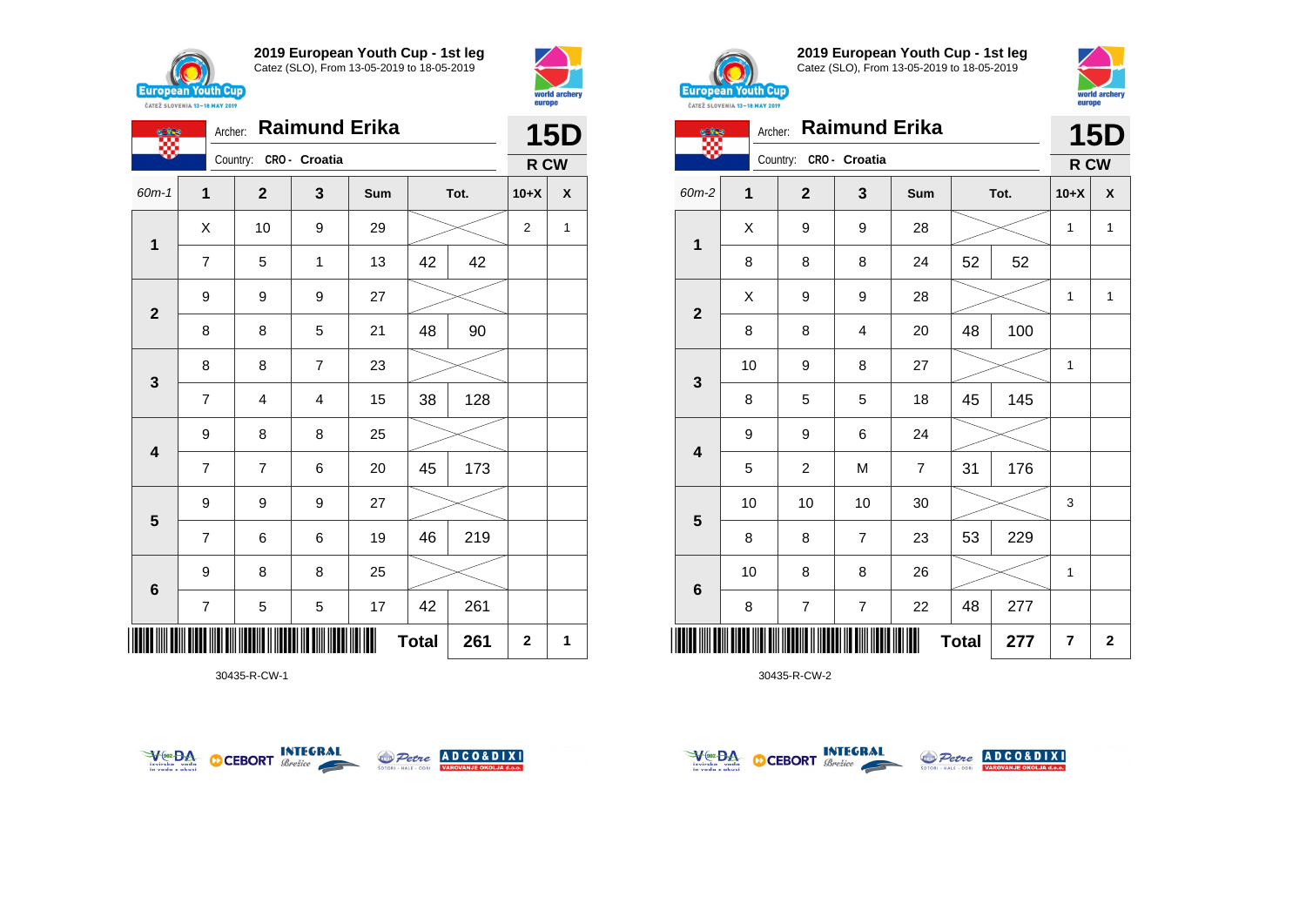





30435-R-CW-1





**2019 European Youth Cup - 1st leg** Catez (SLO), From 13-05-2019 to 18-05-2019



|                 | <b>Raimund Erika</b><br>Archer: |                |                |                |              |      |                         | <b>15D</b>   |
|-----------------|---------------------------------|----------------|----------------|----------------|--------------|------|-------------------------|--------------|
|                 |                                 | Country:       | CRO - Croatia  |                |              |      | R CW                    |              |
| $60m-2$         | 1                               | $\overline{2}$ | 3              | Sum            |              | Tot. | $10+X$                  | X            |
| 1               | X                               | 9              | 9              | 28             |              |      | 1                       | $\mathbf{1}$ |
|                 | 8                               | 8              | 8              | 24             | 52           | 52   |                         |              |
| $\overline{2}$  | Χ                               | 9              | 9              | 28             |              |      | 1                       | 1            |
|                 | 8                               | 8              | $\overline{4}$ | 20             | 48           | 100  |                         |              |
|                 | 10                              | 9              | 8              | 27             |              |      | 1                       |              |
| 3               | 8                               | 5              | 5              | 18             | 45           | 145  |                         |              |
|                 | 9                               | 9              | 6              | 24             |              |      |                         |              |
| 4               | 5                               | $\overline{c}$ | M              | $\overline{7}$ | 31           | 176  |                         |              |
|                 | 10                              | 10             | 10             | 30             |              |      | 3                       |              |
| 5               | 8                               | 8              | $\overline{7}$ | 23             | 53           | 229  |                         |              |
| $6\phantom{1}6$ | 10                              | 8              | 8              | 26             |              |      | 1                       |              |
|                 | 8                               | 7              | $\overline{7}$ | 22             | 48           | 277  |                         |              |
|                 |                                 |                |                |                | <b>Total</b> | 277  | $\overline{\mathbf{r}}$ | $\mathbf 2$  |



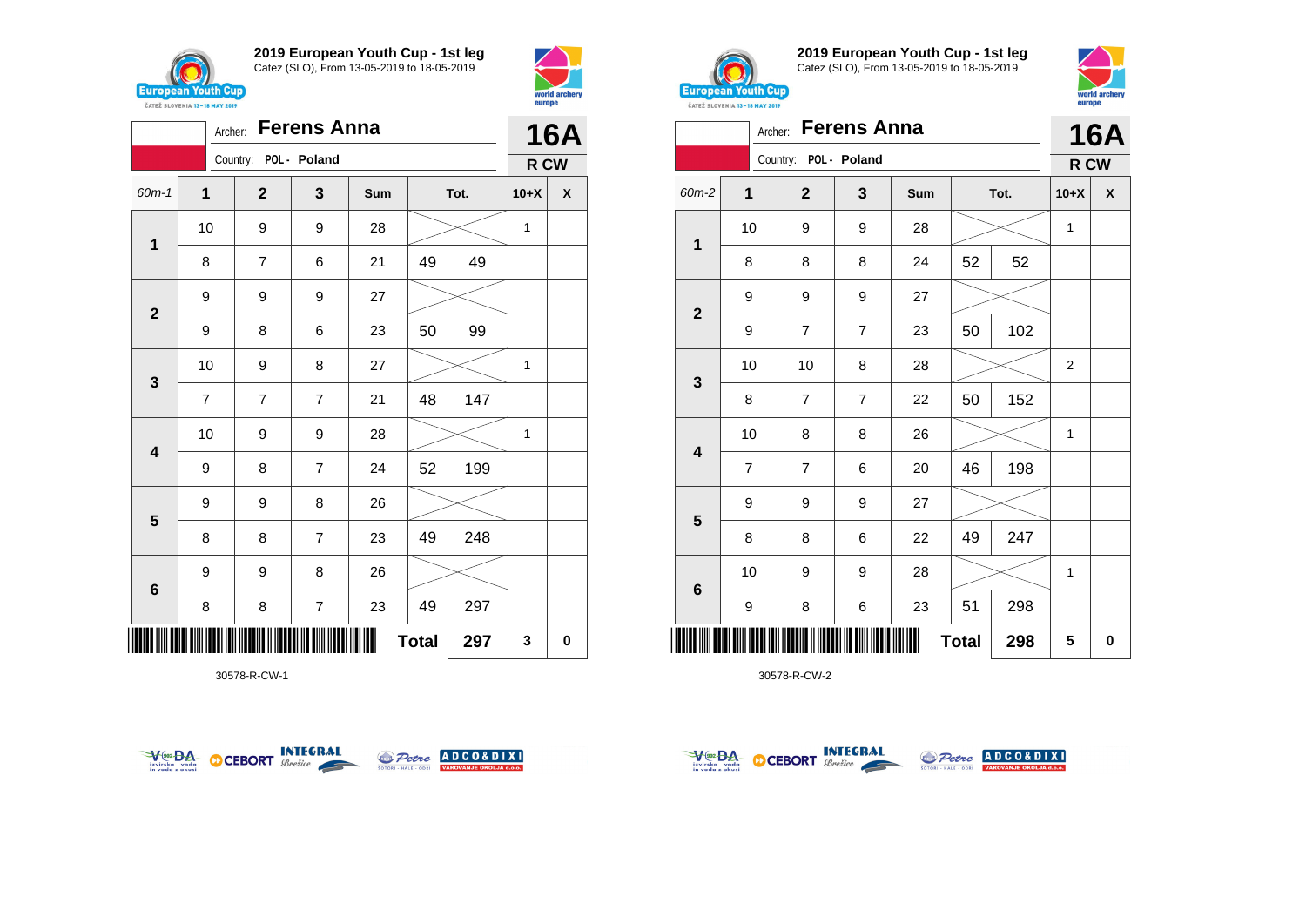



|                         |                | <b>Ferens Anna</b><br>Archer: |                       |                         |     |              |      |        | <b>16A</b> |
|-------------------------|----------------|-------------------------------|-----------------------|-------------------------|-----|--------------|------|--------|------------|
|                         |                |                               | Country: POL - Poland |                         |     |              |      | R CW   |            |
| $60m - 1$               | $\mathbf{1}$   |                               | $\mathbf{2}$          | 3                       | Sum |              | Tot. | $10+X$ | X          |
| $\mathbf 1$             | 10             |                               | 9                     | 9                       | 28  |              |      | 1      |            |
|                         | 8              |                               | $\overline{7}$        | 6                       | 21  | 49           | 49   |        |            |
| $\mathbf{2}$            | 9              |                               | 9                     | 9                       | 27  |              |      |        |            |
|                         | 9              |                               | 8                     | 6                       | 23  | 50           | 99   |        |            |
| $\mathbf{3}$            | 10             |                               | 9                     | 8                       | 27  |              |      | 1      |            |
|                         | $\overline{7}$ |                               | $\overline{7}$        | $\overline{7}$          | 21  | 48           | 147  |        |            |
| $\overline{\mathbf{4}}$ | 10             |                               | 9                     | 9                       | 28  |              |      | 1      |            |
|                         | 9              |                               | 8                     | $\overline{7}$          | 24  | 52           | 199  |        |            |
| 5                       | 9              |                               | 9                     | 8                       | 26  |              |      |        |            |
|                         | 8              |                               | 8                     | $\overline{7}$          | 23  | 49           | 248  |        |            |
| $\bf 6$                 | 9              |                               | 9                     | 8                       | 26  |              |      |        |            |
|                         | 8              |                               | 8                     | $\overline{\mathbf{7}}$ | 23  | 49           | 297  |        |            |
| ▏▎▌▌▌▌▌                 |                |                               |                       |                         |     | <b>Total</b> | 297  | 3      | 0          |

30578-R-CW-1





**2019 European Youth Cup - 1st leg** Catez (SLO), From 13-05-2019 to 18-05-2019



|                         | Archer:        |                         | <b>Ferens Anna</b> |     |              |      | <b>16A</b> |          |
|-------------------------|----------------|-------------------------|--------------------|-----|--------------|------|------------|----------|
|                         |                | Country: POL - Poland   |                    |     |              |      | R CW       |          |
| 60m-2                   | $\mathbf{1}$   | $\mathbf{2}$            | 3                  | Sum |              | Tot. | $10+X$     | X        |
| $\mathbf{1}$            | 10             | 9                       | 9                  | 28  |              |      | 1          |          |
|                         | 8              | 8                       | 8                  | 24  | 52           | 52   |            |          |
| $\mathbf{2}$            | 9              | 9                       | 9                  | 27  |              |      |            |          |
|                         | 9              | $\overline{7}$          | $\overline{7}$     | 23  | 50           | 102  |            |          |
| 3                       | 10             | 10                      | 8                  | 28  |              |      | 2          |          |
|                         | 8              | $\overline{7}$          | $\overline{7}$     | 22  | 50           | 152  |            |          |
| $\overline{\mathbf{4}}$ | 10             | 8                       | 8                  | 26  |              |      | 1          |          |
|                         | $\overline{7}$ | $\overline{\mathbf{7}}$ | 6                  | 20  | 46           | 198  |            |          |
|                         | 9              | 9                       | 9                  | 27  |              |      |            |          |
| 5                       | 8              | 8                       | 6                  | 22  | 49           | 247  |            |          |
|                         | 10             | 9                       | 9                  | 28  |              |      | 1          |          |
| $6\phantom{1}6$         | 9              | 8                       | 6                  | 23  | 51           | 298  |            |          |
|                         |                |                         |                    |     | <b>Total</b> | 298  | 5          | $\bf{0}$ |



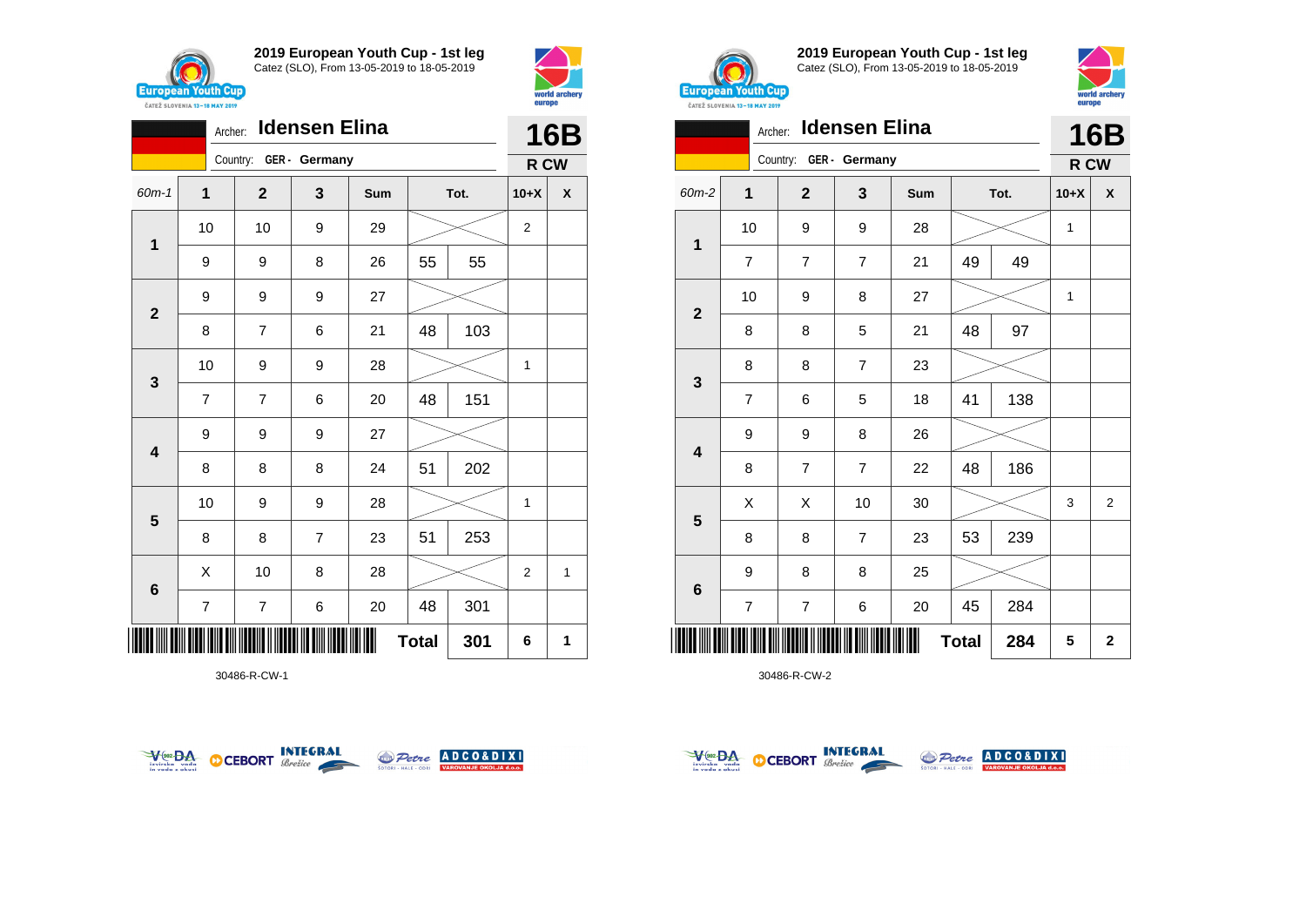



|                         | Idensen Elina<br>Archer: |                        |                |     |              |      |                |      |
|-------------------------|--------------------------|------------------------|----------------|-----|--------------|------|----------------|------|
|                         |                          | Country: GER - Germany |                |     |              |      |                | R CW |
| 60m-1                   | 1                        | $\mathbf{2}$           | 3              | Sum |              | Tot. | $10+X$         | X    |
| $\mathbf 1$             | 10                       | 10                     | 9              | 29  |              |      | $\overline{2}$ |      |
|                         | 9                        | 9                      | 8              | 26  | 55           | 55   |                |      |
| $\mathbf{2}$            | 9                        | 9                      | 9              | 27  |              |      |                |      |
|                         | 8                        | 7                      | 6              | 21  | 48           | 103  |                |      |
| $\mathbf{3}$            | 10                       | 9                      | 9              | 28  |              |      | 1              |      |
|                         | $\overline{7}$           | $\overline{7}$         | 6              | 20  | 48           | 151  |                |      |
| $\overline{\mathbf{4}}$ | 9                        | 9                      | 9              | 27  |              |      |                |      |
|                         | 8                        | 8                      | 8              | 24  | 51           | 202  |                |      |
| $\overline{\mathbf{5}}$ | 10                       | 9                      | 9              | 28  |              |      | 1              |      |
|                         | 8                        | 8                      | $\overline{7}$ | 23  | 51           | 253  |                |      |
| $6\phantom{1}$          | X                        | 10                     | 8              | 28  |              |      | $\overline{2}$ | 1    |
|                         | 7                        | 7                      | 6              | 20  | 48           | 301  |                |      |
| IIII                    |                          |                        |                |     | <b>Total</b> | 301  | 6              | 1    |

30486-R-CW-1





**2019 European Youth Cup - 1st leg** Catez (SLO), From 13-05-2019 to 18-05-2019



|                         | <b>Idensen Elina</b><br>Archer: |                        |                |     |              |      |        |                |
|-------------------------|---------------------------------|------------------------|----------------|-----|--------------|------|--------|----------------|
|                         |                                 | Country: GER - Germany |                |     |              |      | R CW   |                |
| $60m-2$                 | 1                               | $\overline{2}$         | 3              | Sum |              | Tot. | $10+X$ | X              |
| 1                       | 10                              | 9                      | 9              | 28  |              |      | 1      |                |
|                         | $\overline{7}$                  | 7                      | $\overline{7}$ | 21  | 49           | 49   |        |                |
| $\overline{2}$          | 10                              | 9                      | 8              | 27  |              |      | 1      |                |
|                         | 8                               | 8                      | 5              | 21  | 48           | 97   |        |                |
|                         | 8                               | 8                      | $\overline{7}$ | 23  |              |      |        |                |
| 3                       | $\overline{7}$                  | 6                      | 5              | 18  | 41           | 138  |        |                |
| $\overline{\mathbf{4}}$ | 9                               | 9                      | 8              | 26  |              |      |        |                |
|                         | 8                               | $\overline{7}$         | $\overline{7}$ | 22  | 48           | 186  |        |                |
| $5\phantom{1}$          | X                               | X                      | 10             | 30  |              |      | 3      | $\overline{2}$ |
|                         | 8                               | 8                      | $\overline{7}$ | 23  | 53           | 239  |        |                |
|                         | 9                               | 8                      | 8              | 25  |              |      |        |                |
| $\bf 6$                 | $\overline{7}$                  | $\overline{7}$         | 6              | 20  | 45           | 284  |        |                |
| II                      |                                 |                        |                |     | <b>Total</b> | 284  | 5      | $\mathbf{2}$   |



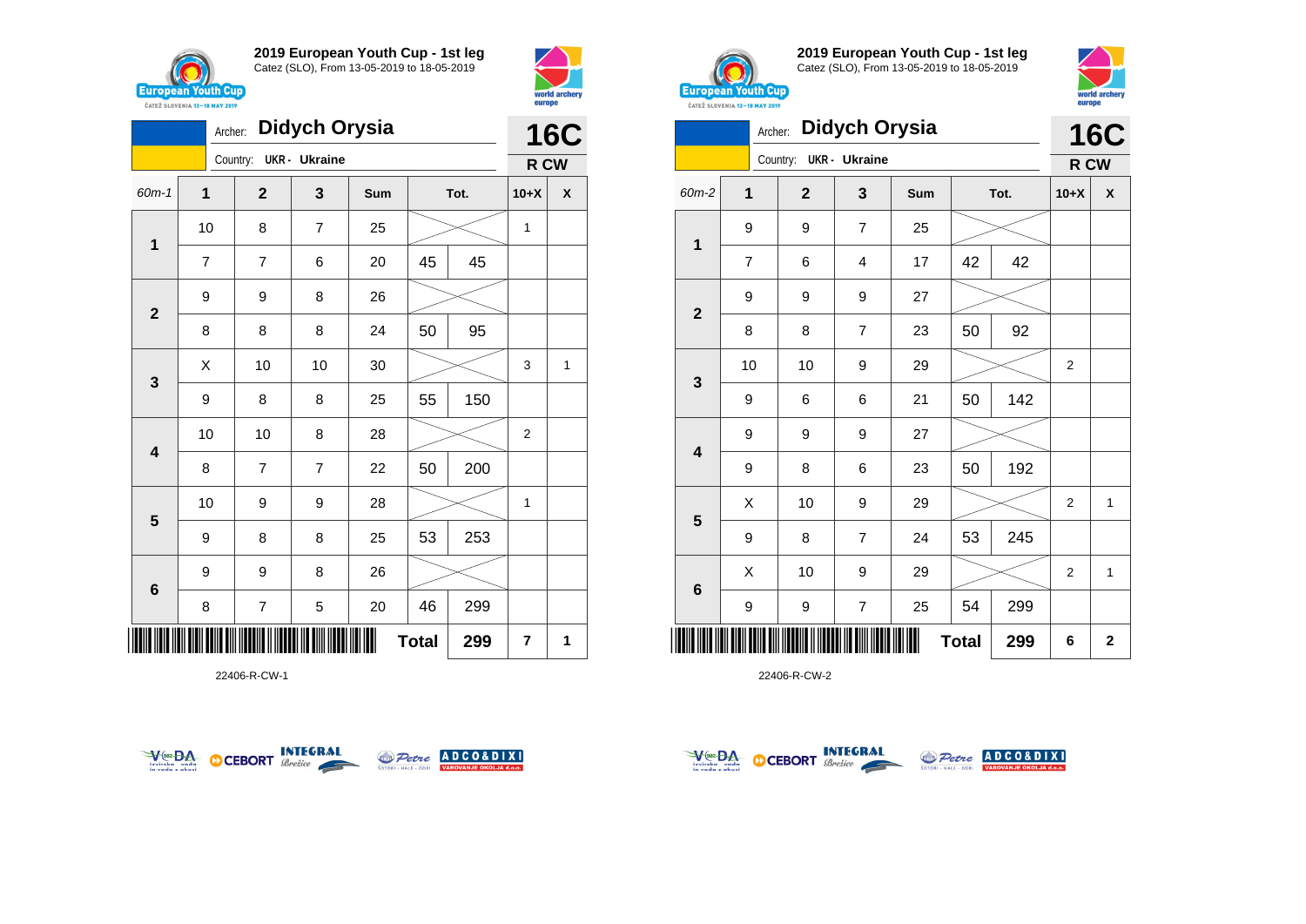





**2019 European Youth Cup - 1st leg** Catez (SLO), From 13-05-2019 to 18-05-2019



|                         | ČATEŽ SLOVENIA 13-18 MAY 2019 |                |                      |     |              |      | europe         |                         |
|-------------------------|-------------------------------|----------------|----------------------|-----|--------------|------|----------------|-------------------------|
|                         | Archer:                       |                | <b>Didych Orysia</b> |     |              |      | 16             | C                       |
|                         |                               | Country:       | <b>UKR</b> - Ukraine |     |              |      | R CW           |                         |
| 60m-2                   | 1                             | $\overline{2}$ | 3                    | Sum |              | Tot. | $10+X$         | X                       |
|                         | 9                             | 9              | $\overline{7}$       | 25  |              |      |                |                         |
| $\mathbf 1$             | 7                             | 6              | 4                    | 17  | 42           | 42   |                |                         |
|                         | 9                             | 9              | 9                    | 27  |              |      |                |                         |
| $\overline{2}$          | 8                             | 8              | $\overline{7}$       | 23  | 50           | 92   |                |                         |
|                         | 10                            | 10             | 9                    | 29  |              |      | 2              |                         |
| $\mathbf{3}$            | 9                             | 6              | 6                    | 21  | 50           | 142  |                |                         |
|                         | 9                             | 9              | 9                    | 27  |              |      |                |                         |
| $\overline{\mathbf{4}}$ | 9                             | 8              | 6                    | 23  | 50           | 192  |                |                         |
|                         | Χ                             | 10             | 9                    | 29  |              |      | $\overline{2}$ | 1                       |
| 5                       | 9                             | 8              | $\overline{7}$       | 24  | 53           | 245  |                |                         |
|                         | Χ                             | 10             | 9                    | 29  |              |      | 2              | 1                       |
| $\bf 6$                 | 9                             | 9              | $\overline{7}$       | 25  | 54           | 299  |                |                         |
|                         |                               |                |                      |     | <b>Total</b> | 299  | 6              | $\overline{\mathbf{2}}$ |

22406-R-CW-2

|                         | <b>Didych Orysia</b><br>Archer:                |                         |                      |     |    |      |             |      |  |
|-------------------------|------------------------------------------------|-------------------------|----------------------|-----|----|------|-------------|------|--|
|                         |                                                | Country:                | <b>UKR</b> - Ukraine |     |    |      | <b>16C</b>  | R CW |  |
| 60m-1                   | $\overline{1}$<br>$\overline{\mathbf{2}}$<br>3 |                         |                      | Sum |    | Tot. | $10+X$      | X    |  |
| 1                       | 10                                             | 8                       | $\overline{7}$       | 25  |    |      | 1           |      |  |
|                         | $\overline{7}$                                 | 7                       | 6                    | 20  | 45 | 45   |             |      |  |
| $\overline{\mathbf{2}}$ | 9                                              | 9                       | 8                    | 26  |    |      |             |      |  |
|                         | 8                                              | 8                       | 8                    | 24  | 50 | 95   |             |      |  |
| $\mathbf{3}$            | X                                              | 10                      | 10                   | 30  |    |      | 3           | 1    |  |
|                         | 9                                              | 8                       | 8                    | 25  | 55 | 150  |             |      |  |
| 4                       | 10                                             | 10                      | 8                    | 28  |    |      | $\mathbf 2$ |      |  |
|                         | 8                                              | $\overline{7}$          | $\overline{7}$       | 22  | 50 | 200  |             |      |  |
| 5                       | 10                                             | 9                       | 9                    | 28  |    |      | 1           |      |  |
|                         | 9                                              | 8                       | 8                    | 25  | 53 | 253  |             |      |  |
| $6\phantom{1}6$         | 9                                              | 9                       | 8                    | 26  |    |      |             |      |  |
|                         | 8                                              | $\overline{\mathbf{7}}$ | 5                    | 20  | 46 | 299  |             |      |  |
| <b>Total</b><br>299     |                                                |                         |                      |     |    |      |             |      |  |





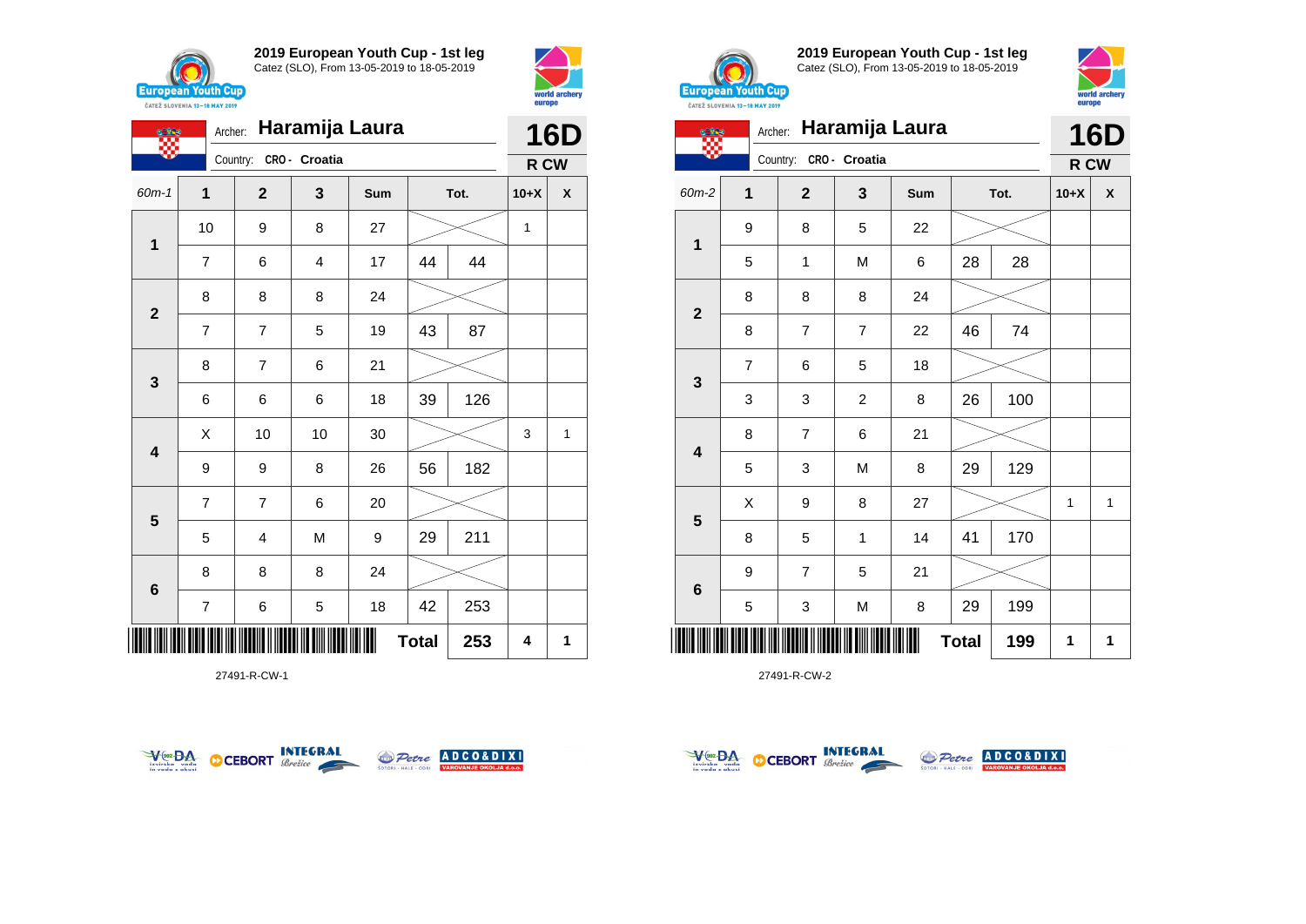





27491-R-CW-1





**2019 European Youth Cup - 1st leg** Catez (SLO), From 13-05-2019 to 18-05-2019



| <b>Cine</b>             | <b>CAILL SLUVENIA 13-18 MAY 2019</b><br>Archer: |                        |                | Haramija Laura |              |      |              | <b>16D</b>   |
|-------------------------|-------------------------------------------------|------------------------|----------------|----------------|--------------|------|--------------|--------------|
|                         |                                                 | Country: CRO - Croatia |                |                |              |      | R CW         |              |
| $60m-2$                 | 1                                               | $\overline{2}$         | 3              | Sum            |              | Tot. | $10+X$       | X            |
|                         | 9                                               | 8                      | 5              | 22             |              |      |              |              |
| $\mathbf 1$             | 5                                               | 1                      | M              | 6              | 28           | 28   |              |              |
|                         | 8                                               | 8                      | 8              | 24             |              |      |              |              |
| $\mathbf{2}$            | 8                                               | $\overline{7}$         | 7              | 22             | 46           | 74   |              |              |
|                         | $\overline{7}$                                  | 6                      | 5              | 18             |              |      |              |              |
| 3                       | 3                                               | 3                      | $\overline{c}$ | 8              | 26           | 100  |              |              |
| $\overline{\mathbf{4}}$ | 8                                               | $\overline{7}$         | 6              | 21             |              |      |              |              |
|                         | 5                                               | 3                      | M              | 8              | 29           | 129  |              |              |
|                         | X                                               | 9                      | 8              | 27             |              |      | $\mathbf{1}$ | $\mathbf{1}$ |
| $\overline{\mathbf{5}}$ | 8                                               | 5                      | 1              | 14             | 41           | 170  |              |              |
|                         | 9                                               | $\overline{7}$         | 5              | 21             |              |      |              |              |
| $\bf 6$                 | 5                                               | 3                      | M              | 8              | 29           | 199  |              |              |
| Ш                       |                                                 |                        |                |                | <b>Total</b> | 199  | 1            | 1            |



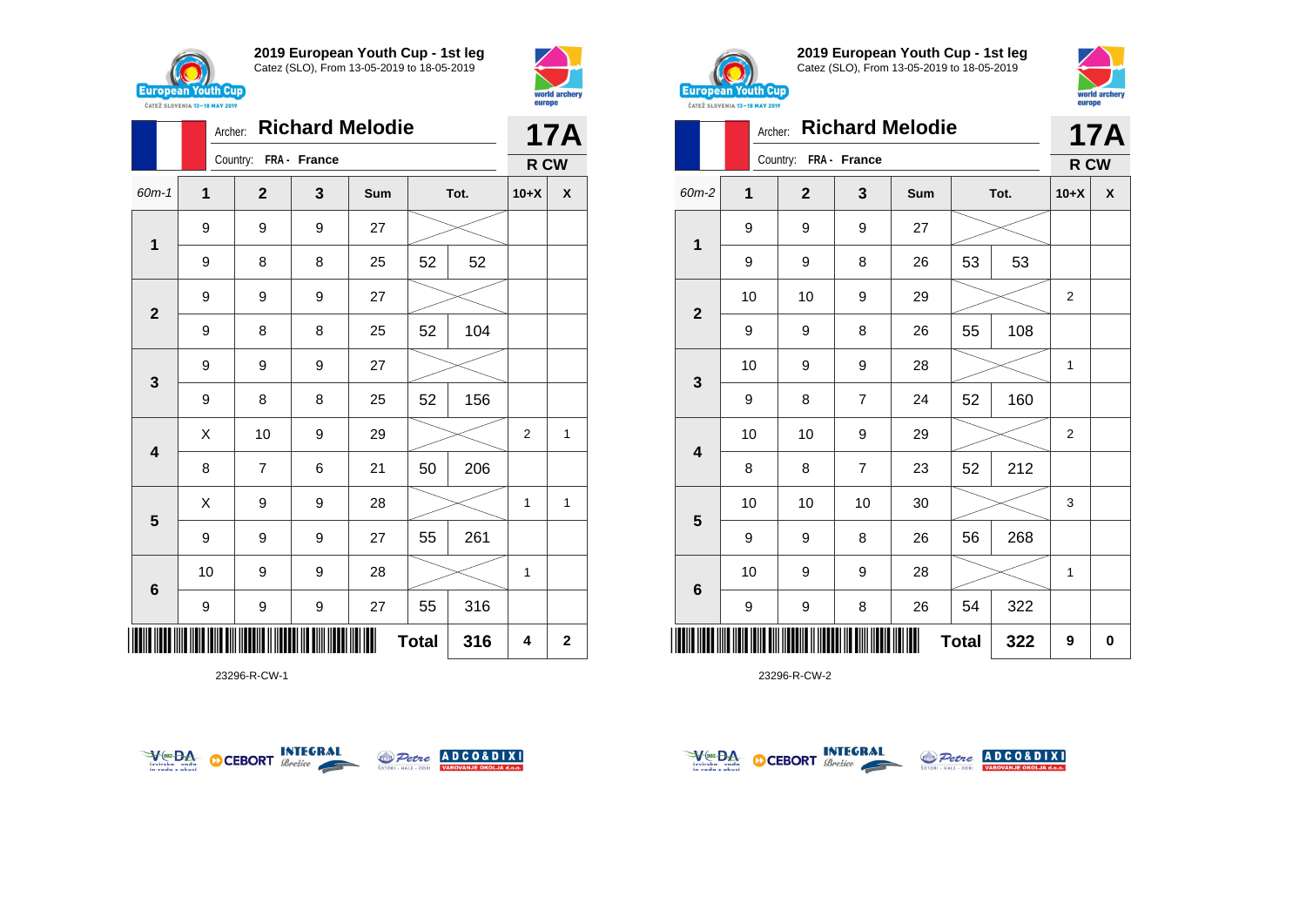





23296-R-CW-1





**2019 European Youth Cup - 1st leg** Catez (SLO), From 13-05-2019 to 18-05-2019



|                         | <b>CAILL SLUVENIA 13-18 MAY ZUIY</b> |                       |                |                        |              |      | -----  |            |
|-------------------------|--------------------------------------|-----------------------|----------------|------------------------|--------------|------|--------|------------|
|                         | Archer:                              |                       |                | <b>Richard Melodie</b> |              |      |        | <b>17A</b> |
|                         |                                      | Country: FRA - France |                |                        |              |      | R CW   |            |
| 60m-2                   | 1                                    | $\mathbf 2$           | 3              | Sum                    |              | Tot. | $10+X$ | X          |
|                         | 9                                    | 9                     | 9              | 27                     |              |      |        |            |
| 1                       | 9                                    | 9                     | 8              | 26                     | 53           | 53   |        |            |
|                         | 10                                   | 10                    | 9              | 29                     |              |      | 2      |            |
| $\mathbf{2}$            | 9                                    | 9                     | 8              | 26                     | 55           | 108  |        |            |
|                         | 10                                   | 9                     | 9              | 28                     |              |      | 1      |            |
| 3                       | 9                                    | 8                     | $\overline{7}$ | 24                     | 52           | 160  |        |            |
|                         | 10                                   | 10                    | 9              | 29                     |              |      | 2      |            |
| $\overline{\mathbf{4}}$ | 8                                    | 8                     | 7              | 23                     | 52           | 212  |        |            |
|                         | 10                                   | 10                    | 10             | 30                     |              |      | 3      |            |
| 5                       | 9                                    | 9                     | 8              | 26                     | 56           | 268  |        |            |
|                         | 10                                   | 9                     | 9              | 28                     |              |      | 1      |            |
| 6                       | 9                                    | 9                     | 8              | 26                     | 54           | 322  |        |            |
| ║║║                     |                                      |                       |                | Ш                      | <b>Total</b> | 322  | 9      | 0          |



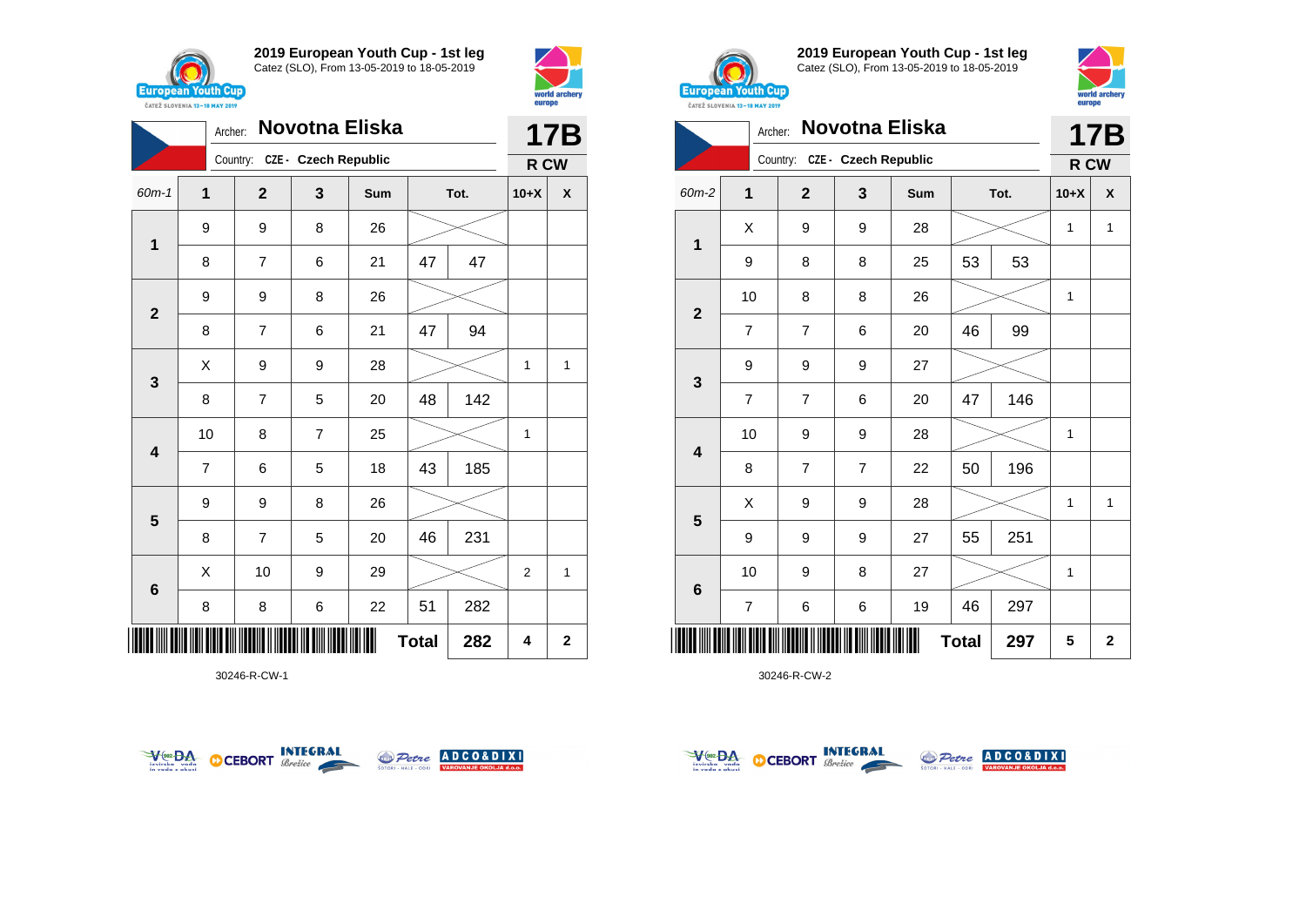



|                                                                                                                                              | Novotna Eliska<br>Archer:<br>Country: CZE - Czech Republic<br>$\overline{1}$<br>$\mathbf{2}$<br>3<br>Sum<br>Tot.<br>9<br>9<br>8<br>26<br>1<br>47<br>47<br>8<br>7<br>6<br>21<br>9<br>8<br>9<br>26<br>$\mathbf{2}$<br>94<br>47<br>7<br>6<br>21<br>8<br>X<br>9<br>9<br>28<br>3<br>142<br>7<br>48<br>8<br>5<br>20<br>10<br>$\overline{7}$<br>25<br>8<br>4 |   |   |    |              |     |        | <b>17B</b>  |
|----------------------------------------------------------------------------------------------------------------------------------------------|-------------------------------------------------------------------------------------------------------------------------------------------------------------------------------------------------------------------------------------------------------------------------------------------------------------------------------------------------------|---|---|----|--------------|-----|--------|-------------|
| $60m-1$<br>$\overline{7}$<br>5<br>43<br>6<br>18<br>9<br>8<br>9<br>26<br>$5\phantom{1}$<br>8<br>7<br>5<br>46<br>20<br>X<br>10<br>9<br>29<br>6 |                                                                                                                                                                                                                                                                                                                                                       |   |   |    |              |     | R CW   |             |
|                                                                                                                                              |                                                                                                                                                                                                                                                                                                                                                       |   |   |    |              |     | $10+X$ | χ           |
|                                                                                                                                              |                                                                                                                                                                                                                                                                                                                                                       |   |   |    |              |     |        |             |
|                                                                                                                                              |                                                                                                                                                                                                                                                                                                                                                       |   |   |    |              |     |        |             |
|                                                                                                                                              |                                                                                                                                                                                                                                                                                                                                                       |   |   |    |              |     |        |             |
|                                                                                                                                              |                                                                                                                                                                                                                                                                                                                                                       |   |   |    |              |     |        |             |
|                                                                                                                                              |                                                                                                                                                                                                                                                                                                                                                       |   |   |    |              |     | 1      | 1           |
|                                                                                                                                              |                                                                                                                                                                                                                                                                                                                                                       |   |   |    |              |     |        |             |
|                                                                                                                                              |                                                                                                                                                                                                                                                                                                                                                       |   |   |    |              |     | 1      |             |
|                                                                                                                                              |                                                                                                                                                                                                                                                                                                                                                       |   |   |    |              | 185 |        |             |
|                                                                                                                                              |                                                                                                                                                                                                                                                                                                                                                       |   |   |    |              |     |        |             |
|                                                                                                                                              |                                                                                                                                                                                                                                                                                                                                                       |   |   |    |              | 231 |        |             |
|                                                                                                                                              |                                                                                                                                                                                                                                                                                                                                                       |   |   |    |              |     | 2      | 1           |
|                                                                                                                                              | 8                                                                                                                                                                                                                                                                                                                                                     | 8 | 6 | 22 | 51           | 282 |        |             |
| IIIII                                                                                                                                        |                                                                                                                                                                                                                                                                                                                                                       |   |   |    | <b>Total</b> | 282 | 4      | $\mathbf 2$ |

30246-R-CW-1





**2019 European Youth Cup - 1st leg** Catez (SLO), From 13-05-2019 to 18-05-2019



|                | Archer:        |                               |                  | Novotna Eliska |              |     |        | 17B            |
|----------------|----------------|-------------------------------|------------------|----------------|--------------|-----|--------|----------------|
|                |                | Country: CZE - Czech Republic |                  |                |              |     | R CW   |                |
| 60m-2          | 1              | $\overline{2}$                | 3                | <b>Sum</b>     | Tot.         |     | $10+X$ | X              |
| $\mathbf 1$    | X              | 9                             | 9                | 28             |              |     | 1      | $\mathbf{1}$   |
|                | 9              | 8                             | 8                | 25             | 53           | 53  |        |                |
| $\overline{2}$ | 10             | 8                             | 8                | 26             |              |     | 1      |                |
|                | $\overline{7}$ | $\overline{7}$                | 6                | 20             | 46           | 99  |        |                |
| 3              | 9              | 9                             | 9                | 27             |              |     |        |                |
|                | $\overline{7}$ | $\overline{7}$                | 6                | 20             | 47           | 146 |        |                |
| 4              | 10             | 9                             | 9                | 28             |              |     | 1      |                |
|                | 8              | $\overline{7}$                | $\overline{7}$   | 22             | 50           | 196 |        |                |
| 5              | X              | 9                             | $\boldsymbol{9}$ | 28             |              |     | 1      | 1              |
|                | 9              | 9                             | 9                | 27             | 55           | 251 |        |                |
| $\bf 6$        | 10             | 9                             | 8                | 27             |              |     | 1      |                |
|                | $\overline{7}$ | 6                             | 6                | 19             | 46           | 297 |        |                |
| Ш              |                |                               |                  |                | <b>Total</b> | 297 | 5      | $\overline{2}$ |



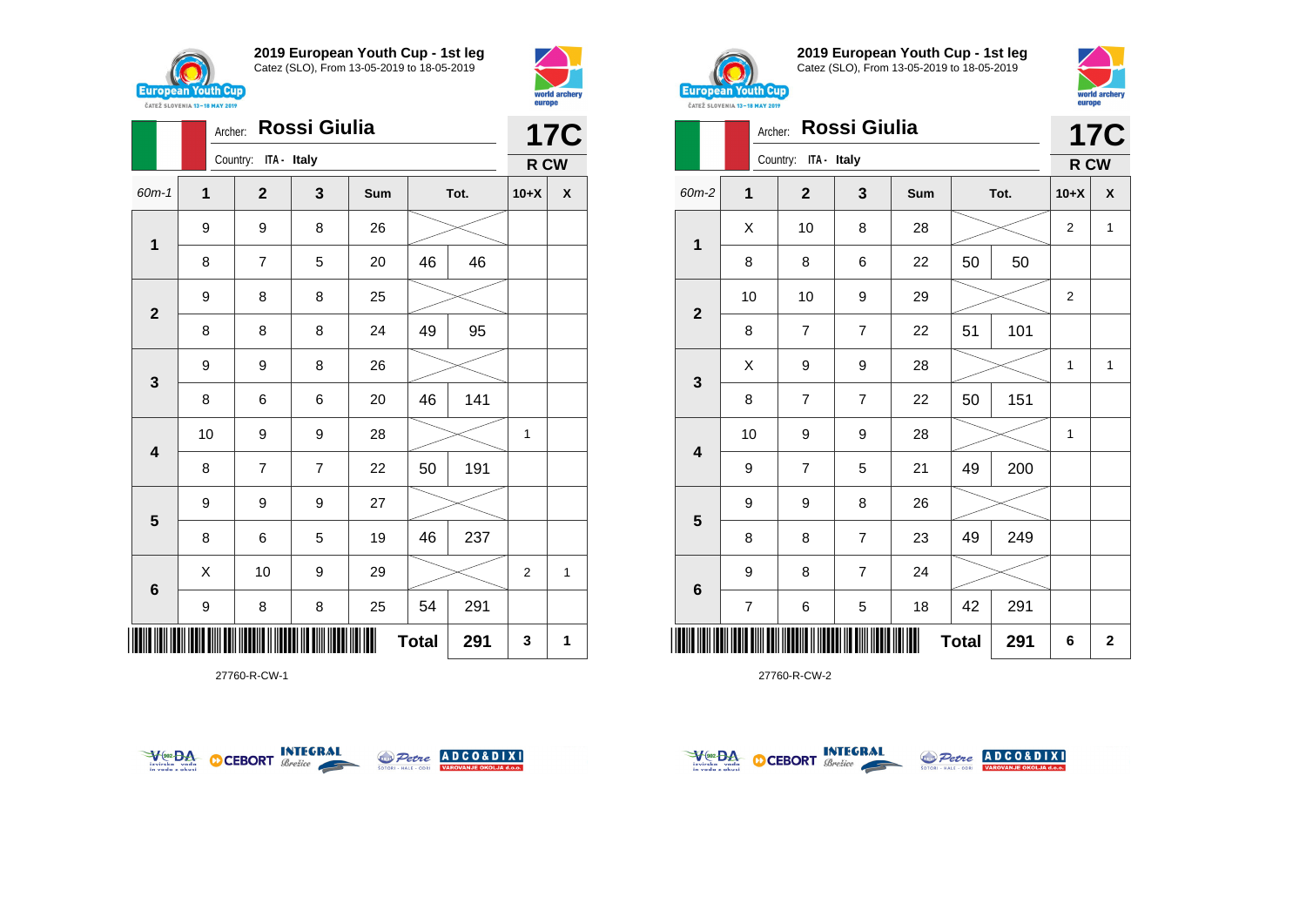





27760-R-CW-1





**2019 European Youth Cup - 1st leg** Catez (SLO), From 13-05-2019 to 18-05-2019



|                         | <b><i>UAIEL SLUVERIA 13"10 MAI 4017</i></b> |                      |                |     |              |      |                |              |
|-------------------------|---------------------------------------------|----------------------|----------------|-----|--------------|------|----------------|--------------|
|                         | Archer:                                     |                      | Rossi Giulia   |     |              |      |                | <b>17C</b>   |
|                         |                                             | Country: ITA - Italy |                |     |              |      | R CW           |              |
| 60m-2                   | 1                                           | $\mathbf 2$          | 3              | Sum |              | Tot. | $10+X$         | X            |
|                         | X                                           | 10                   | 8              | 28  |              |      | $\overline{2}$ | $\mathbf{1}$ |
| 1                       | 8                                           | 8                    | 6              | 22  | 50           | 50   |                |              |
|                         | 10                                          | 10                   | 9              | 29  |              |      | $\overline{2}$ |              |
| $\mathbf{2}$            | 8                                           | $\overline{7}$       | $\overline{7}$ | 22  | 51           | 101  |                |              |
|                         | X                                           | 9                    | 9              | 28  |              |      | 1              | $\mathbf{1}$ |
| 3                       | 8                                           | $\overline{7}$       | $\overline{7}$ | 22  | 50           | 151  |                |              |
|                         | 10                                          | 9                    | 9              | 28  |              |      | 1              |              |
| $\overline{\mathbf{4}}$ | 9                                           | 7                    | 5              | 21  | 49           | 200  |                |              |
|                         | 9                                           | 9                    | 8              | 26  |              |      |                |              |
| 5                       | 8                                           | 8                    | $\overline{7}$ | 23  | 49           | 249  |                |              |
|                         | 9                                           | 8                    | $\overline{7}$ | 24  |              |      |                |              |
| 6                       | $\overline{\mathcal{I}}$                    | 6                    | 5              | 18  | 42           | 291  |                |              |
|                         |                                             |                      |                |     | <b>Total</b> | 291  | 6              | $\mathbf 2$  |



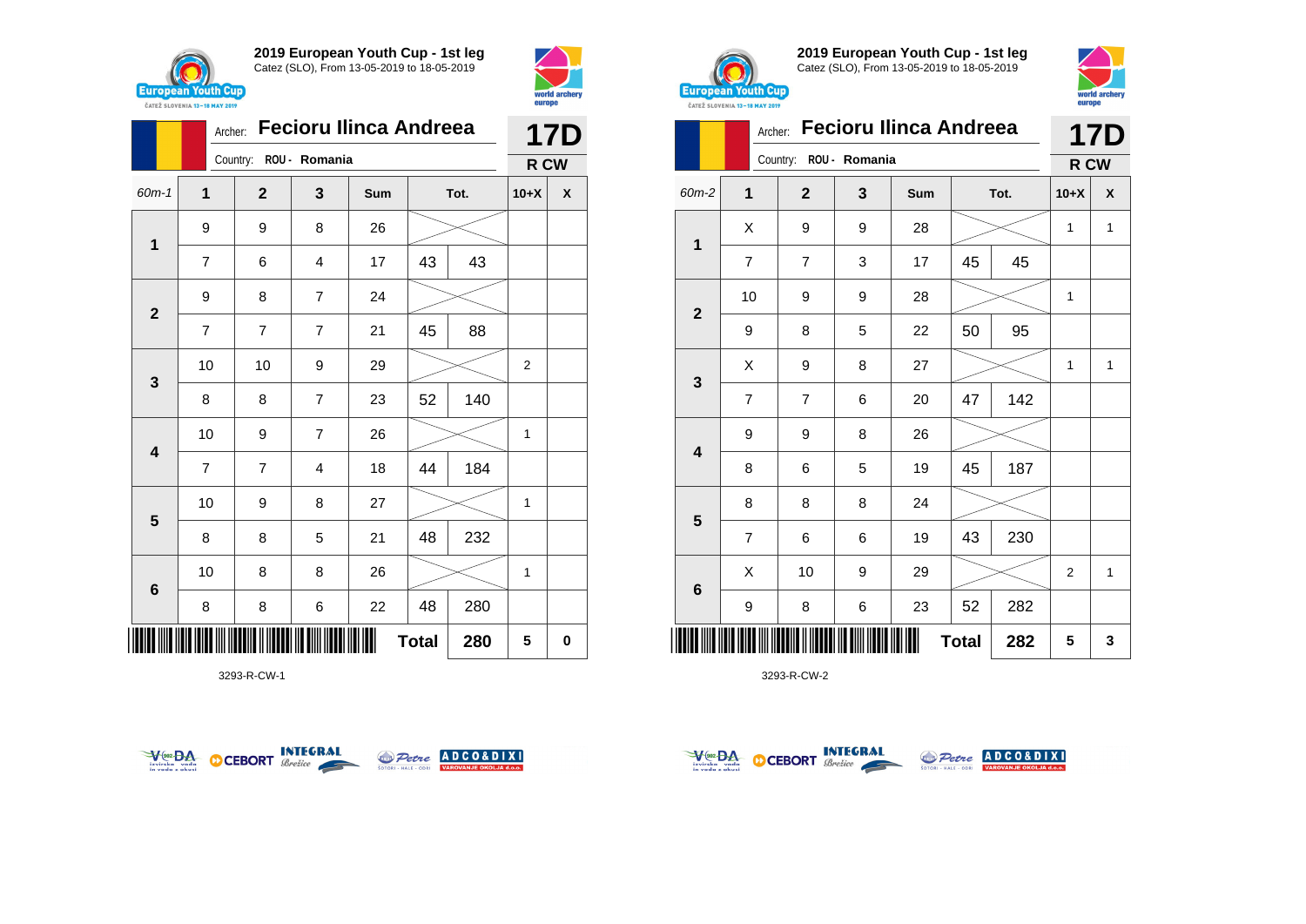



|                         |                | <b>Fecioru Ilinca Andreea</b><br>Archer: |                |     | <b>17D</b>   |      |                |                    |
|-------------------------|----------------|------------------------------------------|----------------|-----|--------------|------|----------------|--------------------|
|                         |                | Country: ROU - Romania                   |                |     |              |      | R CW           |                    |
| $60m-1$                 | $\mathbf{1}$   | $\mathbf{2}$                             | 3              | Sum |              | Tot. | $10+X$         | $\pmb{\mathsf{X}}$ |
|                         | 9              | 9                                        | 8              | 26  |              |      |                |                    |
| 1                       | $\overline{7}$ | 6                                        | $\overline{4}$ | 17  | 43           | 43   |                |                    |
| $\overline{\mathbf{2}}$ | 9              | 8                                        | $\overline{7}$ | 24  |              |      |                |                    |
|                         | $\overline{7}$ | 7                                        | $\overline{7}$ | 21  | 45           | 88   |                |                    |
| $\mathbf{3}$            | 10             | 10                                       | 9              | 29  |              |      | $\overline{2}$ |                    |
|                         | 8              | 8                                        | $\overline{7}$ | 23  | 52           | 140  |                |                    |
| $\overline{\mathbf{4}}$ | 10             | 9                                        | $\overline{7}$ | 26  |              |      | 1              |                    |
|                         | $\overline{7}$ | 7                                        | $\overline{4}$ | 18  | 44           | 184  |                |                    |
| $5\phantom{1}$          | 10             | 9                                        | 8              | 27  |              |      | 1              |                    |
|                         | 8              | 8                                        | 5              | 21  | 48           | 232  |                |                    |
| $\bf 6$                 | 10             | 8                                        | 8              | 26  |              |      | 1              |                    |
|                         | 8              | 8                                        | 6              | 22  | 48           | 280  |                |                    |
|                         |                |                                          |                |     | <b>Total</b> | 280  | 5              | 0                  |

3293-R-CW-1





**2019 European Youth Cup - 1st leg** Catez (SLO), From 13-05-2019 to 18-05-2019



|                | CATEZ SLOVENIA 13-18 MAY 2019 |                |               |                               |              |      | <b>DATOPO</b> |              |
|----------------|-------------------------------|----------------|---------------|-------------------------------|--------------|------|---------------|--------------|
|                | Archer:                       |                |               | <b>Fecioru Ilinca Andreea</b> |              |      |               | 17D          |
|                |                               | Country:       | ROU - Romania |                               |              |      | R CW          |              |
| 60m-2          | 1                             | $\mathbf{2}$   | 3             | Sum                           |              | Tot. | $10+X$        | X            |
| 1              | X                             | 9              | 9             | 28                            |              |      | 1             | $\mathbf{1}$ |
|                | $\overline{7}$                | $\overline{7}$ | 3             | 17                            | 45           | 45   |               |              |
| $\overline{2}$ | 10                            | 9              | 9             | 28                            |              |      | 1             |              |
|                | 9                             | 8              | 5             | 22                            | 50           | 95   |               |              |
| 3              | Χ                             | 9              | 8             | 27                            |              |      | 1             | $\mathbf{1}$ |
|                | $\overline{7}$                | $\overline{7}$ | 6             | 20                            | 47           | 142  |               |              |
| 4              | 9                             | 9              | 8             | 26                            |              |      |               |              |
|                | 8                             | 6              | 5             | 19                            | 45           | 187  |               |              |
|                | 8                             | 8              | 8             | 24                            |              |      |               |              |
| 5              | $\overline{7}$                | 6              | 6             | 19                            | 43           | 230  |               |              |
|                | X                             | 10             | 9             | 29                            |              |      | 2             | $\mathbf{1}$ |
| $\bf 6$        | 9                             | 8              | 6             | 23                            | 52           | 282  |               |              |
|                |                               |                |               |                               | <b>Total</b> | 282  | 5             | 3            |



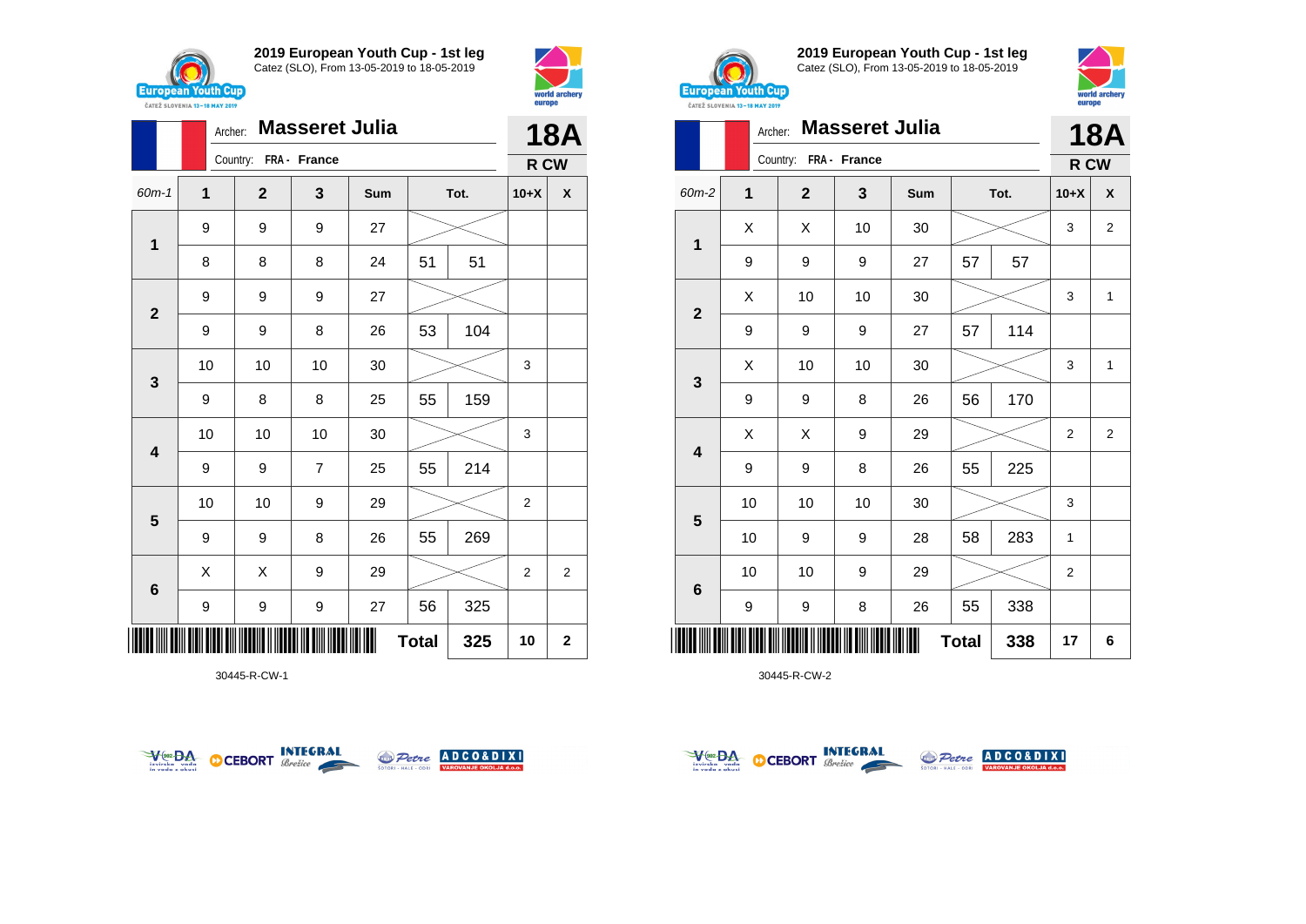



|                         |   | Archer: |                       | <b>Masseret Julia</b> |     |              |      |                | <b>18A</b>     |
|-------------------------|---|---------|-----------------------|-----------------------|-----|--------------|------|----------------|----------------|
|                         |   |         | Country: FRA - France |                       |     |              |      | R CW           |                |
| 60m-1                   | 1 |         | $\mathbf{2}$          | 3                     | Sum |              | Tot. | $10+X$         | X              |
| $\mathbf 1$             | 9 |         | 9                     | 9                     | 27  |              |      |                |                |
|                         |   | 8       | 8                     | 8                     | 24  | 51           | 51   |                |                |
| $\mathbf{2}$            |   | 9       | 9                     | 9                     | 27  |              |      |                |                |
|                         |   | 9       | 9                     | 8                     | 26  | 53           | 104  |                |                |
| $\mathbf{3}$            |   | 10      | 10                    | 10                    | 30  |              |      | 3              |                |
|                         |   | 9       | 8                     | 8                     | 25  | 55           | 159  |                |                |
| $\overline{\mathbf{4}}$ |   | 10      | 10                    | 10                    | 30  |              |      | 3              |                |
|                         |   | 9       | 9                     | $\overline{7}$        | 25  | 55           | 214  |                |                |
| $\overline{\mathbf{5}}$ |   | 10      | 10                    | 9                     | 29  |              |      | $\overline{2}$ |                |
|                         |   | 9       | 9                     | 8                     | 26  | 55           | 269  |                |                |
| $\bf 6$                 |   | X       | X                     | 9                     | 29  |              |      | $\overline{2}$ | $\overline{2}$ |
|                         |   | 9       | 9                     | 9                     | 27  | 56           | 325  |                |                |
|                         |   |         |                       |                       |     | <b>Total</b> | 325  | 10             | $\mathbf 2$    |

30445-R-CW-1





**2019 European Youth Cup - 1st leg** Catez (SLO), From 13-05-2019 to 18-05-2019



|                | Archer: |                       | <b>Masseret Julia</b> |     |              |      |                | <b>18A</b>     |
|----------------|---------|-----------------------|-----------------------|-----|--------------|------|----------------|----------------|
|                |         | Country: FRA - France |                       |     |              |      | R CW           |                |
| 60m-2          | 1       | $\overline{2}$        | 3                     | Sum |              | Tot. | $10+X$         | X              |
|                | X       | X                     | 10                    | 30  |              |      | 3              | $\overline{2}$ |
| 1              | 9       | 9                     | 9                     | 27  | 57           | 57   |                |                |
| $\overline{2}$ | X       | 10                    | 10                    | 30  |              |      | 3              | 1              |
|                | 9       | 9                     | 9                     | 27  | 57           | 114  |                |                |
|                | X       | 10                    | 10                    | 30  |              |      | 3              | $\mathbf{1}$   |
| 3              | 9       | 9                     | 8                     | 26  | 56           | 170  |                |                |
| 4              | X       | X                     | 9                     | 29  |              |      | $\overline{2}$ | $\overline{2}$ |
|                | 9       | 9                     | 8                     | 26  | 55           | 225  |                |                |
|                | 10      | 10                    | 10                    | 30  |              |      | 3              |                |
| 5              | 10      | 9                     | 9                     | 28  | 58           | 283  | 1              |                |
|                | 10      | 10                    | 9                     | 29  |              |      | 2              |                |
| 6              | 9       | 9                     | 8                     | 26  | 55           | 338  |                |                |
| Ⅲ              |         |                       |                       |     | <b>Total</b> | 338  | 17             | 6              |



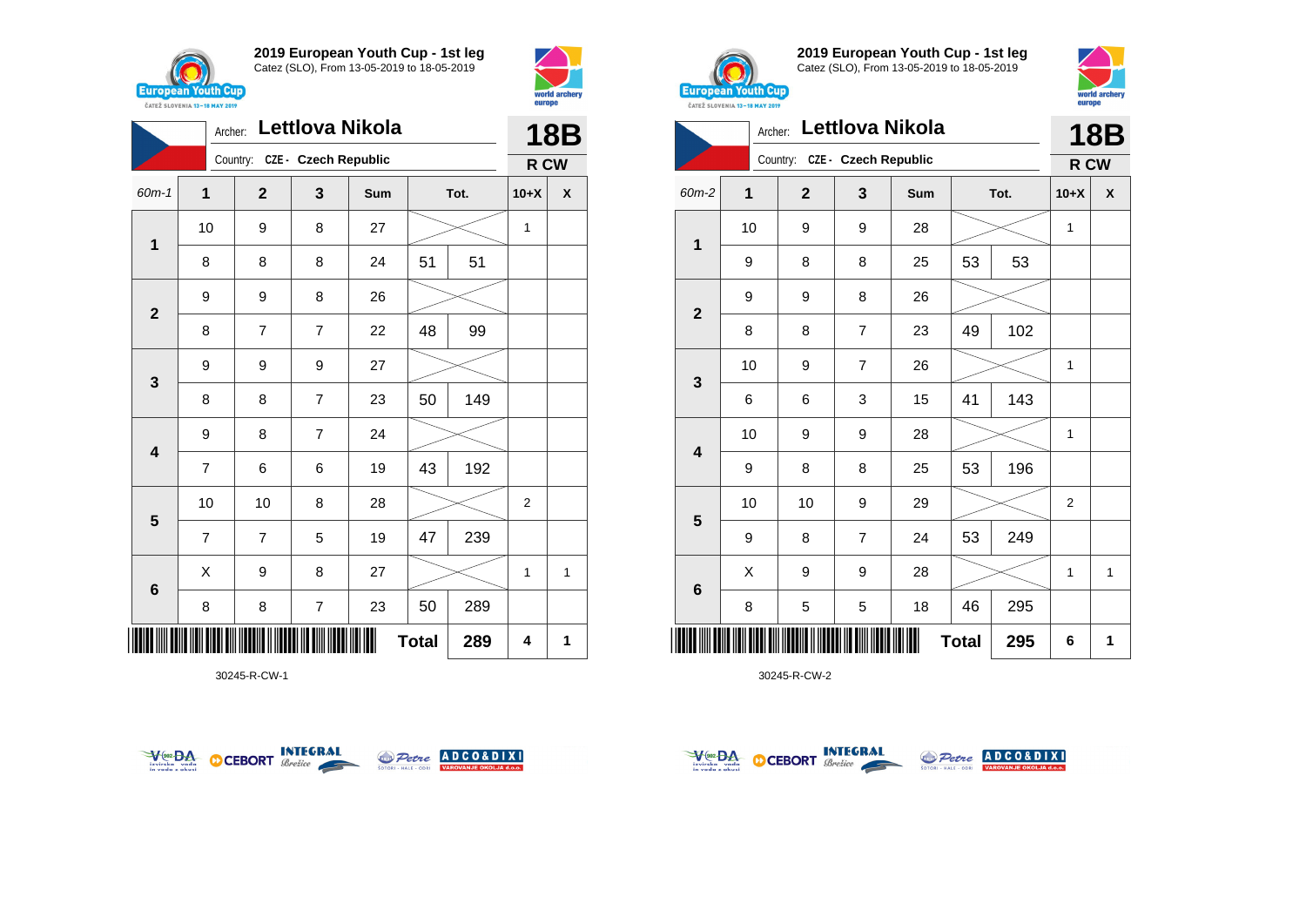



|                                                                                                      | Archer:        |                               | Lettlova Nikola |     |    |     |                | <b>18B</b> |
|------------------------------------------------------------------------------------------------------|----------------|-------------------------------|-----------------|-----|----|-----|----------------|------------|
|                                                                                                      |                | Country: CZE - Czech Republic |                 |     |    |     | R CW           |            |
| 60m-1                                                                                                | $\mathbf 1$    | $\mathbf{2}$                  | 3               | Sum |    |     | $10+X$         | χ          |
|                                                                                                      | 10             | 9                             | 8               | 27  |    |     | 1              |            |
|                                                                                                      | 8              | 8                             | 8               | 24  | 51 | 51  |                |            |
|                                                                                                      | 9              | 9                             | 8               | 26  |    |     |                |            |
|                                                                                                      | 8              | 7                             | $\overline{7}$  | 22  | 48 | 99  |                |            |
|                                                                                                      | 9              | 9                             | 9               | 27  |    |     |                |            |
|                                                                                                      | 8              | 8                             | $\overline{7}$  | 23  | 50 | 149 |                |            |
|                                                                                                      | 9              | 8                             | 7               | 24  |    |     |                |            |
|                                                                                                      | $\overline{7}$ | 6                             | 6               | 19  | 43 | 192 |                |            |
|                                                                                                      | 10             | 10                            | 8               | 28  |    |     | $\overline{2}$ |            |
|                                                                                                      | $\overline{7}$ | 7                             | 5               | 19  | 47 | 239 |                |            |
|                                                                                                      | X              | 9                             | 8               | 27  |    |     | 1              | 1          |
|                                                                                                      | 8              | 8                             | $\overline{7}$  | 23  | 50 | 289 |                |            |
| Tot.<br>$\mathbf 1$<br>$\mathbf{2}$<br>3<br>4<br>$5\phantom{1}$<br>6<br>IIIII<br><b>Total</b><br>289 |                |                               |                 |     |    |     | 4              | 1          |

30245-R-CW-1





**2019 European Youth Cup - 1st leg** Catez (SLO), From 13-05-2019 to 18-05-2019



|                 | Archer:        |                               | Lettlova Nikola |     |              |      |                | 18B          |
|-----------------|----------------|-------------------------------|-----------------|-----|--------------|------|----------------|--------------|
|                 |                | Country: CZE - Czech Republic |                 |     |              |      | R CW           |              |
| 60m-2           | $\overline{1}$ | $\overline{2}$                | 3               | Sum |              | Tot. | $10+X$         | X            |
| 1               | 10             | 9                             | 9               | 28  |              |      | 1              |              |
|                 | 9              | 8                             | 8               | 25  | 53           | 53   |                |              |
| $\overline{2}$  | 9              | 9                             | 8               | 26  |              |      |                |              |
|                 | 8              | 8                             | $\overline{7}$  | 23  | 49           | 102  |                |              |
| 3               | 10             | 9                             | $\overline{7}$  | 26  |              |      | 1              |              |
|                 | 6              | 6                             | 3               | 15  | 41           | 143  |                |              |
| 4               | 10             | 9                             | 9               | 28  |              |      | 1              |              |
|                 | 9              | 8                             | 8               | 25  | 53           | 196  |                |              |
| $5\phantom{1}$  | 10             | 10                            | 9               | 29  |              |      | $\overline{2}$ |              |
|                 | 9              | 8                             | $\overline{7}$  | 24  | 53           | 249  |                |              |
| $6\phantom{1}6$ | Χ              | 9                             | 9               | 28  |              |      | 1              | $\mathbf{1}$ |
|                 | 8              | 5                             | 5               | 18  | 46           | 295  |                |              |
|                 |                |                               |                 |     | <b>Total</b> | 295  | 6              | 1            |



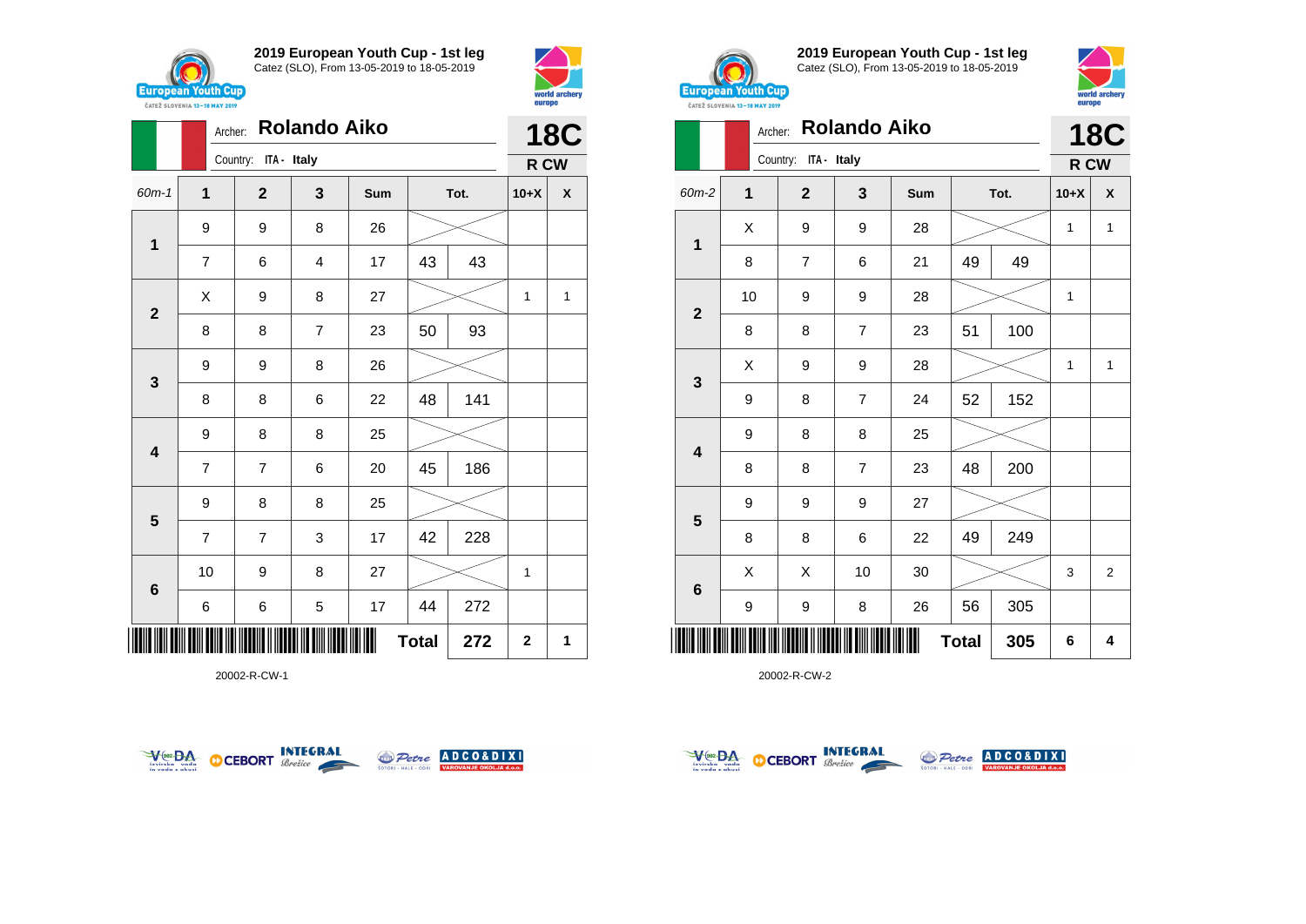



|                         | Archer:        |                         |                | <b>18C</b> |              |      |             |              |
|-------------------------|----------------|-------------------------|----------------|------------|--------------|------|-------------|--------------|
|                         |                | ITA - Italy<br>Country: |                |            |              |      | R CW        |              |
| $60m-1$                 | $\mathbf 1$    | $\mathbf{2}$            | 3              | Sum        |              | Tot. | $10+X$      | X            |
| $\mathbf 1$             | 9              | 9                       | 8              | 26         |              |      |             |              |
|                         | $\overline{7}$ | 6                       | 4              | 17         | 43           | 43   |             |              |
| $\overline{2}$          | X              | 9                       | 8              | 27         |              |      | 1           | $\mathbf{1}$ |
|                         | 8              | 8                       | $\overline{7}$ | 23         | 50           | 93   |             |              |
| $\mathbf{3}$            | 9              | 9                       | 8              | 26         |              |      |             |              |
|                         | 8              | 8                       | 6              | 22         | 48           | 141  |             |              |
| $\overline{\mathbf{4}}$ | 9              | 8                       | 8              | 25         |              |      |             |              |
|                         | $\overline{7}$ | $\overline{7}$          | 6              | 20         | 45           | 186  |             |              |
| 5                       | 9              | 8                       | 8              | 25         |              |      |             |              |
|                         | $\overline{7}$ | $\overline{7}$          | 3              | 17         | 42           | 228  |             |              |
| $6\phantom{1}6$         | 10             | 9                       | 8              | 27         |              |      | 1           |              |
|                         | 6              | 6                       | 5              | 17         | 44           | 272  |             |              |
| III                     |                |                         |                |            | <b>Total</b> | 272  | $\mathbf 2$ | 1            |

20002-R-CW-1





**2019 European Youth Cup - 1st leg** Catez (SLO), From 13-05-2019 to 18-05-2019



world archer

|                | <b>CATEZ SLOVENIA 13-18 MAY 2019</b> |                         |                     |     |              |      | <b>DALPD</b> |                |
|----------------|--------------------------------------|-------------------------|---------------------|-----|--------------|------|--------------|----------------|
|                | Archer:                              |                         | <b>Rolando Aiko</b> |     |              |      |              | <b>18C</b>     |
|                |                                      | Country:<br>ITA - Italy |                     |     |              |      | R CW         |                |
| 60m-2          | $\mathbf{1}$                         | $\mathbf{2}$            | 3                   | Sum |              | Tot. | $10+X$       | X              |
| 1              | X                                    | 9                       | 9                   | 28  |              |      | $\mathbf{1}$ | $\mathbf{1}$   |
|                | 8                                    | 7                       | 6                   | 21  | 49           | 49   |              |                |
| $\overline{2}$ | 10                                   | 9                       | 9                   | 28  |              |      | $\mathbf{1}$ |                |
|                | 8                                    | 8                       | $\overline{7}$      | 23  | 51           | 100  |              |                |
|                | Χ                                    | 9                       | 9                   | 28  |              |      | 1            | 1              |
| 3              | 9                                    | 8                       | $\overline{7}$      | 24  | 52           | 152  |              |                |
| 4              | 9                                    | 8                       | 8                   | 25  |              |      |              |                |
|                | 8                                    | 8                       | $\overline{7}$      | 23  | 48           | 200  |              |                |
|                | 9                                    | 9                       | 9                   | 27  |              |      |              |                |
| 5              | 8                                    | 8                       | 6                   | 22  | 49           | 249  |              |                |
|                | Χ                                    | X                       | 10                  | 30  |              |      | 3            | $\overline{2}$ |
| $6\phantom{1}$ | 9                                    | 9                       | 8                   | 26  | 56           | 305  |              |                |
| Ⅲ              |                                      |                         |                     |     | <b>Total</b> | 305  | 6            | 4              |



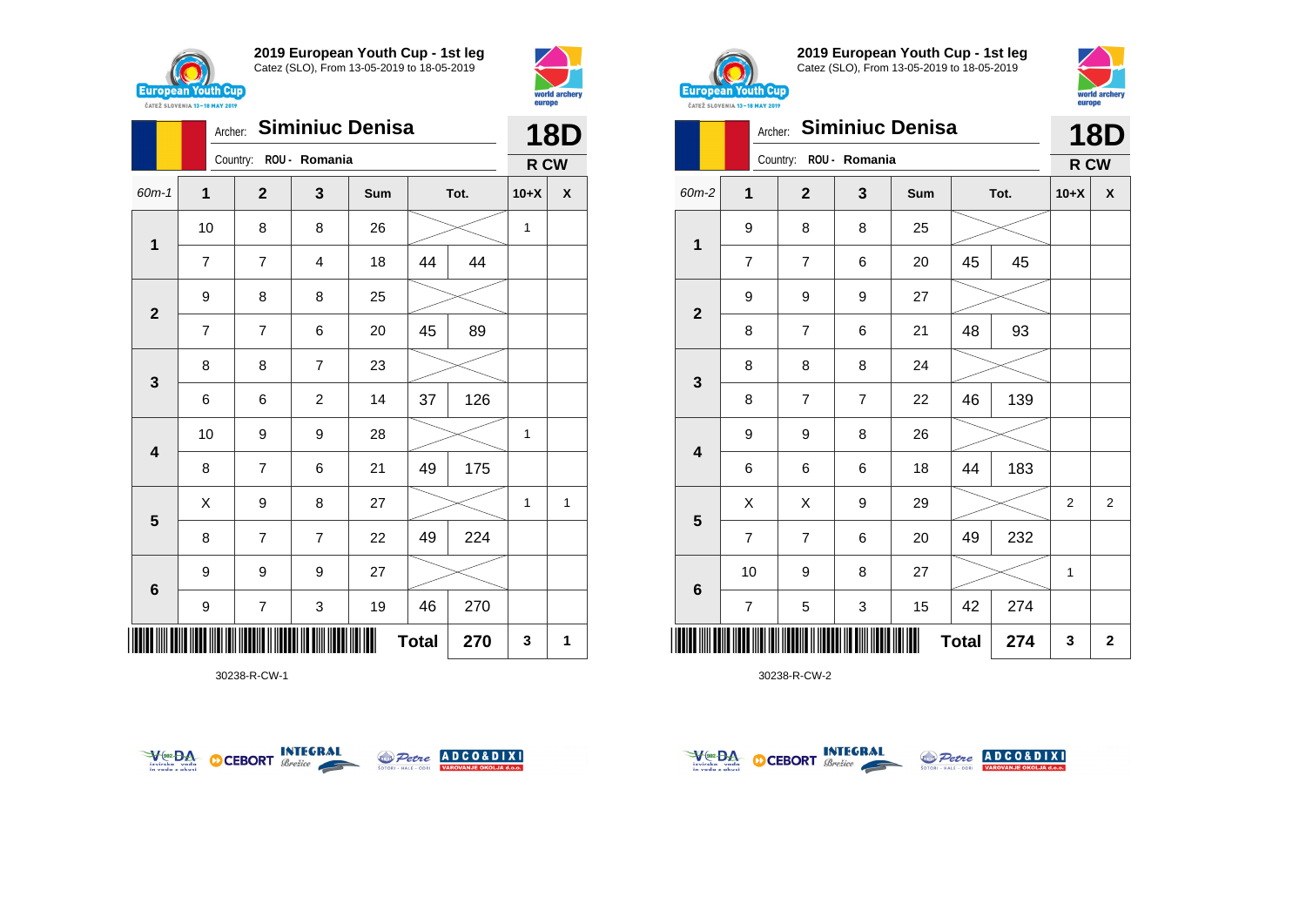



|                         | Archer:        | <b>Siminiuc Denisa</b> |                | <b>18D</b> |              |      |              |              |
|-------------------------|----------------|------------------------|----------------|------------|--------------|------|--------------|--------------|
|                         |                | Country: ROU - Romania |                |            |              |      | R CW         |              |
| $60m - 1$               | $\mathbf{1}$   | $\mathbf{2}$           | 3              | Sum        |              | Tot. | $10+X$       | X            |
| 1                       | 10             | 8                      | 8              | 26         |              |      | 1            |              |
|                         | $\overline{7}$ | $\overline{7}$         | 4              | 18         | 44           | 44   |              |              |
| $\overline{2}$          | 9              | 8                      | 8              | 25         |              |      |              |              |
|                         | $\overline{7}$ | 7                      | 6              | 20         | 45           | 89   |              |              |
| $\mathbf{3}$            | 8              | 8                      | $\overline{7}$ | 23         |              |      |              |              |
|                         | 6              | 6                      | $\overline{c}$ | 14         | 37           | 126  |              |              |
| $\overline{\mathbf{4}}$ | 10             | 9                      | 9              | 28         |              |      | 1            |              |
|                         | 8              | $\overline{7}$         | 6              | 21         | 49           | 175  |              |              |
| $5\phantom{1}$          | X              | 9                      | 8              | 27         |              |      | $\mathbf{1}$ | $\mathbf{1}$ |
|                         | 8              | $\overline{7}$         | $\overline{7}$ | 22         | 49           | 224  |              |              |
| $\bf 6$                 | 9              | 9                      | 9              | 27         |              |      |              |              |
|                         | 9              | 7                      | 3              | 19         | 46           | 270  |              |              |
| ║║║                     |                |                        |                |            | <b>Total</b> | 270  | 3            | 1            |

30238-R-CW-1





**2019 European Youth Cup - 1st leg** Catez (SLO), From 13-05-2019 to 18-05-2019



|                         | Archer:        |                        |                | <b>Siminiuc Denisa</b> |              |      |                | <b>18D</b>     |
|-------------------------|----------------|------------------------|----------------|------------------------|--------------|------|----------------|----------------|
|                         |                | Country: ROU - Romania |                |                        |              |      | R CW           |                |
| 60m-2                   | $\mathbf{1}$   | $\overline{2}$         | 3              | Sum                    |              | Tot. | $10+X$         | X              |
| $\mathbf 1$             | 9              | 8                      | 8              | 25                     |              |      |                |                |
|                         | $\overline{7}$ | $\overline{7}$         | 6              | 20                     | 45           | 45   |                |                |
| $\overline{2}$          | 9              | 9                      | 9              | 27                     |              |      |                |                |
|                         | 8              | 7                      | 6              | 21                     | 48           | 93   |                |                |
|                         | 8              | 8                      | 8              | 24                     |              |      |                |                |
| $\mathbf 3$             | 8              | 7                      | $\overline{7}$ | 22                     | 46           | 139  |                |                |
| $\overline{\mathbf{4}}$ | 9              | 9                      | 8              | 26                     |              |      |                |                |
|                         | 6              | 6                      | 6              | 18                     | 44           | 183  |                |                |
| $5\phantom{1}$          | X              | Χ                      | 9              | 29                     |              |      | $\overline{2}$ | $\overline{2}$ |
|                         | $\overline{7}$ | $\overline{7}$         | 6              | 20                     | 49           | 232  |                |                |
|                         | 10             | 9                      | 8              | 27                     |              |      | 1              |                |
| $\bf 6$                 | $\overline{7}$ | 5                      | 3              | 15                     | 42           | 274  |                |                |
|                         |                |                        |                |                        | <b>Total</b> | 274  | 3              | $\mathbf 2$    |



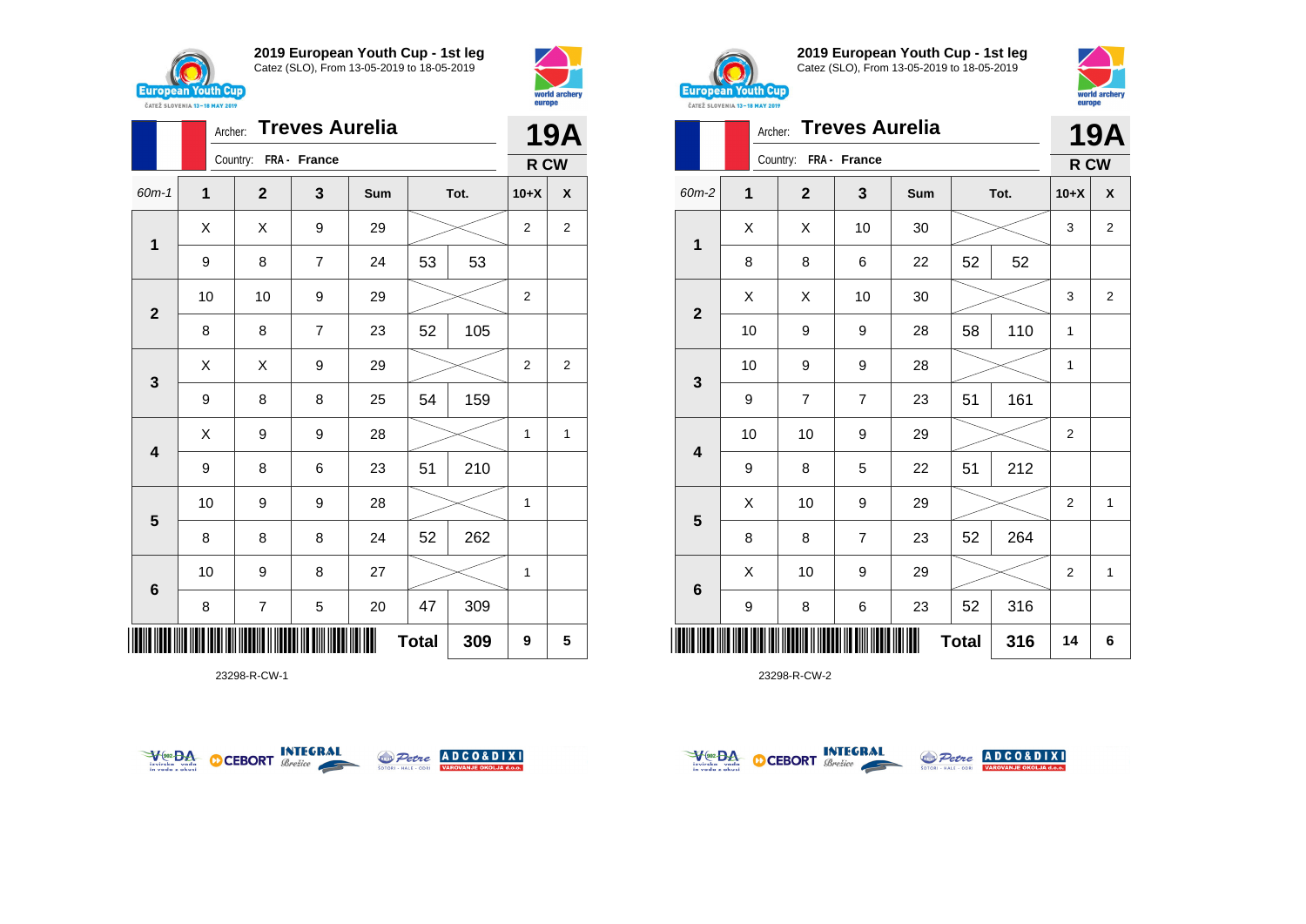



|                         | Archer:     | <b>Treves Aurelia</b> |                |     | <b>19A</b>   |      |                |                |
|-------------------------|-------------|-----------------------|----------------|-----|--------------|------|----------------|----------------|
|                         |             | Country: FRA - France |                |     |              |      | R CW           |                |
| 60m-1                   | $\mathbf 1$ | $\mathbf 2$           | 3              | Sum |              | Tot. | $10+X$         | χ              |
| $\mathbf 1$             | X           | X                     | 9              | 29  |              |      | $\overline{2}$ | $\overline{2}$ |
|                         | 9           | 8                     | $\overline{7}$ | 24  | 53           | 53   |                |                |
| $\mathbf{2}$            | 10          | 10                    | 9              | 29  |              |      | 2              |                |
|                         | 8           | 8                     | $\overline{7}$ | 23  | 52           | 105  |                |                |
| $\mathbf{3}$            | Χ           | X                     | 9              | 29  |              |      | 2              | 2              |
|                         | 9           | 8                     | 8              | 25  | 54           | 159  |                |                |
| $\overline{\mathbf{4}}$ | Χ           | 9                     | 9              | 28  |              |      | 1              | 1              |
|                         | 9           | 8                     | 6              | 23  | 51           | 210  |                |                |
| $5\phantom{1}$          | 10          | 9                     | 9              | 28  |              |      | 1              |                |
|                         | 8           | 8                     | 8              | 24  | 52           | 262  |                |                |
| $\bf 6$                 | 10          | 9                     | 8              | 27  |              |      | 1              |                |
|                         | 8           | 7                     | 5              | 20  | 47           | 309  |                |                |
| ║║║                     |             |                       |                |     | <b>Total</b> | 309  | 9              | 5              |

23298-R-CW-1





**2019 European Youth Cup - 1st leg** Catez (SLO), From 13-05-2019 to 18-05-2019



|                | Archer: |                       | <b>Treves Aurelia</b> |     |              |      |                | 19A            |
|----------------|---------|-----------------------|-----------------------|-----|--------------|------|----------------|----------------|
|                |         | Country: FRA - France |                       |     |              |      | R CW           |                |
| 60m-2          | 1       | $\overline{2}$        | 3                     | Sum |              | Tot. | $10+X$         | X              |
| 1              | X       | X                     | 10                    | 30  |              |      | 3              | $\overline{2}$ |
|                | 8       | 8                     | 6                     | 22  | 52           | 52   |                |                |
| $\overline{2}$ | X       | X                     | 10                    | 30  |              |      | 3              | $\overline{c}$ |
|                | 10      | 9                     | 9                     | 28  | 58           | 110  | 1              |                |
| 3              | 10      | 9                     | 9                     | 28  |              |      | 1              |                |
|                | 9       | $\overline{7}$        | 7                     | 23  | 51           | 161  |                |                |
| 4              | 10      | 10                    | 9                     | 29  |              |      | 2              |                |
|                | 9       | 8                     | 5                     | 22  | 51           | 212  |                |                |
| 5              | Χ       | 10                    | 9                     | 29  |              |      | $\overline{2}$ | $\mathbf{1}$   |
|                | 8       | 8                     | $\overline{7}$        | 23  | 52           | 264  |                |                |
| $\bf 6$        | X       | 10                    | 9                     | 29  |              |      | 2              | $\mathbf{1}$   |
|                | 9       | 8                     | 6                     | 23  | 52           | 316  |                |                |
| Ш              |         |                       |                       |     | <b>Total</b> | 316  | 14             | 6              |



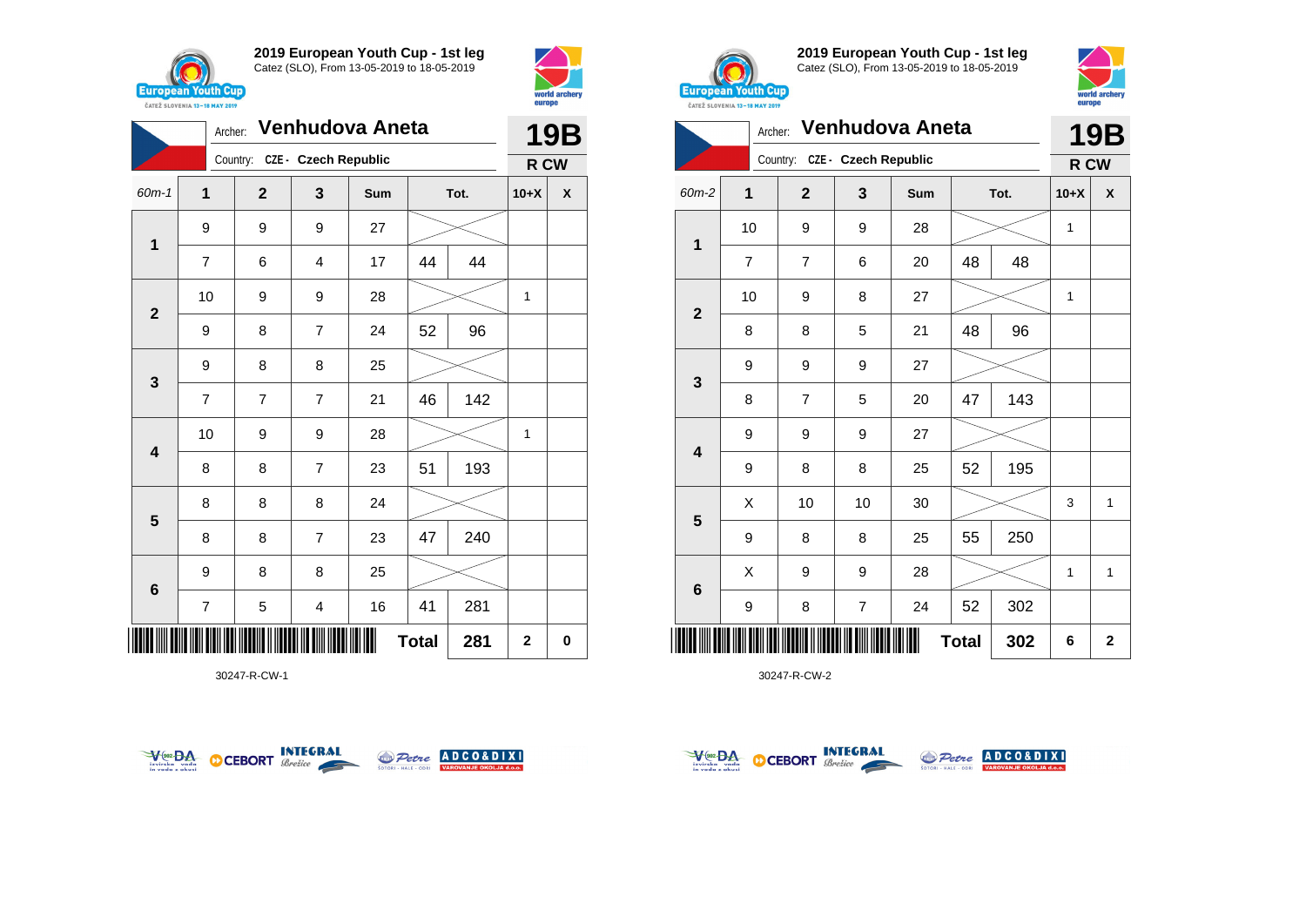



|                |                | Venhudova Aneta<br>Archer:    |                |     | <b>19B</b>   |      |             |                    |
|----------------|----------------|-------------------------------|----------------|-----|--------------|------|-------------|--------------------|
|                |                | Country: CZE - Czech Republic |                |     |              |      | R CW        |                    |
| 60m-1          | $\mathbf 1$    | $\mathbf 2$                   | 3              | Sum |              | Tot. | $10+X$      | $\pmb{\mathsf{X}}$ |
| $\mathbf 1$    | 9              | 9                             | 9              | 27  |              |      |             |                    |
|                | 7              | 6                             | 4              | 17  | 44           | 44   |             |                    |
| $\mathbf{2}$   | 10             | 9                             | 9              | 28  |              |      | 1           |                    |
|                | 9              | 8                             | $\overline{7}$ | 24  | 52           | 96   |             |                    |
| 3              | 9              | 8                             | 8              | 25  |              |      |             |                    |
|                | $\overline{7}$ | $\overline{7}$                | $\overline{7}$ | 21  | 46           | 142  |             |                    |
| 4              | 10             | 9                             | 9              | 28  |              |      | 1           |                    |
|                | 8              | 8                             | $\overline{7}$ | 23  | 51           | 193  |             |                    |
| $5\phantom{1}$ | 8              | 8                             | 8              | 24  |              |      |             |                    |
|                | 8              | 8                             | $\overline{7}$ | 23  | 47           | 240  |             |                    |
| 6              | 9              | 8                             | 8              | 25  |              |      |             |                    |
|                | 7              | 5                             | 4              | 16  | 41           | 281  |             |                    |
| ║║║            |                |                               |                |     | <b>Total</b> | 281  | $\mathbf 2$ | $\bf{0}$           |

30247-R-CW-1





**2019 European Youth Cup - 1st leg** Catez (SLO), From 13-05-2019 to 18-05-2019



|              | Venhudova Aneta<br>Archer: |                |                             |     |              |      |        | <b>19B</b>  |
|--------------|----------------------------|----------------|-----------------------------|-----|--------------|------|--------|-------------|
|              |                            | Country:       | <b>CZE - Czech Republic</b> |     |              |      | R CW   |             |
| 60m-2        | 1                          | $\overline{2}$ | 3                           | Sum |              | Tot. | $10+X$ | X           |
| $\mathbf 1$  | 10                         | 9              | 9                           | 28  |              |      | 1      |             |
|              | $\overline{7}$             | $\overline{7}$ | 6                           | 20  | 48           | 48   |        |             |
|              | 10                         | 9              | 8                           | 27  |              |      | 1      |             |
| $\mathbf{2}$ | 8                          | 8              | 5                           | 21  | 48           | 96   |        |             |
| 3            | 9                          | 9              | 9                           | 27  |              |      |        |             |
|              | 8                          | $\overline{7}$ | 5                           | 20  | 47           | 143  |        |             |
| 4            | 9                          | 9              | 9                           | 27  |              |      |        |             |
|              | 9                          | 8              | 8                           | 25  | 52           | 195  |        |             |
| 5            | X                          | 10             | 10                          | 30  |              |      | 3      | 1           |
|              | 9                          | 8              | 8                           | 25  | 55           | 250  |        |             |
| 6            | X                          | 9              | 9                           | 28  |              |      | 1      | 1           |
|              | 9                          | 8              | $\overline{7}$              | 24  | 52           | 302  |        |             |
|              |                            |                |                             |     | <b>Total</b> | 302  | 6      | $\mathbf 2$ |



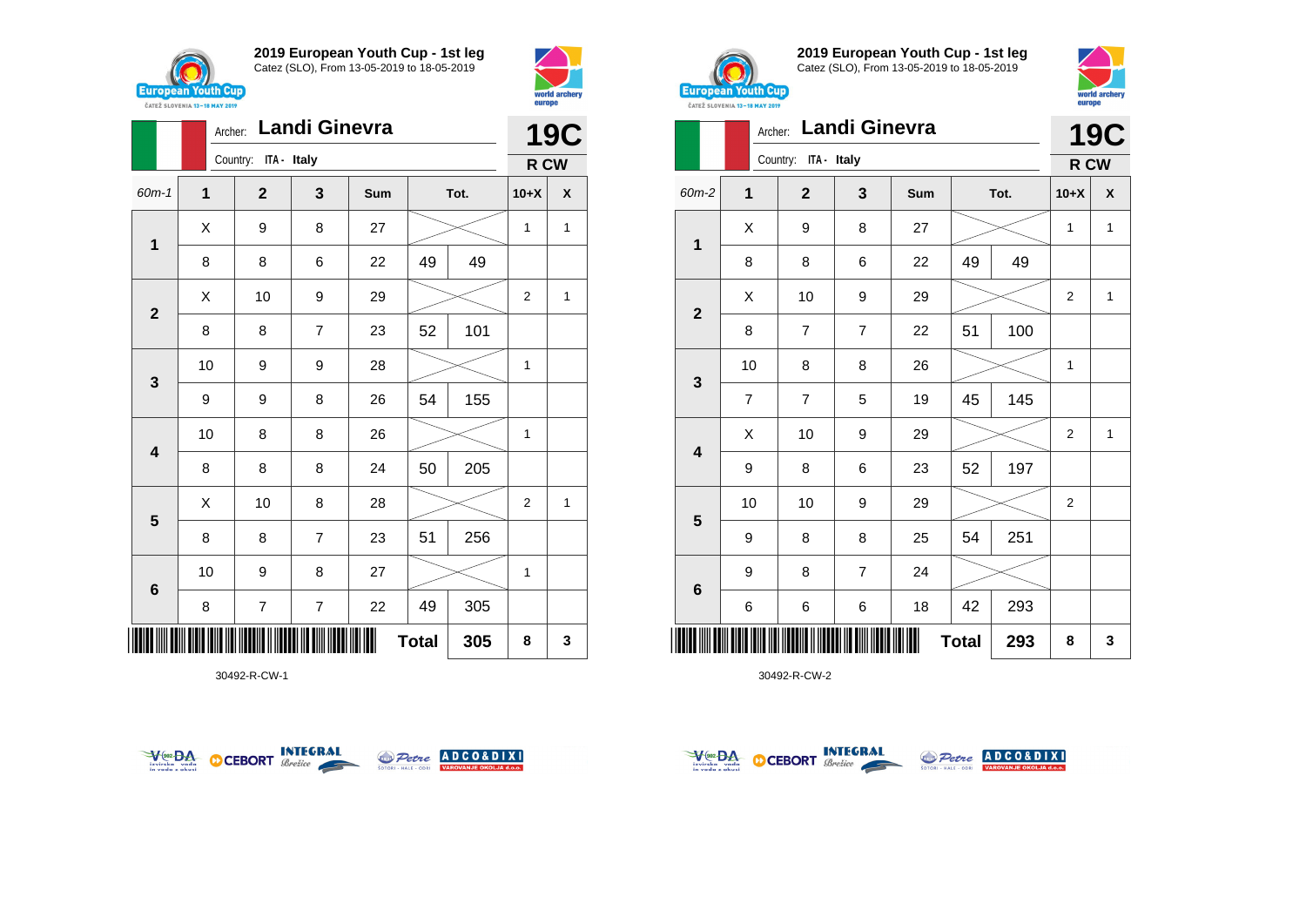



|                         |    | Archer: |                      |                | <b>19C</b> |              |      |                |              |
|-------------------------|----|---------|----------------------|----------------|------------|--------------|------|----------------|--------------|
|                         |    |         | Country: ITA - Italy |                |            |              |      | R CW           |              |
| 60m-1                   | 1  |         | $\mathbf{2}$         | 3              | Sum        |              | Tot. | $10+X$         | X            |
| $\mathbf 1$             | X  |         | 9                    | 8              | 27         |              |      | 1              | $\mathbf{1}$ |
|                         | 8  |         | 8                    | 6              | 22         | 49           | 49   |                |              |
| $\mathbf{2}$            | X  |         | 10                   | 9              | 29         |              |      | $\overline{2}$ | 1            |
|                         | 8  |         | 8                    | $\overline{7}$ | 23         | 52           | 101  |                |              |
| $\mathbf{3}$            | 10 |         | 9                    | 9              | 28         |              |      | 1              |              |
|                         | 9  |         | 9                    | 8              | 26         | 54           | 155  |                |              |
| $\overline{\mathbf{4}}$ | 10 |         | 8                    | 8              | 26         |              |      | 1              |              |
|                         | 8  |         | 8                    | 8              | 24         | 50           | 205  |                |              |
| $\overline{\mathbf{5}}$ | X  |         | 10                   | 8              | 28         |              |      | $\overline{2}$ | 1            |
|                         | 8  |         | 8                    | $\overline{7}$ | 23         | 51           | 256  |                |              |
| $\bf 6$                 | 10 |         | 9                    | 8              | 27         |              |      | 1              |              |
|                         | 8  |         | 7                    | 7              | 22         | 49           | 305  |                |              |
| IIIII IIII              |    |         |                      |                |            | <b>Total</b> | 305  | 8              | 3            |

30492-R-CW-1





**2019 European Youth Cup - 1st leg** Catez (SLO), From 13-05-2019 to 18-05-2019



|                         | Archer:        |                         | <b>Landi Ginevra</b> |     |              |      |                | <b>19C</b> |
|-------------------------|----------------|-------------------------|----------------------|-----|--------------|------|----------------|------------|
|                         |                | ITA - Italy<br>Country: |                      |     |              |      | R CW           |            |
| 60m-2                   | $\mathbf{1}$   | $\overline{2}$          | 3                    | Sum |              | Tot. | $10+X$         | X          |
|                         | Χ              | 9                       | 8                    | 27  |              |      | $\mathbf{1}$   | 1          |
| 1                       | 8              | 8                       | 6                    | 22  | 49           | 49   |                |            |
|                         | Χ              | 10                      | 9                    | 29  |              |      | $\overline{2}$ | 1          |
| $\mathbf{2}$            | 8              | 7                       | $\overline{7}$       | 22  | 51           | 100  |                |            |
|                         | 10             | 8                       | 8                    | 26  |              |      | $\mathbf{1}$   |            |
| 3                       | $\overline{7}$ | $\overline{7}$          | 5                    | 19  | 45           | 145  |                |            |
| $\overline{\mathbf{4}}$ | Χ              | 10                      | 9                    | 29  |              |      | 2              | 1          |
|                         | 9              | 8                       | 6                    | 23  | 52           | 197  |                |            |
|                         | 10             | 10                      | 9                    | 29  |              |      | $\overline{2}$ |            |
| 5                       | 9              | 8                       | 8                    | 25  | 54           | 251  |                |            |
|                         | 9              | 8                       | $\overline{7}$       | 24  |              |      |                |            |
| 6                       | 6              | 6                       | 6                    | 18  | 42           | 293  |                |            |
| ║║║                     |                |                         |                      |     | <b>Total</b> | 293  | 8              | 3          |



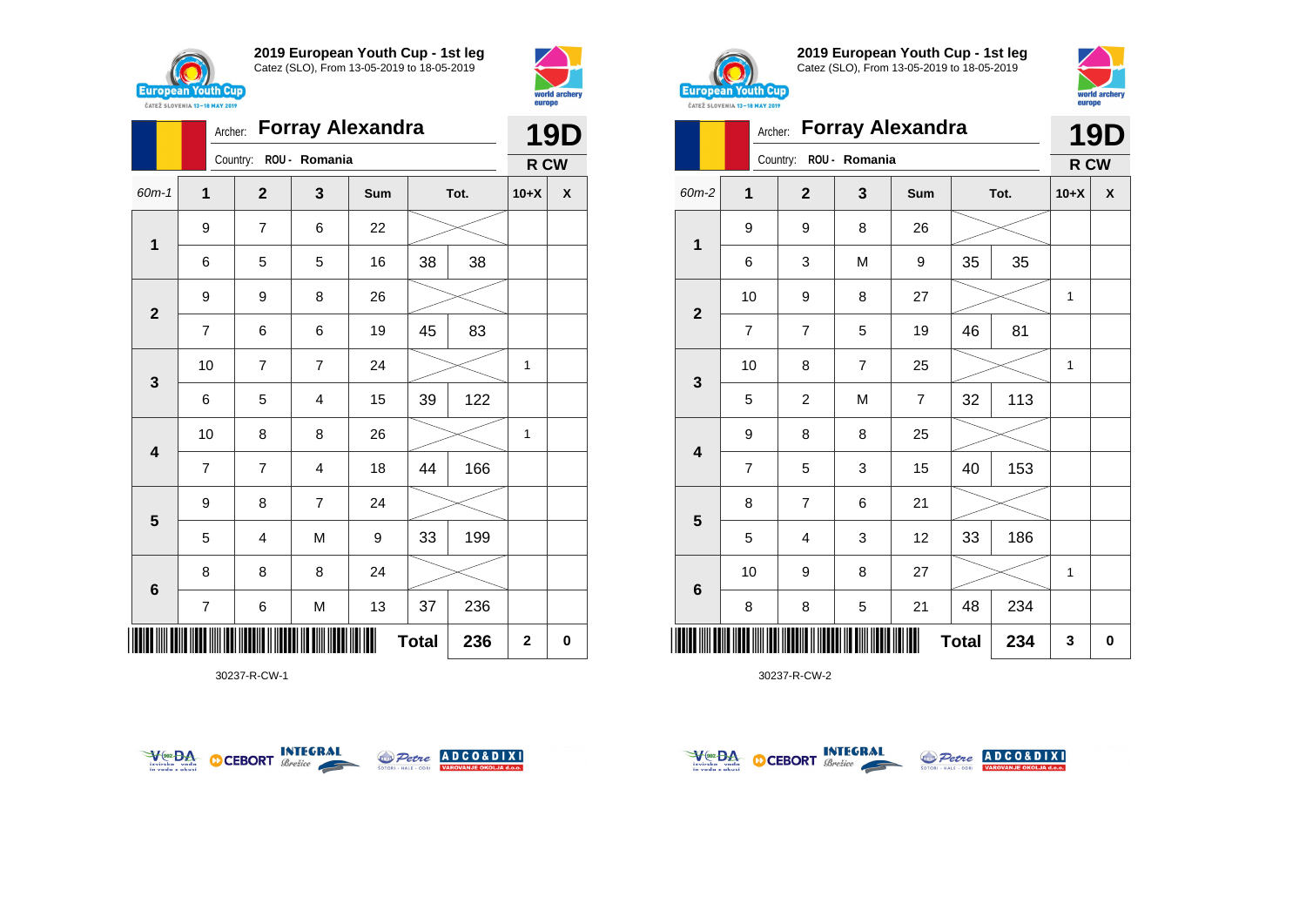



|                         |                         | Archer: | <b>Forray Alexandra</b> |                |     | <b>19D</b>   |      |                |   |
|-------------------------|-------------------------|---------|-------------------------|----------------|-----|--------------|------|----------------|---|
|                         |                         |         | Country:                | ROU - Romania  |     |              |      | R CW           |   |
| $60m - 1$               | $\mathbf{1}$            |         | $\mathbf{2}$            | 3              | Sum |              | Tot. | $10+X$         | X |
| $\mathbf 1$             | 9                       |         | $\overline{7}$          | 6              | 22  |              |      |                |   |
|                         | 6                       |         | 5                       | 5              | 16  | 38           | 38   |                |   |
| $\mathbf{2}$            | 9                       |         | 9                       | 8              | 26  |              |      |                |   |
|                         | $\overline{7}$          |         | 6                       | 6              | 19  | 45           | 83   |                |   |
| $\mathbf{3}$            |                         | 10      | $\overline{7}$          | 7              | 24  |              |      | 1              |   |
|                         | 6                       |         | 5                       | 4              | 15  | 39           | 122  |                |   |
| $\overline{\mathbf{4}}$ |                         | 10      | 8                       | 8              | 26  |              |      | 1              |   |
|                         | $\overline{7}$          |         | $\overline{7}$          | 4              | 18  | 44           | 166  |                |   |
| $5\phantom{1}$          | 9                       |         | 8                       | $\overline{7}$ | 24  |              |      |                |   |
|                         | 5                       |         | $\overline{4}$          | M              | 9   | 33           | 199  |                |   |
| $\bf 6$                 | 8                       |         | 8                       | 8              | 24  |              |      |                |   |
|                         | $\overline{\mathbf{7}}$ |         | 6                       | M              | 13  | 37           | 236  |                |   |
|                         |                         |         |                         |                |     | <b>Total</b> | 236  | $\overline{2}$ | 0 |

30237-R-CW-1





**2019 European Youth Cup - 1st leg** Catez (SLO), From 13-05-2019 to 18-05-2019



|                         |                |                |               | Archer: Forray Alexandra |              |      | <b>19D</b> |           |
|-------------------------|----------------|----------------|---------------|--------------------------|--------------|------|------------|-----------|
|                         |                | Country:       | ROU - Romania |                          |              |      | R CW       |           |
| 60m-2                   | 1              | $\overline{2}$ | 3             | Sum                      |              | Tot. | $10+X$     | X         |
| 1                       | 9              | 9              | 8             | 26                       |              |      |            |           |
|                         | 6              | 3              | M             | 9                        | 35           | 35   |            |           |
| $\mathbf{2}$            | 10             | 9              | 8             | 27                       |              |      | 1          |           |
|                         | $\overline{7}$ | $\overline{7}$ | 5             | 19                       | 46           | 81   |            |           |
| 3                       | 10             | 8              | 7             | 25                       |              |      | 1          |           |
|                         | 5              | $\overline{c}$ | M             | $\overline{7}$           | 32           | 113  |            |           |
| $\overline{\mathbf{4}}$ | 9              | 8              | 8             | 25                       |              |      |            |           |
|                         | $\overline{7}$ | 5              | 3             | 15                       | 40           | 153  |            |           |
| $\overline{\mathbf{5}}$ | 8              | $\overline{7}$ | 6             | 21                       |              |      |            |           |
|                         | 5              | 4              | 3             | 12                       | 33           | 186  |            |           |
|                         | 10             | 9              | 8             | 27                       |              |      | 1          |           |
| 6                       | 8              | 8              | 5             | 21                       | 48           | 234  |            |           |
| ║║║                     |                |                |               |                          | <b>Total</b> | 234  | 3          | $\pmb{0}$ |



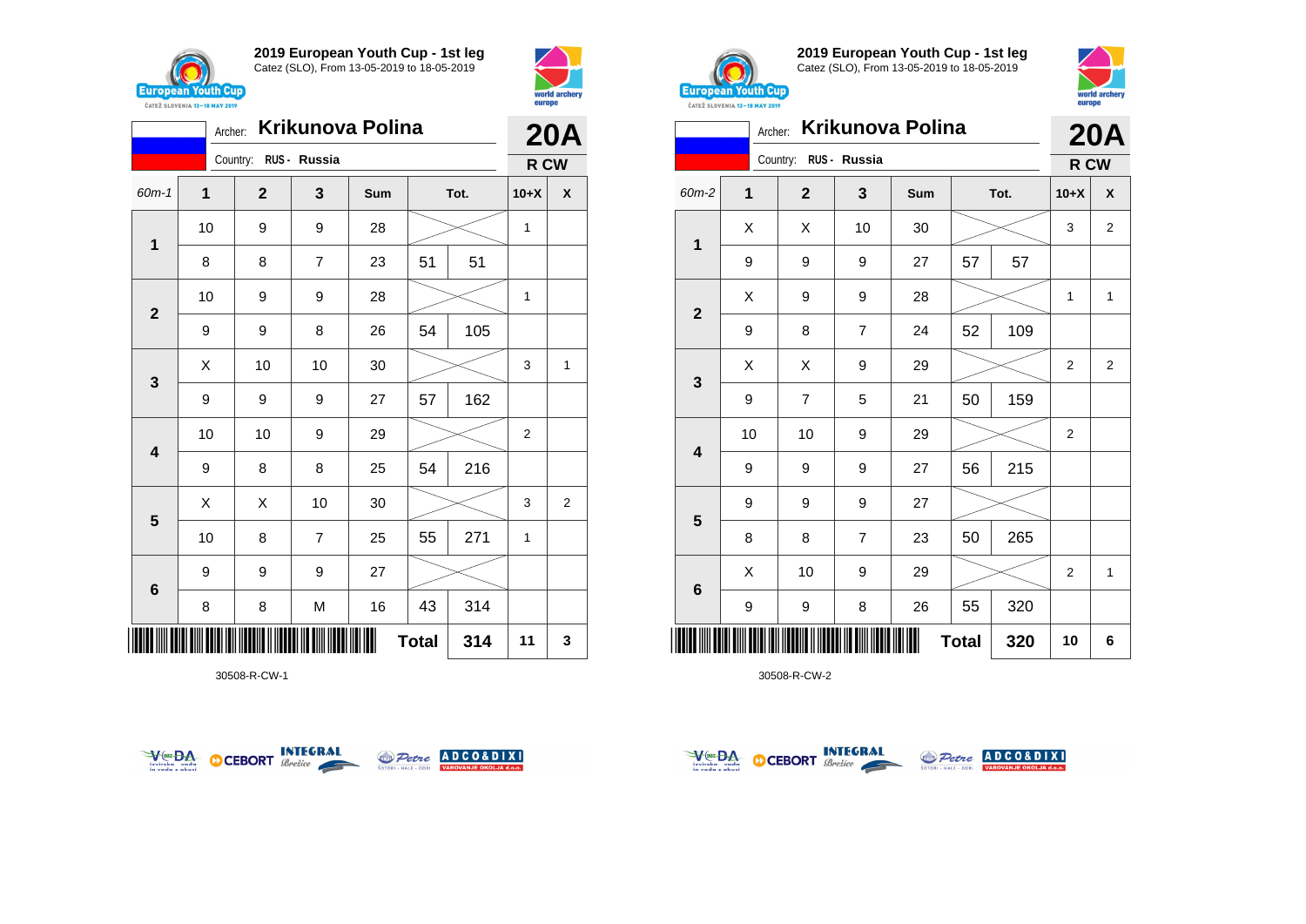



|                         |             | <b>20A</b>            |                |     |              |      |        |                |
|-------------------------|-------------|-----------------------|----------------|-----|--------------|------|--------|----------------|
|                         |             | Country: RUS - Russia |                |     |              |      | R CW   |                |
| $60m - 1$               | $\mathbf 1$ | $\mathbf{2}$          | 3              | Sum |              | Tot. | $10+X$ | X              |
| $\mathbf 1$             | 10          | 9                     | 9              | 28  |              |      | 1      |                |
|                         | 8           | 8                     | $\overline{7}$ | 23  | 51           | 51   |        |                |
| $\overline{2}$          | 10          | 9                     | 9              | 28  |              |      | 1      |                |
|                         | 9           | 9                     | 8              | 26  | 54           | 105  |        |                |
| $\mathbf{3}$            | X           | 10                    | 10             | 30  |              |      | 3      | 1              |
|                         | 9           | 9                     | 9              | 27  | 57           | 162  |        |                |
| $\overline{\mathbf{4}}$ | 10          | 10                    | 9              | 29  |              |      | 2      |                |
|                         | 9           | 8                     | 8              | 25  | 54           | 216  |        |                |
| 5                       | X           | X                     | 10             | 30  |              |      | 3      | $\overline{2}$ |
|                         | 10          | 8                     | $\overline{7}$ | 25  | 55           | 271  | 1      |                |
| $6\phantom{1}6$         | 9           | 9                     | 9              | 27  |              |      |        |                |
|                         | 8           | 8                     | M              | 16  | 43           | 314  |        |                |
| ║║                      |             |                       |                |     | <b>Total</b> | 314  | 11     | 3              |

30508-R-CW-1





**2019 European Youth Cup - 1st leg** Catez (SLO), From 13-05-2019 to 18-05-2019



| <b>CAILL SLUVENIA 13-18 MAY ZUIY</b> |             |                       |                |     |      |     |                |                         |  |
|--------------------------------------|-------------|-----------------------|----------------|-----|------|-----|----------------|-------------------------|--|
| <b>Krikunova Polina</b><br>Archer:   |             |                       |                |     |      |     | <b>20A</b>     |                         |  |
|                                      |             | Country: RUS - Russia |                |     |      |     |                | R CW                    |  |
| 60m-2                                | $\mathbf 1$ | $\overline{2}$        | 3              | Sum | Tot. |     | $10+X$         | X                       |  |
| 1                                    | Χ           | X                     | 10             | 30  |      |     | 3              | $\overline{\mathbf{c}}$ |  |
|                                      | 9           | 9                     | 9              | 27  | 57   | 57  |                |                         |  |
| $\mathbf{2}$                         | X           | 9                     | 9              | 28  |      |     | 1              | $\mathbf{1}$            |  |
|                                      | 9           | 8                     | 7              | 24  | 52   | 109 |                |                         |  |
| 3                                    | X           | X                     | 9              | 29  |      |     | $\overline{2}$ | $\overline{2}$          |  |
|                                      | 9           | $\overline{7}$        | 5              | 21  | 50   | 159 |                |                         |  |
| $\overline{\mathbf{4}}$              | 10          | 10                    | 9              | 29  |      |     | 2              |                         |  |
|                                      | 9           | 9                     | 9              | 27  | 56   | 215 |                |                         |  |
| $\overline{\mathbf{5}}$              | 9           | 9                     | 9              | 27  |      |     |                |                         |  |
|                                      | 8           | 8                     | $\overline{7}$ | 23  | 50   | 265 |                |                         |  |
| $\bf 6$                              | X           | 10                    | 9              | 29  |      |     | $\overline{2}$ | $\mathbf{1}$            |  |
|                                      | 9           | 9                     | 8              | 26  | 55   | 320 |                |                         |  |
| <b>Total</b><br>320<br>║             |             |                       |                |     |      |     | 10             | 6                       |  |



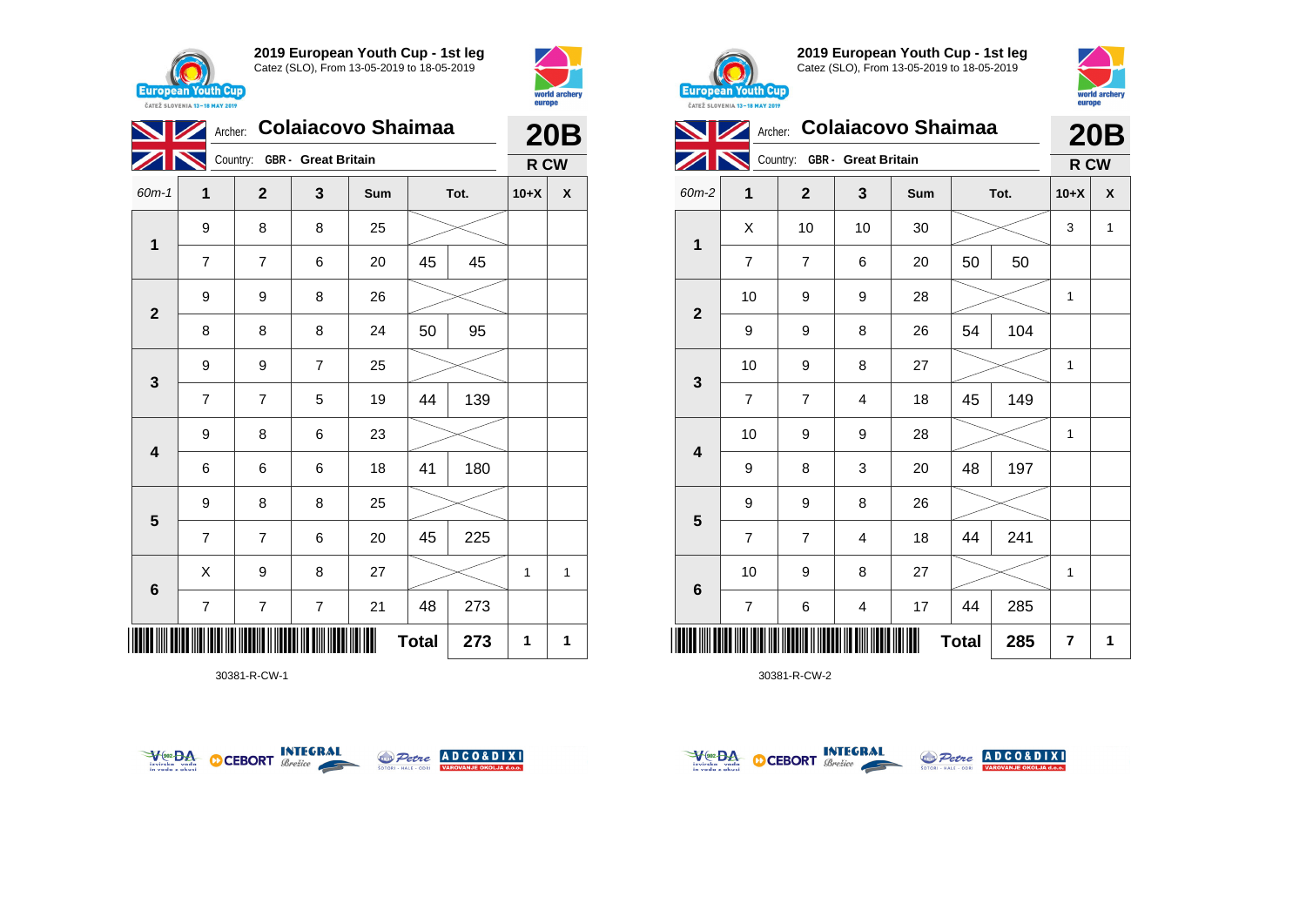



|                         |                     | <b>Colaiacovo Shaimaa</b><br>Archer: |                |     | <b>20B</b> |      |        |   |
|-------------------------|---------------------|--------------------------------------|----------------|-----|------------|------|--------|---|
|                         |                     | Country: GBR - Great Britain         |                |     |            |      | R CW   |   |
| 60m-1                   | 1                   | $\overline{2}$                       | 3              | Sum |            | Tot. | $10+X$ | X |
| 1                       | 9                   | 8                                    | 8              | 25  |            |      |        |   |
|                         | 7                   | $\overline{7}$                       | 6              | 20  | 45         | 45   |        |   |
|                         | 9                   | 9                                    | 8              | 26  |            |      |        |   |
| $\mathbf{2}$            | 8                   | 8                                    | 8              | 24  | 50         | 95   |        |   |
|                         | 9                   | 9                                    | $\overline{7}$ | 25  |            |      |        |   |
| 3                       | $\overline{7}$      | 7                                    | 5              | 19  | 44         | 139  |        |   |
| $\overline{\mathbf{4}}$ | 9                   | 8                                    | 6              | 23  |            |      |        |   |
|                         | 6                   | 6                                    | 6              | 18  | 41         | 180  |        |   |
| $5\phantom{1}$          | 9                   | 8                                    | 8              | 25  |            |      |        |   |
|                         | 7                   | 7                                    | 6              | 20  | 45         | 225  |        |   |
| 6                       | X                   | 9                                    | 8              | 27  |            |      | 1      | 1 |
|                         | 7                   | 7                                    | 7              | 21  | 48         | 273  |        |   |
|                         | <b>Total</b><br>273 |                                      |                |     |            |      |        |   |

30381-R-CW-1





**2019 European Youth Cup - 1st leg** Catez (SLO), From 13-05-2019 to 18-05-2019



|                | Archer: Colaiacovo Shaimaa |                              |    | <b>20B</b> |              |      |                |   |
|----------------|----------------------------|------------------------------|----|------------|--------------|------|----------------|---|
|                |                            | Country: GBR - Great Britain |    |            |              |      | R CW           |   |
| 60m-2          | 1                          | $\mathbf{2}$                 | 3  | Sum        |              | Tot. | $10+X$         | X |
| $\mathbf 1$    | X                          | 10                           | 10 | 30         |              |      | 3              | 1 |
|                | $\overline{7}$             | $\overline{7}$               | 6  | 20         | 50           | 50   |                |   |
| $\overline{2}$ | 10                         | 9                            | 9  | 28         |              |      | 1              |   |
|                | 9                          | 9                            | 8  | 26         | 54           | 104  |                |   |
| 3              | 10                         | 9                            | 8  | 27         |              |      | 1              |   |
|                | $\overline{7}$             | 7                            | 4  | 18         | 45           | 149  |                |   |
| 4              | 10                         | 9                            | 9  | 28         |              |      | 1              |   |
|                | 9                          | 8                            | 3  | 20         | 48           | 197  |                |   |
|                | 9                          | 9                            | 8  | 26         |              |      |                |   |
| 5              | $\overline{7}$             | $\overline{7}$               | 4  | 18         | 44           | 241  |                |   |
|                | 10                         | 9                            | 8  | 27         |              |      | 1              |   |
| 6              | $\overline{7}$             | 6                            | 4  | 17         | 44           | 285  |                |   |
| Ш              |                            |                              |    |            | <b>Total</b> | 285  | $\overline{7}$ | 1 |

30381-R-CW-2



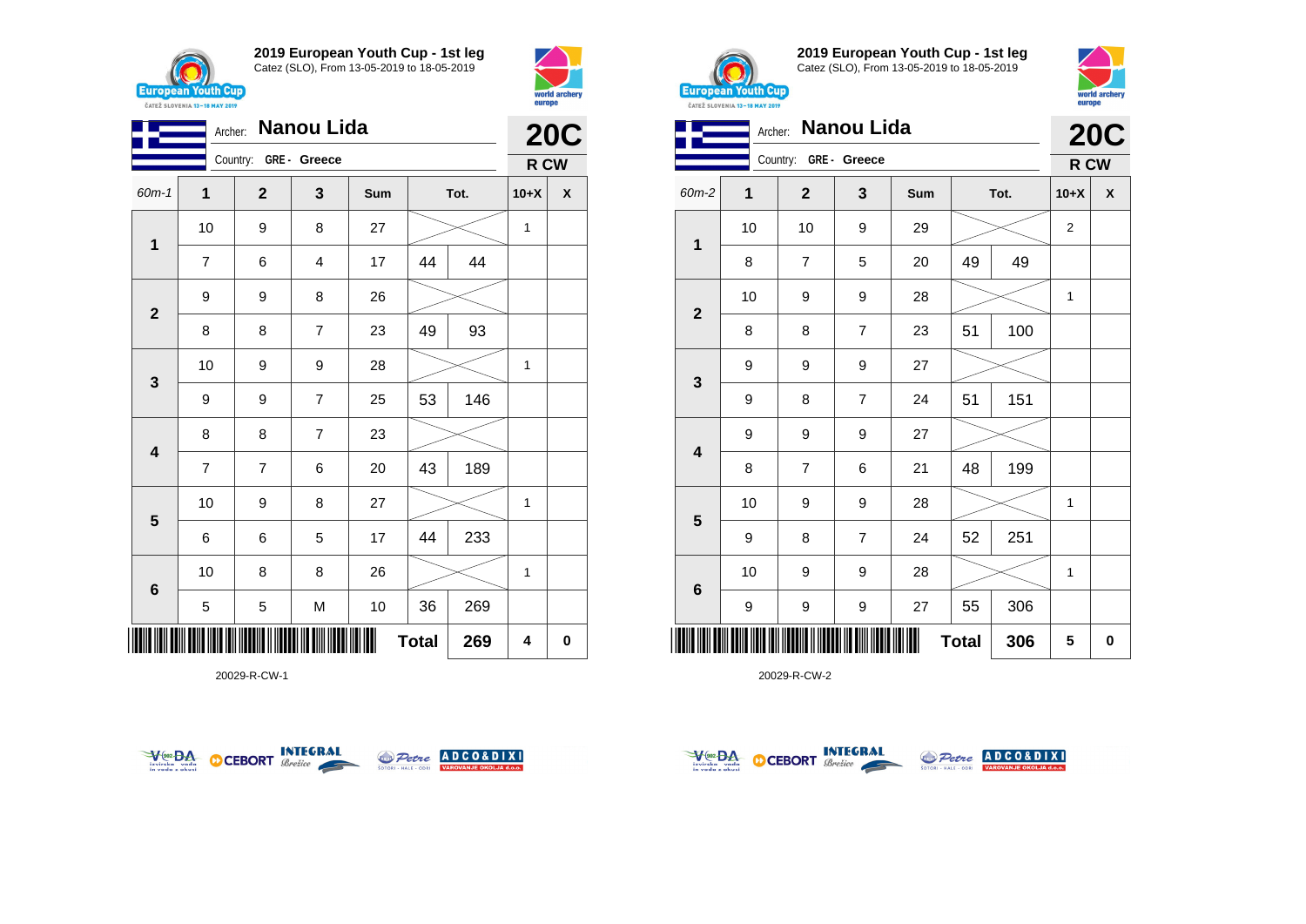



|                         | Nanou Lida<br>Archer: |                       |                |      |              |      |              |            |  |
|-------------------------|-----------------------|-----------------------|----------------|------|--------------|------|--------------|------------|--|
|                         |                       | Country: GRE - Greece |                |      |              |      | R CW         | <b>20C</b> |  |
| $60m-1$                 | 1                     | $\mathbf{2}$          | 3              | Sum  |              | Tot. | $10+X$       | χ          |  |
| $\overline{\mathbf{1}}$ | 10                    | 9                     | 8              | 27   |              |      | $\mathbf{1}$ |            |  |
|                         | 7                     | 6                     | 4              | 17   | 44           | 44   |              |            |  |
| $\mathbf{2}$            | 9                     | 9                     | 8              | 26   |              |      |              |            |  |
|                         | 8                     | 8                     | $\overline{7}$ | 23   | 49           | 93   |              |            |  |
| $\mathbf{3}$            | 10                    | 9                     | 9              | 28   |              |      | 1            |            |  |
|                         | 9                     | 9                     | $\overline{7}$ | 25   | 53           | 146  |              |            |  |
| $\overline{\mathbf{4}}$ | 8                     | 8                     | 7              | 23   |              |      |              |            |  |
|                         | $\overline{7}$        | $\overline{7}$        | 6              | 20   | 43           | 189  |              |            |  |
| 5                       | 10                    | 9                     | 8              | 27   |              |      | $\mathbf{1}$ |            |  |
|                         | 6                     | 6                     | 5              | 17   | 44           | 233  |              |            |  |
| 6                       | 10                    | 8                     | 8              | 26   |              |      | 1            |            |  |
|                         | 5                     | 5                     | M              | $10$ | 36           | 269  |              |            |  |
|                         |                       |                       |                |      | <b>Total</b> | 269  | 4            | 0          |  |

20029-R-CW-1





**2019 European Youth Cup - 1st leg** Catez (SLO), From 13-05-2019 to 18-05-2019



|                         | Nanou Lida<br>Archer:<br>Country: GRE - Greece |                |                |     |              |      |                |          |  |  |
|-------------------------|------------------------------------------------|----------------|----------------|-----|--------------|------|----------------|----------|--|--|
|                         |                                                |                |                |     |              |      | R CW           |          |  |  |
| 60m-2                   | 1                                              | $\mathbf{2}$   | 3              | Sum |              | Tot. | $10+X$         | X        |  |  |
| 1                       | 10                                             | 10             | 9              | 29  |              |      | $\overline{2}$ |          |  |  |
|                         | 8                                              | $\overline{7}$ | 5              | 20  | 49           | 49   |                |          |  |  |
|                         | 10                                             | 9              | 9              | 28  |              |      | 1              |          |  |  |
| $\mathbf{2}$            | 8                                              | 8              | $\overline{7}$ | 23  | 51           | 100  |                |          |  |  |
|                         | 9                                              | 9              | 9              | 27  |              |      |                |          |  |  |
| $\mathbf{3}$            | 9                                              | 8              | $\overline{7}$ | 24  | 51           | 151  |                |          |  |  |
| $\overline{\mathbf{4}}$ | 9                                              | 9              | 9              | 27  |              |      |                |          |  |  |
|                         | 8                                              | 7              | 6              | 21  | 48           | 199  |                |          |  |  |
|                         | 10                                             | 9              | 9              | 28  |              |      | 1              |          |  |  |
| $\overline{\mathbf{5}}$ | 9                                              | 8              | 7              | 24  | 52           | 251  |                |          |  |  |
|                         | 10                                             | 9              | 9              | 28  |              |      | 1              |          |  |  |
| $\bf 6$                 | 9                                              | 9              | 9              | 27  | 55           | 306  |                |          |  |  |
| ║║║                     |                                                |                |                |     | <b>Total</b> | 306  | 5              | $\bf{0}$ |  |  |

20029-R-CW-2



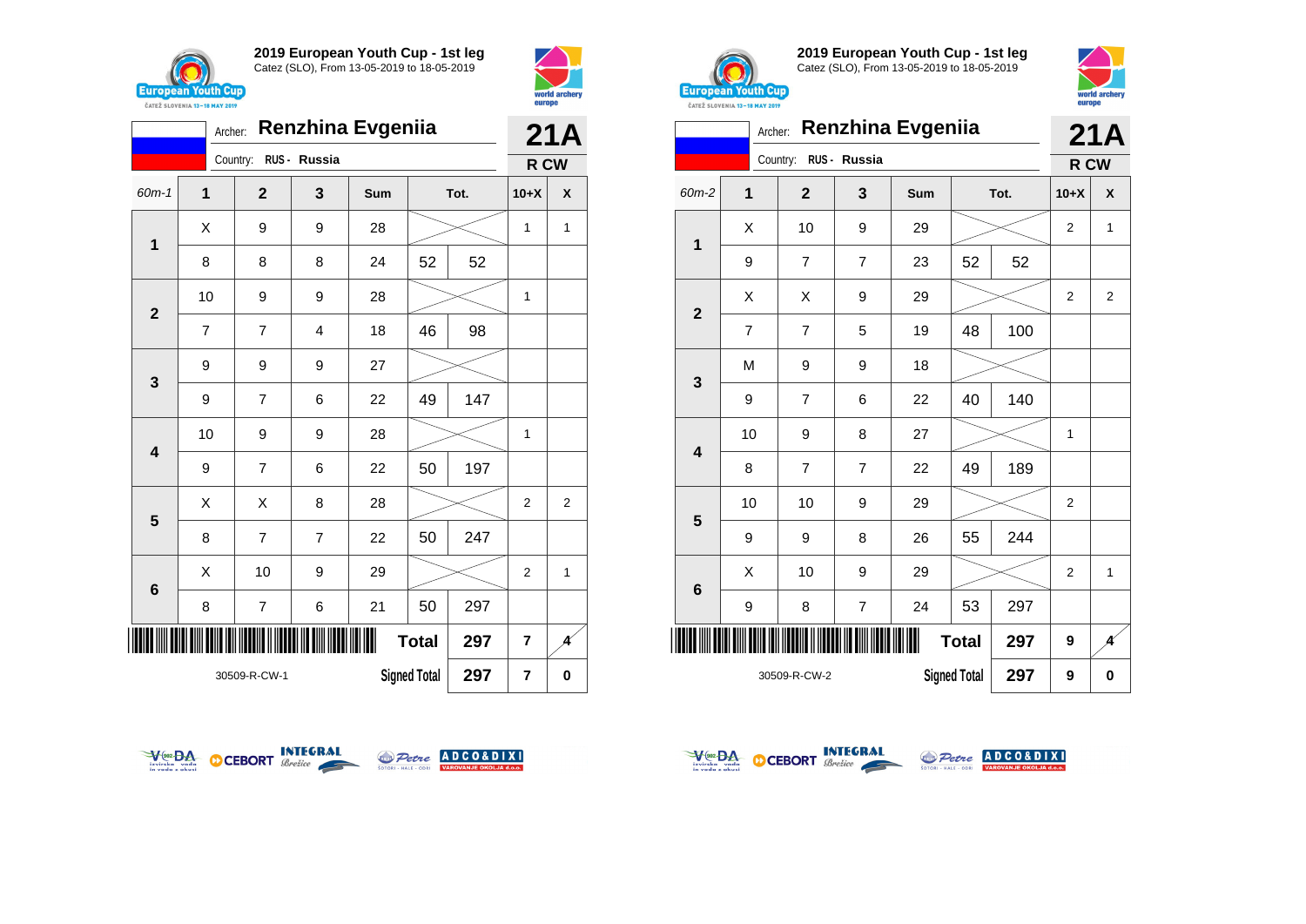



|                         | <b>Renzhina Evgeniia</b><br>Archer: |                         |                         |     |                     |      |                |                           |  |
|-------------------------|-------------------------------------|-------------------------|-------------------------|-----|---------------------|------|----------------|---------------------------|--|
|                         |                                     | Country:                | RUS - Russia            |     |                     |      | R CW           | 21A                       |  |
| 60m-1                   | 1                                   | $\mathbf{2}$            | 3                       | Sum |                     | Tot. | $10+X$         | $\boldsymbol{\mathsf{x}}$ |  |
| 1                       | X                                   | 9                       | 9                       | 28  |                     |      | 1              | $\mathbf{1}$              |  |
|                         | 8                                   | 8                       | 8                       | 24  | 52                  | 52   |                |                           |  |
| $\overline{2}$          | 10                                  | 9                       | 9                       | 28  |                     |      | 1              |                           |  |
|                         | $\overline{7}$                      | $\overline{7}$          | $\overline{\mathbf{4}}$ | 18  | 46                  | 98   |                |                           |  |
| 3                       | 9                                   | 9                       | 9                       | 27  |                     |      |                |                           |  |
|                         | 9                                   | $\overline{7}$          | 6                       | 22  | 49                  | 147  |                |                           |  |
| $\overline{\mathbf{4}}$ | 10                                  | 9                       | 9                       | 28  |                     |      | 1              |                           |  |
|                         | 9                                   | $\overline{7}$          | 6                       | 22  | 50                  | 197  |                |                           |  |
| 5                       | Χ                                   | X                       | 8                       | 28  |                     |      | $\overline{2}$ | 2                         |  |
|                         | 8                                   | $\overline{7}$          | $\overline{7}$          | 22  | 50                  | 247  |                |                           |  |
| $6\phantom{1}6$         | Χ                                   | 10                      | 9                       | 29  |                     |      | $\overline{2}$ | 1                         |  |
|                         | 8                                   | $\overline{\mathbf{7}}$ | 6                       | 21  | 50                  | 297  |                |                           |  |
|                         |                                     |                         |                         |     | <b>Total</b>        | 297  | $\overline{7}$ | A                         |  |
|                         |                                     | 30509-R-CW-1            |                         |     | <b>Signed Total</b> | 297  | $\overline{7}$ | $\bf{0}$                  |  |



**2019 European Youth Cup - 1st leg** Catez (SLO), From 13-05-2019 to 18-05-2019



|              |                | 21A            |                |     |                     |      |                |                |
|--------------|----------------|----------------|----------------|-----|---------------------|------|----------------|----------------|
|              |                | Country:       | RUS - Russia   |     |                     |      | R CW           |                |
| 60m-2        | 1              | $\overline{2}$ | 3              | Sum |                     | Tot. | $10+X$         | X              |
|              | Χ              | 10             | 9              | 29  |                     |      | $\overline{2}$ | $\mathbf{1}$   |
| $\mathbf 1$  | 9              | 7              | $\overline{7}$ | 23  | 52                  | 52   |                |                |
|              | Χ              | X              | 9              | 29  |                     |      | $\overline{2}$ | $\overline{2}$ |
| $\mathbf{2}$ | $\overline{7}$ | $\overline{7}$ | 5              | 19  | 48                  | 100  |                |                |
|              | M              | 9              | 9              | 18  |                     |      |                |                |
| 3            | 9              | $\overline{7}$ | 6              | 22  | 40                  | 140  |                |                |
| 4            | 10             | 9              | 8              | 27  |                     |      | 1              |                |
|              | 8              | $\overline{7}$ | $\overline{7}$ | 22  | 49                  | 189  |                |                |
|              | 10             | 10             | 9              | 29  |                     |      | $\overline{2}$ |                |
| 5            | 9              | 9              | 8              | 26  | 55                  | 244  |                |                |
| 6            | Χ              | 10             | 9              | 29  |                     |      | $\overline{2}$ | $\mathbf{1}$   |
|              | 9              | 8              | $\overline{7}$ | 24  | 53                  | 297  |                |                |
| IIII         |                |                |                |     | <b>Total</b>        | 297  | 9              | K              |
|              |                | 30509-R-CW-2   |                |     | <b>Signed Total</b> | 297  | 9              | 0              |







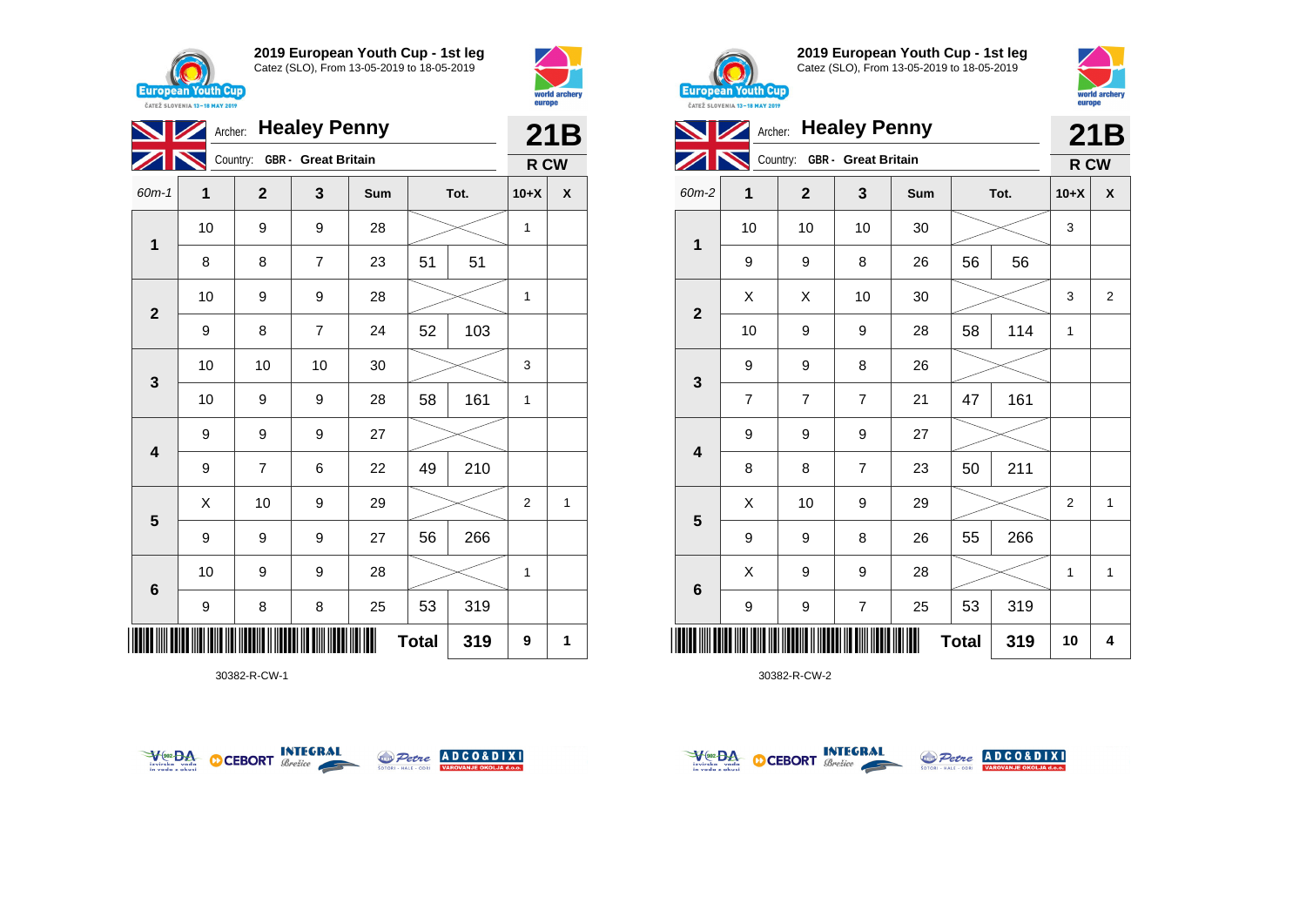

 $\blacktriangledown$ 

**1**

**2**

**3**

**4**

**5**

**6**

**2019 European Youth Cup - 1st leg** Catez (SLO), From 13-05-2019 to 18-05-2019

60m-1 **1 2 3 Sum Tot. 10+X X**

8 | 8 | 7 | 23 | 51 | 51

9 | 8 | 7 | 24 | 52 | 103

9 | 7 | 6 | 22 | 49 | 210

9 | 9 | 9 | 27 | 56 | 266

9 | 8 | 8 | 25 | 53 | 319

10 | 9 | 9 | 28 |  $\!\!\!\!\!\!\!\!\times$  | 1

10 9 9 28 1

10 | 9 | 9 | 28 |  $\times$  | 1

10 10 10 30 3

10 | 9 | 9 | 28 | 58 | 161 | 1

 $\begin{array}{|c|c|c|c|c|}\hline \hspace{.1cm}X & \hspace{.1cm} \text{10} & \hspace{.1cm} \text{9} & \hspace{.1cm} \text{29} & \hspace{.1cm} \hline \end{array} \hspace{.2cm} \begin{array}{|c|c|c|c|c|c|}\hline \hspace{.1cm}X & \hspace{.1cm} \text{2} & \hspace{.1cm} \text{2} & \hspace{.1cm} \text{1} & \hspace{.1cm} \hline \end{array}$ 

Archer: **Healey Penny**

Country: **GBR - Great Britain**

9 9 9 27



**21B R CW**



**2019 European Youth Cup - 1st leg** Catez (SLO), From 13-05-2019 to 18-05-2019



|                         | <b><i>URIEL SLUVERIA 13"10 MAT 4017</i></b> |                              |                  |     |              |      |                |                |  |
|-------------------------|---------------------------------------------|------------------------------|------------------|-----|--------------|------|----------------|----------------|--|
|                         |                                             | <b>Archer: Healey Penny</b>  |                  |     |              |      |                | 21B            |  |
|                         |                                             | Country: GBR - Great Britain |                  |     |              |      | R CW           |                |  |
| $60m-2$                 | 1                                           | $\mathbf 2$                  | 3                | Sum |              | Tot. | $10+X$         | X              |  |
|                         | 10                                          | 10                           | 10               | 30  |              |      | 3              |                |  |
| $\mathbf{1}$            | 9                                           | 9                            | 8                | 26  | 56           | 56   |                |                |  |
|                         | X                                           | X                            | 10               | 30  |              |      | 3              | $\overline{2}$ |  |
| $\mathbf{2}$            | 10                                          | 9                            | $\boldsymbol{9}$ | 28  | 58           | 114  | $\mathbf{1}$   |                |  |
|                         | 9                                           | 9                            | 8                | 26  |              |      |                |                |  |
| $\mathbf{3}$            | $\overline{7}$                              | $\overline{7}$               | $\overline{7}$   | 21  | 47           | 161  |                |                |  |
|                         | 9                                           | 9                            | $\boldsymbol{9}$ | 27  |              |      |                |                |  |
| $\overline{\mathbf{4}}$ | 8                                           | 8                            | $\overline{7}$   | 23  | 50           | 211  |                |                |  |
|                         | X                                           | 10                           | 9                | 29  |              |      | $\overline{2}$ | $\mathbf{1}$   |  |
| $\overline{\mathbf{5}}$ | 9                                           | 9                            | 8                | 26  | 55           | 266  |                |                |  |
|                         | X                                           | 9                            | $\boldsymbol{9}$ | 28  |              |      | 1              | 1              |  |
| $\bf 6$                 | 9                                           | 9                            | $\overline{7}$   | 25  | 53           | 319  |                |                |  |
|                         |                                             |                              |                  |     | <b>Total</b> | 319  | 10             | 4              |  |

30382-R-CW-2



\*30382-R-CW-1\*

30382-R-CW-1



**Total 319 9 1**



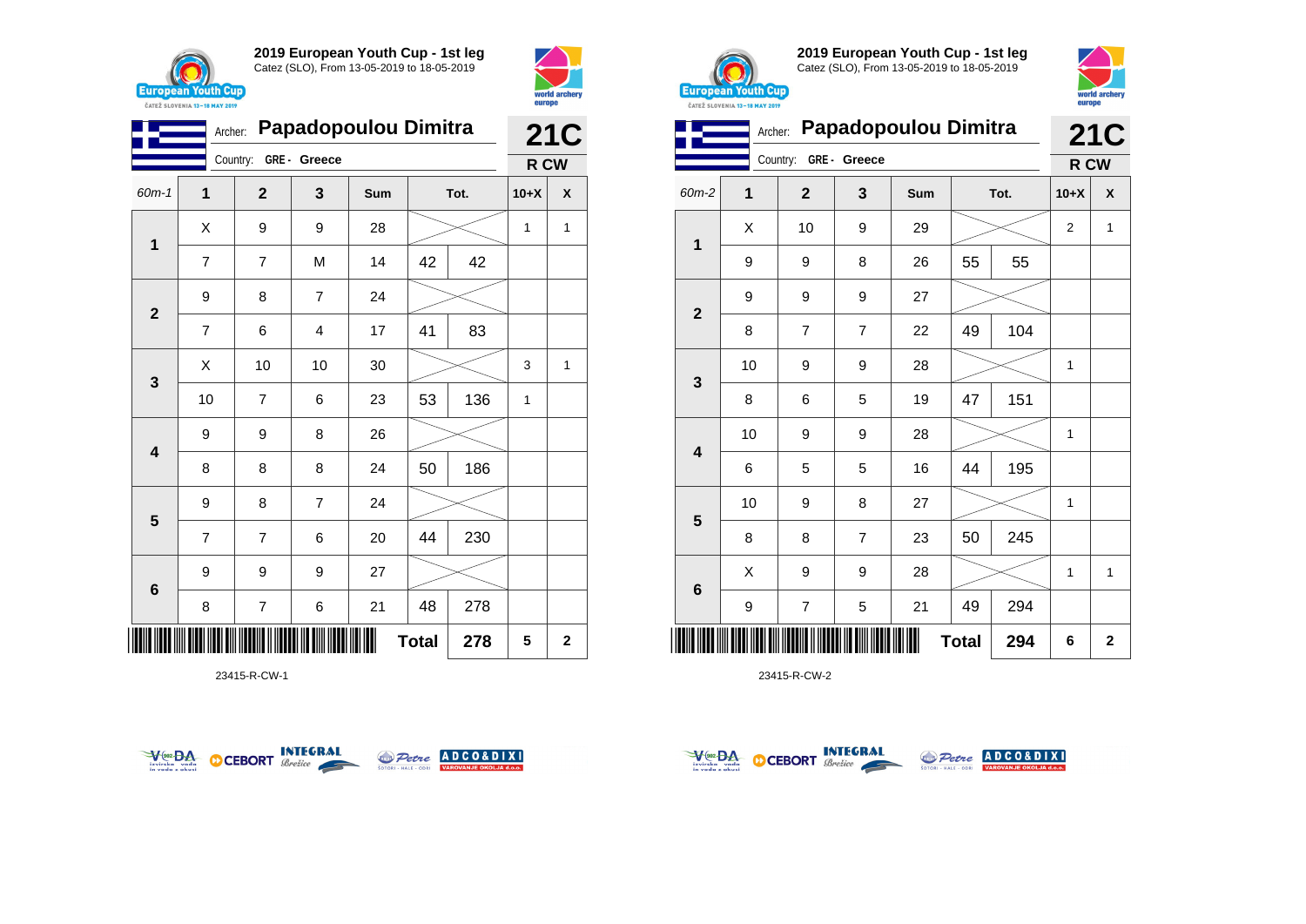



| Papadopoulou Dimitra<br>Archer: |                |                |                |     |              |      |        | <b>21C</b>   |  |  |
|---------------------------------|----------------|----------------|----------------|-----|--------------|------|--------|--------------|--|--|
|                                 |                | Country:       | GRE- Greece    |     |              |      | R CW   |              |  |  |
| $60m-1$                         | 1              | $\mathbf{2}$   | 3              | Sum |              | Tot. | $10+X$ | X            |  |  |
| 1                               | X              | 9              | 9              | 28  |              |      | 1      | 1            |  |  |
|                                 | $\overline{7}$ | $\overline{7}$ | M              | 14  | 42           | 42   |        |              |  |  |
| $\mathbf{2}$                    | 9              | 8              | $\overline{7}$ | 24  |              |      |        |              |  |  |
|                                 | $\overline{7}$ | 6              | 4              | 17  | 41           | 83   |        |              |  |  |
| $\mathbf{3}$                    | X              | 10             | 10             | 30  |              |      | 3      | $\mathbf{1}$ |  |  |
|                                 | 10             | $\overline{7}$ | 6              | 23  | 53           | 136  | 1      |              |  |  |
| $\overline{\mathbf{4}}$         | 9              | 9              | 8              | 26  |              |      |        |              |  |  |
|                                 | 8              | 8              | 8              | 24  | 50           | 186  |        |              |  |  |
| $5\phantom{1}$                  | 9              | 8              | 7              | 24  |              |      |        |              |  |  |
|                                 | $\overline{7}$ | $\overline{7}$ | 6              | 20  | 44           | 230  |        |              |  |  |
| $\bf 6$                         | 9              | 9              | 9              | 27  |              |      |        |              |  |  |
|                                 | 8              | 7              | 6              | 21  | 48           | 278  |        |              |  |  |
|                                 |                |                |                |     | <b>Total</b> | 278  | 5      | $\mathbf 2$  |  |  |

23415-R-CW-1





**2019 European Youth Cup - 1st leg** Catez (SLO), From 13-05-2019 to 18-05-2019



| <b>CAILL SLUVENIA 13-18 MAY 2019</b> | <b>21C</b> |              |              |                      |              |      |                  |              |
|--------------------------------------|------------|--------------|--------------|----------------------|--------------|------|------------------|--------------|
|                                      | Archer:    | Country:     | GRE - Greece | Papadopoulou Dimitra |              |      |                  |              |
|                                      |            |              |              |                      |              |      | R CW             |              |
| 60m-2                                | 1          | $\mathbf{2}$ | 3            | Sum                  |              | Tot. | $10+X$           | X            |
| $\mathbf 1$                          | X          | 10           | 9            | 29                   |              |      | $\boldsymbol{2}$ | $\mathbf 1$  |
|                                      | 9          | 9            | 8            | 26                   | 55           | 55   |                  |              |
|                                      | 9          | 9            | 9            | 27                   |              |      |                  |              |
| $\mathbf{2}$                         | 8          | 7            | 7            | 22                   | 49           | 104  |                  |              |
| 3                                    | 10         | 9            | 9            | 28                   |              |      | 1                |              |
|                                      | 8          | 6            | 5            | 19                   | 47           | 151  |                  |              |
| $\overline{\mathbf{4}}$              | 10         | 9            | 9            | 28                   |              |      | 1                |              |
|                                      | 6          | 5            | 5            | 16                   | 44           | 195  |                  |              |
| $\overline{\mathbf{5}}$              | 10         | 9            | 8            | 27                   |              |      | 1                |              |
|                                      | 8          | 8            | 7            | 23                   | 50           | 245  |                  |              |
| $\bf 6$                              | Χ          | 9            | 9            | 28                   |              |      | 1                | $\mathbf{1}$ |
|                                      | 9          | 7            | 5            | 21                   | 49           | 294  |                  |              |
| Ш                                    |            |              |              |                      | <b>Total</b> | 294  | 6                | $\mathbf 2$  |

23415-R-CW-2



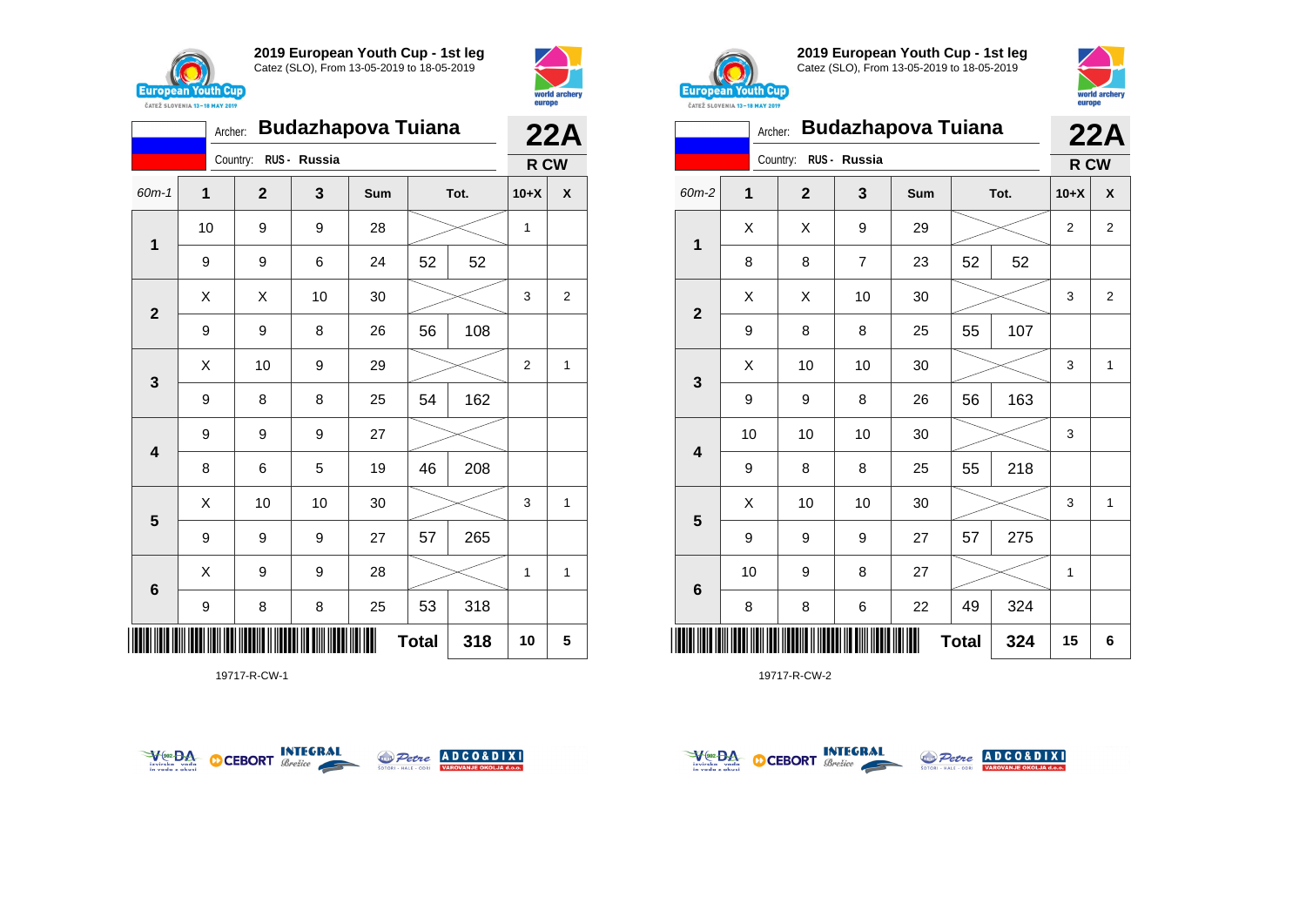



|                | <b>Budazhapova Tuiana</b> | <b>22A</b>     |              |     |    |      |                |              |  |
|----------------|---------------------------|----------------|--------------|-----|----|------|----------------|--------------|--|
|                |                           | Country:       | RUS - Russia |     |    |      |                | R CW         |  |
| $60m-1$        | 1                         | $\overline{2}$ | 3            | Sum |    | Tot. | $10+X$         | X            |  |
|                | 10                        | 9              | 9            | 28  |    |      | 1              |              |  |
| 1              | 9                         | 9              | 6            | 24  | 52 | 52   |                |              |  |
|                | Χ                         | X              | 10           | 30  |    |      | 3              | 2            |  |
| $\overline{2}$ | 9                         | 9              | 8            | 26  | 56 | 108  |                |              |  |
|                | Χ                         | 10             | 9            | 29  |    |      | $\overline{2}$ | $\mathbf{1}$ |  |
| 3              | 9                         | 8              | 8            | 25  | 54 | 162  |                |              |  |
|                | 9                         | 9              | 9            | 27  |    |      |                |              |  |
| 4              | 8                         | 6              | 5            | 19  | 46 | 208  |                |              |  |
|                | Χ                         | 10             | 10           | 30  |    |      | 3              | 1            |  |
| 5              | 9                         | 9              | 9            | 27  | 57 | 265  |                |              |  |
|                | X                         | 9              | 9            | 28  |    |      | 1              | 1            |  |
| 6              | 9                         | 8              | 8            | 25  | 53 | 318  |                |              |  |
| Ш              | <b>Total</b><br>318       |                |              |     |    |      |                |              |  |

19717-R-CW-1





**2019 European Youth Cup - 1st leg** Catez (SLO), From 13-05-2019 to 18-05-2019



|              | <b>CAILL SLUVENIA 13-18 MAY ZUIY</b><br>Archer: |                       |                | <b>Budazhapova Tuiana</b> |    |      |        | 22A |
|--------------|-------------------------------------------------|-----------------------|----------------|---------------------------|----|------|--------|-----|
|              |                                                 | Country: RUS - Russia |                |                           |    |      | R CW   |     |
| 60m-2        | 1                                               | $\mathbf{2}$          | 3              | Sum                       |    | Tot. | $10+X$ | X   |
| $\mathbf 1$  | X                                               | Χ                     | 9              | 29                        |    |      | 2      | 2   |
|              | 8                                               | 8                     | $\overline{7}$ | 23                        | 52 | 52   |        |     |
|              | X                                               | Χ                     | 10             | 30                        |    |      | 3      | 2   |
| $\mathbf{2}$ | 9                                               | 8                     | 8              | 25                        | 55 | 107  |        |     |
|              | X                                               | 10                    | 10             | 30                        |    |      | 3      | 1   |
| 3            | 9                                               | 9                     | 8              | 26                        | 56 | 163  |        |     |
| 4            | 10                                              | 10                    | 10             | 30                        |    |      | 3      |     |
|              | 9                                               | 8                     | 8              | 25                        | 55 | 218  |        |     |
|              | X                                               | 10                    | 10             | 30                        |    |      | 3      | 1   |
| 5            | 9                                               | 9                     | 9              | 27                        | 57 | 275  |        |     |
|              | 10                                              | 9                     | 8              | 27                        |    |      | 1      |     |
| 6            | 8                                               | 8                     | 6              | 22                        | 49 | 324  |        |     |
| ║║║          | <b>Total</b><br>324                             |                       |                |                           |    |      |        | 6   |

19717-R-CW-2



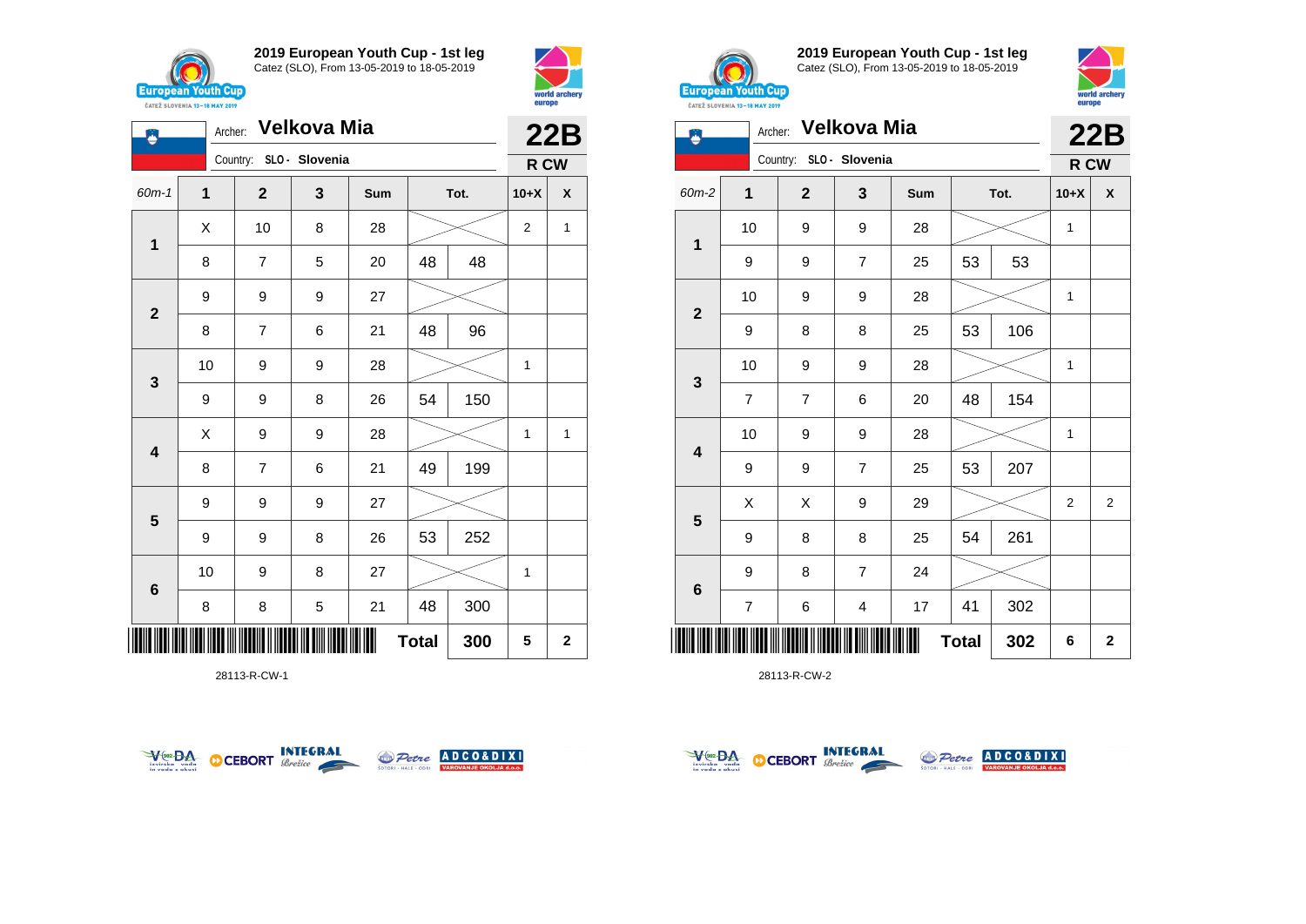

**1**

Ö

**2**

**3**

**4**

**5**

**6**

**2019 European Youth Cup - 1st leg** Catez (SLO), From 13-05-2019 to 18-05-2019

60m-1 **1 2 3 Sum Tot. 10+X X**

8 | 7 | 5 | 20 | 48 | 48

8 | 7 | 6 | 21 | 48 | 96

9 | 9 | 8 | 26 | 54 | 150

8 | 7 | 6 | 21 |49 | 199

9 | 9 | 8 | 26 | 53 | 252

8 | 8 | 5 | 21 | 48 | 300

10 | 9 | 8 | 27 |  $\!\!\!\!\!\!\times$  | 1

10 | 9 | 9 | 28 |  $\!\!\!\!\!\!\times$  | 1

 $X$  | 9 | 9 | 28 |  $>$  | 1 | 1

 $X$  | 10 | 8 | 28 |  $\gg$  | 2 | 1

Country: **SLO - Slovenia**

9 9 9 27

9 9 9 27



**22B R CW**



**2019 European Youth Cup - 1st leg** Catez (SLO), From 13-05-2019 to 18-05-2019



| Archer: Velkova Mia<br>Ë |                |  |                |                         |     |              |      |                | 22B            |  |
|--------------------------|----------------|--|----------------|-------------------------|-----|--------------|------|----------------|----------------|--|
|                          |                |  |                | Country: SLO - Slovenia |     |              |      | R CW           |                |  |
| 60m-2                    | $\mathbf{1}$   |  | $\overline{2}$ | 3                       | Sum |              | Tot. | $10+X$         | X              |  |
|                          | 10             |  | 9              | 9                       | 28  |              |      | $\mathbf{1}$   |                |  |
| $\mathbf{1}$             | 9              |  | 9              | 7                       | 25  | 53           | 53   |                |                |  |
| $\mathbf{2}$             | 10             |  | 9              | 9                       | 28  |              |      | $\mathbf{1}$   |                |  |
|                          | 9              |  | 8              | 8                       | 25  | 53           | 106  |                |                |  |
| $\mathbf{3}$             | 10             |  | 9              | 9                       | 28  |              |      | 1              |                |  |
|                          | $\overline{7}$ |  | $\overline{7}$ | 6                       | 20  | 48           | 154  |                |                |  |
| $\overline{\mathbf{4}}$  | 10             |  | 9              | 9                       | 28  |              |      | 1              |                |  |
|                          | 9              |  | 9              | 7                       | 25  | 53           | 207  |                |                |  |
| 5                        | X              |  | X              | 9                       | 29  |              |      | $\overline{2}$ | $\overline{2}$ |  |
|                          | 9              |  | 8              | 8                       | 25  | 54           | 261  |                |                |  |
| $6\phantom{1}$           | 9              |  | 8              | $\overline{7}$          | 24  |              |      |                |                |  |
|                          | 7              |  | 6              | 4                       | 17  | 41           | 302  |                |                |  |
|                          |                |  |                |                         |     | <b>Total</b> | 302  | 6              | $\mathbf{2}$   |  |

28113-R-CW-2



\*28113-R-CW-1\*

28113-R-CW-1



**Total 300 5 2**



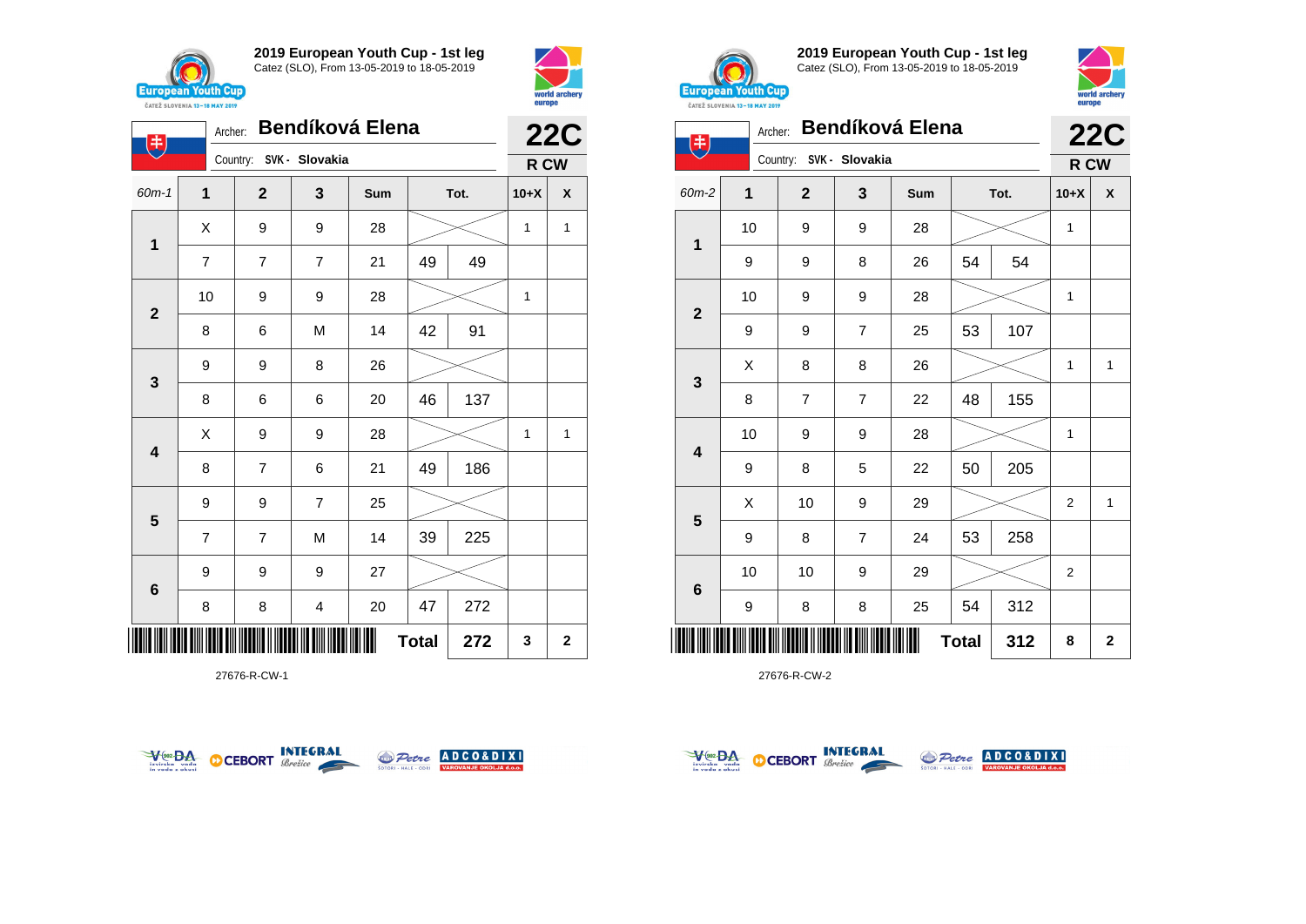





**2019 European Youth Cup - 1st leg** Catez (SLO), From 13-05-2019 to 18-05-2019



| 主                       | Archer: |                | <b>Bendíková Elena</b>  |     |              |      |                | <b>22C</b>   |
|-------------------------|---------|----------------|-------------------------|-----|--------------|------|----------------|--------------|
|                         |         |                | Country: SVK - Slovakia |     |              |      | R CW           |              |
| $60m-2$                 | 1       | $\mathbf{2}$   | 3                       | Sum |              | Tot. | $10+X$         | X            |
| 1                       | 10      | 9              | 9                       | 28  |              |      | 1              |              |
|                         | 9       | 9              | 8                       | 26  | 54           | 54   |                |              |
| $\mathbf{2}$            | 10      | 9              | 9                       | 28  |              |      | 1              |              |
|                         | 9       | 9              | $\overline{7}$          | 25  | 53           | 107  |                |              |
| $\mathbf{3}$            | X       | 8              | 8                       | 26  |              |      | 1              | 1            |
|                         | 8       | $\overline{7}$ | $\overline{7}$          | 22  | 48           | 155  |                |              |
| $\overline{\mathbf{4}}$ | 10      | 9              | 9                       | 28  |              |      | 1              |              |
|                         | 9       | 8              | 5                       | 22  | 50           | 205  |                |              |
|                         | X       | 10             | 9                       | 29  |              |      | $\overline{2}$ | $\mathbf{1}$ |
| 5                       | 9       | 8              | $\overline{7}$          | 24  | 53           | 258  |                |              |
|                         | 10      | 10             | 9                       | 29  |              |      | $\overline{2}$ |              |
| 6                       | 9       | 8              | 8                       | 25  | 54           | 312  |                |              |
|                         |         |                |                         |     | <b>Total</b> | 312  | 8              | $\mathbf 2$  |

27676-R-CW-2



27676-R-CW-1





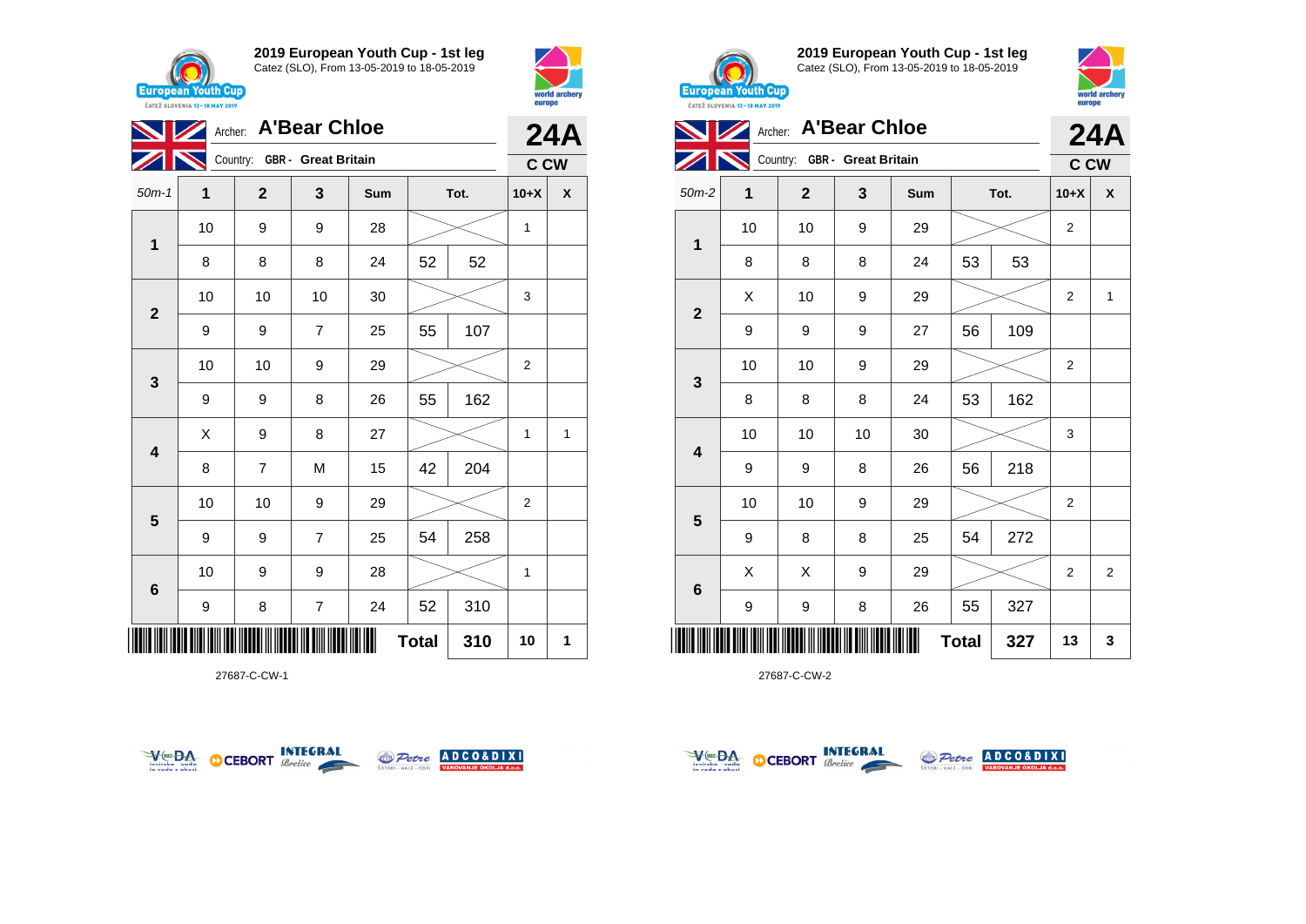



|                         | Archer: A'Bear Chloe |                              |                |     |    |      |                |              |  |  |
|-------------------------|----------------------|------------------------------|----------------|-----|----|------|----------------|--------------|--|--|
|                         |                      | Country: GBR - Great Britain |                |     |    |      | C CW           | <b>24A</b>   |  |  |
| $50m-1$                 | 1                    | $\mathbf{2}$                 | 3              | Sum |    | Tot. | $10+X$         | X            |  |  |
| $\mathbf{1}$            | 10                   | 9                            | 9              | 28  |    |      | 1              |              |  |  |
|                         | 8                    | 8                            | 8              | 24  | 52 | 52   |                |              |  |  |
| $\mathbf{2}$            | 10                   | 10                           | 10             | 30  |    |      | 3              |              |  |  |
|                         | 9                    | 9                            | $\overline{7}$ | 25  | 55 | 107  |                |              |  |  |
| 3                       | 10                   | 10                           | 9              | 29  |    |      | $\overline{2}$ |              |  |  |
|                         | 9                    | 9                            | 8              | 26  | 55 | 162  |                |              |  |  |
| $\overline{\mathbf{4}}$ | X                    | 9                            | 8              | 27  |    |      | $\mathbf{1}$   | $\mathbf{1}$ |  |  |
|                         | 8                    | $\overline{7}$               | M              | 15  | 42 | 204  |                |              |  |  |
| 5                       | 10                   | 10                           | 9              | 29  |    |      | $\overline{2}$ |              |  |  |
|                         | 9                    | 9                            | $\overline{7}$ | 25  | 54 | 258  |                |              |  |  |
| $6\phantom{1}6$         | 10                   | 9                            | 9              | 28  |    |      | 1              |              |  |  |
|                         | 9                    | 8                            | $\overline{7}$ | 24  | 52 | 310  |                |              |  |  |
|                         | 10                   | 1                            |                |     |    |      |                |              |  |  |

27687-C-CW-1





**2019 European Youth Cup - 1st leg** Catez (SLO), From 13-05-2019 to 18-05-2019



| CATEZ SLOVENIA 13-18 MAY 2019 | <b>DATOPO</b> |                              |    |     |              |      |                  |                    |
|-------------------------------|---------------|------------------------------|----|-----|--------------|------|------------------|--------------------|
|                               |               | Archer: A'Bear Chloe         |    |     |              |      |                  | 24A                |
|                               |               | Country: GBR - Great Britain |    |     |              |      | <b>C CW</b>      |                    |
| $50m-2$                       | 1             | $\mathbf{2}$                 | 3  | Sum |              | Tot. | $10+X$           | $\pmb{\mathsf{X}}$ |
|                               | 10            | 10                           | 9  | 29  |              |      | $\boldsymbol{2}$ |                    |
| 1                             | 8             | 8                            | 8  | 24  | 53           | 53   |                  |                    |
|                               | X             | 10                           | 9  | 29  |              |      | $\overline{2}$   | $\mathbf{1}$       |
| $\mathbf 2$                   | 9             | 9                            | 9  | 27  | 56           | 109  |                  |                    |
|                               | 10            | 10                           | 9  | 29  |              |      | 2                |                    |
| $\mathbf{3}$                  | 8             | 8                            | 8  | 24  | 53           | 162  |                  |                    |
| $\overline{\mathbf{4}}$       | 10            | 10                           | 10 | 30  |              |      | 3                |                    |
|                               | 9             | 9                            | 8  | 26  | 56           | 218  |                  |                    |
|                               | 10            | 10                           | 9  | 29  |              |      | $\overline{2}$   |                    |
| 5                             | 9             | 8                            | 8  | 25  | 54           | 272  |                  |                    |
|                               | X             | X                            | 9  | 29  |              |      | 2                | 2                  |
| $\bf 6$                       | 9             | 9                            | 8  | 26  | 55           | 327  |                  |                    |
| ║║║                           |               |                              |    |     | <b>Total</b> | 327  | 13               | 3                  |



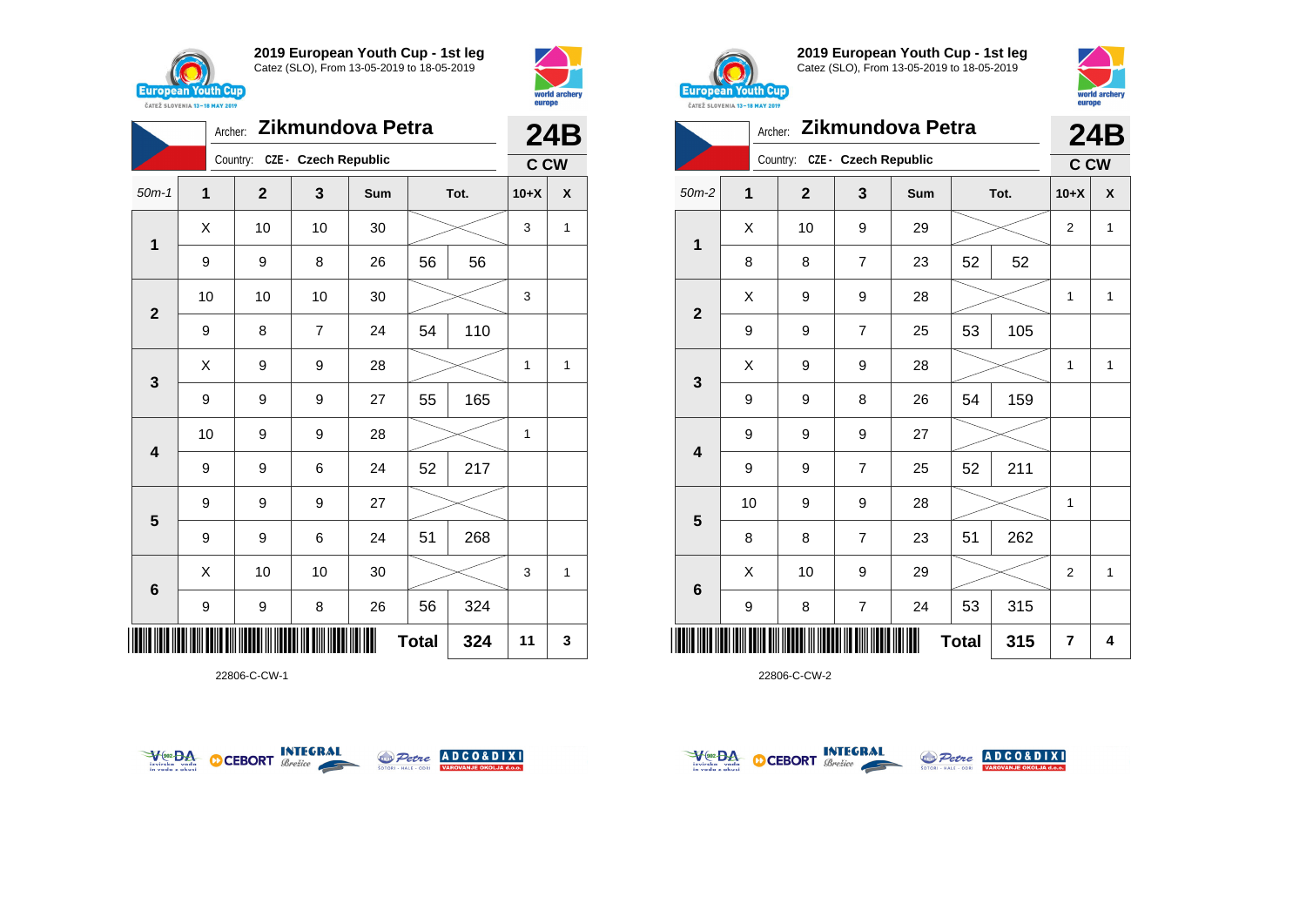



|              | Zikmundova Petra<br>Archer: |                               |    |     |    |      |        |     |  |
|--------------|-----------------------------|-------------------------------|----|-----|----|------|--------|-----|--|
|              |                             | Country: CZE - Czech Republic |    |     |    |      | C CW   | 24B |  |
| $50m-1$      | 1                           | $\mathbf{2}$                  | 3  | Sum |    | Tot. | $10+X$ | X   |  |
| 1            | X                           | 10                            | 10 | 30  |    |      | 3      | 1   |  |
|              | 9                           | 9                             | 8  | 26  | 56 | 56   |        |     |  |
| $\mathbf{2}$ | 10                          | 10                            | 10 | 30  |    |      | 3      |     |  |
|              | 9                           | 8                             | 7  | 24  | 54 | 110  |        |     |  |
| $\mathbf{3}$ | X                           | 9                             | 9  | 28  |    |      | 1      | 1   |  |
|              | 9                           | 9                             | 9  | 27  | 55 | 165  |        |     |  |
| 4            | 10                          | 9                             | 9  | 28  |    |      | 1      |     |  |
|              | 9                           | 9                             | 6  | 24  | 52 | 217  |        |     |  |
| 5            | 9                           | 9                             | 9  | 27  |    |      |        |     |  |
|              | 9                           | 9                             | 6  | 24  | 51 | 268  |        |     |  |
| $\bf 6$      | X                           | 10                            | 10 | 30  |    |      | 3      | 1   |  |
|              | 9                           | 9                             | 8  | 26  | 56 | 324  |        |     |  |
| IIII         | 324<br><b>Total</b>         |                               |    |     |    |      |        |     |  |

22806-C-CW-1





**2019 European Youth Cup - 1st leg** Catez (SLO), From 13-05-2019 to 18-05-2019



|                | Zikmundova Petra<br>Archer: |                               |                |     |              |      |                |                    |  |
|----------------|-----------------------------|-------------------------------|----------------|-----|--------------|------|----------------|--------------------|--|
|                |                             | Country: CZE - Czech Republic |                |     |              |      | <b>C CW</b>    | 24B                |  |
| $50m-2$        | $\overline{1}$              | $\mathbf{2}$                  | 3              | Sum |              | Tot. | $10+X$         | $\pmb{\mathsf{X}}$ |  |
| 1              | Χ                           | 10                            | 9              | 29  |              |      | $\overline{2}$ | $\mathbf{1}$       |  |
|                | 8                           | 8                             | $\overline{7}$ | 23  | 52           | 52   |                |                    |  |
| $\overline{2}$ | X                           | 9                             | 9              | 28  |              |      | 1              | $\mathbf{1}$       |  |
|                | 9                           | 9                             | $\overline{7}$ | 25  | 53           | 105  |                |                    |  |
| 3              | Χ                           | 9                             | 9              | 28  |              |      | $\mathbf{1}$   | $\mathbf{1}$       |  |
|                | 9                           | 9                             | 8              | 26  | 54           | 159  |                |                    |  |
| 4              | 9                           | 9                             | 9              | 27  |              |      |                |                    |  |
|                | 9                           | 9                             | $\overline{7}$ | 25  | 52           | 211  |                |                    |  |
| $5\phantom{1}$ | 10                          | 9                             | 9              | 28  |              |      | 1              |                    |  |
|                | 8                           | 8                             | $\overline{7}$ | 23  | 51           | 262  |                |                    |  |
| $\bf 6$        | X                           | 10                            | 9              | 29  |              |      | $\overline{2}$ | $\mathbf{1}$       |  |
|                | 9                           | 8                             | $\overline{7}$ | 24  | 53           | 315  |                |                    |  |
| Ⅲ              |                             |                               |                |     | <b>Total</b> | 315  | 7              | 4                  |  |



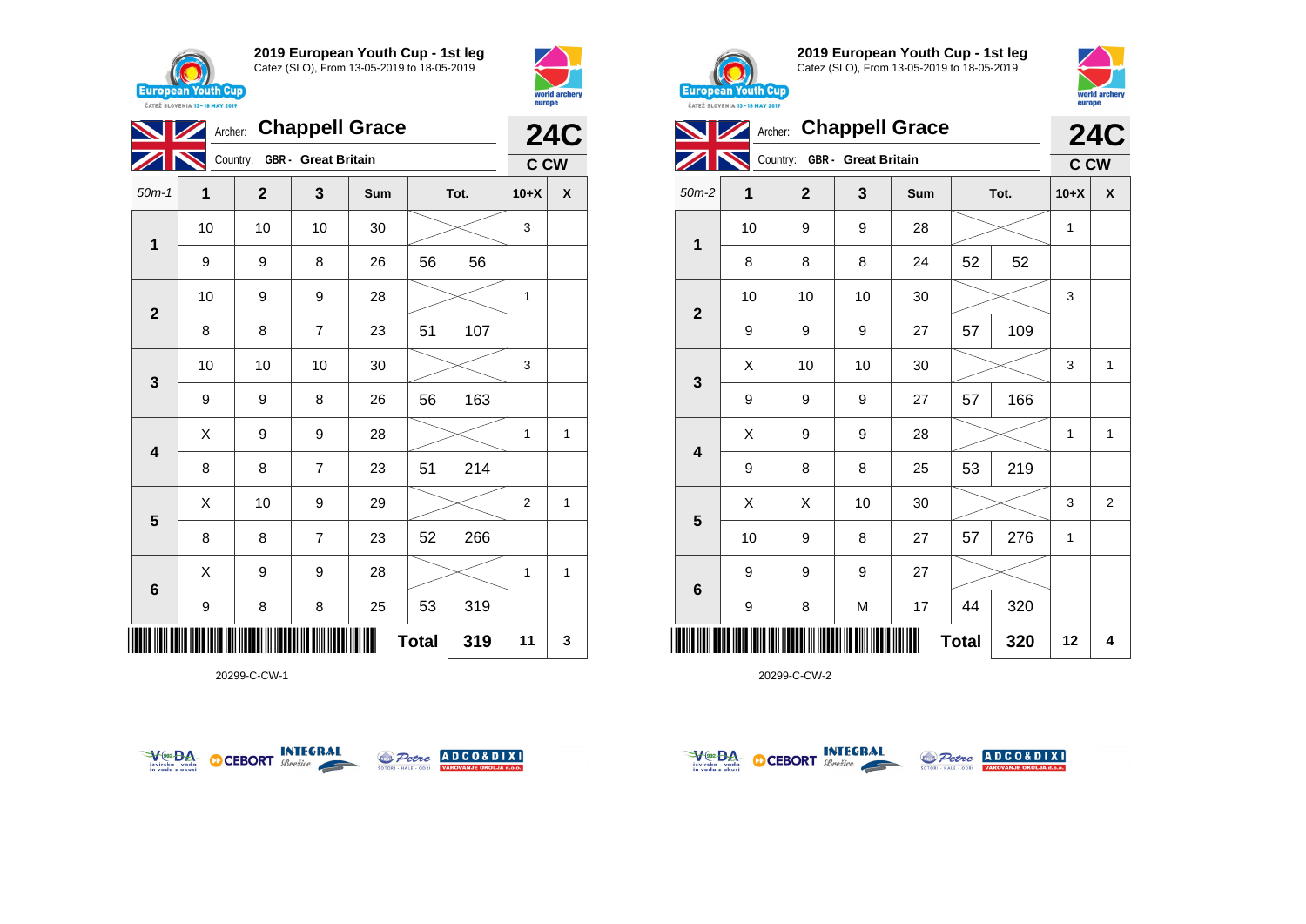





20299-C-CW-1





**2019 European Youth Cup - 1st leg** Catez (SLO), From 13-05-2019 to 18-05-2019



| <b>CAILL SLUVENIA 13-18 MAY ZUIY</b> |    |                              |    |                        |              |      |            |                |
|--------------------------------------|----|------------------------------|----|------------------------|--------------|------|------------|----------------|
|                                      |    |                              |    | Archer: Chappell Grace |              |      |            | <b>24C</b>     |
|                                      |    | Country: GBR - Great Britain |    |                        |              |      | <b>CCW</b> |                |
| $50m-2$                              | 1  | $\mathbf 2$                  | 3  | Sum                    |              | Tot. | $10+X$     | X              |
|                                      | 10 | 9                            | 9  | 28                     |              |      | 1          |                |
| 1                                    | 8  | 8                            | 8  | 24                     | 52           | 52   |            |                |
| $\mathbf{2}$                         | 10 | 10                           | 10 | 30                     |              |      | 3          |                |
|                                      | 9  | 9                            | 9  | 27                     | 57           | 109  |            |                |
|                                      | Χ  | 10                           | 10 | 30                     |              |      | 3          | 1              |
| 3                                    | 9  | 9                            | 9  | 27                     | 57           | 166  |            |                |
| $\overline{\mathbf{4}}$              | X  | 9                            | 9  | 28                     |              |      | 1          | $\mathbf{1}$   |
|                                      | 9  | 8                            | 8  | 25                     | 53           | 219  |            |                |
| $5\phantom{1}$                       | X  | Χ                            | 10 | 30                     |              |      | 3          | $\overline{2}$ |
|                                      | 10 | 9                            | 8  | 27                     | 57           | 276  | 1          |                |
| $\bf 6$                              | 9  | 9                            | 9  | 27                     |              |      |            |                |
|                                      | 9  | 8                            | M  | 17                     | 44           | 320  |            |                |
| ║║║                                  |    |                              |    |                        | <b>Total</b> | 320  | 12         | 4              |



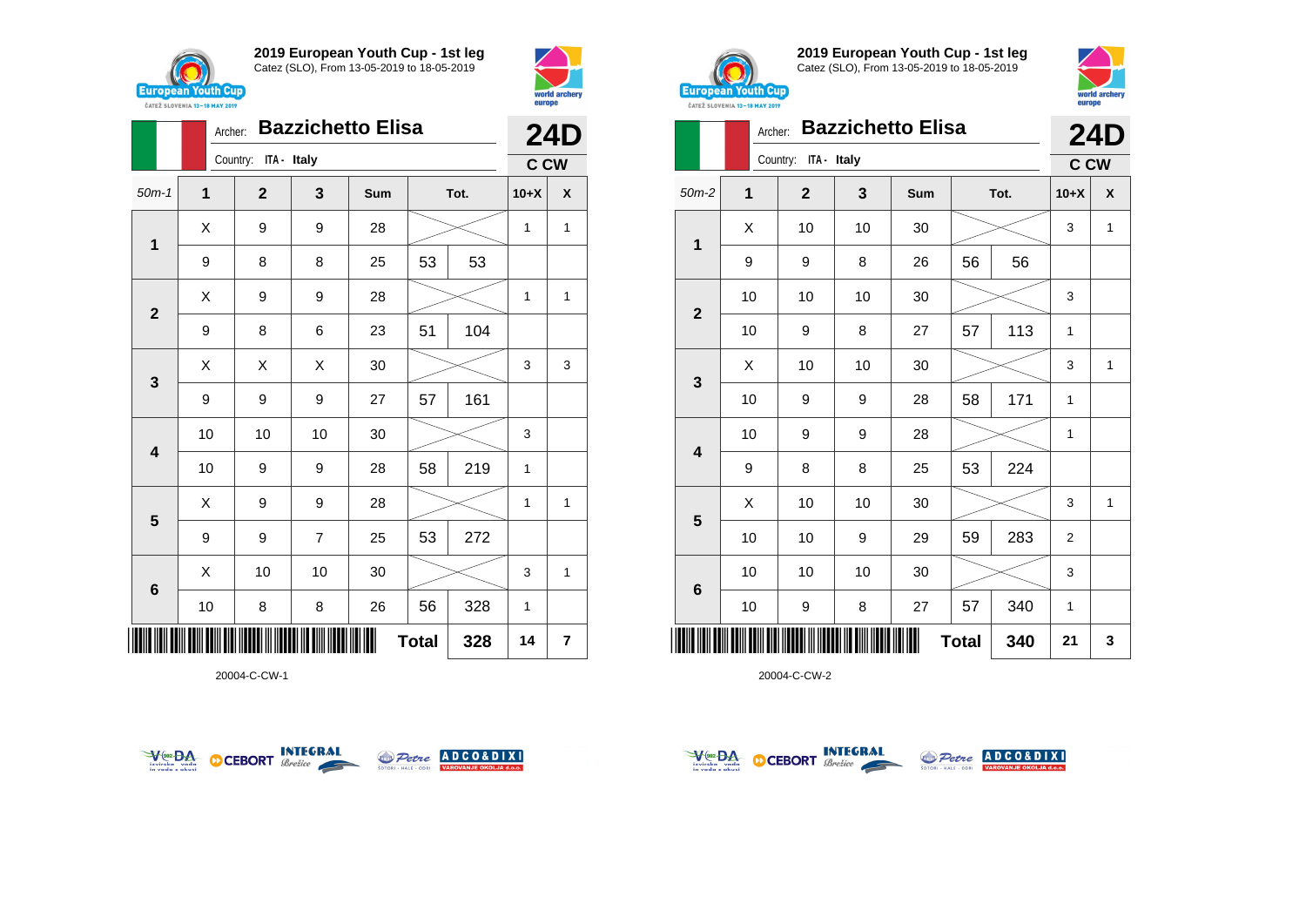





20004-C-CW-1





**2019 European Youth Cup - 1st leg** Catez (SLO), From 13-05-2019 to 18-05-2019



|                | <b>Bazzichetto Elisa</b><br>Archer: |    |                         |    |     |              |      |                |   |  |
|----------------|-------------------------------------|----|-------------------------|----|-----|--------------|------|----------------|---|--|
|                |                                     |    | ITA - Italy<br>Country: |    |     |              |      | <b>C CW</b>    |   |  |
| $50m-2$        | $\mathbf{1}$                        |    | $\mathbf{2}$            | 3  | Sum |              | Tot. | $10+X$         | X |  |
| 1              | Χ                                   |    | 10                      | 10 | 30  |              |      | 3              | 1 |  |
|                | 9                                   |    | 9                       | 8  | 26  | 56           | 56   |                |   |  |
| $\overline{2}$ |                                     | 10 | 10                      | 10 | 30  |              |      | 3              |   |  |
|                |                                     | 10 | 9                       | 8  | 27  | 57           | 113  | $\mathbf{1}$   |   |  |
| 3              | Χ                                   |    | 10                      | 10 | 30  |              |      | 3              | 1 |  |
|                |                                     | 10 | 9                       | 9  | 28  | 58           | 171  | $\mathbf{1}$   |   |  |
| 4              |                                     | 10 | 9                       | 9  | 28  |              |      | $\mathbf{1}$   |   |  |
|                | 9                                   |    | 8                       | 8  | 25  | 53           | 224  |                |   |  |
|                | X                                   |    | 10                      | 10 | 30  |              |      | 3              | 1 |  |
| 5              |                                     | 10 | 10                      | 9  | 29  | 59           | 283  | $\overline{2}$ |   |  |
| 6              |                                     | 10 | 10                      | 10 | 30  |              |      | 3              |   |  |
|                |                                     | 10 | 9                       | 8  | 27  | 57           | 340  | $\mathbf{1}$   |   |  |
| Ш              |                                     |    |                         |    |     | <b>Total</b> | 340  | 21             | 3 |  |



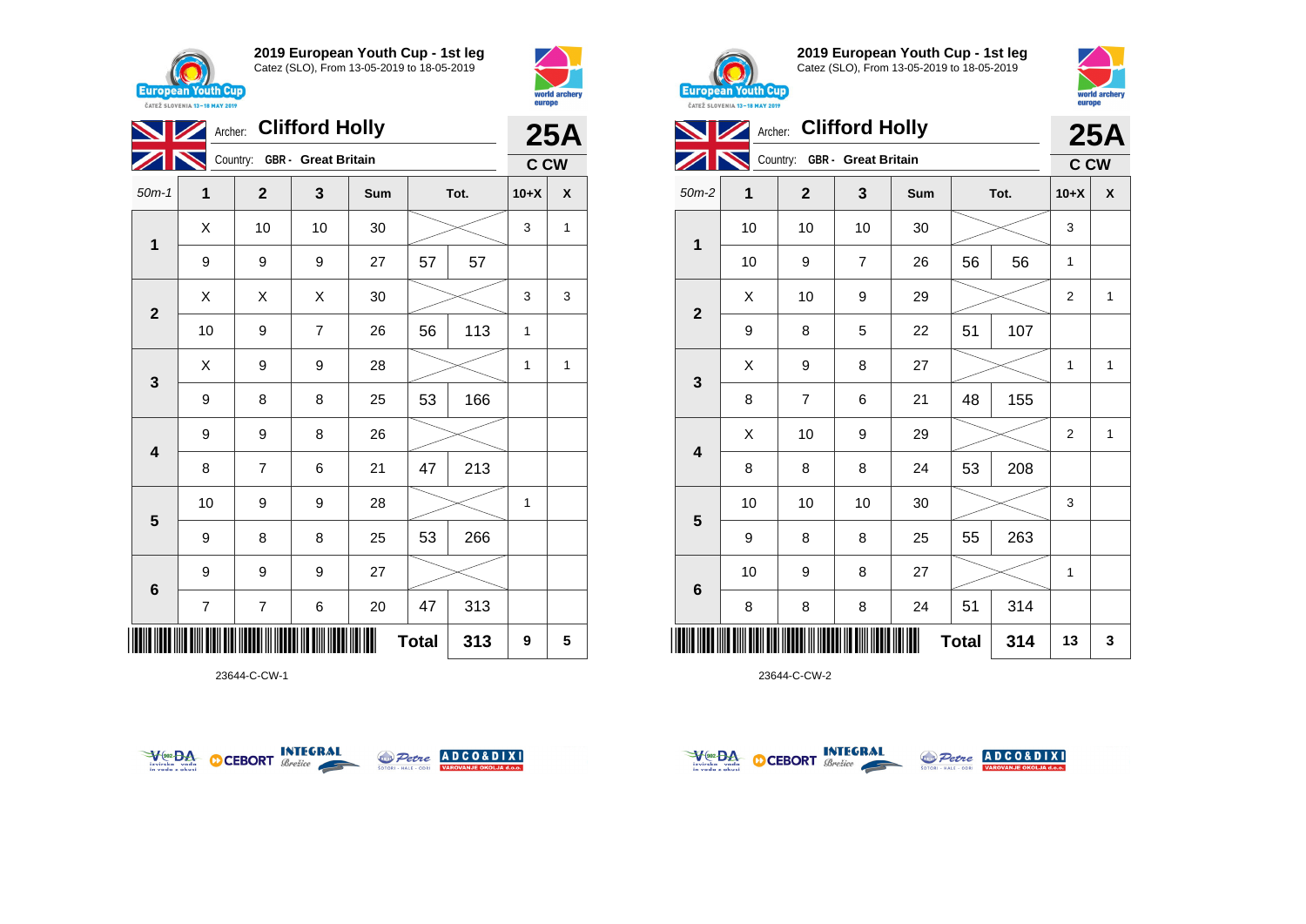





23644-C-CW-1





**2019 European Youth Cup - 1st leg** Catez (SLO), From 13-05-2019 to 18-05-2019



| <b>CAILL SLUVENIA 13-18 MAY ZUIY</b> |    |                         |                              |     |              |      |                |              |
|--------------------------------------|----|-------------------------|------------------------------|-----|--------------|------|----------------|--------------|
|                                      |    |                         | Archer: Clifford Holly       |     |              |      |                | <b>25A</b>   |
|                                      |    |                         | Country: GBR - Great Britain |     |              |      | <b>C CW</b>    |              |
| $50m-2$                              | 1  | $\overline{\mathbf{2}}$ | 3                            | Sum |              | Tot. | $10+X$         | X            |
|                                      | 10 | 10                      | 10                           | 30  |              |      | 3              |              |
| $\mathbf{1}$                         | 10 | 9                       | $\overline{7}$               | 26  | 56           | 56   | 1              |              |
|                                      | X  | 10                      | $\boldsymbol{9}$             | 29  |              |      | $\overline{2}$ | $\mathbf 1$  |
| $\mathbf{2}$                         | 9  | 8                       | 5                            | 22  | 51           | 107  |                |              |
|                                      | X  | 9                       | 8                            | 27  |              |      | $\mathbf{1}$   | $\mathbf{1}$ |
| 3                                    | 8  | 7                       | 6                            | 21  | 48           | 155  |                |              |
| $\overline{\mathbf{4}}$              | Χ  | 10                      | 9                            | 29  |              |      | $\overline{2}$ | 1            |
|                                      | 8  | 8                       | 8                            | 24  | 53           | 208  |                |              |
|                                      | 10 | 10                      | 10                           | 30  |              |      | 3              |              |
| 5                                    | 9  | 8                       | 8                            | 25  | 55           | 263  |                |              |
| 6                                    | 10 | 9                       | 8                            | 27  |              |      | 1              |              |
|                                      | 8  | 8                       | 8                            | 24  | 51           | 314  |                |              |
| IIII                                 |    |                         |                              |     | <b>Total</b> | 314  | 13             | 3            |



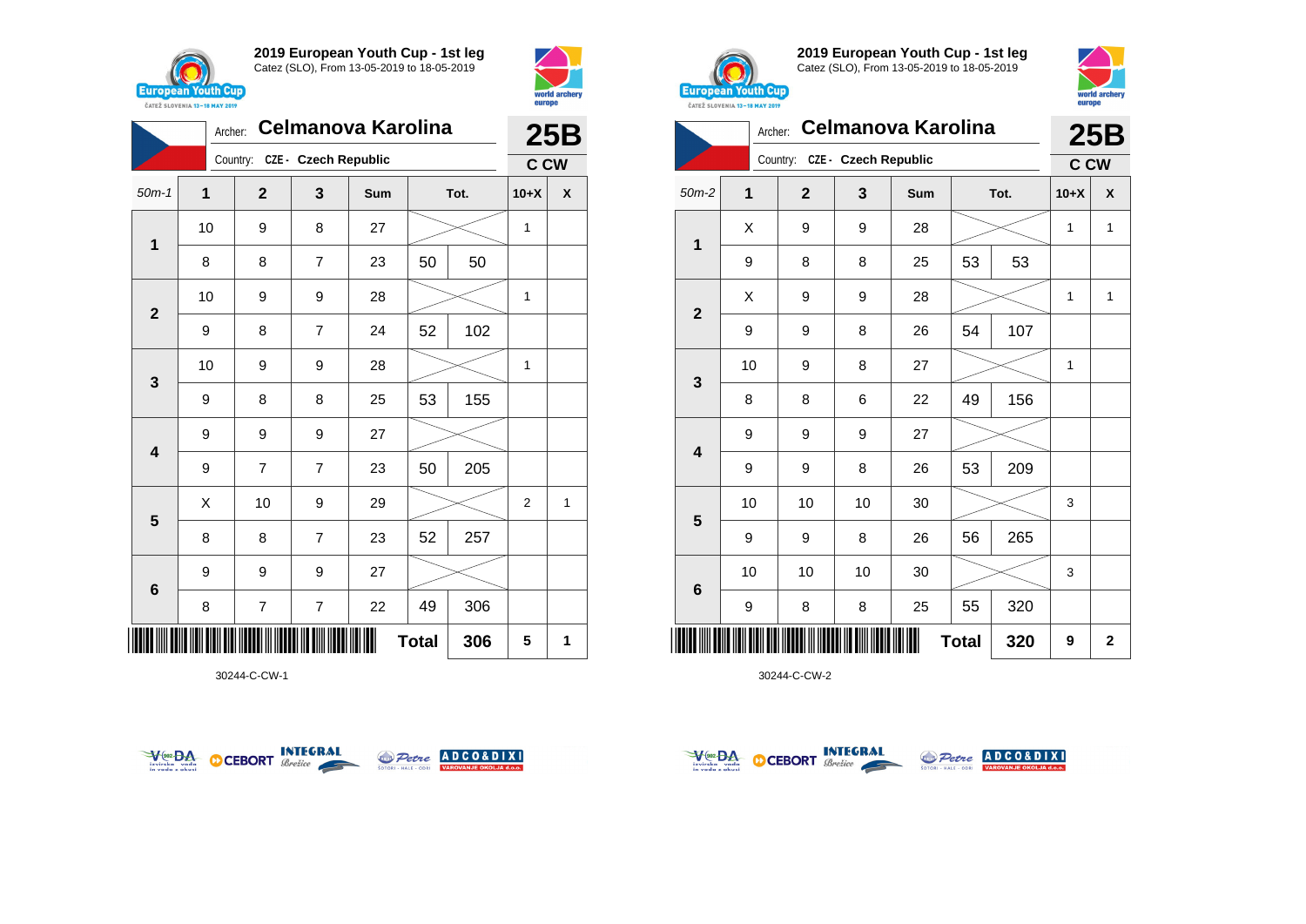





30244-C-CW-1





**2019 European Youth Cup - 1st leg** Catez (SLO), From 13-05-2019 to 18-05-2019



|                | Archer: | <b>Celmanova Karolina</b>     | 25B |     |              |      |              |                |
|----------------|---------|-------------------------------|-----|-----|--------------|------|--------------|----------------|
|                |         | Country: CZE - Czech Republic |     |     |              |      | C CW         |                |
| $50m-2$        | 1       | $\overline{2}$                | 3   | Sum |              | Tot. | $10+X$       | X              |
| $\mathbf 1$    | Χ       | 9                             | 9   | 28  |              |      | 1            | 1              |
|                | 9       | 8                             | 8   | 25  | 53           | 53   |              |                |
| $\overline{2}$ | X       | 9                             | 9   | 28  |              |      | 1            | 1              |
|                | 9       | 9                             | 8   | 26  | 54           | 107  |              |                |
| 3              | 10      | 9                             | 8   | 27  |              |      | $\mathbf{1}$ |                |
|                | 8       | 8                             | 6   | 22  | 49           | 156  |              |                |
| 4              | 9       | 9                             | 9   | 27  |              |      |              |                |
|                | 9       | 9                             | 8   | 26  | 53           | 209  |              |                |
|                | 10      | 10                            | 10  | 30  |              |      | 3            |                |
| 5              | 9       | 9                             | 8   | 26  | 56           | 265  |              |                |
| 6              | 10      | 10                            | 10  | 30  |              |      | 3            |                |
|                | 9       | 8                             | 8   | 25  | 55           | 320  |              |                |
| ║║║            |         |                               |     |     | <b>Total</b> | 320  | 9            | $\overline{2}$ |



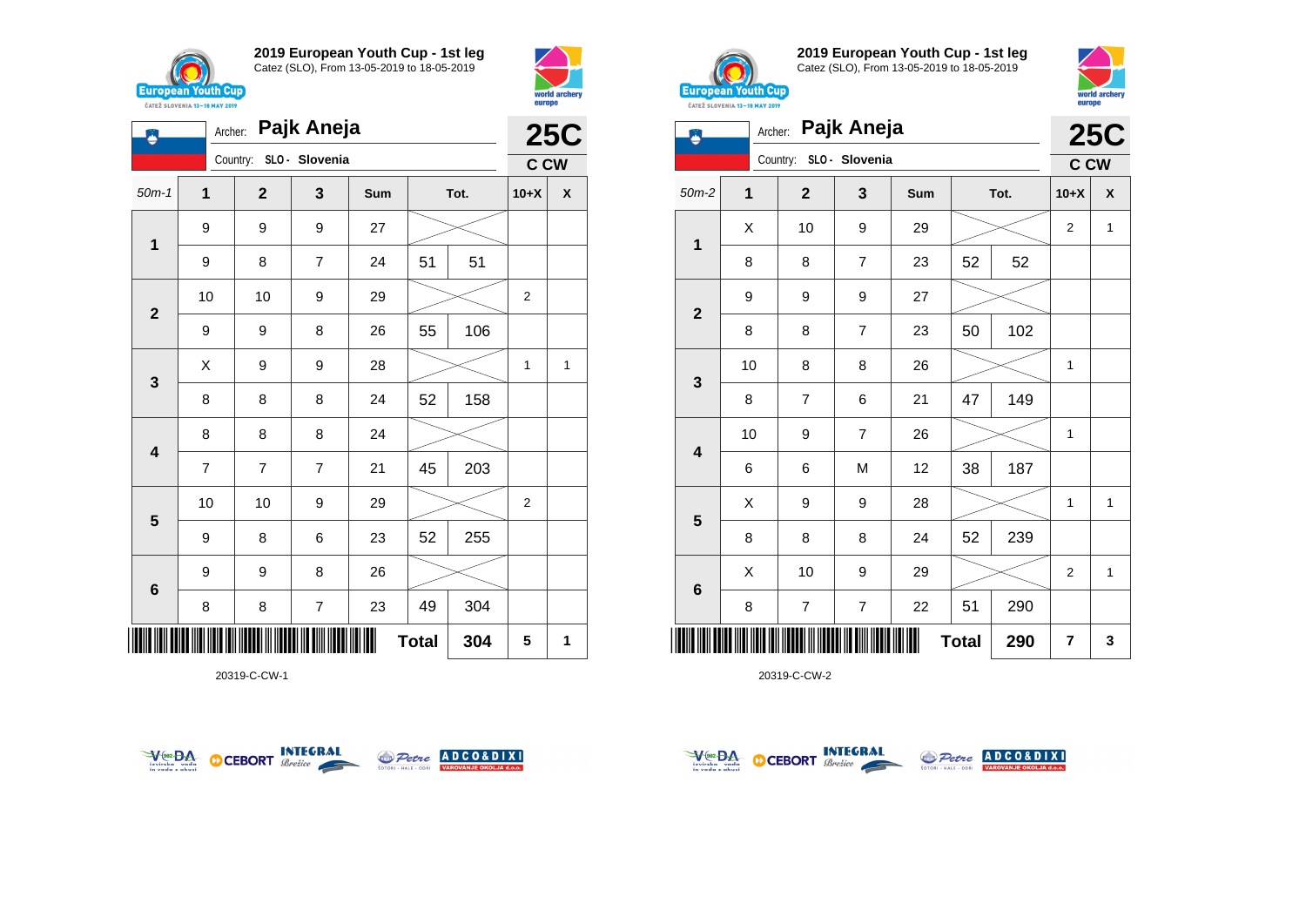

**1**

Ö

**2**

**3**

**4**

**5**

**6**

**2019 European Youth Cup - 1st leg** Catez (SLO), From 13-05-2019 to 18-05-2019

50m-1 **1 2 3 Sum Tot. 10+X X**

9 | 8 | 7 | 24 | 51 | 51

9 | 9 | 8 | 26 | 55 | 106

8 | 8 | 8 | 24 | 52 | 158

7 7 7 21 45 203

9 | 8 | 6 | 23 | 52 | 255

8 | 8 | 7 | 23 | 49 | 304

10 | 10 | 9 | 29 |  $>$  | 2

10 | 10 | 9 | 29 |  $>$  | 2

 $X$  | 9 | 9 | 28 |  $>$  | 1 | 1

Archer: **Pajk Aneja**

Country: **SLO - Slovenia**

9 9 9 27

8 8 8 24

9 9 8 26



**25C C CW**



**2019 European Youth Cup - 1st leg** Catez (SLO), From 13-05-2019 to 18-05-2019



|                         |    |                | <b>25C</b>     |     |              |      |                         |              |
|-------------------------|----|----------------|----------------|-----|--------------|------|-------------------------|--------------|
|                         |    | Country:       | SLO - Slovenia |     |              |      | <b>C CW</b>             |              |
| $50m-2$                 | 1  | $\overline{2}$ | 3              | Sum |              | Tot. | $10+X$                  | X            |
|                         | X  | 10             | 9              | 29  |              |      | $\overline{2}$          | 1            |
| $\mathbf 1$             | 8  | 8              | $\overline{7}$ | 23  | 52           | 52   |                         |              |
|                         | 9  | 9              | 9              | 27  |              |      |                         |              |
| $\overline{2}$          | 8  | 8              | 7              | 23  | 50           | 102  |                         |              |
|                         | 10 | 8              | 8              | 26  |              |      | 1                       |              |
| $\mathbf{3}$            | 8  | $\overline{7}$ | 6              | 21  | 47           | 149  |                         |              |
|                         | 10 | 9              | $\overline{7}$ | 26  |              |      | 1                       |              |
| $\overline{\mathbf{4}}$ | 6  | 6              | M              | 12  | 38           | 187  |                         |              |
|                         | Χ  | 9              | 9              | 28  |              |      | 1                       | $\mathbf{1}$ |
| $5\phantom{1}$          | 8  | 8              | 8              | 24  | 52           | 239  |                         |              |
|                         | X  | 10             | 9              | 29  |              |      | $\overline{2}$          | $\mathbf{1}$ |
| $\bf 6$                 | 8  | $\overline{7}$ | $\overline{7}$ | 22  | 51           | 290  |                         |              |
|                         |    |                |                |     | <b>Total</b> | 290  | $\overline{\mathbf{r}}$ | 3            |

20319-C-CW-2



\*20319-C-CW-1\*

20319-C-CW-1



**Total 304 5 1**



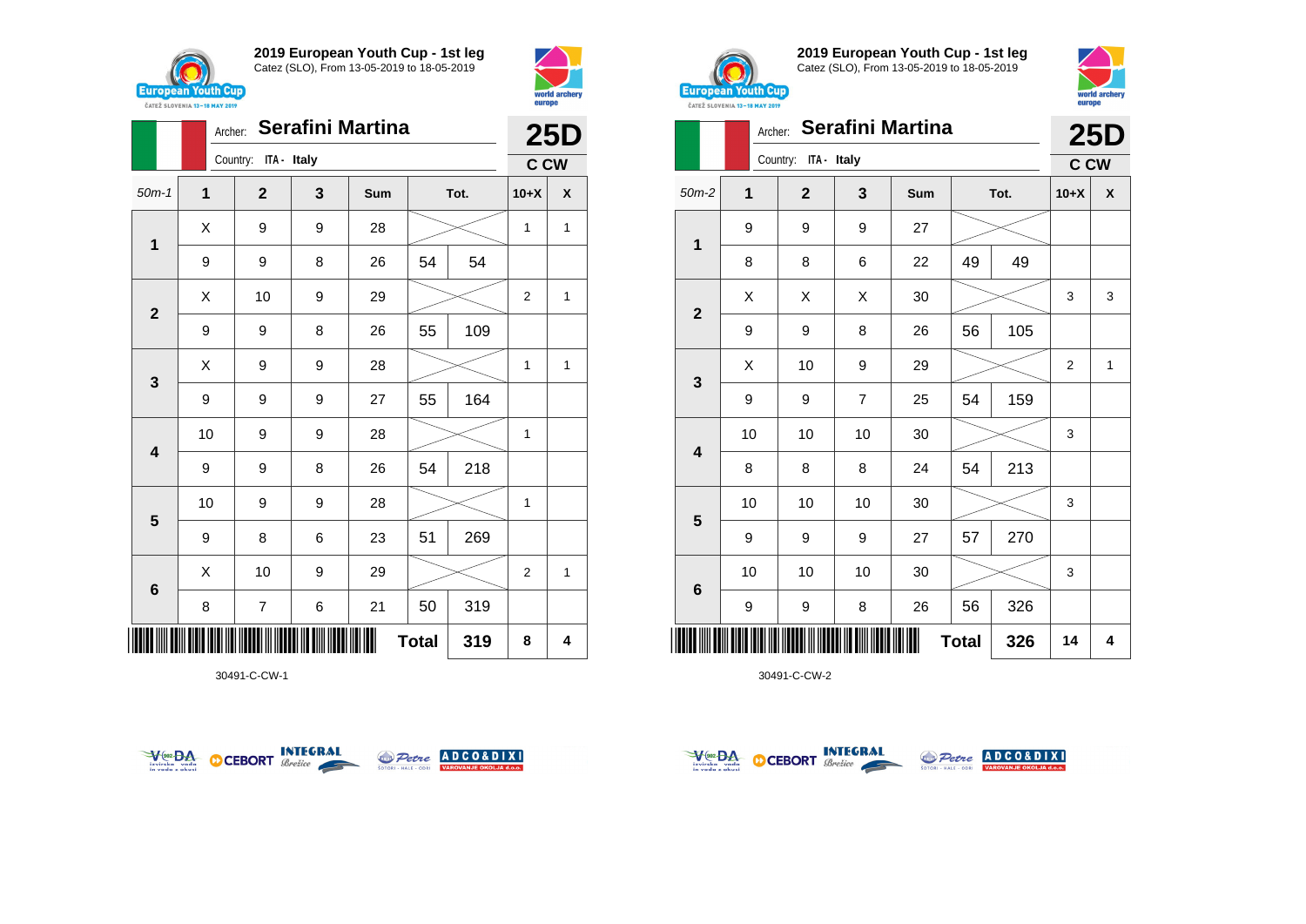





30491-C-CW-1





**2019 European Youth Cup - 1st leg** Catez (SLO), From 13-05-2019 to 18-05-2019



| <b><i>UAILL SLUVERIA 13"10 MAT 4017</i></b> |    | <b>25D</b>           |                |     |              |      |                |                    |
|---------------------------------------------|----|----------------------|----------------|-----|--------------|------|----------------|--------------------|
|                                             |    | Country: ITA - Italy |                |     |              |      | <b>C CW</b>    |                    |
| $50m-2$                                     | 1  | $\mathbf 2$          | 3              | Sum |              | Tot. | $10+X$         | $\pmb{\mathsf{X}}$ |
| 1                                           | 9  | 9                    | 9              | 27  |              |      |                |                    |
|                                             | 8  | 8                    | 6              | 22  | 49           | 49   |                |                    |
|                                             | X  | X                    | Χ              | 30  |              |      | 3              | 3                  |
| $\mathbf 2$                                 | 9  | 9                    | 8              | 26  | 56           | 105  |                |                    |
|                                             | X  | 10                   | 9              | 29  |              |      | $\overline{2}$ | $\mathbf{1}$       |
| 3                                           | 9  | 9                    | $\overline{7}$ | 25  | 54           | 159  |                |                    |
| $\overline{\mathbf{4}}$                     | 10 | 10                   | 10             | 30  |              |      | 3              |                    |
|                                             | 8  | 8                    | 8              | 24  | 54           | 213  |                |                    |
| $5\phantom{1}$                              | 10 | 10                   | 10             | 30  |              |      | 3              |                    |
|                                             | 9  | 9                    | 9              | 27  | 57           | 270  |                |                    |
|                                             | 10 | 10                   | 10             | 30  |              |      | 3              |                    |
| $\bf 6$                                     | 9  | 9                    | 8              | 26  | 56           | 326  |                |                    |
|                                             |    |                      |                |     | <b>Total</b> | 326  | 14             | 4                  |



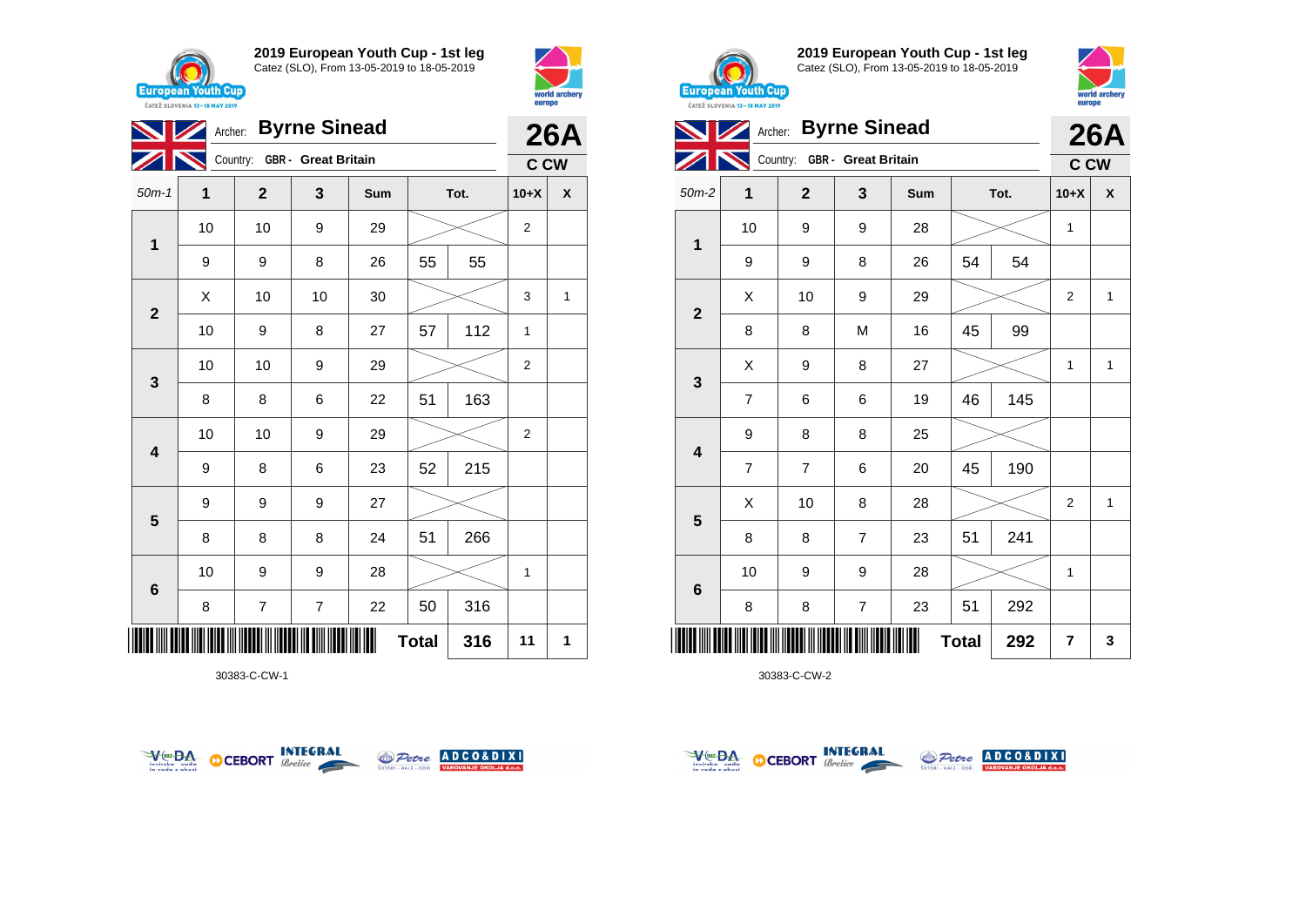





30383-C-CW-1





**2019 European Youth Cup - 1st leg** Catez (SLO), From 13-05-2019 to 18-05-2019



|                |                | <b>26A</b>                   |                         |     |              |      |                         |                    |
|----------------|----------------|------------------------------|-------------------------|-----|--------------|------|-------------------------|--------------------|
|                |                | Country: GBR - Great Britain |                         |     |              |      | C CW                    |                    |
| $50m-2$        | 1              | $\mathbf{2}$                 | 3                       | Sum |              | Tot. | $10+X$                  | $\pmb{\mathsf{X}}$ |
| $\mathbf 1$    | 10             | 9                            | 9                       | 28  |              |      | 1                       |                    |
|                | 9              | 9                            | 8                       | 26  | 54           | 54   |                         |                    |
|                | Χ              | 10                           | 9                       | 29  |              |      | $\overline{2}$          | $\mathbf{1}$       |
| $\mathbf{2}$   | 8              | 8                            | M                       | 16  | 45           | 99   |                         |                    |
| 3              | Χ              | 9                            | 8                       | 27  |              |      | 1                       | $\mathbf{1}$       |
|                | $\overline{7}$ | 6                            | 6                       | 19  | 46           | 145  |                         |                    |
| 4              | 9              | 8                            | 8                       | 25  |              |      |                         |                    |
|                | $\overline{7}$ | $\overline{7}$               | 6                       | 20  | 45           | 190  |                         |                    |
| $5\phantom{1}$ | X              | 10                           | 8                       | 28  |              |      | $\overline{2}$          | $\mathbf{1}$       |
|                | 8              | 8                            | $\overline{7}$          | 23  | 51           | 241  |                         |                    |
|                | 10             | 9                            | 9                       | 28  |              |      | 1                       |                    |
| 6              | 8              | 8                            | $\overline{\mathbf{7}}$ | 23  | 51           | 292  |                         |                    |
| ║║║            |                |                              |                         |     | <b>Total</b> | 292  | $\overline{\mathbf{r}}$ | 3                  |



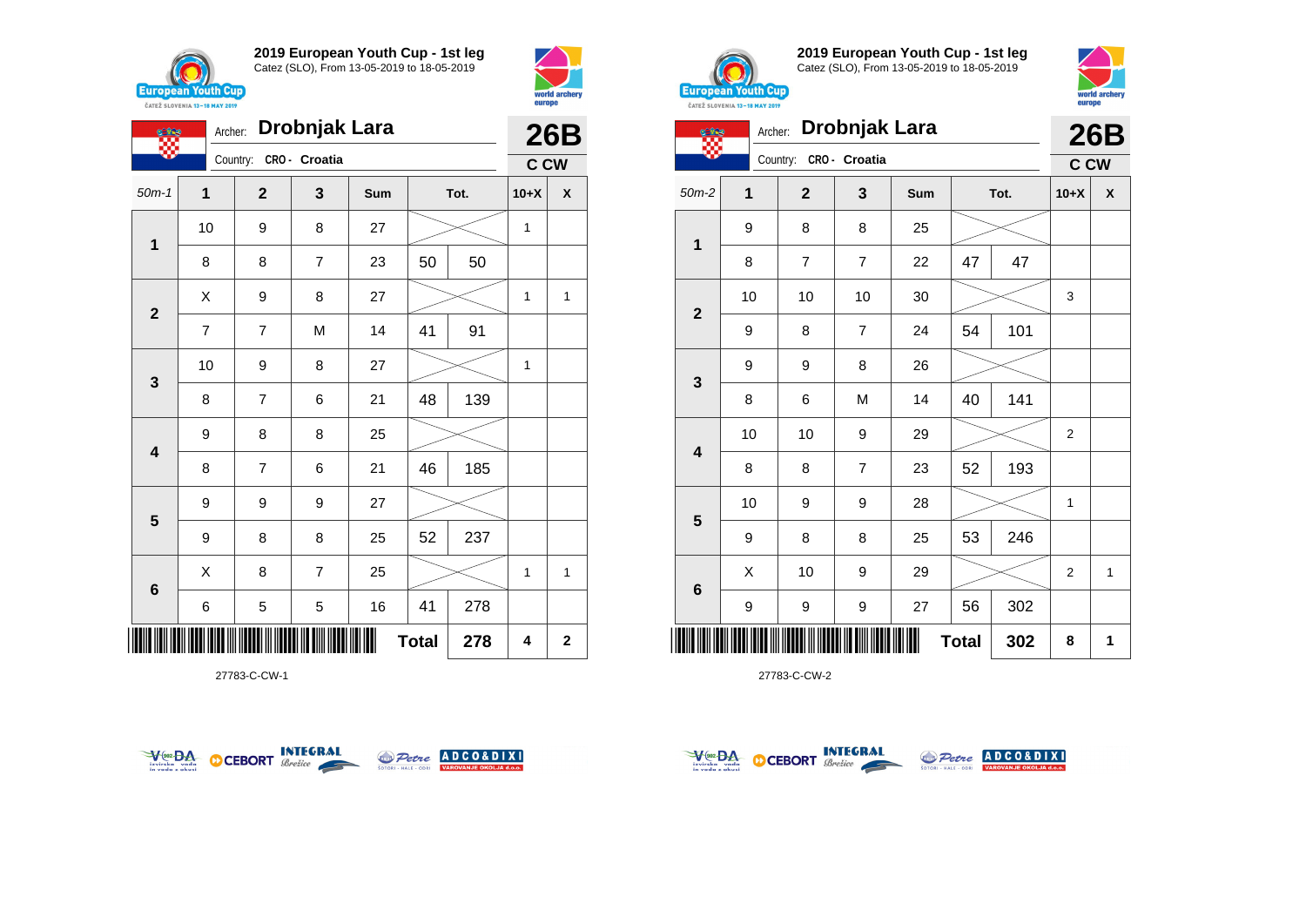

**競** 

**1**

**2**

**3**

**4**

**5**

**6**

**2019 European Youth Cup - 1st leg** Catez (SLO), From 13-05-2019 to 18-05-2019

50m-1 **1 2 3 Sum Tot. 10+X X**

8 | 8 | 7 | 23 | 50 | 50

7 | 7 | M | 14 | 41 | 91

8 | 7 | 6 | 21 |48 | 139

8 | 7 | 6 | 21 | 46 | 185

9 | 8 | 8 | 25 | 52 | 237

6 5 5 16 41 278

 $X$  | 8 | 7 | 25 |  $\gg$  | 1 | 1

**Total**  $278$   $4$   $2$ 

9 8 8 25

9 9 9 27

\*27783-C-CW-1\*

27783-C-CW-1

10 | 9 | 8 | 27 |  $\!\!\!\!\!\times$  | 1

10 | 9 | 8 | 27 |  $\!\!\!\!\!\times$  | 1

 $X$  | 9 | 8 | 27 |  $\swarrow$  | 1 | 1

Archer: **Drobnjak Lara**

Country: **CRO - Croatia**



**26B C CW**



**2019 European Youth Cup - 1st leg** Catez (SLO), From 13-05-2019 to 18-05-2019



| Drobnjak Lara<br>Archer:<br>ette |              |                |                |     |              |      |                | <b>26B</b> |
|----------------------------------|--------------|----------------|----------------|-----|--------------|------|----------------|------------|
|                                  |              | Country:       | CRO - Croatia  |     |              |      | <b>C CW</b>    |            |
| $50m-2$                          | $\mathbf{1}$ | $\mathbf{2}$   | 3              | Sum |              | Tot. | $10+X$         | X          |
| 1                                | 9            | 8              | 8              | 25  |              |      |                |            |
|                                  | 8            | $\overline{7}$ | $\overline{7}$ | 22  | 47           | 47   |                |            |
|                                  | 10           | 10             | 10             | 30  |              |      | 3              |            |
| $\mathbf{2}$                     | 9            | 8              | $\overline{7}$ | 24  | 54           | 101  |                |            |
|                                  | 9            | 9              | 8              | 26  |              |      |                |            |
| 3                                | 8            | 6              | M              | 14  | 40           | 141  |                |            |
|                                  | 10           | 10             | 9              | 29  |              |      | $\overline{2}$ |            |
| $\overline{\mathbf{4}}$          | 8            | 8              | 7              | 23  | 52           | 193  |                |            |
|                                  | 10           | 9              | 9              | 28  |              |      | 1              |            |
| 5                                | 9            | 8              | 8              | 25  | 53           | 246  |                |            |
|                                  | X            | 10             | 9              | 29  |              |      | $\overline{2}$ | 1          |
| 6                                | 9            | 9              | 9              | 27  | 56           | 302  |                |            |
|                                  |              |                |                |     | <b>Total</b> | 302  | 8              | 1          |





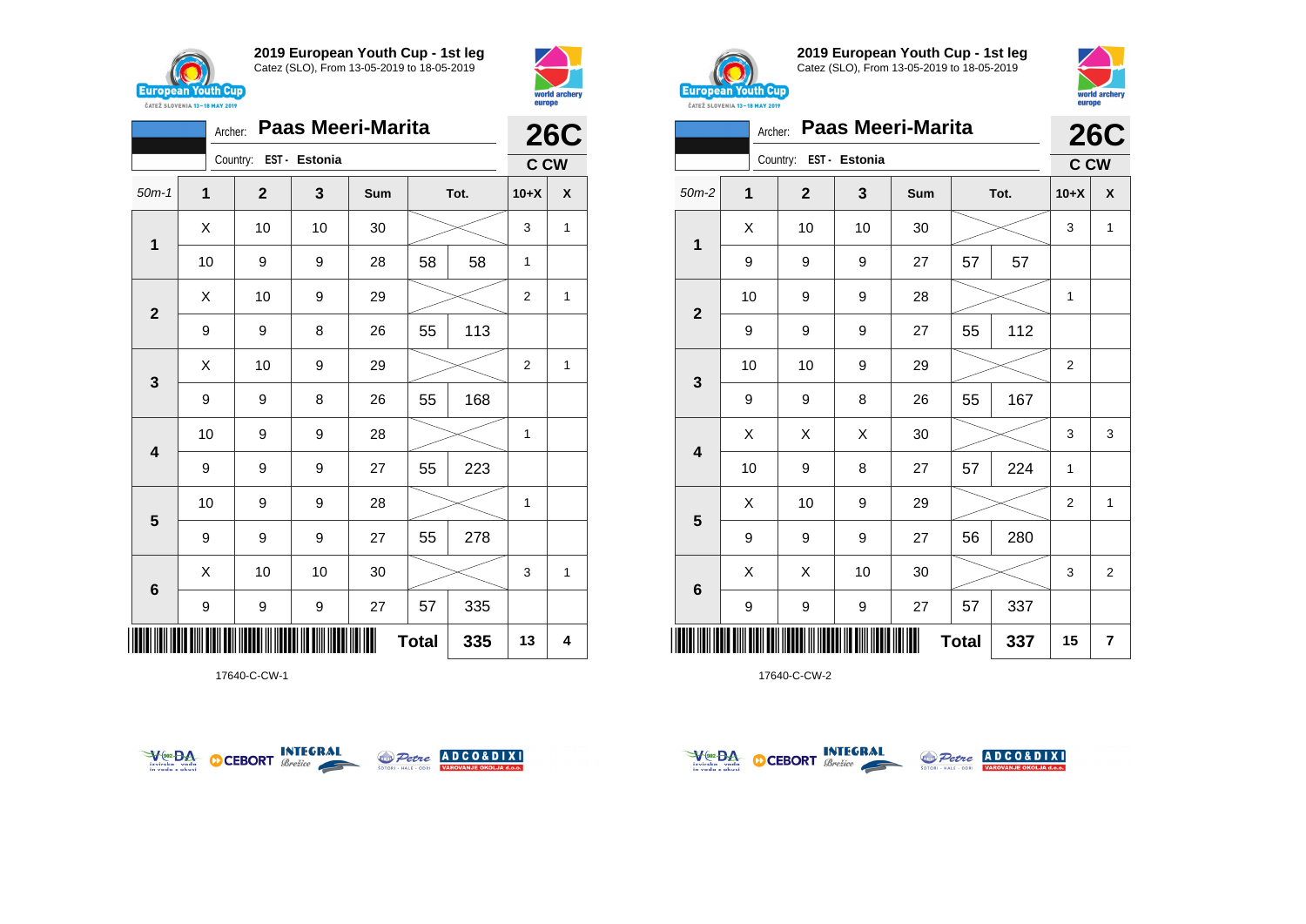



|                           | <b>26C</b>     |                        |    |     |    |      |                |   |
|---------------------------|----------------|------------------------|----|-----|----|------|----------------|---|
|                           |                | Country: EST - Estonia |    |     |    |      | <b>C CW</b>    |   |
| $50m-1$                   | $\overline{1}$ | $\mathbf{2}$           | 3  | Sum |    | Tot. | $10+X$         | X |
| 1                         | X              | 10                     | 10 | 30  |    |      | 3              | 1 |
|                           | 10             | 9                      | 9  | 28  | 58 | 58   | $\mathbf{1}$   |   |
| $\overline{\mathbf{2}}$   | X              | 10                     | 9  | 29  |    |      | 2              | 1 |
|                           | 9              | 9                      | 8  | 26  | 55 | 113  |                |   |
| 3                         | Χ              | 10                     | 9  | 29  |    |      | $\overline{2}$ | 1 |
|                           | 9              | 9                      | 8  | 26  | 55 | 168  |                |   |
| 4                         | 10             | 9                      | 9  | 28  |    |      | 1              |   |
|                           | 9              | 9                      | 9  | 27  | 55 | 223  |                |   |
| $5\phantom{1}$            | 10             | 9                      | 9  | 28  |    |      | 1              |   |
|                           | 9              | 9                      | 9  | 27  | 55 | 278  |                |   |
| 6                         | X              | 10                     | 10 | 30  |    |      | 3              | 1 |
|                           | 9              | 9                      | 9  | 27  | 57 | 335  |                |   |
| <b>Total</b><br>335<br>13 |                |                        |    |     |    |      |                |   |

17640-C-CW-1





**2019 European Youth Cup - 1st leg** Catez (SLO), From 13-05-2019 to 18-05-2019



| <b>Paas Meeri-Marita</b><br>Archer: |    |                        |    |     |              |      |                | <b>26C</b>     |  |
|-------------------------------------|----|------------------------|----|-----|--------------|------|----------------|----------------|--|
|                                     |    | Country: EST - Estonia |    |     |              |      | C CW           |                |  |
| $50m-2$                             | 1  | $\mathbf{2}$           | 3  | Sum |              | Tot. | $10+X$         | X              |  |
| 1                                   | X  | 10                     | 10 | 30  |              |      | 3              | $\mathbf{1}$   |  |
|                                     | 9  | 9                      | 9  | 27  | 57           | 57   |                |                |  |
|                                     | 10 | 9                      | 9  | 28  |              |      | 1              |                |  |
| $\overline{2}$                      | 9  | 9                      | 9  | 27  | 55           | 112  |                |                |  |
|                                     | 10 | 10                     | 9  | 29  |              |      | $\overline{2}$ |                |  |
| 3                                   | 9  | 9                      | 8  | 26  | 55           | 167  |                |                |  |
|                                     | X  | X                      | X  | 30  |              |      | 3              | 3              |  |
| $\overline{\mathbf{4}}$             | 10 | 9                      | 8  | 27  | 57           | 224  | $\mathbf{1}$   |                |  |
|                                     | Χ  | 10                     | 9  | 29  |              |      | 2              | 1              |  |
| 5                                   | 9  | 9                      | 9  | 27  | 56           | 280  |                |                |  |
|                                     | X  | X                      | 10 | 30  |              |      | 3              | $\overline{2}$ |  |
| $6\phantom{1}6$                     | 9  | 9                      | 9  | 27  | 57           | 337  |                |                |  |
| ║║║                                 |    |                        |    |     | <b>Total</b> | 337  | 15             | $\overline{7}$ |  |



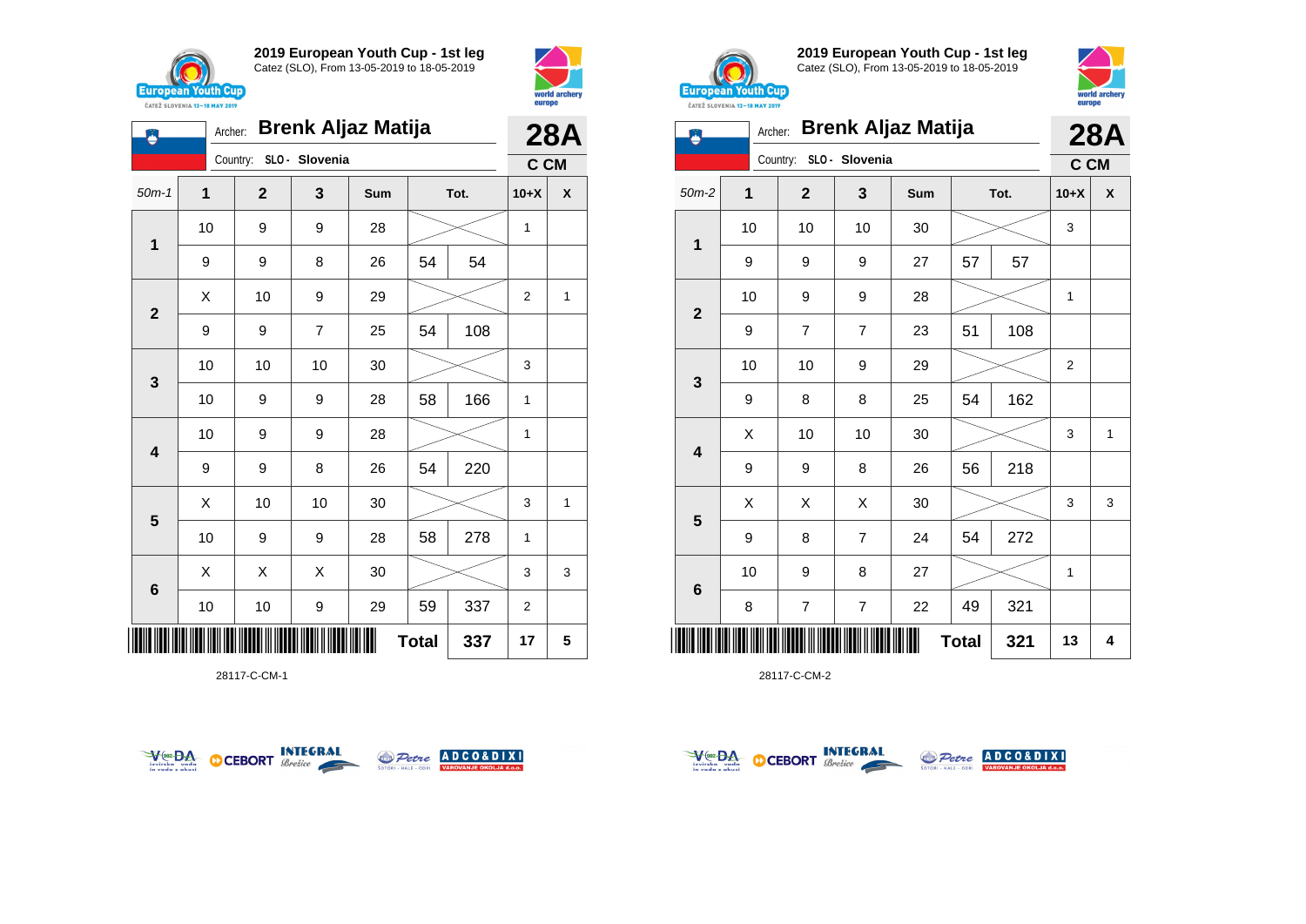





28117-C-CM-1





**2019 European Youth Cup - 1st leg** Catez (SLO), From 13-05-2019 to 18-05-2019



| <b>Brenk Aljaz Matija</b><br>Archer: |    |                         |                |     |              |      |                | <b>28A</b>   |  |
|--------------------------------------|----|-------------------------|----------------|-----|--------------|------|----------------|--------------|--|
|                                      |    | Country:                | SLO - Slovenia |     |              |      | C CM           |              |  |
| $50m-2$                              | 1  | $\mathbf{2}$            | 3              | Sum |              | Tot. |                | X            |  |
| 1                                    | 10 | 10                      | 10             | 30  |              |      | 3              |              |  |
|                                      | 9  | 9                       | 9              | 27  | 57           | 57   |                |              |  |
| $\overline{2}$                       | 10 | 9                       | 9              | 28  |              |      | 1              |              |  |
|                                      | 9  | $\overline{7}$          | $\overline{7}$ | 23  | 51           | 108  |                |              |  |
| 3                                    | 10 | 10                      | 9              | 29  |              |      | $\overline{2}$ |              |  |
|                                      | 9  | 8                       | 8              | 25  | 54           | 162  |                |              |  |
| 4                                    | X  | 10                      | 10             | 30  |              |      | 3              | $\mathbf{1}$ |  |
|                                      | 9  | 9                       | 8              | 26  | 56           | 218  |                |              |  |
| 5                                    | X  | X                       | Χ              | 30  |              |      | 3              | 3            |  |
|                                      | 9  | 8                       | $\overline{7}$ | 24  | 54           | 272  |                |              |  |
| $6\phantom{1}6$                      | 10 | 9                       | 8              | 27  |              |      | 1              |              |  |
|                                      | 8  | $\overline{\mathbf{7}}$ | $\overline{7}$ | 22  | 49           | 321  |                |              |  |
| Ш                                    |    |                         |                |     | <b>Total</b> | 321  | 13             | 4            |  |



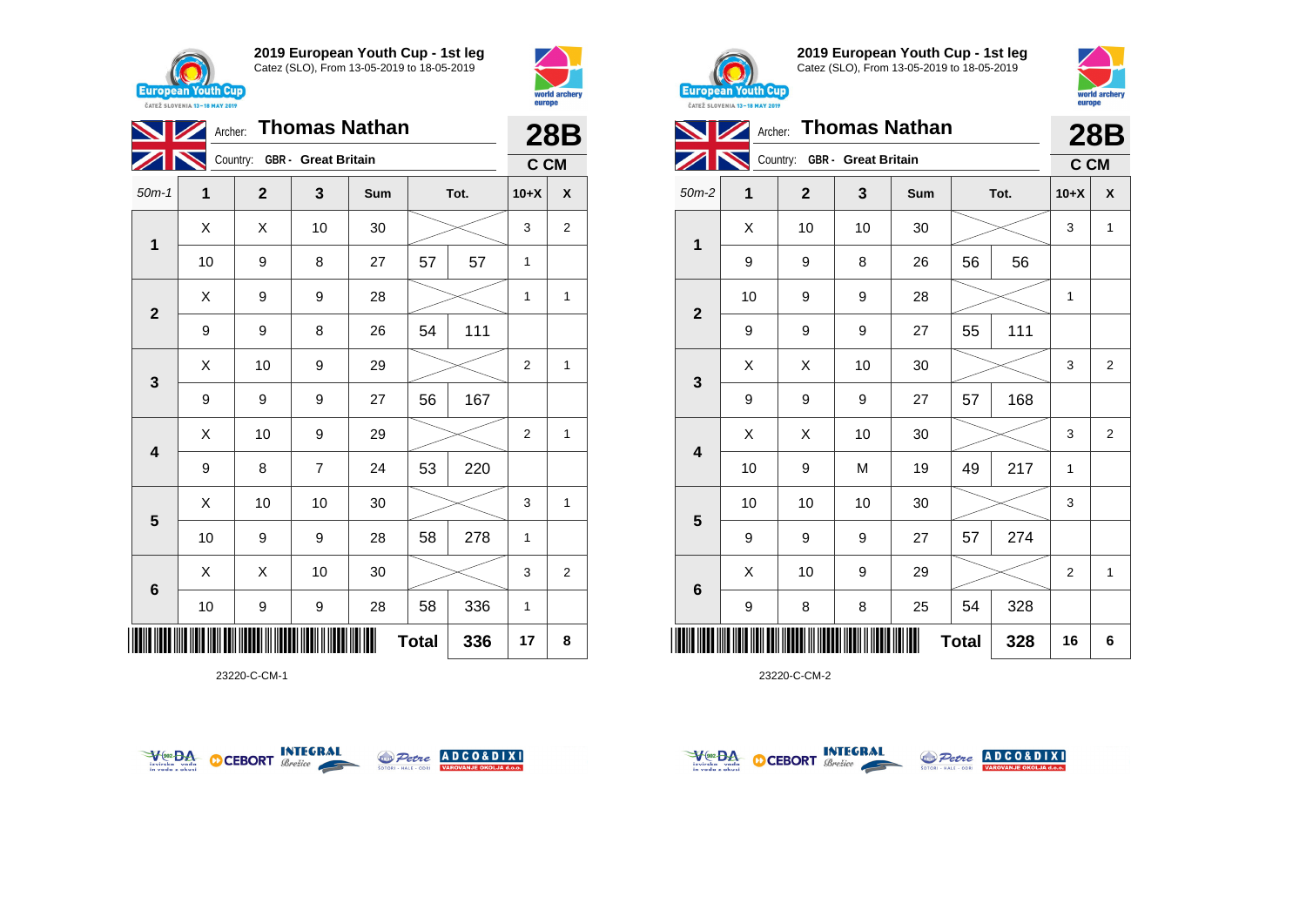





23220-C-CM-1





**2019 European Youth Cup - 1st leg** Catez (SLO), From 13-05-2019 to 18-05-2019



|              | Archer: Thomas Nathan |              |                              | 28B |              |        |                |                |
|--------------|-----------------------|--------------|------------------------------|-----|--------------|--------|----------------|----------------|
|              |                       |              | Country: GBR - Great Britain |     |              |        | C CM           |                |
| $50m-2$      | 1                     | $\mathbf{2}$ | 3<br>Tot.<br>Sum             |     |              | $10+X$ | X              |                |
| 1            | X                     | 10           | 10                           | 30  |              |        | 3              | 1              |
|              | 9                     | 9            | 8                            | 26  | 56           | 56     |                |                |
| $\mathbf{2}$ | 10                    | 9            | 9                            | 28  |              |        | $\mathbf{1}$   |                |
|              | 9                     | 9            | 9                            | 27  | 55           | 111    |                |                |
|              | X                     | X            | 10                           | 30  |              |        | 3              | $\overline{2}$ |
| 3            | 9                     | 9            | 9                            | 27  | 57           | 168    |                |                |
| 4            | X                     | X            | 10                           | 30  |              |        | 3              | $\overline{2}$ |
|              | 10                    | 9            | M                            | 19  | 49           | 217    | 1              |                |
| 5            | 10                    | 10           | 10                           | 30  |              |        | 3              |                |
|              | 9                     | 9            | 9                            | 27  | 57           | 274    |                |                |
| 6            | X                     | 10           | 9                            | 29  |              |        | $\overline{2}$ | 1              |
|              | 9                     | 8            | 8                            | 25  | 54           | 328    |                |                |
|              |                       |              |                              |     | <b>Total</b> | 328    | 16             | 6              |



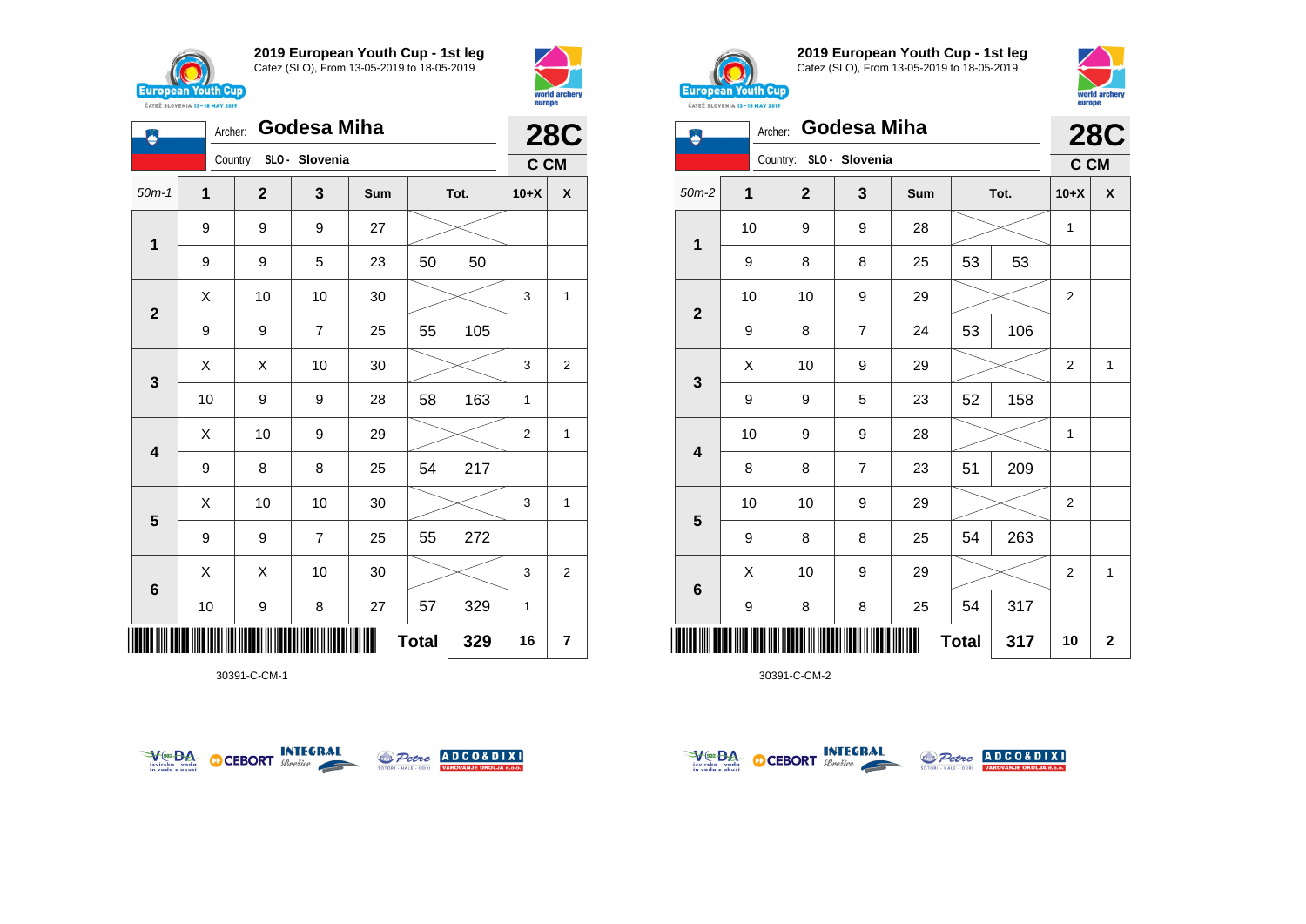

 $\ddot{\bullet}$ 

**2019 European Youth Cup - 1st leg** Catez (SLO), From 13-05-2019 to 18-05-2019

50m-1 **1 2 3 Sum Tot. 10+X X**

Archer: **Godesa Miha**

Country: **SLO - Slovenia**



**28C C CM**



**2019 European Youth Cup - 1st leg** Catez (SLO), From 13-05-2019 to 18-05-2019



| ě            |    | Archer: Godesa Miha     |   |     |              |      |                | <b>28C</b>  |
|--------------|----|-------------------------|---|-----|--------------|------|----------------|-------------|
|              |    | Country: SLO - Slovenia |   |     |              |      | C CM           |             |
| $50m-2$      | 1  | $\mathbf{2}$            | 3 | Sum |              | Tot. | $10+X$         | X           |
|              | 10 | 9                       | 9 | 28  |              |      | 1              |             |
| $\mathbf 1$  | 9  | 8                       | 8 | 25  | 53           | 53   |                |             |
| $\mathbf{2}$ | 10 | 10                      | 9 | 29  |              |      | 2              |             |
|              | 9  | 8                       | 7 | 24  | 53           | 106  |                |             |
| 3            | Χ  | 10                      | 9 | 29  |              |      | 2              | 1           |
|              | 9  | 9                       | 5 | 23  | 52           | 158  |                |             |
| 4            | 10 | 9                       | 9 | 28  |              |      | 1              |             |
|              | 8  | 8                       | 7 | 23  | 51           | 209  |                |             |
| 5            | 10 | 10                      | 9 | 29  |              |      | $\overline{2}$ |             |
|              | 9  | 8                       | 8 | 25  | 54           | 263  |                |             |
| 6            | X  | 10                      | 9 | 29  |              |      | 2              | 1           |
|              | 9  | 8                       | 8 | 25  | 54           | 317  |                |             |
|              |    |                         |   |     | <b>Total</b> | 317  | 10             | $\mathbf 2$ |

30391-C-CM-2

|                     | 1                       | 9  | 9  | 9                        | 27 |    |     |                |                         |
|---------------------|-------------------------|----|----|--------------------------|----|----|-----|----------------|-------------------------|
|                     |                         | 9  | 9  | 5                        | 23 | 50 | 50  |                |                         |
|                     | $\mathbf{2}$            | X  | 10 | 10                       | 30 |    |     | 3              | $\mathbf{1}$            |
|                     |                         | 9  | 9  | $\boldsymbol{7}$         | 25 | 55 | 105 |                |                         |
|                     | $\mathbf{3}$            | X  | Χ  | 10                       | 30 |    |     | 3              | $\overline{2}$          |
|                     |                         | 10 | 9  | 9                        | 28 | 58 | 163 | 1              |                         |
|                     | $\overline{\mathbf{4}}$ | Χ  | 10 | 9                        | 29 |    |     | $\overline{c}$ | $\mathbf{1}$            |
|                     |                         | 9  | 8  | 8                        | 25 | 54 | 217 |                |                         |
|                     | $5\phantom{1}$          | X  | 10 | 10                       | 30 |    |     | 3              | $\mathbf{1}$            |
|                     |                         | 9  | 9  | $\overline{\mathcal{I}}$ | 25 | 55 | 272 |                |                         |
|                     | $\bf 6$                 | Χ  | Χ  | 10                       | 30 |    |     | 3              | $\overline{2}$          |
|                     |                         | 10 | 9  | 8                        | 27 | 57 | 329 | 1              |                         |
| 329<br><b>Total</b> |                         |    |    |                          |    |    |     |                | $\overline{\mathbf{r}}$ |





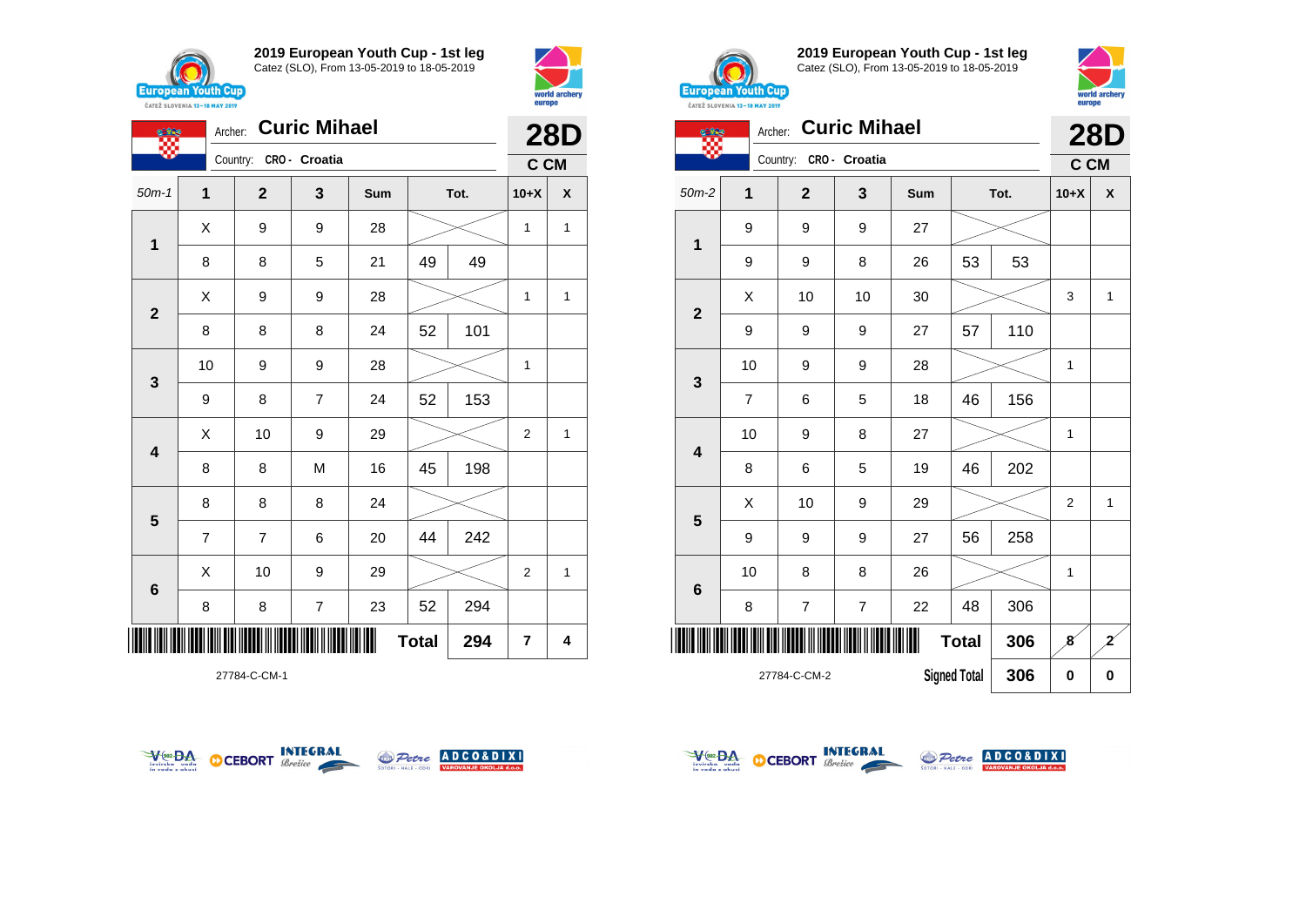





27784-C-CM-1





**2019 European Youth Cup - 1st leg** Catez (SLO), From 13-05-2019 to 18-05-2019



| <b>Curic Mihael</b><br>Archer: |                         |                |                |               |     |                     |      |                | <b>28D</b>     |  |
|--------------------------------|-------------------------|----------------|----------------|---------------|-----|---------------------|------|----------------|----------------|--|
|                                |                         |                | Country:       | CRO - Croatia |     |                     |      | C CM           |                |  |
|                                | $50m-2$                 | 1              | $\overline{2}$ | 3             | Sum |                     | Tot. | $10+X$         | X              |  |
|                                |                         | 9              | 9              | 9             | 27  |                     |      |                |                |  |
|                                | 1                       | 9              | 9              | 8             | 26  | 53                  | 53   |                |                |  |
|                                | $\overline{2}$          | Χ              | 10             | 10            | 30  |                     |      | 3              | 1              |  |
|                                |                         | 9              | 9              | 9             | 27  | 57                  | 110  |                |                |  |
|                                | $\mathbf{3}$            | 10             | 9              | 9             | 28  |                     |      | 1              |                |  |
|                                |                         | $\overline{7}$ | 6              | 5             | 18  | 46                  | 156  |                |                |  |
|                                | $\overline{\mathbf{4}}$ | 10             | 9              | 8             | 27  |                     |      | $\mathbf{1}$   |                |  |
|                                |                         | 8              | 6              | 5             | 19  | 46                  | 202  |                |                |  |
|                                |                         | X              | 10             | 9             | 29  |                     |      | $\overline{2}$ | $\mathbf{1}$   |  |
|                                | 5                       | 9              | 9              | 9             | 27  | 56                  | 258  |                |                |  |
|                                | $6\phantom{1}6$         | 10             | 8              | 8             | 26  |                     |      | 1              |                |  |
|                                |                         | 8              | $\overline{7}$ | 7             | 22  | 48                  | 306  |                |                |  |
|                                |                         |                |                |               |     | <b>Total</b>        | 306  | 8              | $\overline{z}$ |  |
|                                |                         |                | 27784-C-CM-2   |               |     | <b>Signed Total</b> | 306  | 0              | $\bf{0}$       |  |



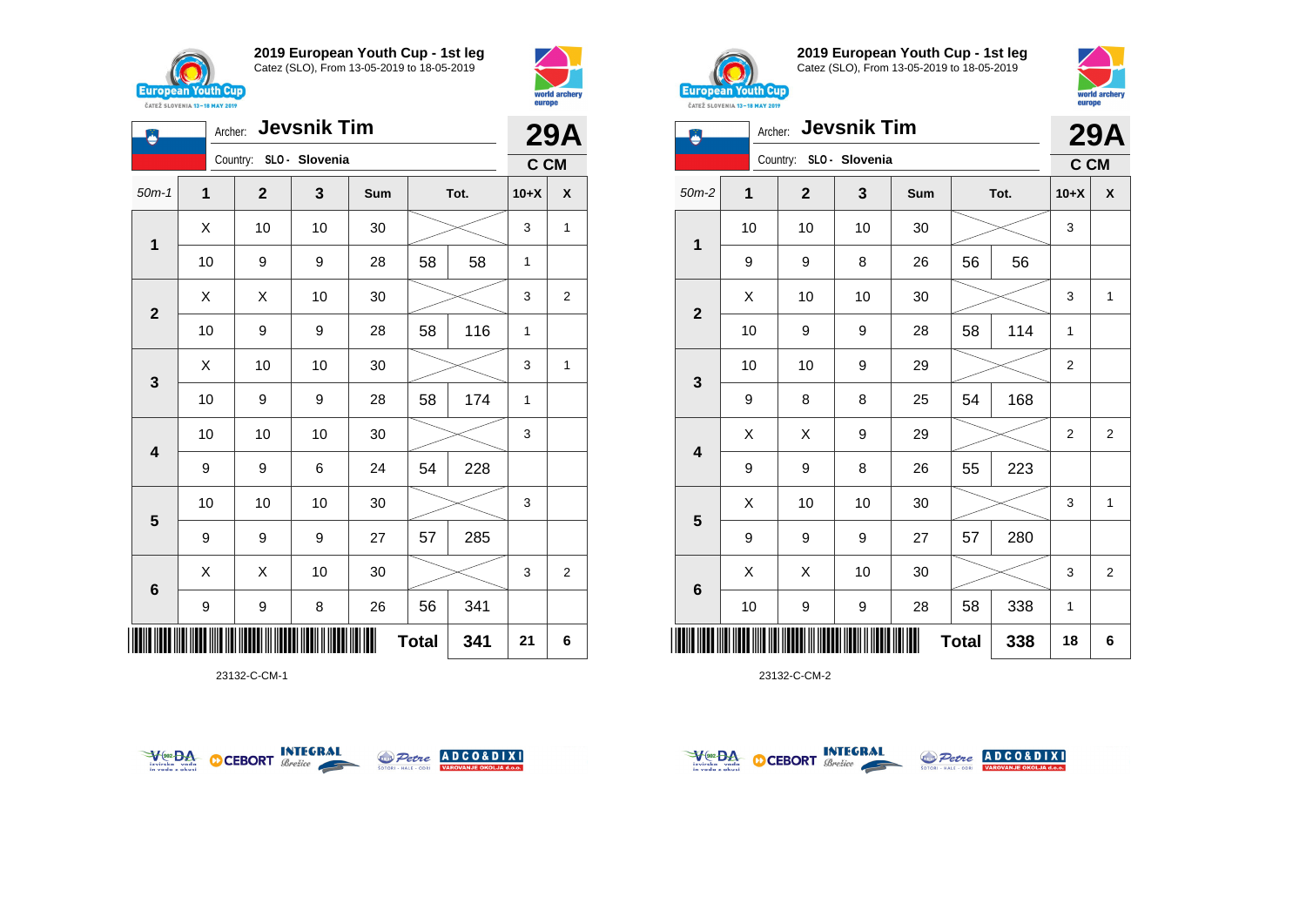





23132-C-CM-1





**2019 European Youth Cup - 1st leg** Catez (SLO), From 13-05-2019 to 18-05-2019



| Archer: Jevsnik Tim<br>ز<br>پ |    |                         |    |     |              |      |                | <b>29A</b>     |  |
|-------------------------------|----|-------------------------|----|-----|--------------|------|----------------|----------------|--|
|                               |    | Country: SLO - Slovenia |    |     |              |      | C CM           |                |  |
| $50m-2$                       | 1  | $\mathbf{2}$            | 3  | Sum |              | Tot. | $10+X$         | X              |  |
| 1                             | 10 | 10                      | 10 | 30  |              |      | 3              |                |  |
|                               | 9  | 9                       | 8  | 26  | 56           | 56   |                |                |  |
| $\mathbf{2}$                  | Χ  | 10                      | 10 | 30  |              |      | 3              | 1              |  |
|                               | 10 | 9                       | 9  | 28  | 58           | 114  | $\mathbf{1}$   |                |  |
| 3                             | 10 | 10                      | 9  | 29  |              |      | $\overline{c}$ |                |  |
|                               | 9  | 8                       | 8  | 25  | 54           | 168  |                |                |  |
| 4                             | X  | X                       | 9  | 29  |              |      | 2              | $\overline{2}$ |  |
|                               | 9  | 9                       | 8  | 26  | 55           | 223  |                |                |  |
|                               | X  | 10                      | 10 | 30  |              |      | 3              | $\mathbf{1}$   |  |
| 5                             | 9  | 9                       | 9  | 27  | 57           | 280  |                |                |  |
| 6                             | X  | X                       | 10 | 30  |              |      | 3              | $\overline{2}$ |  |
|                               | 10 | 9                       | 9  | 28  | 58           | 338  | $\mathbf{1}$   |                |  |
|                               |    |                         |    |     | <b>Total</b> | 338  | 18             | 6              |  |



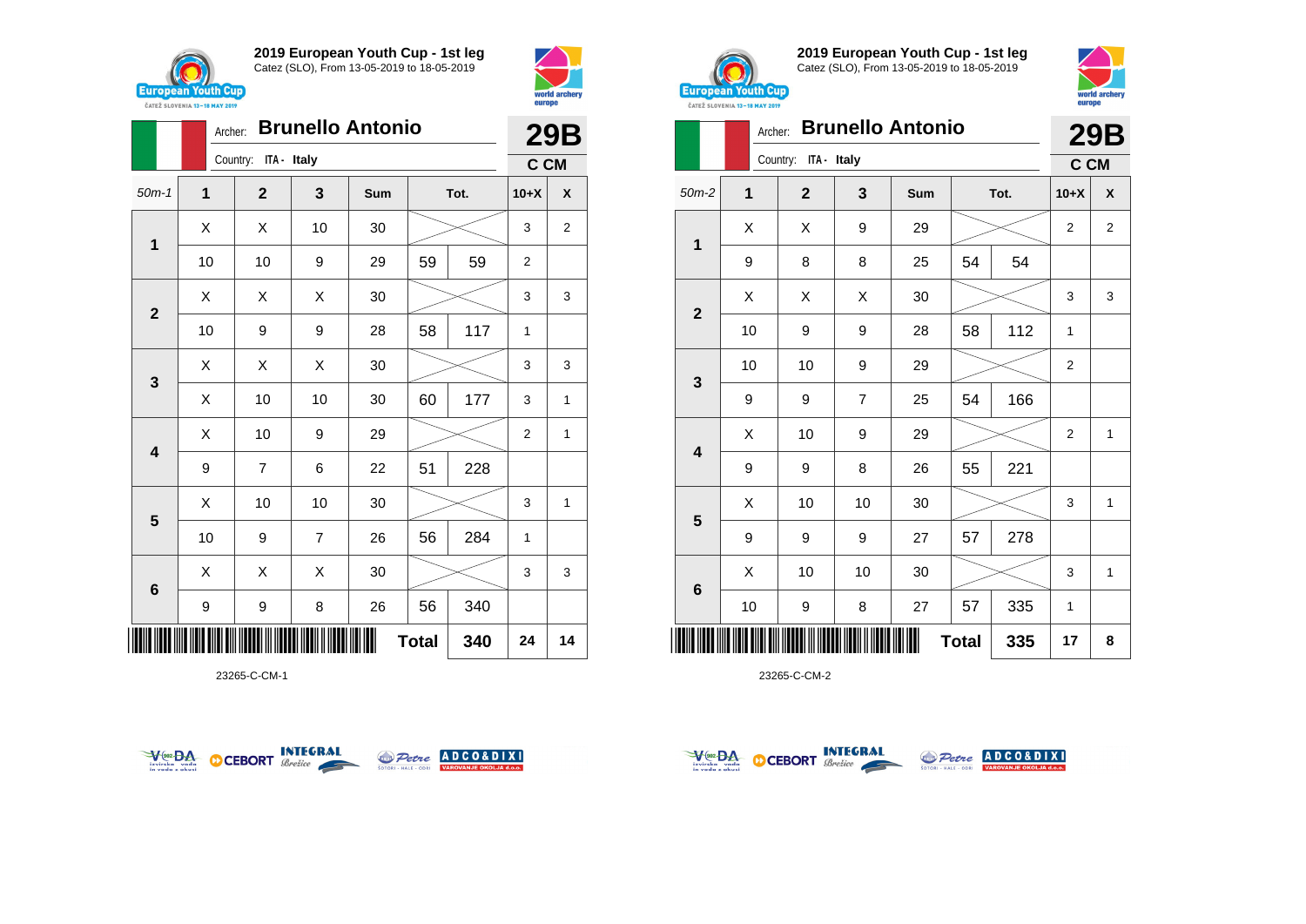





23265-C-CM-1





**2019 European Youth Cup - 1st leg** Catez (SLO), From 13-05-2019 to 18-05-2019



| <b>CAILL SLUVENIA 13-18 MAY 2019</b> |         |                         |                |                         |              |      |                |                |
|--------------------------------------|---------|-------------------------|----------------|-------------------------|--------------|------|----------------|----------------|
|                                      | Archer: |                         |                | <b>Brunello Antonio</b> |              |      |                | <b>29B</b>     |
|                                      |         | ITA - Italy<br>Country: |                |                         |              |      | C CM           |                |
| $50m-2$                              | 1       | $\mathbf{2}$            | 3              | Sum                     |              | Tot. | $10+X$         | X              |
| $\mathbf{1}$                         | X       | Χ                       | 9              | 29                      |              |      | $\overline{2}$ | $\overline{2}$ |
|                                      | 9       | 8                       | 8              | 25                      | 54           | 54   |                |                |
| $\mathbf{2}$                         | X       | X                       | X              | 30                      |              |      | 3              | 3              |
|                                      | 10      | 9                       | 9              | 28                      | 58           | 112  | $\mathbf{1}$   |                |
|                                      | 10      | $10\,$                  | 9              | 29                      |              |      | 2              |                |
| $\mathbf 3$                          | 9       | 9                       | $\overline{7}$ | 25                      | 54           | 166  |                |                |
|                                      | X       | 10                      | 9              | 29                      |              |      | 2              | $\mathbf{1}$   |
| $\overline{\mathbf{4}}$              | 9       | 9                       | 8              | 26                      | 55           | 221  |                |                |
|                                      | X       | 10                      | 10             | 30                      |              |      | 3              | 1              |
| 5                                    | 9       | 9                       | 9              | 27                      | 57           | 278  |                |                |
|                                      | X       | 10                      | 10             | $30\,$                  |              |      | 3              | 1              |
| $6\phantom{1}6$                      | 10      | 9                       | 8              | 27                      | 57           | 335  | 1              |                |
|                                      |         |                         |                |                         | <b>Total</b> | 335  | 17             | 8              |



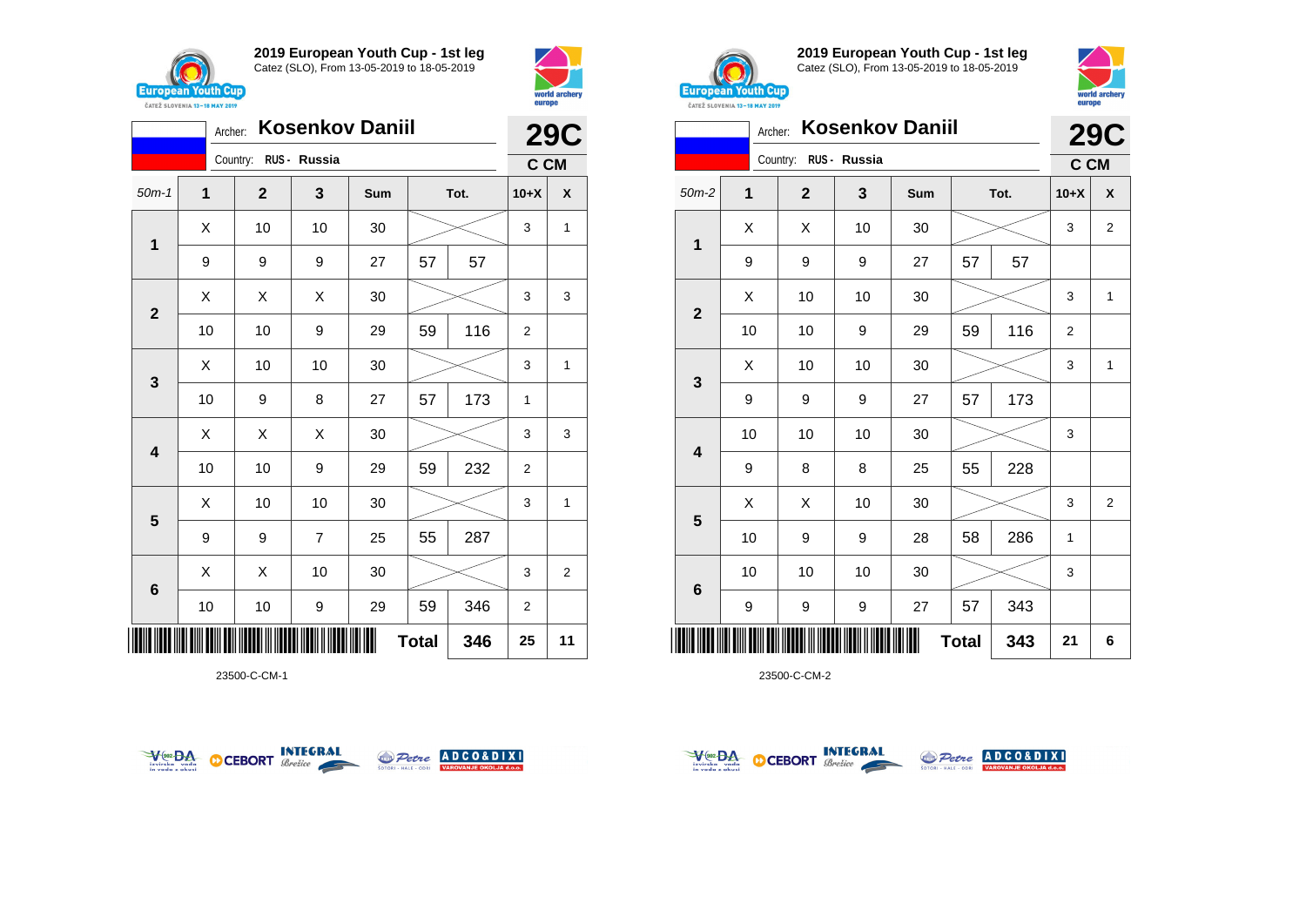



|                           |             | <b>29C</b>            |                |     |    |      |                |              |
|---------------------------|-------------|-----------------------|----------------|-----|----|------|----------------|--------------|
|                           |             | Country: RUS - Russia |                |     |    |      | C CM           |              |
| $50m-1$                   | $\mathbf 1$ | $\mathbf 2$           | 3              | Sum |    | Tot. | $10+X$         | X            |
| 1                         | X           | 10                    | 10             | 30  |    |      | 3              | $\mathbf{1}$ |
|                           | 9           | 9                     | 9              | 27  | 57 | 57   |                |              |
| $\mathbf{2}$              | X           | X                     | X              | 30  |    |      | 3              | 3            |
|                           | 10          | 10                    | 9              | 29  | 59 | 116  | 2              |              |
| 3                         | X           | 10                    | 10             | 30  |    |      | 3              | $\mathbf{1}$ |
|                           | 10          | 9                     | 8              | 27  | 57 | 173  | $\mathbf{1}$   |              |
| 4                         | X           | Χ                     | X              | 30  |    |      | 3              | 3            |
|                           | 10          | 10                    | 9              | 29  | 59 | 232  | $\overline{2}$ |              |
| 5                         | X           | 10                    | 10             | 30  |    |      | 3              | $\mathbf{1}$ |
|                           | 9           | 9                     | $\overline{7}$ | 25  | 55 | 287  |                |              |
| 6                         | X           | X                     | 10             | 30  |    |      | 3              | 2            |
|                           | 10          | 10                    | 9              | 29  | 59 | 346  | $\overline{2}$ |              |
| <b>Total</b><br>346<br>25 |             |                       |                |     |    |      |                |              |

23500-C-CM-1





**2019 European Youth Cup - 1st leg** Catez (SLO), From 13-05-2019 to 18-05-2019



|                         |    | <b>29C</b>   |              |     |              |      |                |                |
|-------------------------|----|--------------|--------------|-----|--------------|------|----------------|----------------|
|                         |    | Country:     | RUS - Russia |     |              |      | C CM           |                |
| $50m-2$                 | 1  | $\mathbf{2}$ | 3            | Sum |              | Tot. | $10+X$         | X              |
| 1                       | X  | X            | 10           | 30  |              |      | 3              | 2              |
|                         | 9  | 9            | 9            | 27  | 57           | 57   |                |                |
|                         | X  | 10           | 10           | 30  |              |      | 3              | 1              |
| $\mathbf 2$             | 10 | 10           | 9            | 29  | 59           | 116  | $\overline{2}$ |                |
| 3                       | X  | 10           | 10           | 30  |              |      | 3              | $\mathbf{1}$   |
|                         | 9  | 9            | 9            | 27  | 57           | 173  |                |                |
| $\overline{\mathbf{4}}$ | 10 | 10           | 10           | 30  |              |      | 3              |                |
|                         | 9  | 8            | 8            | 25  | 55           | 228  |                |                |
|                         | X  | X            | 10           | 30  |              |      | 3              | $\overline{2}$ |
| 5                       | 10 | 9            | 9            | 28  | 58           | 286  | 1              |                |
|                         | 10 | 10           | 10           | 30  |              |      | 3              |                |
| 6                       | 9  | 9            | 9            | 27  | 57           | 343  |                |                |
| ║║║                     |    |              |              |     | <b>Total</b> | 343  | 21             | 6              |



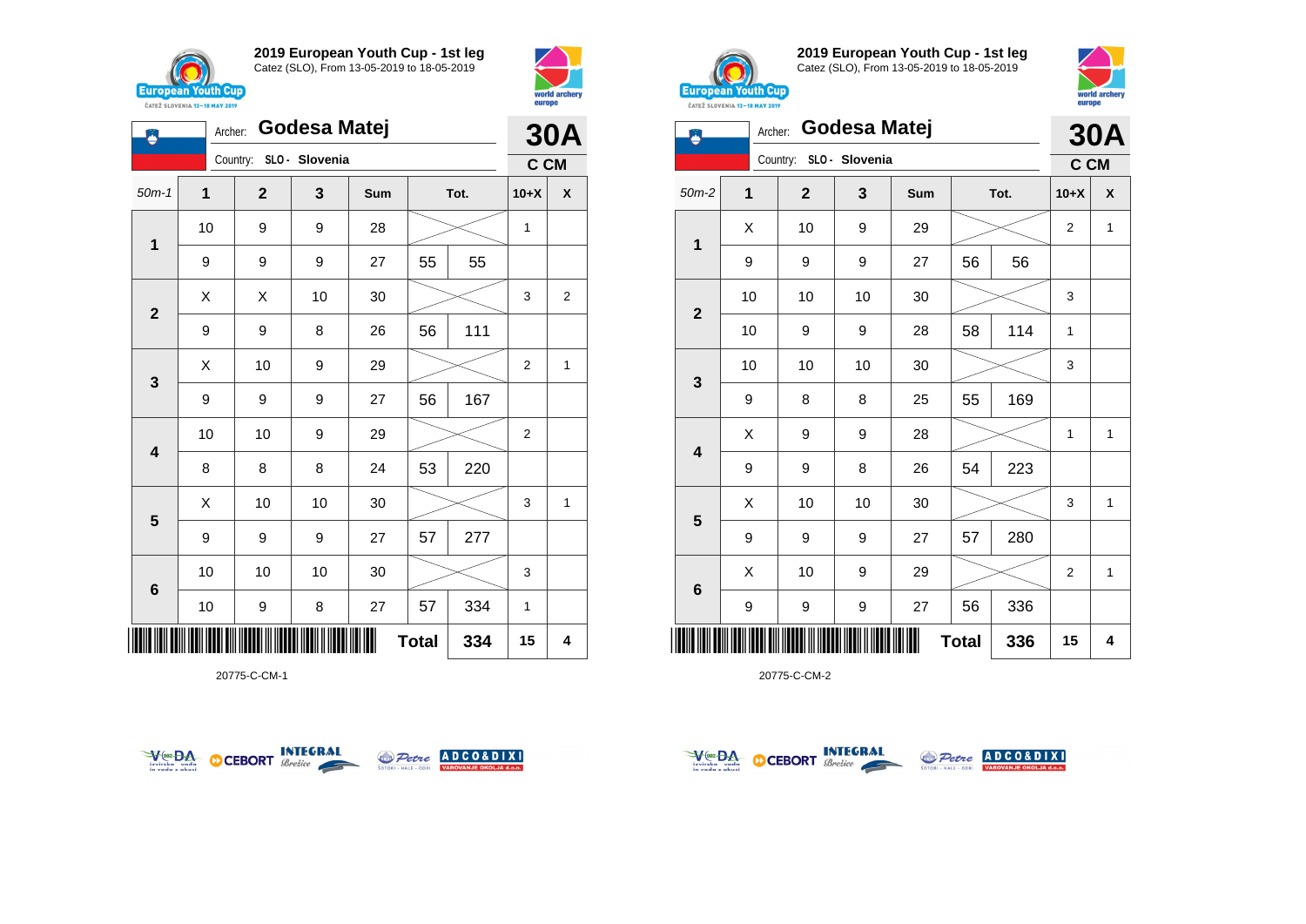

**1**

Ö

**2**

**3**

**4**

**5**

**6**

**2019 European Youth Cup - 1st leg** Catez (SLO), From 13-05-2019 to 18-05-2019

50m-1 **1 2 3 Sum Tot. 10+X X**

9 | 9 | 27 | 55 | 55

9 | 9 | 8 | 26 | 56 | 111

9 | 9 | 9 | 27 | 56 | 167

8 | 8 | 8 | 24 | 53 | 220

9 | 9 | 9 | 27 | 57 | 277

10 10 10 30 3

10 | 9 | 8 | 27 | 57 | 334 | 1

10 | 10 | 9 | 29 |  $>$  | 2

10 9 9 28 1

 $X$   $\mid$   $X$   $\mid$  10  $\mid$  30  $\mid$   $\gg$   $\mid$  3  $\mid$  2

 $\begin{array}{|c|c|c|c|c|}\hline \hspace{.1cm}X & \hspace{.1cm} \text{10} & \hspace{.1cm} \text{9} & \hspace{.1cm} \text{29} & \hspace{.1cm} \hline \end{array} \hspace{.2cm} \begin{array}{|c|c|c|c|c|c|}\hline \hspace{.1cm}X & \hspace{.1cm} \text{2} & \hspace{.1cm} \text{2} & \hspace{.1cm} \text{1} & \hspace{.1cm} \hline \end{array}$ 

 $\begin{array}{|c|c|c|c|c|}\hline \text{X} & \text{10} & \text{10} & \text{30} & \text{\hspace{1em}}\hline \end{array} \hspace{.2cm} \begin{array}{|c|c|c|c|c|}\hline \text{3} & \text{15} & \text{36} & \text{17} & \text{28} & \text{28} & \text{28} & \text{28} & \text{28} & \text{28} & \text{28} & \text{28} & \text{28} & \text{28} & \text{28} & \text{28} & \text{28} & \text{28} & \text{28$ 

**Total 334 15 4**

Archer: **Godesa Matej**

Country: **SLO - Slovenia**



**30A C CM**



**2019 European Youth Cup - 1st leg** Catez (SLO), From 13-05-2019 to 18-05-2019



|                         | <b>UNILL JLUVENIA 13-10 MMI 4017</b> |                         |    |     |              |     |        |              |  |
|-------------------------|--------------------------------------|-------------------------|----|-----|--------------|-----|--------|--------------|--|
|                         |                                      | Godesa Matej<br>Archer: |    |     |              |     |        | <b>30A</b>   |  |
| Country: SLO - Slovenia |                                      |                         |    |     |              |     | C CM   |              |  |
| $50m-2$                 | 1                                    | $\mathbf{2}$            | 3  | Sum | Tot.         |     | $10+X$ | X            |  |
|                         | X                                    | 10                      | 9  | 29  |              |     | 2      | 1            |  |
| 1                       | 9                                    | 9                       | 9  | 27  | 56           | 56  |        |              |  |
|                         | 10                                   | 10                      | 10 | 30  |              |     | 3      |              |  |
| $\mathbf{2}$            | 10                                   | 9                       | 9  | 28  | 58           | 114 | 1      |              |  |
|                         | 10                                   | 10                      | 10 | 30  |              |     | 3      |              |  |
| $\mathbf{3}$            | 9                                    | 8                       | 8  | 25  | 55           | 169 |        |              |  |
| $\overline{\mathbf{4}}$ | X                                    | 9                       | 9  | 28  |              |     | 1      | $\mathbf{1}$ |  |
|                         | 9                                    | 9                       | 8  | 26  | 54           | 223 |        |              |  |
| 5                       | X                                    | 10                      | 10 | 30  |              |     | 3      | 1            |  |
|                         | 9                                    | 9                       | 9  | 27  | 57           | 280 |        |              |  |
| $\bf 6$                 | Χ                                    | 10                      | 9  | 29  |              |     | 2      | 1            |  |
|                         | 9                                    | 9                       | 9  | 27  | 56           | 336 |        |              |  |
|                         |                                      |                         |    |     | <b>Total</b> | 336 | 15     | 4            |  |

20775-C-CM-2



\*20775-C-CM-1\*



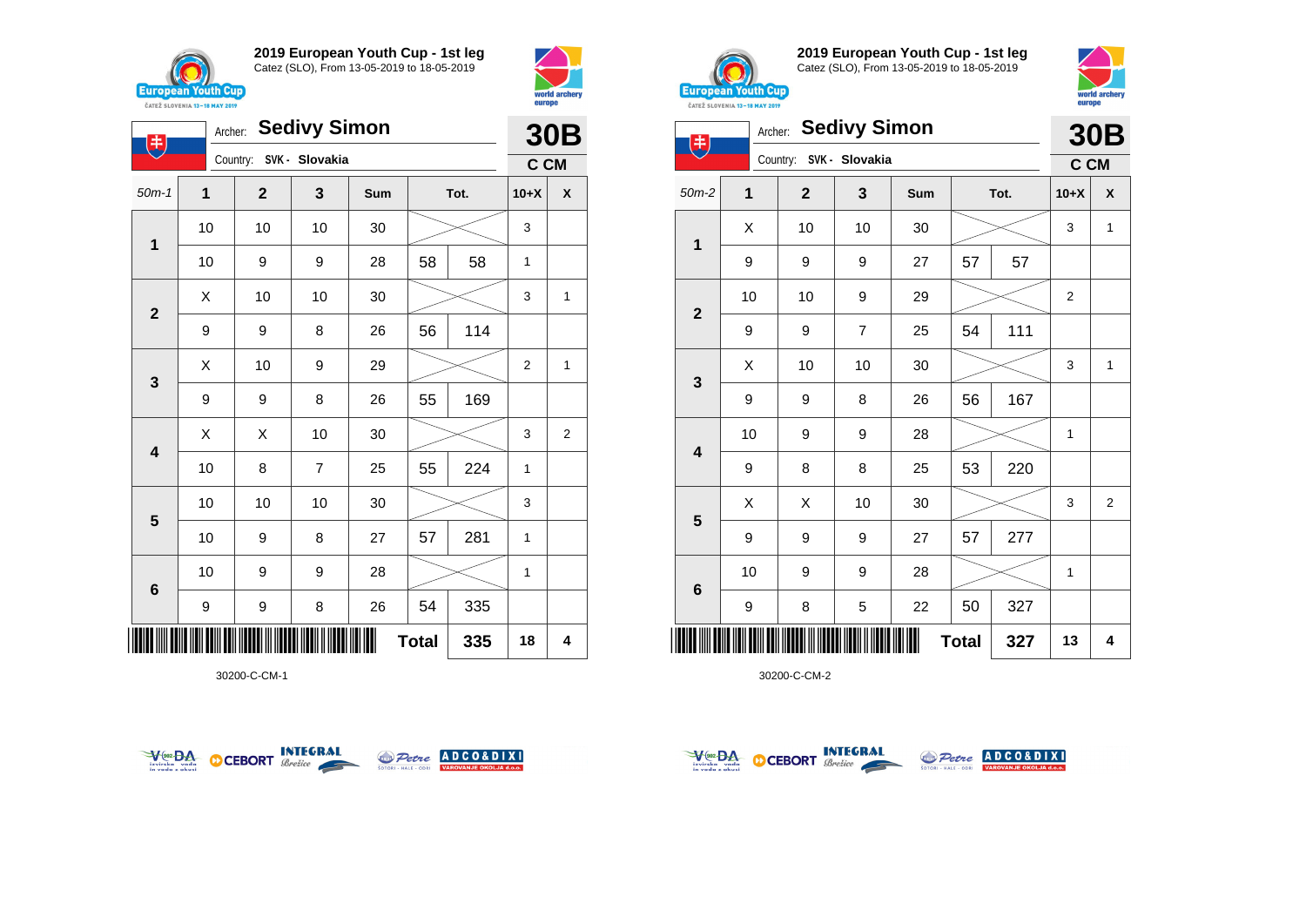

**1**

电

**2**

**3**

**4**

**5**

**6**

**2019 European Youth Cup - 1st leg** Catez (SLO), From 13-05-2019 to 18-05-2019

50m-1 **1 2 3 Sum Tot. 10+X X**

10 10 10 30 3

10 | 9 | 9 | 28 | 58 | 58 | 1

9 | 9 | 8 | 26 | 56 | 114

9 | 9 | 8 | 26 | 55 | 169

 $\begin{array}{|c|c|c|c|c|}\hline \text{X} & \text{10} & \text{10} & \text{30} & \text{\hspace{1em}}\hline \end{array} \hspace{.2cm} \begin{array}{|c|c|c|c|c|}\hline \text{3} & \text{15} & \text{36} & \text{47} & \text{58} & \text{58} & \text{58} & \text{58} & \text{58} & \text{58} & \text{58} & \text{58} & \text{58} & \text{58} & \text{58} & \text{58} & \text{58} & \text{58} & \text{58$ 

 $\begin{array}{|c|c|c|c|c|}\hline \hspace{.1cm}X & \hspace{.1cm} \text{10} & \hspace{.1cm} \text{9} & \hspace{.1cm} \text{29} & \hspace{.1cm} \hline \end{array} \hspace{.2cm} \begin{array}{|c|c|c|c|c|c|}\hline \hspace{.1cm}X & \hspace{.1cm} \text{2} & \hspace{.1cm} \text{2} & \hspace{.1cm} \text{1} & \hspace{.1cm} \hline \end{array}$ 

 $\begin{array}{|c|c|c|c|c|}\hline \hspace{.1cm}X & \hspace{.1cm} \hspace{.1cm}X & \hspace{.1cm} \hspace{.1cm}10 & \hspace{.1cm} \hspace{.1cm}30 & \hspace{.1cm}\hline \end{array} \hspace{.2cm} \begin{array}{c|c|c|c|c|c|c|c} \hline \hspace{.1cm}X & \hspace{.1cm} \hspace{.1cm}3 & \hspace{.1cm}2 & \hspace{.1cm}\hline \end{array}$ 

10 | 8 | 7 | 25 | 55 | 224 | 1

10 10 10 30 3

10 | 9 | 8 | 27 | 57 | 281 | 1

10 | 9 | 9 | 28 |  $\!\!\!\!\!\!\!\!\times$  | 1

9 | 9 | 8 | 26 | 54 | 335

Archer: **Sedivy Simon**

Country: **SVK - Slovakia**



**30B C CM**



**2019 European Youth Cup - 1st leg** Catez (SLO), From 13-05-2019 to 18-05-2019



| Archer: Sedivy Simon<br>$\left( \ddagger \right)$<br>Country: SVK - Slovakia |    |                  |                |     |              | <b>30B</b> |        |                |
|------------------------------------------------------------------------------|----|------------------|----------------|-----|--------------|------------|--------|----------------|
|                                                                              |    |                  |                |     |              |            | C CM   |                |
| $50m-2$                                                                      | 1  | $\mathbf{2}$     | 3              | Sum | Tot.         |            | $10+X$ | X              |
|                                                                              | X  | 10               | 10             | 30  |              |            | 3      | $\mathbf{1}$   |
| 1                                                                            | 9  | $\boldsymbol{9}$ | 9              | 27  | 57           | 57         |        |                |
|                                                                              | 10 | 10               | 9              | 29  |              |            | 2      |                |
| $\mathbf 2$                                                                  | 9  | 9                | $\overline{7}$ | 25  | 54           | 111        |        |                |
|                                                                              | X  | 10               | 10             | 30  |              |            | 3      | $\mathbf{1}$   |
| $\mathbf{3}$                                                                 | 9  | 9                | 8              | 26  | 56           | 167        |        |                |
| $\overline{\mathbf{4}}$                                                      | 10 | 9                | 9              | 28  |              |            | 1      |                |
|                                                                              | 9  | 8                | 8              | 25  | 53           | 220        |        |                |
| 5                                                                            | X  | X                | 10             | 30  |              |            | 3      | $\overline{2}$ |
|                                                                              | 9  | 9                | 9              | 27  | 57           | 277        |        |                |
| $6\phantom{1}6$                                                              | 10 | 9                | 9              | 28  |              |            | 1      |                |
|                                                                              | 9  | 8                | 5              | 22  | 50           | 327        |        |                |
|                                                                              |    |                  |                |     | <b>Total</b> | 327        | 13     | 4              |